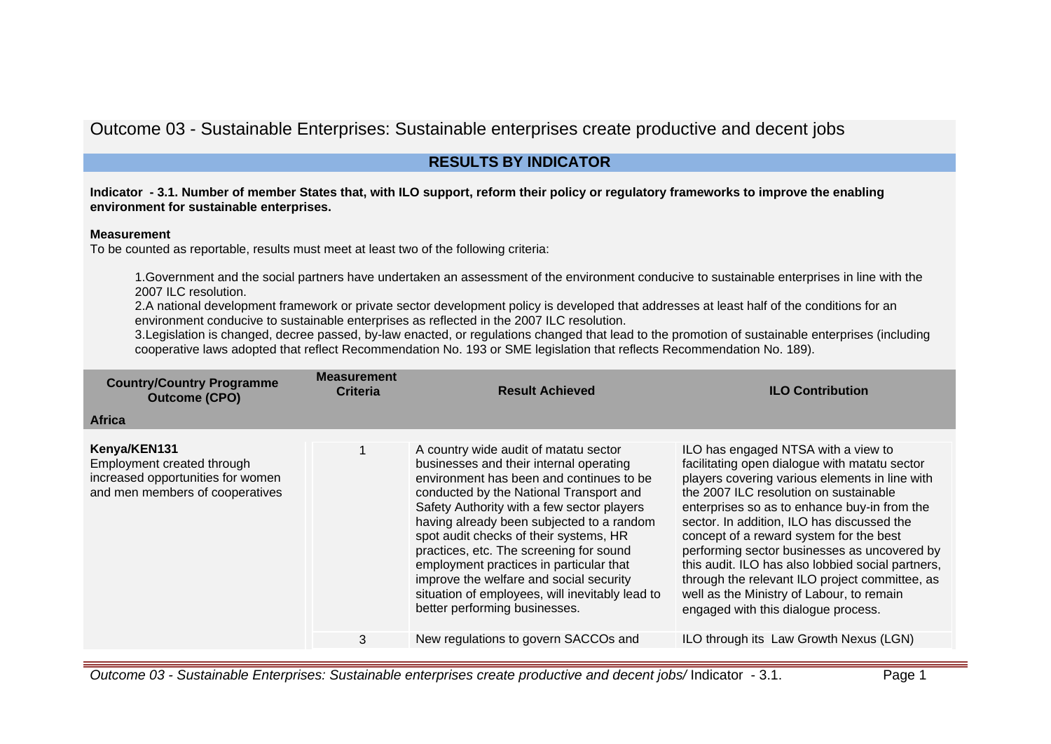Outcome 03 - Sustainable Enterprises: Sustainable enterprises create productive and decent jobs

# **RESULTS BY INDICATOR**

**Indicator - 3.1. Number of member States that, with ILO support, reform their policy or regulatory frameworks to improve the enabling environment for sustainable enterprises.**

#### **Measurement**

To be counted as reportable, results must meet at least two of the following criteria:

1.Government and the social partners have undertaken an assessment of the environment conducive to sustainable enterprises in line with the 2007 ILC resolution.

2.A national development framework or private sector development policy is developed that addresses at least half of the conditions for an environment conducive to sustainable enterprises as reflected in the 2007 ILC resolution.

3.Legislation is changed, decree passed, by-law enacted, or regulations changed that lead to the promotion of sustainable enterprises (including cooperative laws adopted that reflect Recommendation No. 193 or SME legislation that reflects Recommendation No. 189).

| <b>Country/Country Programme</b><br><b>Outcome (CPO)</b>                                                           | <b>Measurement</b><br><b>Criteria</b> | <b>Result Achieved</b>                                                                                                                                                                                                                                                                                                                                                                                                                                                                                                            | <b>ILO Contribution</b>                                                                                                                                                                                                                                                                                                                                                                                                                                                                                                                                              |
|--------------------------------------------------------------------------------------------------------------------|---------------------------------------|-----------------------------------------------------------------------------------------------------------------------------------------------------------------------------------------------------------------------------------------------------------------------------------------------------------------------------------------------------------------------------------------------------------------------------------------------------------------------------------------------------------------------------------|----------------------------------------------------------------------------------------------------------------------------------------------------------------------------------------------------------------------------------------------------------------------------------------------------------------------------------------------------------------------------------------------------------------------------------------------------------------------------------------------------------------------------------------------------------------------|
| <b>Africa</b>                                                                                                      |                                       |                                                                                                                                                                                                                                                                                                                                                                                                                                                                                                                                   |                                                                                                                                                                                                                                                                                                                                                                                                                                                                                                                                                                      |
| Kenya/KEN131<br>Employment created through<br>increased opportunities for women<br>and men members of cooperatives |                                       | A country wide audit of matatu sector<br>businesses and their internal operating<br>environment has been and continues to be<br>conducted by the National Transport and<br>Safety Authority with a few sector players<br>having already been subjected to a random<br>spot audit checks of their systems, HR<br>practices, etc. The screening for sound<br>employment practices in particular that<br>improve the welfare and social security<br>situation of employees, will inevitably lead to<br>better performing businesses. | ILO has engaged NTSA with a view to<br>facilitating open dialogue with matatu sector<br>players covering various elements in line with<br>the 2007 ILC resolution on sustainable<br>enterprises so as to enhance buy-in from the<br>sector. In addition, ILO has discussed the<br>concept of a reward system for the best<br>performing sector businesses as uncovered by<br>this audit. ILO has also lobbied social partners,<br>through the relevant ILO project committee, as<br>well as the Ministry of Labour, to remain<br>engaged with this dialogue process. |
|                                                                                                                    | 3                                     | New regulations to govern SACCOs and                                                                                                                                                                                                                                                                                                                                                                                                                                                                                              | ILO through its Law Growth Nexus (LGN)                                                                                                                                                                                                                                                                                                                                                                                                                                                                                                                               |

Outcome 03 - Sustainable Enterprises: Sustainable enterprises create productive and decent jobs/ Indicator - 3.1. Page 1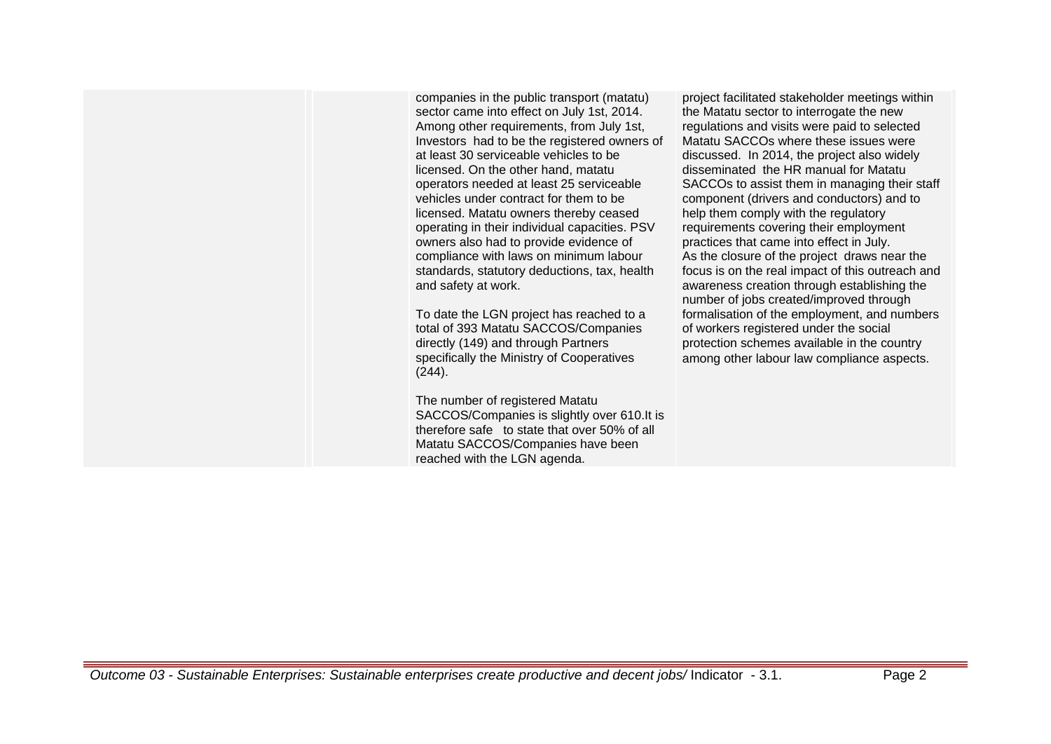companies in the public transport (matatu) sector came into effect on July 1st, 2014. Among other requirements, from July 1st, Investors had to be the registered owners of at least 30 serviceable vehicles to be licensed. On the other hand, matatu operators needed at least 25 serviceable vehicles under contract for them to be licensed. Matatu owners thereby ceased operating in their individual capacities. PSV owners also had to provide evidence of compliance with laws on minimum labour standards, statutory deductions, tax, health and safety at work.

To date the LGN project has reached to a total of 393 Matatu SACCOS/Companies directly (149) and through Partners specifically the Ministry of Cooperatives (244).

The number of registered Matatu SACCOS/Companies is slightly over 610.It is therefore safe to state that over 50% of all Matatu SACCOS/Companies have been reached with the LGN agenda.

project facilitated stakeholder meetings within the Matatu sector to interrogate the new regulations and visits were paid to selected Matatu SACCOs where these issues were discussed. In 2014, the project also widely disseminated the HR manual for Matatu SACCOs to assist them in managing their staff component (drivers and conductors) and to help them comply with the regulatory requirements covering their employment practices that came into effect in July. As the closure of the project draws near the focus is on the real impact of this outreach and awareness creation through establishing the number of jobs created/improved through formalisation of the employment, and numbers of workers registered under the social protection schemes available in the country among other labour law compliance aspects.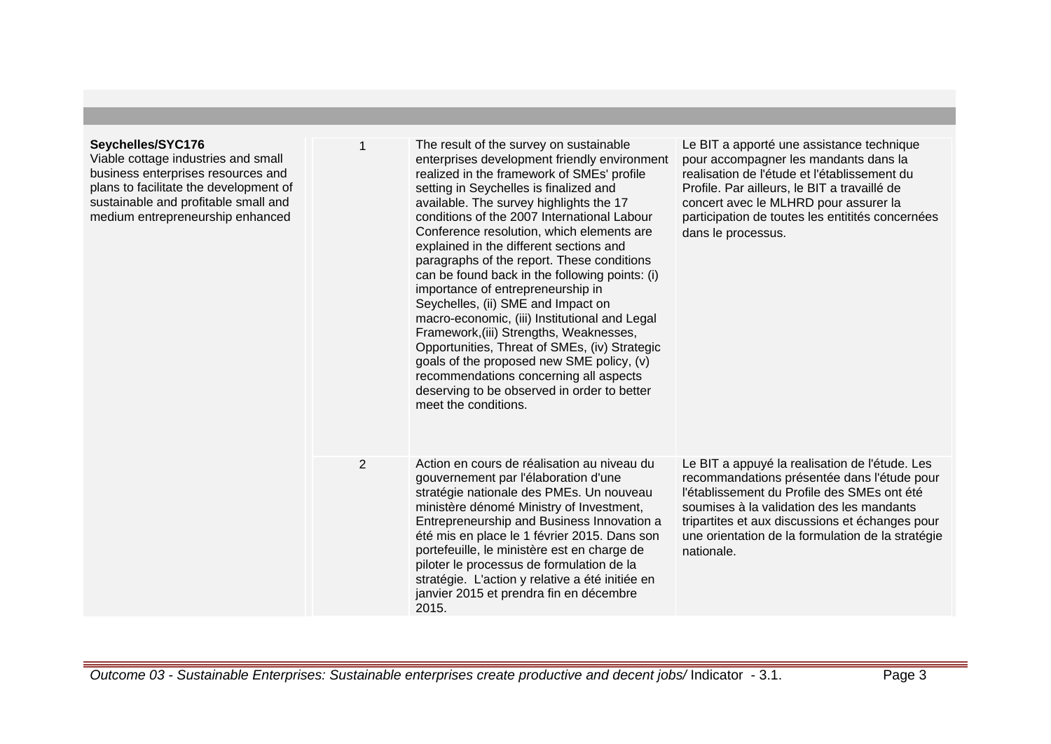### **Seychelles/SYC176**

Viable cottage industries and small business enterprises resources and plans to facilitate the development of sustainable and profitable small and medium entrepreneurship enhanced

| 1              | The result of the survey on sustainable<br>enterprises development friendly environment<br>realized in the framework of SMEs' profile<br>setting in Seychelles is finalized and<br>available. The survey highlights the 17<br>conditions of the 2007 International Labour<br>Conference resolution, which elements are<br>explained in the different sections and<br>paragraphs of the report. These conditions<br>can be found back in the following points: (i)<br>importance of entrepreneurship in<br>Seychelles, (ii) SME and Impact on<br>macro-economic, (iii) Institutional and Legal<br>Framework, (iii) Strengths, Weaknesses,<br>Opportunities, Threat of SMEs, (iv) Strategic<br>goals of the proposed new SME policy, (v)<br>recommendations concerning all aspects<br>deserving to be observed in order to better<br>meet the conditions. | Le BIT a apporté une assistance technique<br>pour accompagner les mandants dans la<br>realisation de l'étude et l'établissement du<br>Profile. Par ailleurs, le BIT a travaillé de<br>concert avec le MLHRD pour assurer la<br>participation de toutes les entitités concernées<br>dans le processus.           |
|----------------|---------------------------------------------------------------------------------------------------------------------------------------------------------------------------------------------------------------------------------------------------------------------------------------------------------------------------------------------------------------------------------------------------------------------------------------------------------------------------------------------------------------------------------------------------------------------------------------------------------------------------------------------------------------------------------------------------------------------------------------------------------------------------------------------------------------------------------------------------------|-----------------------------------------------------------------------------------------------------------------------------------------------------------------------------------------------------------------------------------------------------------------------------------------------------------------|
| $\overline{2}$ | Action en cours de réalisation au niveau du<br>gouvernement par l'élaboration d'une<br>stratégie nationale des PMEs. Un nouveau<br>ministère dénomé Ministry of Investment,<br>Entrepreneurship and Business Innovation a<br>été mis en place le 1 février 2015. Dans son<br>portefeuille, le ministère est en charge de<br>piloter le processus de formulation de la<br>stratégie. L'action y relative a été initiée en<br>janvier 2015 et prendra fin en décembre<br>2015.                                                                                                                                                                                                                                                                                                                                                                            | Le BIT a appuyé la realisation de l'étude. Les<br>recommandations présentée dans l'étude pour<br>l'établissement du Profile des SMEs ont été<br>soumises à la validation des les mandants<br>tripartites et aux discussions et échanges pour<br>une orientation de la formulation de la stratégie<br>nationale. |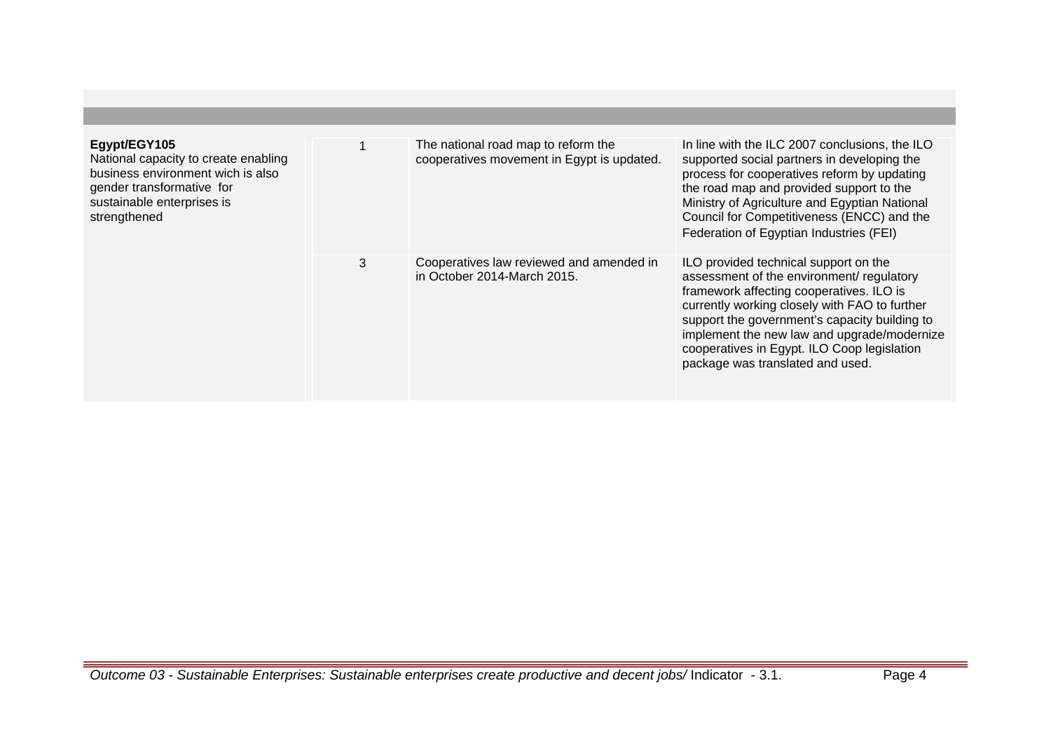| Egypt/EGY105<br>National capacity to create enabling<br>business environment wich is also<br>gender transformative for<br>sustainable enterprises is<br>strengthened |   | The national road map to reform the<br>cooperatives movement in Egypt is updated. | In line with the ILC 2007 conclusions, the ILO<br>supported social partners in developing the<br>process for cooperatives reform by updating<br>the road map and provided support to the<br>Ministry of Agriculture and Egyptian National<br>Council for Competitiveness (ENCC) and the<br>Federation of Egyptian Industries (FEI)                                 |
|----------------------------------------------------------------------------------------------------------------------------------------------------------------------|---|-----------------------------------------------------------------------------------|--------------------------------------------------------------------------------------------------------------------------------------------------------------------------------------------------------------------------------------------------------------------------------------------------------------------------------------------------------------------|
|                                                                                                                                                                      | 3 | Cooperatives law reviewed and amended in<br>in October 2014-March 2015.           | ILO provided technical support on the<br>assessment of the environment/ regulatory<br>framework affecting cooperatives. ILO is<br>currently working closely with FAO to further<br>support the government's capacity building to<br>implement the new law and upgrade/modernize<br>cooperatives in Egypt. ILO Coop legislation<br>package was translated and used. |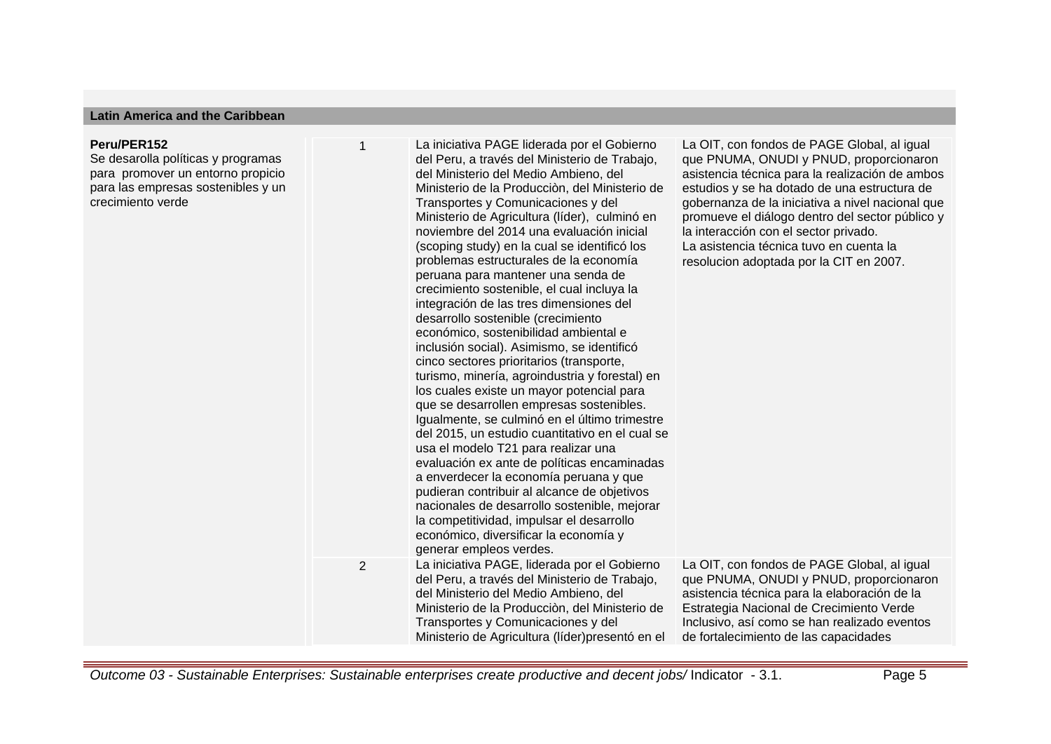#### **Latin America and the Caribbean**

#### **Peru/PER152**

Se desarolla políticas y programas para promover un entorno propicio para las empresas sostenibles y un crecimiento verde

1 La iniciativa PAGE liderada por el Gobierno del Peru, a través del Ministerio de Trabajo, del Ministerio del Medio Ambieno, del Ministerio de la Producciòn, del Ministerio de Transportes y Comunicaciones y del Ministerio de Agricultura (líder), culminó en noviembre del 2014 una evaluación inicial (scoping study) en la cual se identificó los problemas estructurales de la economía peruana para mantener una senda de crecimiento sostenible, el cual incluya la integración de las tres dimensiones del desarrollo sostenible (crecimiento económico, sostenibilidad ambiental e inclusión social). Asimismo, se identificó cinco sectores prioritarios (transporte, turismo, minería, agroindustria y forestal) en los cuales existe un mayor potencial para que se desarrollen empresas sostenibles. Igualmente, se culminó en el último trimestre del 2015, un estudio cuantitativo en el cual se usa el modelo T21 para realizar una evaluación ex ante de políticas encaminadas a enverdecer la economía peruana y que pudieran contribuir al alcance de objetivos nacionales de desarrollo sostenible, mejorar la competitividad, impulsar el desarrollo económico, diversificar la economía y generar empleos verdes. La OIT, con fondos de PAGE Global, al igual que PNUMA, ONUDI y PNUD, proporcionaron asistencia técnica para la realización de ambos estudios y se ha dotado de una estructura de gobernanza de la iniciativa a nivel nacional que promueve el diálogo dentro del sector público y la interacción con el sector privado. La asistencia técnica tuvo en cuenta la resolucion adoptada por la CIT en 2007. 2 La iniciativa PAGE, liderada por el Gobierno del Peru, a través del Ministerio de Trabajo, del Ministerio del Medio Ambieno, del Ministerio de la Producciòn, del Ministerio de Transportes y Comunicaciones y del Ministerio de Agricultura (líder)presentó en el La OIT, con fondos de PAGE Global, al igual que PNUMA, ONUDI y PNUD, proporcionaron asistencia técnica para la elaboración de la Estrategia Nacional de Crecimiento Verde Inclusivo, así como se han realizado eventos de fortalecimiento de las capacidades

Outcome 03 - Sustainable Enterprises: Sustainable enterprises create productive and decent jobs/ Indicator - 3.1. Page 5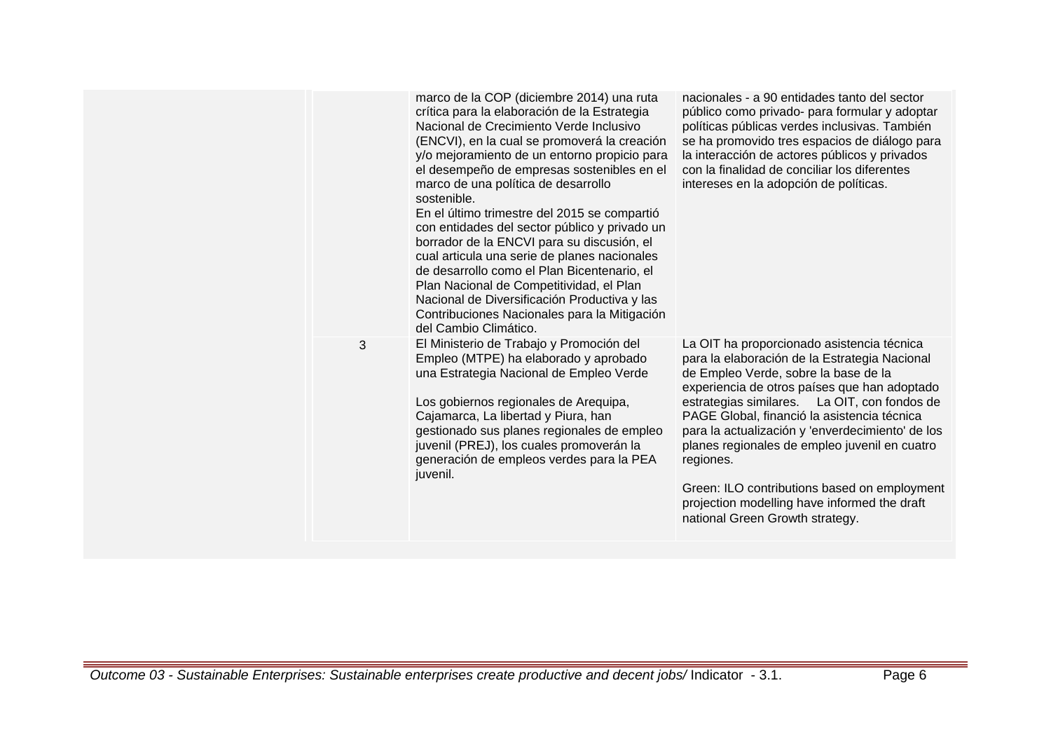|   | marco de la COP (diciembre 2014) una ruta<br>crítica para la elaboración de la Estrategia<br>Nacional de Crecimiento Verde Inclusivo<br>(ENCVI), en la cual se promoverá la creación<br>y/o mejoramiento de un entorno propicio para<br>el desempeño de empresas sostenibles en el<br>marco de una política de desarrollo<br>sostenible.<br>En el último trimestre del 2015 se compartió<br>con entidades del sector público y privado un<br>borrador de la ENCVI para su discusión, el<br>cual articula una serie de planes nacionales<br>de desarrollo como el Plan Bicentenario, el<br>Plan Nacional de Competitividad, el Plan<br>Nacional de Diversificación Productiva y las<br>Contribuciones Nacionales para la Mitigación<br>del Cambio Climático. | nacionales - a 90 entidades tanto del sector<br>público como privado- para formular y adoptar<br>políticas públicas verdes inclusivas. También<br>se ha promovido tres espacios de diálogo para<br>la interacción de actores públicos y privados<br>con la finalidad de conciliar los diferentes<br>intereses en la adopción de políticas.                                                                                                                                                                                              |
|---|-------------------------------------------------------------------------------------------------------------------------------------------------------------------------------------------------------------------------------------------------------------------------------------------------------------------------------------------------------------------------------------------------------------------------------------------------------------------------------------------------------------------------------------------------------------------------------------------------------------------------------------------------------------------------------------------------------------------------------------------------------------|-----------------------------------------------------------------------------------------------------------------------------------------------------------------------------------------------------------------------------------------------------------------------------------------------------------------------------------------------------------------------------------------------------------------------------------------------------------------------------------------------------------------------------------------|
| 3 | El Ministerio de Trabajo y Promoción del<br>Empleo (MTPE) ha elaborado y aprobado<br>una Estrategia Nacional de Empleo Verde<br>Los gobiernos regionales de Arequipa,<br>Cajamarca, La libertad y Piura, han<br>gestionado sus planes regionales de empleo<br>juvenil (PREJ), los cuales promoverán la<br>generación de empleos verdes para la PEA<br>juvenil.                                                                                                                                                                                                                                                                                                                                                                                              | La OIT ha proporcionado asistencia técnica<br>para la elaboración de la Estrategia Nacional<br>de Empleo Verde, sobre la base de la<br>experiencia de otros países que han adoptado<br>estrategias similares. La OIT, con fondos de<br>PAGE Global, financió la asistencia técnica<br>para la actualización y 'enverdecimiento' de los<br>planes regionales de empleo juvenil en cuatro<br>regiones.<br>Green: ILO contributions based on employment<br>projection modelling have informed the draft<br>national Green Growth strategy. |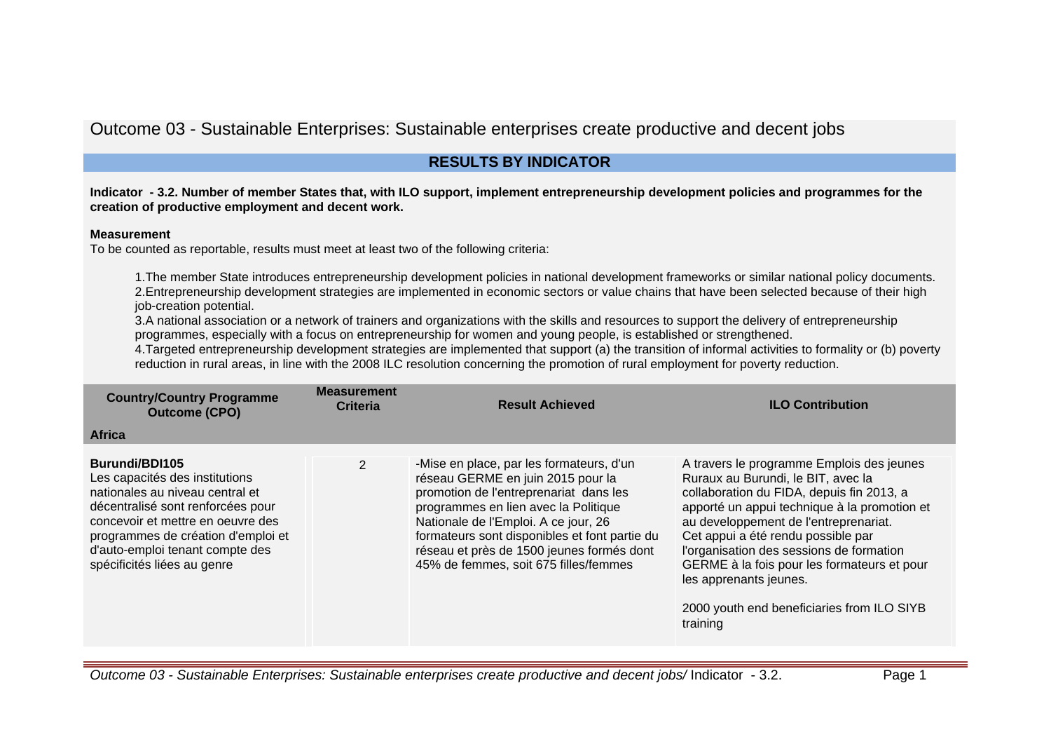# Outcome 03 - Sustainable Enterprises: Sustainable enterprises create productive and decent jobs

# **RESULTS BY INDICATOR**

**Indicator - 3.2. Number of member States that, with ILO support, implement entrepreneurship development policies and programmes for the creation of productive employment and decent work.**

#### **Measurement**

To be counted as reportable, results must meet at least two of the following criteria:

1.The member State introduces entrepreneurship development policies in national development frameworks or similar national policy documents. 2.Entrepreneurship development strategies are implemented in economic sectors or value chains that have been selected because of their high job-creation potential.

3.A national association or a network of trainers and organizations with the skills and resources to support the delivery of entrepreneurship programmes, especially with a focus on entrepreneurship for women and young people, is established or strengthened.

4.Targeted entrepreneurship development strategies are implemented that support (a) the transition of informal activities to formality or (b) poverty reduction in rural areas, in line with the 2008 ILC resolution concerning the promotion of rural employment for poverty reduction.

| <b>Country/Country Programme</b><br><b>Outcome (CPO)</b>                                                                                                                                                                                                              | <b>Measurement</b><br><b>Criteria</b> | <b>Result Achieved</b>                                                                                                                                                                                                                                                                                                                         | <b>ILO Contribution</b>                                                                                                                                                                                                                                                                                                                                                                                                                    |
|-----------------------------------------------------------------------------------------------------------------------------------------------------------------------------------------------------------------------------------------------------------------------|---------------------------------------|------------------------------------------------------------------------------------------------------------------------------------------------------------------------------------------------------------------------------------------------------------------------------------------------------------------------------------------------|--------------------------------------------------------------------------------------------------------------------------------------------------------------------------------------------------------------------------------------------------------------------------------------------------------------------------------------------------------------------------------------------------------------------------------------------|
| <b>Africa</b>                                                                                                                                                                                                                                                         |                                       |                                                                                                                                                                                                                                                                                                                                                |                                                                                                                                                                                                                                                                                                                                                                                                                                            |
| Burundi/BDI105<br>Les capacités des institutions<br>nationales au niveau central et<br>décentralisé sont renforcées pour<br>concevoir et mettre en oeuvre des<br>programmes de création d'emploi et<br>d'auto-emploi tenant compte des<br>spécificités liées au genre | 2                                     | -Mise en place, par les formateurs, d'un<br>réseau GERME en juin 2015 pour la<br>promotion de l'entreprenariat dans les<br>programmes en lien avec la Politique<br>Nationale de l'Emploi. A ce jour, 26<br>formateurs sont disponibles et font partie du<br>réseau et près de 1500 jeunes formés dont<br>45% de femmes, soit 675 filles/femmes | A travers le programme Emplois des jeunes<br>Ruraux au Burundi, le BIT, avec la<br>collaboration du FIDA, depuis fin 2013, a<br>apporté un appui technique à la promotion et<br>au developpement de l'entreprenariat.<br>Cet appui a été rendu possible par<br>l'organisation des sessions de formation<br>GERME à la fois pour les formateurs et pour<br>les apprenants jeunes.<br>2000 youth end beneficiaries from ILO SIYB<br>training |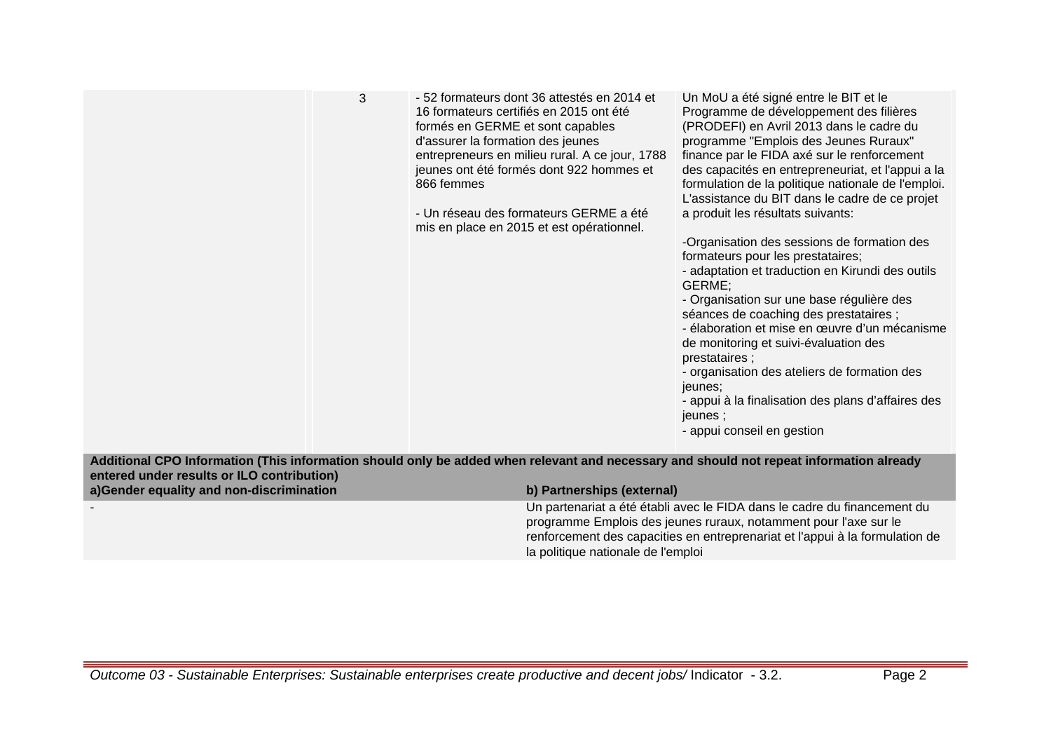| 3                                                                                                                                                                                     | - 52 formateurs dont 36 attestés en 2014 et<br>16 formateurs certifiés en 2015 ont été<br>formés en GERME et sont capables<br>d'assurer la formation des jeunes<br>entrepreneurs en milieu rural. A ce jour, 1788<br>jeunes ont été formés dont 922 hommes et<br>866 femmes<br>- Un réseau des formateurs GERME a été<br>mis en place en 2015 et est opérationnel. | Un MoU a été signé entre le BIT et le<br>Programme de développement des filières<br>(PRODEFI) en Avril 2013 dans le cadre du<br>programme "Emplois des Jeunes Ruraux"<br>finance par le FIDA axé sur le renforcement<br>des capacités en entrepreneuriat, et l'appui a la<br>formulation de la politique nationale de l'emploi.<br>L'assistance du BIT dans le cadre de ce projet<br>a produit les résultats suivants:<br>-Organisation des sessions de formation des<br>formateurs pour les prestataires;<br>- adaptation et traduction en Kirundi des outils<br>GERME;<br>- Organisation sur une base régulière des<br>séances de coaching des prestataires ;<br>- élaboration et mise en œuvre d'un mécanisme<br>de monitoring et suivi-évaluation des<br>prestataires;<br>- organisation des ateliers de formation des<br>jeunes;<br>- appui à la finalisation des plans d'affaires des<br>jeunes; |
|---------------------------------------------------------------------------------------------------------------------------------------------------------------------------------------|--------------------------------------------------------------------------------------------------------------------------------------------------------------------------------------------------------------------------------------------------------------------------------------------------------------------------------------------------------------------|--------------------------------------------------------------------------------------------------------------------------------------------------------------------------------------------------------------------------------------------------------------------------------------------------------------------------------------------------------------------------------------------------------------------------------------------------------------------------------------------------------------------------------------------------------------------------------------------------------------------------------------------------------------------------------------------------------------------------------------------------------------------------------------------------------------------------------------------------------------------------------------------------------|
|                                                                                                                                                                                       |                                                                                                                                                                                                                                                                                                                                                                    | - appui conseil en gestion                                                                                                                                                                                                                                                                                                                                                                                                                                                                                                                                                                                                                                                                                                                                                                                                                                                                             |
| Additional CPO Information (This information should only be added when relevant and necessary and should not repeat information already<br>entered under results or ILO contribution) |                                                                                                                                                                                                                                                                                                                                                                    |                                                                                                                                                                                                                                                                                                                                                                                                                                                                                                                                                                                                                                                                                                                                                                                                                                                                                                        |
| a)Gender equality and non-discrimination                                                                                                                                              | b) Partnerships (external)                                                                                                                                                                                                                                                                                                                                         |                                                                                                                                                                                                                                                                                                                                                                                                                                                                                                                                                                                                                                                                                                                                                                                                                                                                                                        |
|                                                                                                                                                                                       | la politique nationale de l'emploi                                                                                                                                                                                                                                                                                                                                 | Un partenariat a été établi avec le FIDA dans le cadre du financement du<br>programme Emplois des jeunes ruraux, notamment pour l'axe sur le<br>renforcement des capacities en entreprenariat et l'appui à la formulation de                                                                                                                                                                                                                                                                                                                                                                                                                                                                                                                                                                                                                                                                           |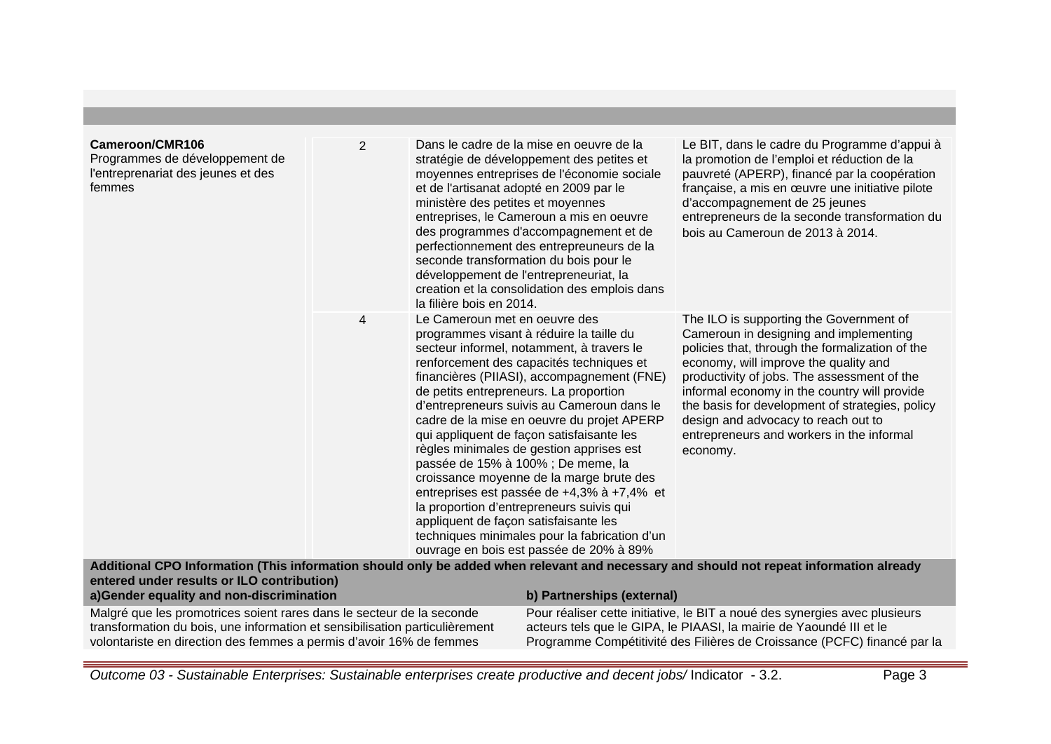| Cameroon/CMR106<br>Programmes de développement de<br>l'entreprenariat des jeunes et des<br>femmes | 2 | Dans le cadre de la mise en oeuvre de la<br>stratégie de développement des petites et<br>moyennes entreprises de l'économie sociale<br>et de l'artisanat adopté en 2009 par le<br>ministère des petites et moyennes<br>entreprises, le Cameroun a mis en oeuvre<br>des programmes d'accompagnement et de<br>perfectionnement des entrepreuneurs de la<br>seconde transformation du bois pour le<br>développement de l'entrepreneuriat, la<br>creation et la consolidation des emplois dans<br>la filière bois en 2014.                                                                                                                                                                                                                                          | Le BIT, dans le cadre du Programme d'appui à<br>la promotion de l'emploi et réduction de la<br>pauvreté (APERP), financé par la coopération<br>française, a mis en œuvre une initiative pilote<br>d'accompagnement de 25 jeunes<br>entrepreneurs de la seconde transformation du<br>bois au Cameroun de 2013 à 2014.                                                                                                            |
|---------------------------------------------------------------------------------------------------|---|-----------------------------------------------------------------------------------------------------------------------------------------------------------------------------------------------------------------------------------------------------------------------------------------------------------------------------------------------------------------------------------------------------------------------------------------------------------------------------------------------------------------------------------------------------------------------------------------------------------------------------------------------------------------------------------------------------------------------------------------------------------------|---------------------------------------------------------------------------------------------------------------------------------------------------------------------------------------------------------------------------------------------------------------------------------------------------------------------------------------------------------------------------------------------------------------------------------|
|                                                                                                   | 4 | Le Cameroun met en oeuvre des<br>programmes visant à réduire la taille du<br>secteur informel, notamment, à travers le<br>renforcement des capacités techniques et<br>financières (PIIASI), accompagnement (FNE)<br>de petits entrepreneurs. La proportion<br>d'entrepreneurs suivis au Cameroun dans le<br>cadre de la mise en oeuvre du projet APERP<br>qui appliquent de façon satisfaisante les<br>règles minimales de gestion apprises est<br>passée de 15% à 100%; De meme, la<br>croissance moyenne de la marge brute des<br>entreprises est passée de +4,3% à +7,4% et<br>la proportion d'entrepreneurs suivis qui<br>appliquent de façon satisfaisante les<br>techniques minimales pour la fabrication d'un<br>ouvrage en bois est passée de 20% à 89% | The ILO is supporting the Government of<br>Cameroun in designing and implementing<br>policies that, through the formalization of the<br>economy, will improve the quality and<br>productivity of jobs. The assessment of the<br>informal economy in the country will provide<br>the basis for development of strategies, policy<br>design and advocacy to reach out to<br>entrepreneurs and workers in the informal<br>economy. |
| entered under results or ILO contribution)<br>a)Gender equality and non-discrimination            |   | Additional CPO Information (This information should only be added when relevant and necessary and should not repeat information already<br>b) Partnerships (external)                                                                                                                                                                                                                                                                                                                                                                                                                                                                                                                                                                                           |                                                                                                                                                                                                                                                                                                                                                                                                                                 |
| Malgré que les promotrices soient rares dans le secteur de la seconde                             |   |                                                                                                                                                                                                                                                                                                                                                                                                                                                                                                                                                                                                                                                                                                                                                                 | Pour réaliser cette initiative, le BIT a noué des synergies avec plusieurs                                                                                                                                                                                                                                                                                                                                                      |

transformation du bois, une information et sensibilisation particulièrement volontariste en direction des femmes a permis d'avoir 16% de femmes

acteurs tels que le GIPA, le PIAASI, la mairie de Yaoundé III et le Programme Compétitivité des Filières de Croissance (PCFC) financé par la

Outcome 03 - Sustainable Enterprises: Sustainable enterprises create productive and decent jobs/ Indicator - 3.2. Page 3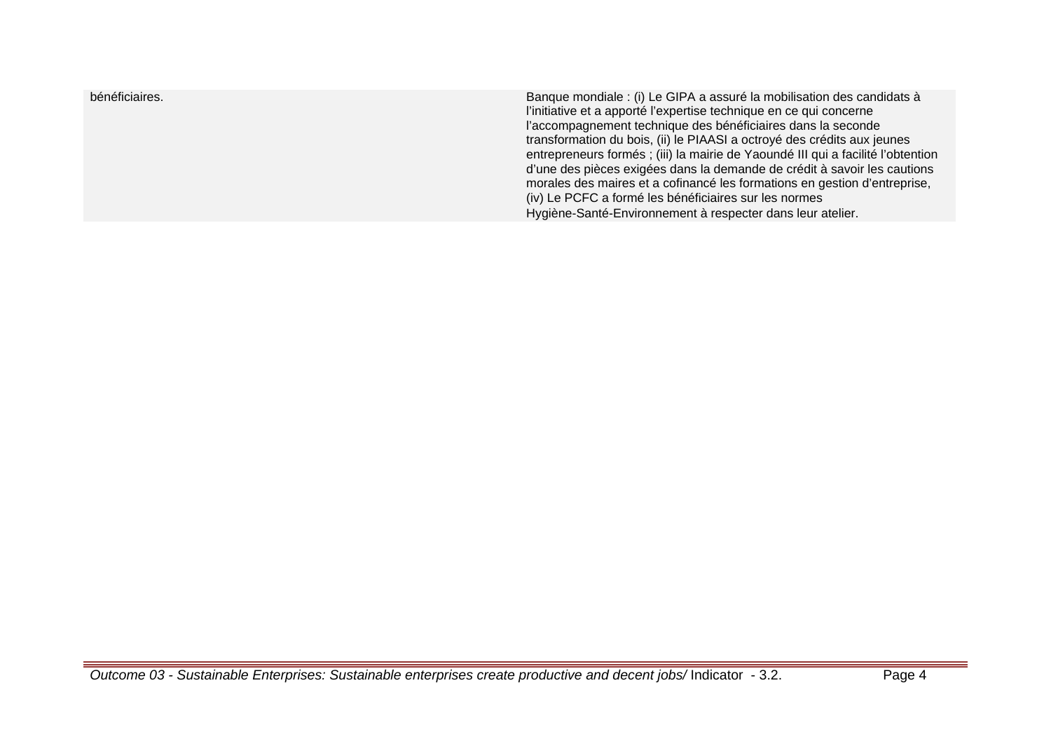| bénéficiaires. | Banque mondiale : (i) Le GIPA a assuré la mobilisation des candidats à           |
|----------------|----------------------------------------------------------------------------------|
|                | l'initiative et a apporté l'expertise technique en ce qui concerne               |
|                | l'accompagnement technique des bénéficiaires dans la seconde                     |
|                | transformation du bois, (ii) le PIAASI a octroyé des crédits aux jeunes          |
|                | entrepreneurs formés ; (iii) la mairie de Yaoundé III qui a facilité l'obtention |
|                | d'une des pièces exigées dans la demande de crédit à savoir les cautions         |
|                | morales des maires et a cofinancé les formations en gestion d'entreprise,        |
|                | (iv) Le PCFC a formé les bénéficiaires sur les normes                            |
|                | Hygiène-Santé-Environnement à respecter dans leur atelier.                       |
|                |                                                                                  |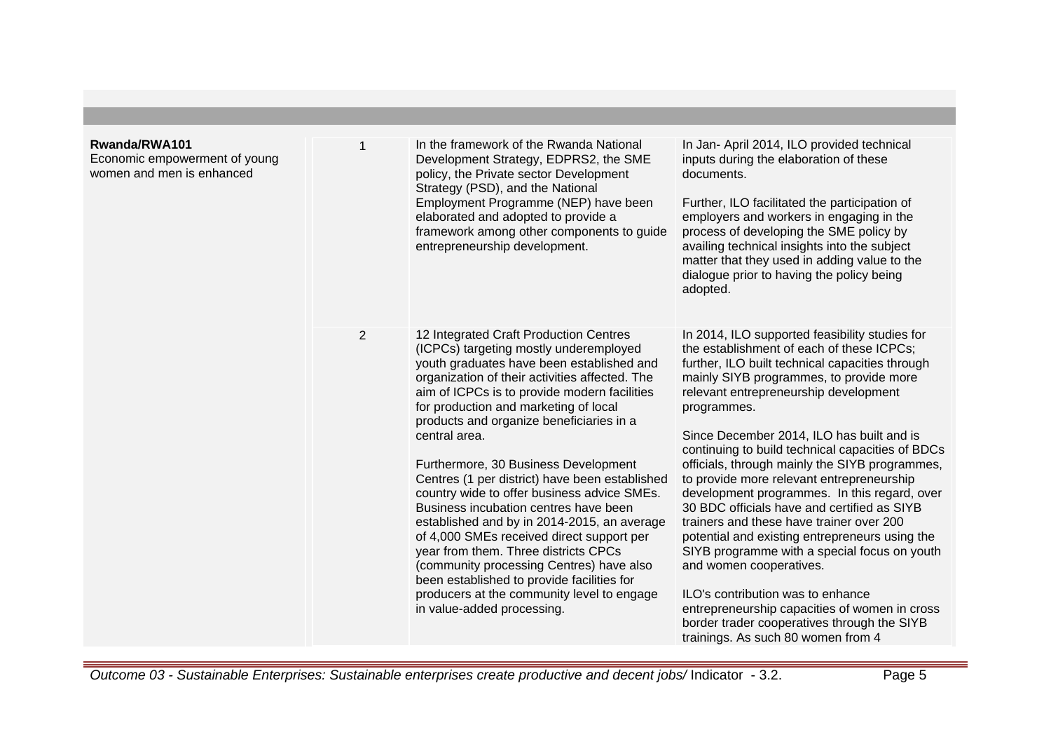| Rwanda/RWA101<br>Economic empowerment of young<br>women and men is enhanced | 1              | In the framework of the Rwanda National<br>Development Strategy, EDPRS2, the SME<br>policy, the Private sector Development<br>Strategy (PSD), and the National<br>Employment Programme (NEP) have been<br>elaborated and adopted to provide a<br>framework among other components to guide<br>entrepreneurship development.                                                                                                                                                                                                                                                                                                                                                                                                                                                                                                       | In Jan- April 2014, ILO provided technical<br>inputs during the elaboration of these<br>documents.<br>Further, ILO facilitated the participation of<br>employers and workers in engaging in the<br>process of developing the SME policy by<br>availing technical insights into the subject<br>matter that they used in adding value to the<br>dialogue prior to having the policy being<br>adopted.                                                                                                                                                                                                                                                                                                                                                                                                                                                                                                  |
|-----------------------------------------------------------------------------|----------------|-----------------------------------------------------------------------------------------------------------------------------------------------------------------------------------------------------------------------------------------------------------------------------------------------------------------------------------------------------------------------------------------------------------------------------------------------------------------------------------------------------------------------------------------------------------------------------------------------------------------------------------------------------------------------------------------------------------------------------------------------------------------------------------------------------------------------------------|------------------------------------------------------------------------------------------------------------------------------------------------------------------------------------------------------------------------------------------------------------------------------------------------------------------------------------------------------------------------------------------------------------------------------------------------------------------------------------------------------------------------------------------------------------------------------------------------------------------------------------------------------------------------------------------------------------------------------------------------------------------------------------------------------------------------------------------------------------------------------------------------------|
|                                                                             | $\overline{2}$ | 12 Integrated Craft Production Centres<br>(ICPCs) targeting mostly underemployed<br>youth graduates have been established and<br>organization of their activities affected. The<br>aim of ICPCs is to provide modern facilities<br>for production and marketing of local<br>products and organize beneficiaries in a<br>central area.<br>Furthermore, 30 Business Development<br>Centres (1 per district) have been established<br>country wide to offer business advice SMEs.<br>Business incubation centres have been<br>established and by in 2014-2015, an average<br>of 4,000 SMEs received direct support per<br>year from them. Three districts CPCs<br>(community processing Centres) have also<br>been established to provide facilities for<br>producers at the community level to engage<br>in value-added processing. | In 2014, ILO supported feasibility studies for<br>the establishment of each of these ICPCs;<br>further, ILO built technical capacities through<br>mainly SIYB programmes, to provide more<br>relevant entrepreneurship development<br>programmes.<br>Since December 2014, ILO has built and is<br>continuing to build technical capacities of BDCs<br>officials, through mainly the SIYB programmes,<br>to provide more relevant entrepreneurship<br>development programmes. In this regard, over<br>30 BDC officials have and certified as SIYB<br>trainers and these have trainer over 200<br>potential and existing entrepreneurs using the<br>SIYB programme with a special focus on youth<br>and women cooperatives.<br>ILO's contribution was to enhance<br>entrepreneurship capacities of women in cross<br>border trader cooperatives through the SIYB<br>trainings. As such 80 women from 4 |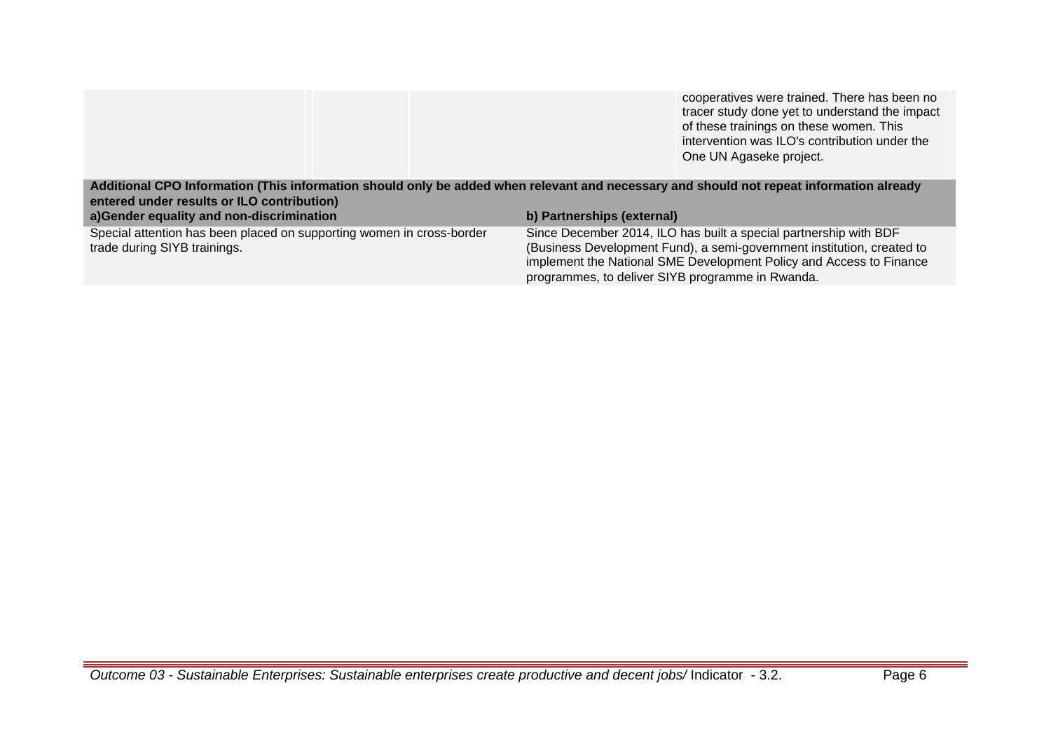cooperatives were trained. There has been no tracer study done yet to understand the impact of these trainings on these women. This intervention was ILO's contribution under the One UN Agaseke project.

| Additional CPO Information (This information should only be added when relevant and necessary and should not repeat information already |                                                                                                                                                                                                                                                                        |  |  |
|-----------------------------------------------------------------------------------------------------------------------------------------|------------------------------------------------------------------------------------------------------------------------------------------------------------------------------------------------------------------------------------------------------------------------|--|--|
| entered under results or ILO contribution)                                                                                              |                                                                                                                                                                                                                                                                        |  |  |
| a)Gender equality and non-discrimination                                                                                                | b) Partnerships (external)                                                                                                                                                                                                                                             |  |  |
| Special attention has been placed on supporting women in cross-border<br>trade during SIYB trainings.                                   | Since December 2014, ILO has built a special partnership with BDF<br>(Business Development Fund), a semi-government institution, created to<br>implement the National SME Development Policy and Access to Finance<br>programmes, to deliver SIYB programme in Rwanda. |  |  |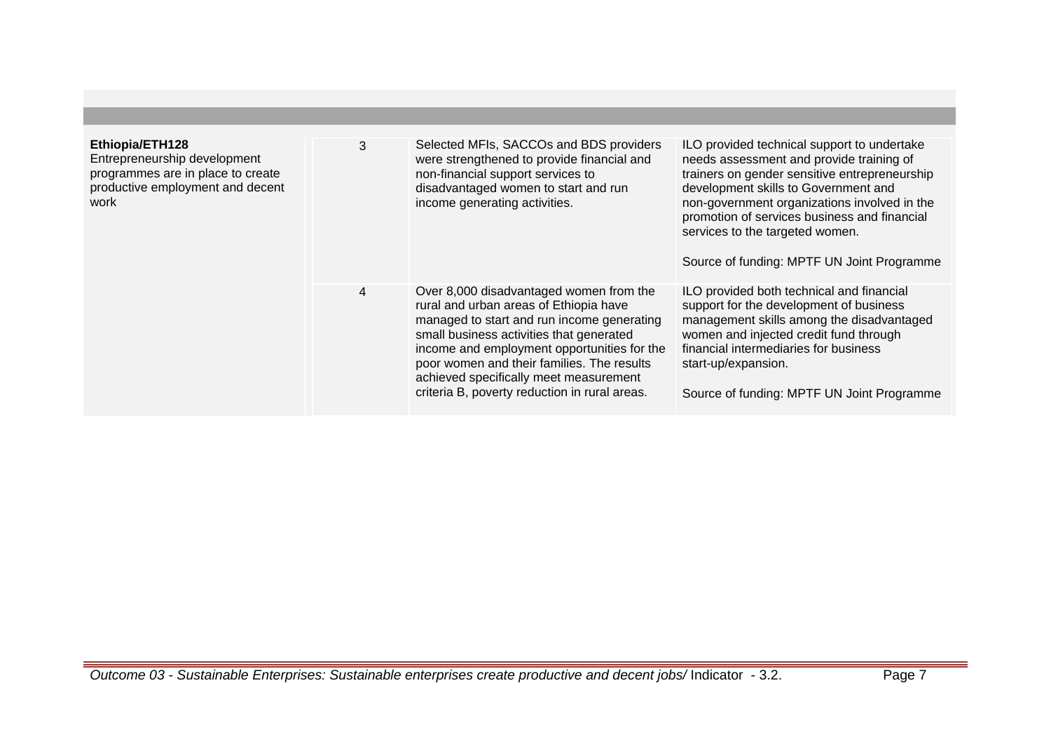| Ethiopia/ETH128<br>Entrepreneurship development<br>programmes are in place to create<br>productive employment and decent<br>work | 3 | Selected MFIs, SACCOs and BDS providers<br>were strengthened to provide financial and<br>non-financial support services to<br>disadvantaged women to start and run<br>income generating activities.                                                                                                                                                                 | ILO provided technical support to undertake<br>needs assessment and provide training of<br>trainers on gender sensitive entrepreneurship<br>development skills to Government and<br>non-government organizations involved in the<br>promotion of services business and financial<br>services to the targeted women.<br>Source of funding: MPTF UN Joint Programme |
|----------------------------------------------------------------------------------------------------------------------------------|---|---------------------------------------------------------------------------------------------------------------------------------------------------------------------------------------------------------------------------------------------------------------------------------------------------------------------------------------------------------------------|-------------------------------------------------------------------------------------------------------------------------------------------------------------------------------------------------------------------------------------------------------------------------------------------------------------------------------------------------------------------|
|                                                                                                                                  | 4 | Over 8,000 disadvantaged women from the<br>rural and urban areas of Ethiopia have<br>managed to start and run income generating<br>small business activities that generated<br>income and employment opportunities for the<br>poor women and their families. The results<br>achieved specifically meet measurement<br>criteria B, poverty reduction in rural areas. | ILO provided both technical and financial<br>support for the development of business<br>management skills among the disadvantaged<br>women and injected credit fund through<br>financial intermediaries for business<br>start-up/expansion.<br>Source of funding: MPTF UN Joint Programme                                                                         |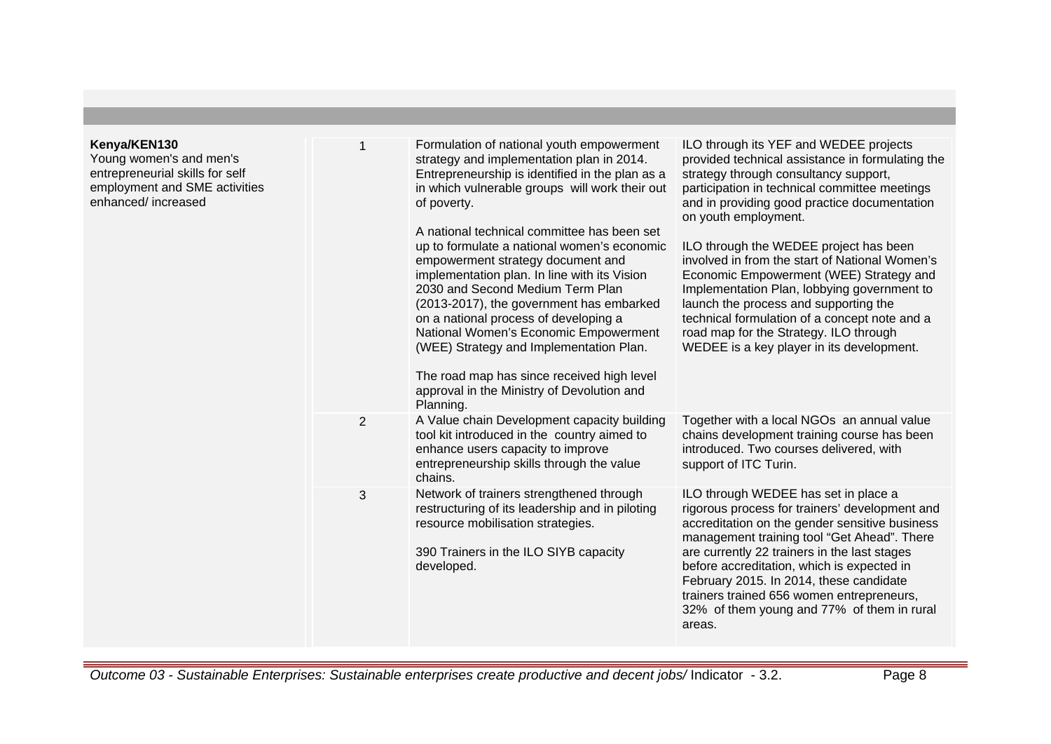| Kenya/KEN130<br>Young women's and men's<br>entrepreneurial skills for self<br>employment and SME activities<br>enhanced/increased |                | Formulation of national youth empowerment<br>strategy and implementation plan in 2014.<br>Entrepreneurship is identified in the plan as a<br>in which vulnerable groups will work their out<br>of poverty.                                                                                                                                                                                                                                                                                            | ILO through its YEF and WEDEE projects<br>provided technical assistance in formulating the<br>strategy through consultancy support,<br>participation in technical committee meetings<br>and in providing good practice documentation<br>on youth employment.                                                                                                                                                                          |
|-----------------------------------------------------------------------------------------------------------------------------------|----------------|-------------------------------------------------------------------------------------------------------------------------------------------------------------------------------------------------------------------------------------------------------------------------------------------------------------------------------------------------------------------------------------------------------------------------------------------------------------------------------------------------------|---------------------------------------------------------------------------------------------------------------------------------------------------------------------------------------------------------------------------------------------------------------------------------------------------------------------------------------------------------------------------------------------------------------------------------------|
|                                                                                                                                   |                | A national technical committee has been set<br>up to formulate a national women's economic<br>empowerment strategy document and<br>implementation plan. In line with its Vision<br>2030 and Second Medium Term Plan<br>(2013-2017), the government has embarked<br>on a national process of developing a<br>National Women's Economic Empowerment<br>(WEE) Strategy and Implementation Plan.<br>The road map has since received high level<br>approval in the Ministry of Devolution and<br>Planning. | ILO through the WEDEE project has been<br>involved in from the start of National Women's<br>Economic Empowerment (WEE) Strategy and<br>Implementation Plan, lobbying government to<br>launch the process and supporting the<br>technical formulation of a concept note and a<br>road map for the Strategy. ILO through<br>WEDEE is a key player in its development.                                                                   |
|                                                                                                                                   | $\overline{2}$ | A Value chain Development capacity building<br>tool kit introduced in the country aimed to<br>enhance users capacity to improve<br>entrepreneurship skills through the value<br>chains.                                                                                                                                                                                                                                                                                                               | Together with a local NGOs an annual value<br>chains development training course has been<br>introduced. Two courses delivered, with<br>support of ITC Turin.                                                                                                                                                                                                                                                                         |
|                                                                                                                                   | 3              | Network of trainers strengthened through<br>restructuring of its leadership and in piloting<br>resource mobilisation strategies.<br>390 Trainers in the ILO SIYB capacity<br>developed.                                                                                                                                                                                                                                                                                                               | ILO through WEDEE has set in place a<br>rigorous process for trainers' development and<br>accreditation on the gender sensitive business<br>management training tool "Get Ahead". There<br>are currently 22 trainers in the last stages<br>before accreditation, which is expected in<br>February 2015. In 2014, these candidate<br>trainers trained 656 women entrepreneurs,<br>32% of them young and 77% of them in rural<br>areas. |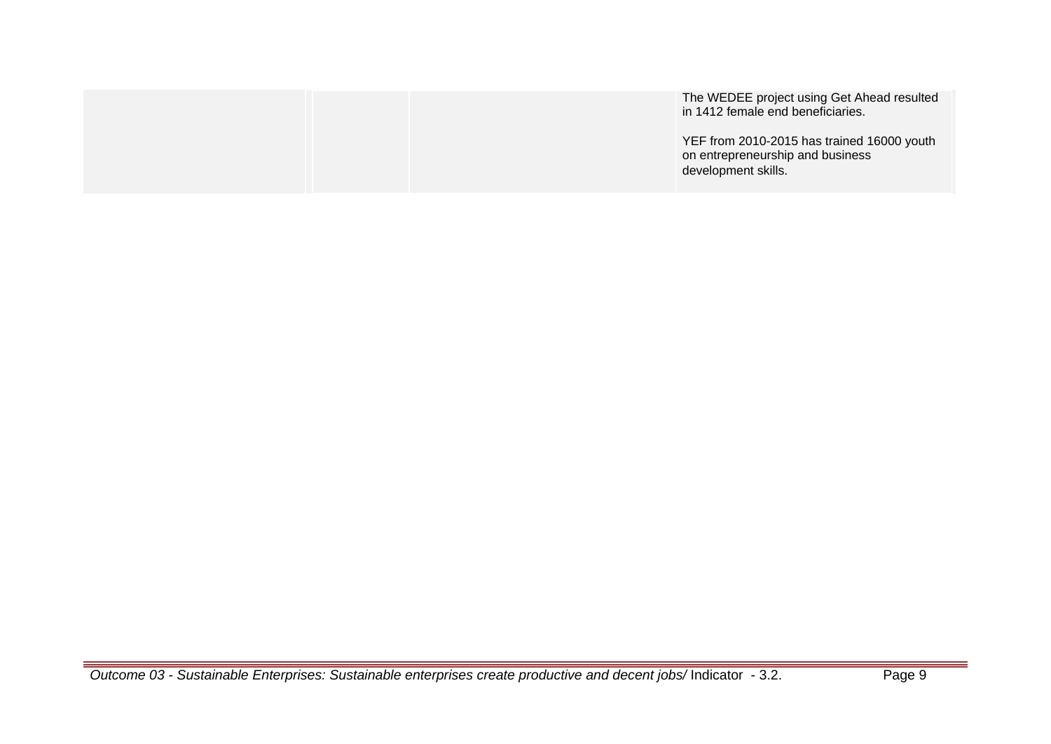|  | The WEDEE project using Get Ahead resulted<br>in 1412 female end beneficiaries.                       |
|--|-------------------------------------------------------------------------------------------------------|
|  | YEF from 2010-2015 has trained 16000 youth<br>on entrepreneurship and business<br>development skills. |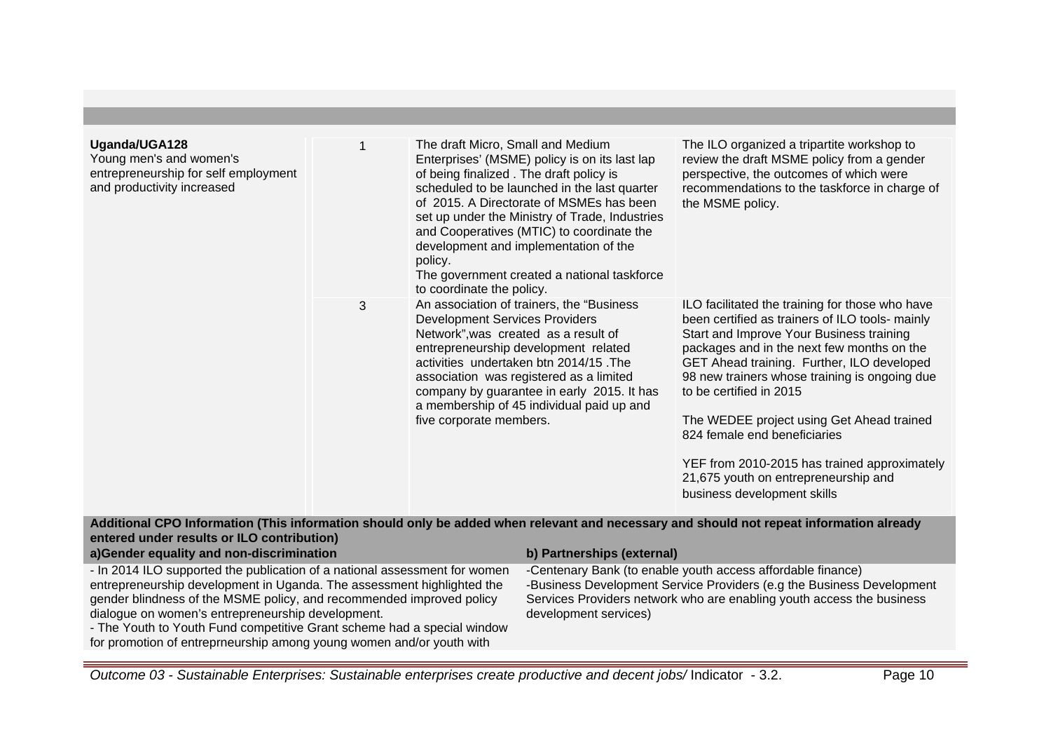| Uganda/UGA128<br>Young men's and women's<br>entrepreneurship for self employment<br>and productivity increased |   | The draft Micro, Small and Medium<br>Enterprises' (MSME) policy is on its last lap<br>of being finalized. The draft policy is<br>scheduled to be launched in the last quarter<br>of 2015. A Directorate of MSMEs has been<br>set up under the Ministry of Trade, Industries<br>and Cooperatives (MTIC) to coordinate the<br>development and implementation of the<br>policy.<br>The government created a national taskforce<br>to coordinate the policy. | The ILO organized a tripartite workshop to<br>review the draft MSME policy from a gender<br>perspective, the outcomes of which were<br>recommendations to the taskforce in charge of<br>the MSME policy.                                                                                                                                                                                                                                                                                                                   |
|----------------------------------------------------------------------------------------------------------------|---|----------------------------------------------------------------------------------------------------------------------------------------------------------------------------------------------------------------------------------------------------------------------------------------------------------------------------------------------------------------------------------------------------------------------------------------------------------|----------------------------------------------------------------------------------------------------------------------------------------------------------------------------------------------------------------------------------------------------------------------------------------------------------------------------------------------------------------------------------------------------------------------------------------------------------------------------------------------------------------------------|
|                                                                                                                | 3 | An association of trainers, the "Business"<br><b>Development Services Providers</b><br>Network", was created as a result of<br>entrepreneurship development related<br>activities undertaken btn 2014/15 .The<br>association was registered as a limited<br>company by guarantee in early 2015. It has<br>a membership of 45 individual paid up and<br>five corporate members.                                                                           | ILO facilitated the training for those who have<br>been certified as trainers of ILO tools- mainly<br>Start and Improve Your Business training<br>packages and in the next few months on the<br>GET Ahead training. Further, ILO developed<br>98 new trainers whose training is ongoing due<br>to be certified in 2015<br>The WEDEE project using Get Ahead trained<br>824 female end beneficiaries<br>YEF from 2010-2015 has trained approximately<br>21,675 youth on entrepreneurship and<br>business development skills |

| Additional CPO Information (This information should only be added when relevant and necessary and should not repeat information already |  |
|-----------------------------------------------------------------------------------------------------------------------------------------|--|
| entered under results or ILO contribution)                                                                                              |  |
|                                                                                                                                         |  |

| a)Gender equality and non-discrimination                                   | b) Partnerships (external)                                            |
|----------------------------------------------------------------------------|-----------------------------------------------------------------------|
| - In 2014 ILO supported the publication of a national assessment for women | -Centenary Bank (to enable youth access affordable finance)           |
| entrepreneurship development in Uganda. The assessment highlighted the     | -Business Development Service Providers (e.g the Business Development |
| gender blindness of the MSME policy, and recommended improved policy       | Services Providers network who are enabling youth access the business |
| dialogue on women's entrepreneurship development.                          | development services)                                                 |
| - The Youth to Youth Fund competitive Grant scheme had a special window    |                                                                       |
| for promotion of entreprneurship among young women and/or youth with       |                                                                       |

Outcome 03 - Sustainable Enterprises: Sustainable enterprises create productive and decent jobs/ Indicator - 3.2. Page 10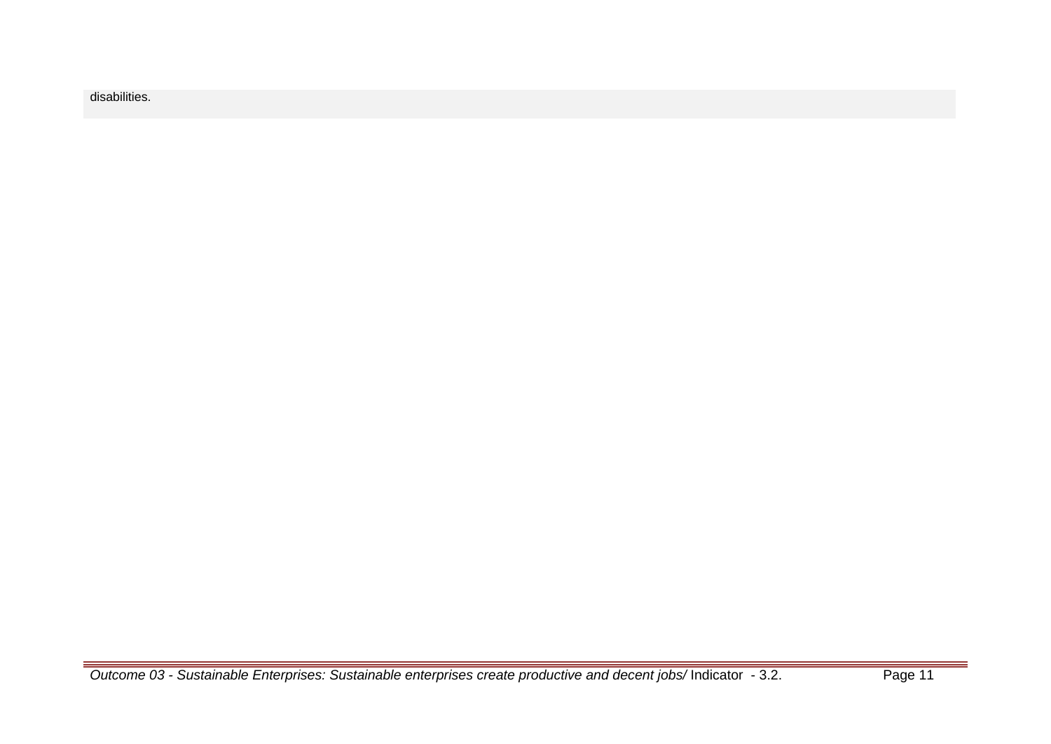disabilities.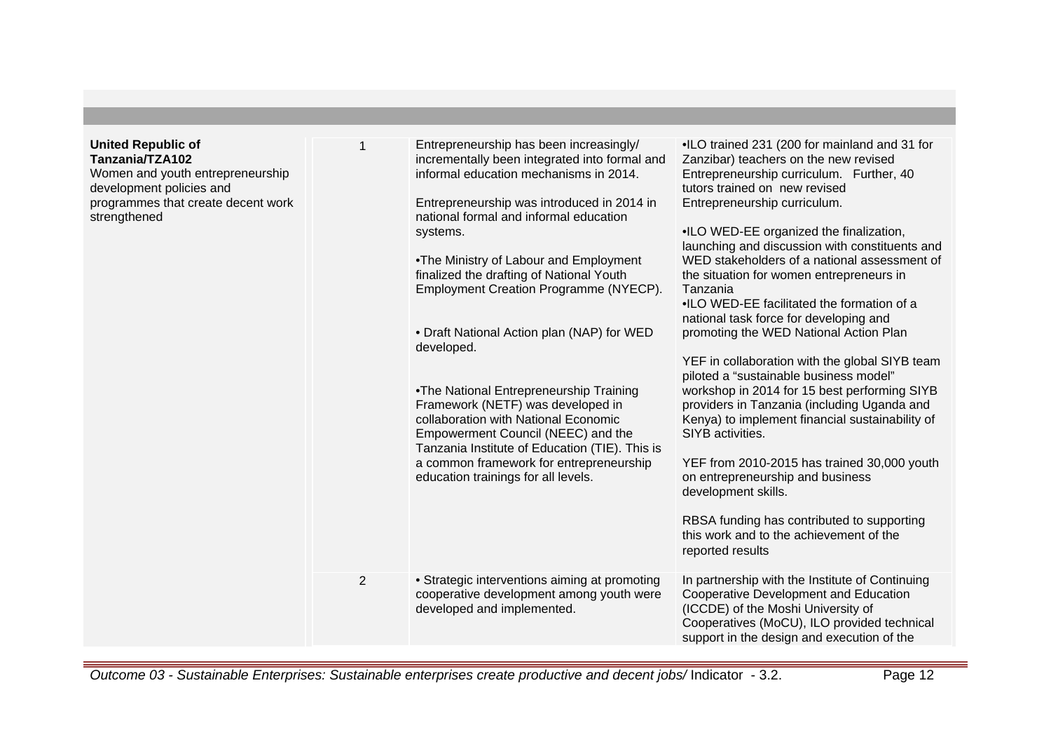| <b>United Republic of</b><br>Tanzania/TZA102<br>Women and youth entrepreneurship<br>development policies and<br>programmes that create decent work<br>strengthened | 1              | Entrepreneurship has been increasingly/<br>incrementally been integrated into formal and<br>informal education mechanisms in 2014.<br>Entrepreneurship was introduced in 2014 in<br>national formal and informal education<br>systems.<br>.The Ministry of Labour and Employment<br>finalized the drafting of National Youth<br>Employment Creation Programme (NYECP).<br>• Draft National Action plan (NAP) for WED<br>developed.<br>.The National Entrepreneurship Training<br>Framework (NETF) was developed in<br>collaboration with National Economic<br>Empowerment Council (NEEC) and the<br>Tanzania Institute of Education (TIE). This is<br>a common framework for entrepreneurship<br>education trainings for all levels.<br>• Strategic interventions aiming at promoting | • ILO trained 231 (200 for mainland and 31 for<br>Zanzibar) teachers on the new revised<br>Entrepreneurship curriculum. Further, 40<br>tutors trained on new revised<br>Entrepreneurship curriculum.<br>• ILO WED-EE organized the finalization,<br>launching and discussion with constituents and<br>WED stakeholders of a national assessment of<br>the situation for women entrepreneurs in<br>Tanzania<br>• ILO WED-EE facilitated the formation of a<br>national task force for developing and<br>promoting the WED National Action Plan<br>YEF in collaboration with the global SIYB team<br>piloted a "sustainable business model"<br>workshop in 2014 for 15 best performing SIYB<br>providers in Tanzania (including Uganda and<br>Kenya) to implement financial sustainability of<br>SIYB activities.<br>YEF from 2010-2015 has trained 30,000 youth<br>on entrepreneurship and business<br>development skills.<br>RBSA funding has contributed to supporting<br>this work and to the achievement of the<br>reported results |
|--------------------------------------------------------------------------------------------------------------------------------------------------------------------|----------------|---------------------------------------------------------------------------------------------------------------------------------------------------------------------------------------------------------------------------------------------------------------------------------------------------------------------------------------------------------------------------------------------------------------------------------------------------------------------------------------------------------------------------------------------------------------------------------------------------------------------------------------------------------------------------------------------------------------------------------------------------------------------------------------|----------------------------------------------------------------------------------------------------------------------------------------------------------------------------------------------------------------------------------------------------------------------------------------------------------------------------------------------------------------------------------------------------------------------------------------------------------------------------------------------------------------------------------------------------------------------------------------------------------------------------------------------------------------------------------------------------------------------------------------------------------------------------------------------------------------------------------------------------------------------------------------------------------------------------------------------------------------------------------------------------------------------------------------|
|                                                                                                                                                                    | $\overline{2}$ | cooperative development among youth were<br>developed and implemented.                                                                                                                                                                                                                                                                                                                                                                                                                                                                                                                                                                                                                                                                                                                | In partnership with the Institute of Continuing<br>Cooperative Development and Education<br>(ICCDE) of the Moshi University of<br>Cooperatives (MoCU), ILO provided technical<br>support in the design and execution of the                                                                                                                                                                                                                                                                                                                                                                                                                                                                                                                                                                                                                                                                                                                                                                                                            |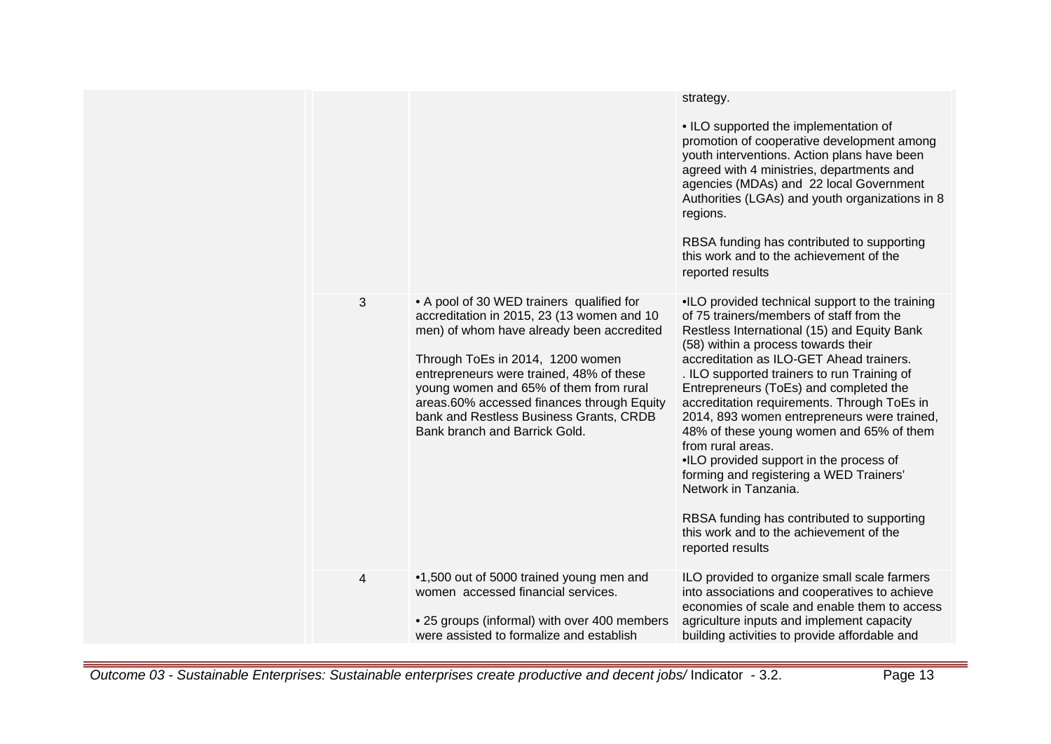|   |                                                                                                                                                                                                                                                                                                                                                                                          | strategy.<br>• ILO supported the implementation of<br>promotion of cooperative development among<br>youth interventions. Action plans have been<br>agreed with 4 ministries, departments and<br>agencies (MDAs) and 22 local Government<br>Authorities (LGAs) and youth organizations in 8<br>regions.<br>RBSA funding has contributed to supporting<br>this work and to the achievement of the<br>reported results                                                                                                                                                                                                                                                                                                |
|---|------------------------------------------------------------------------------------------------------------------------------------------------------------------------------------------------------------------------------------------------------------------------------------------------------------------------------------------------------------------------------------------|--------------------------------------------------------------------------------------------------------------------------------------------------------------------------------------------------------------------------------------------------------------------------------------------------------------------------------------------------------------------------------------------------------------------------------------------------------------------------------------------------------------------------------------------------------------------------------------------------------------------------------------------------------------------------------------------------------------------|
| 3 | • A pool of 30 WED trainers qualified for<br>accreditation in 2015, 23 (13 women and 10<br>men) of whom have already been accredited<br>Through ToEs in 2014, 1200 women<br>entrepreneurs were trained, 48% of these<br>young women and 65% of them from rural<br>areas.60% accessed finances through Equity<br>bank and Restless Business Grants, CRDB<br>Bank branch and Barrick Gold. | • ILO provided technical support to the training<br>of 75 trainers/members of staff from the<br>Restless International (15) and Equity Bank<br>(58) within a process towards their<br>accreditation as ILO-GET Ahead trainers.<br>. ILO supported trainers to run Training of<br>Entrepreneurs (ToEs) and completed the<br>accreditation requirements. Through ToEs in<br>2014, 893 women entrepreneurs were trained,<br>48% of these young women and 65% of them<br>from rural areas.<br>• ILO provided support in the process of<br>forming and registering a WED Trainers'<br>Network in Tanzania.<br>RBSA funding has contributed to supporting<br>this work and to the achievement of the<br>reported results |
| 4 | • 1,500 out of 5000 trained young men and<br>women accessed financial services.<br>• 25 groups (informal) with over 400 members<br>were assisted to formalize and establish                                                                                                                                                                                                              | ILO provided to organize small scale farmers<br>into associations and cooperatives to achieve<br>economies of scale and enable them to access<br>agriculture inputs and implement capacity<br>building activities to provide affordable and                                                                                                                                                                                                                                                                                                                                                                                                                                                                        |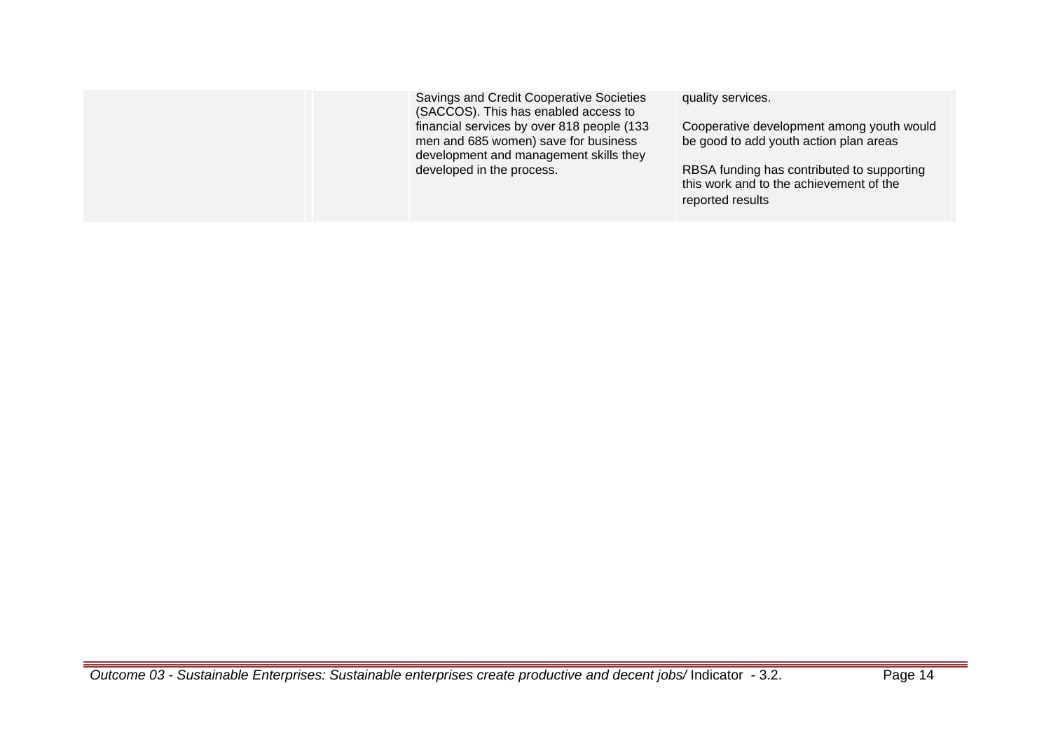| Savings and Credit Cooperative Societies<br>quality services.<br>(SACCOS). This has enabled access to<br>financial services by over 818 people (133<br>Cooperative development among youth would<br>be good to add youth action plan areas<br>men and 685 women) save for business<br>development and management skills they<br>developed in the process.<br>RBSA funding has contributed to supporting<br>this work and to the achievement of the<br>reported results |
|------------------------------------------------------------------------------------------------------------------------------------------------------------------------------------------------------------------------------------------------------------------------------------------------------------------------------------------------------------------------------------------------------------------------------------------------------------------------|
|------------------------------------------------------------------------------------------------------------------------------------------------------------------------------------------------------------------------------------------------------------------------------------------------------------------------------------------------------------------------------------------------------------------------------------------------------------------------|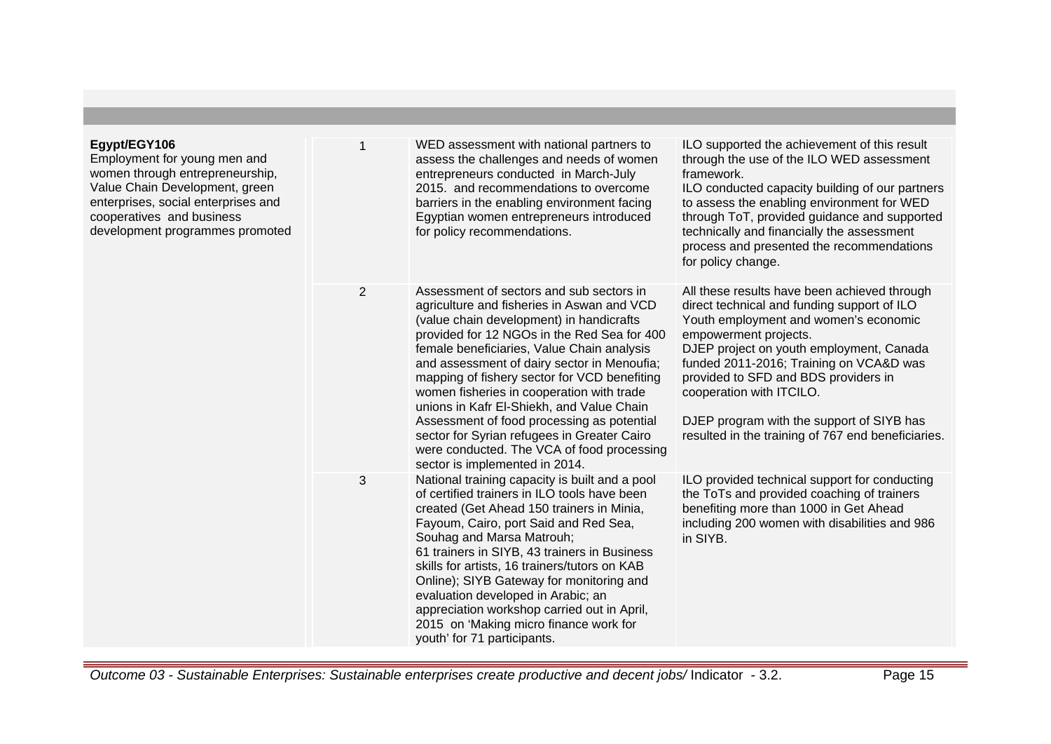| Egypt/EGY106<br>Employment for young men and<br>women through entrepreneurship,<br>Value Chain Development, green<br>enterprises, social enterprises and<br>cooperatives and business<br>development programmes promoted |                | WED assessment with national partners to<br>assess the challenges and needs of women<br>entrepreneurs conducted in March-July<br>2015. and recommendations to overcome<br>barriers in the enabling environment facing<br>Egyptian women entrepreneurs introduced<br>for policy recommendations.                                                                                                                                                                                                                                                                                                       | ILO supported the achievement of this result<br>through the use of the ILO WED assessment<br>framework.<br>ILO conducted capacity building of our partners<br>to assess the enabling environment for WED<br>through ToT, provided guidance and supported<br>technically and financially the assessment<br>process and presented the recommendations<br>for policy change.                                                   |
|--------------------------------------------------------------------------------------------------------------------------------------------------------------------------------------------------------------------------|----------------|-------------------------------------------------------------------------------------------------------------------------------------------------------------------------------------------------------------------------------------------------------------------------------------------------------------------------------------------------------------------------------------------------------------------------------------------------------------------------------------------------------------------------------------------------------------------------------------------------------|-----------------------------------------------------------------------------------------------------------------------------------------------------------------------------------------------------------------------------------------------------------------------------------------------------------------------------------------------------------------------------------------------------------------------------|
|                                                                                                                                                                                                                          | $\overline{2}$ | Assessment of sectors and sub sectors in<br>agriculture and fisheries in Aswan and VCD<br>(value chain development) in handicrafts<br>provided for 12 NGOs in the Red Sea for 400<br>female beneficiaries, Value Chain analysis<br>and assessment of dairy sector in Menoufia;<br>mapping of fishery sector for VCD benefiting<br>women fisheries in cooperation with trade<br>unions in Kafr El-Shiekh, and Value Chain<br>Assessment of food processing as potential<br>sector for Syrian refugees in Greater Cairo<br>were conducted. The VCA of food processing<br>sector is implemented in 2014. | All these results have been achieved through<br>direct technical and funding support of ILO<br>Youth employment and women's economic<br>empowerment projects.<br>DJEP project on youth employment, Canada<br>funded 2011-2016; Training on VCA&D was<br>provided to SFD and BDS providers in<br>cooperation with ITCILO.<br>DJEP program with the support of SIYB has<br>resulted in the training of 767 end beneficiaries. |
|                                                                                                                                                                                                                          | 3              | National training capacity is built and a pool<br>of certified trainers in ILO tools have been<br>created (Get Ahead 150 trainers in Minia,<br>Fayoum, Cairo, port Said and Red Sea,<br>Souhag and Marsa Matrouh;<br>61 trainers in SIYB, 43 trainers in Business<br>skills for artists, 16 trainers/tutors on KAB<br>Online); SIYB Gateway for monitoring and<br>evaluation developed in Arabic; an<br>appreciation workshop carried out in April,<br>2015 on 'Making micro finance work for<br>youth' for 71 participants.                                                                          | ILO provided technical support for conducting<br>the ToTs and provided coaching of trainers<br>benefiting more than 1000 in Get Ahead<br>including 200 women with disabilities and 986<br>in SIYB.                                                                                                                                                                                                                          |

Outcome 03 - Sustainable Enterprises: Sustainable enterprises create productive and decent jobs/ Indicator - 3.2. Page 15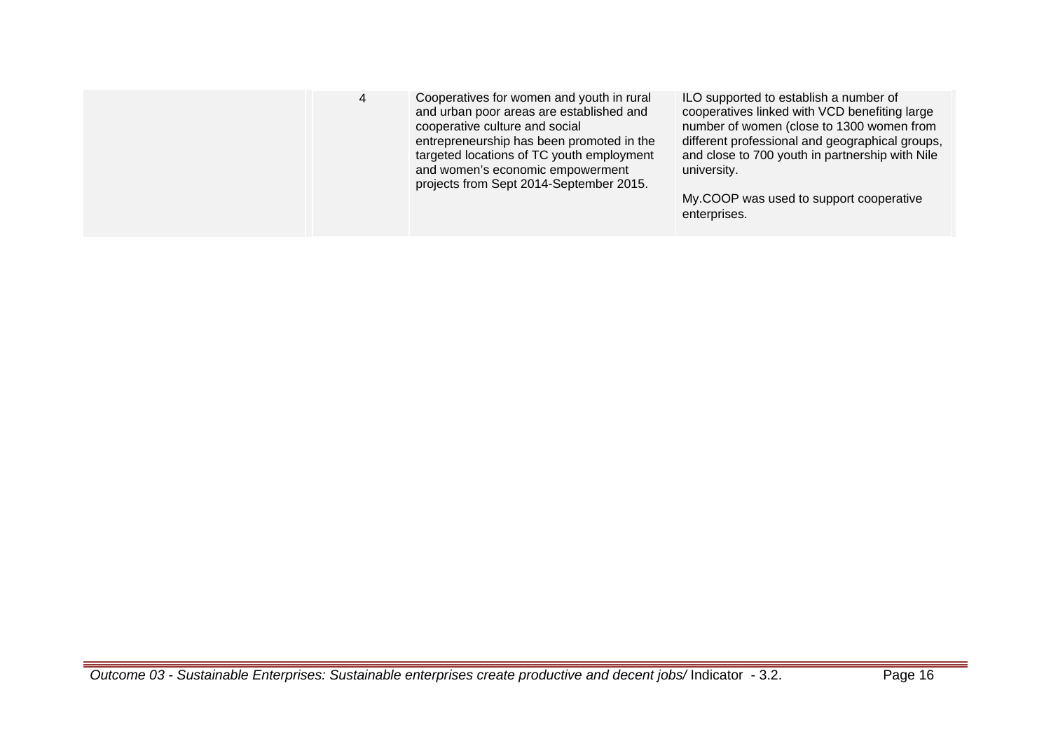|--|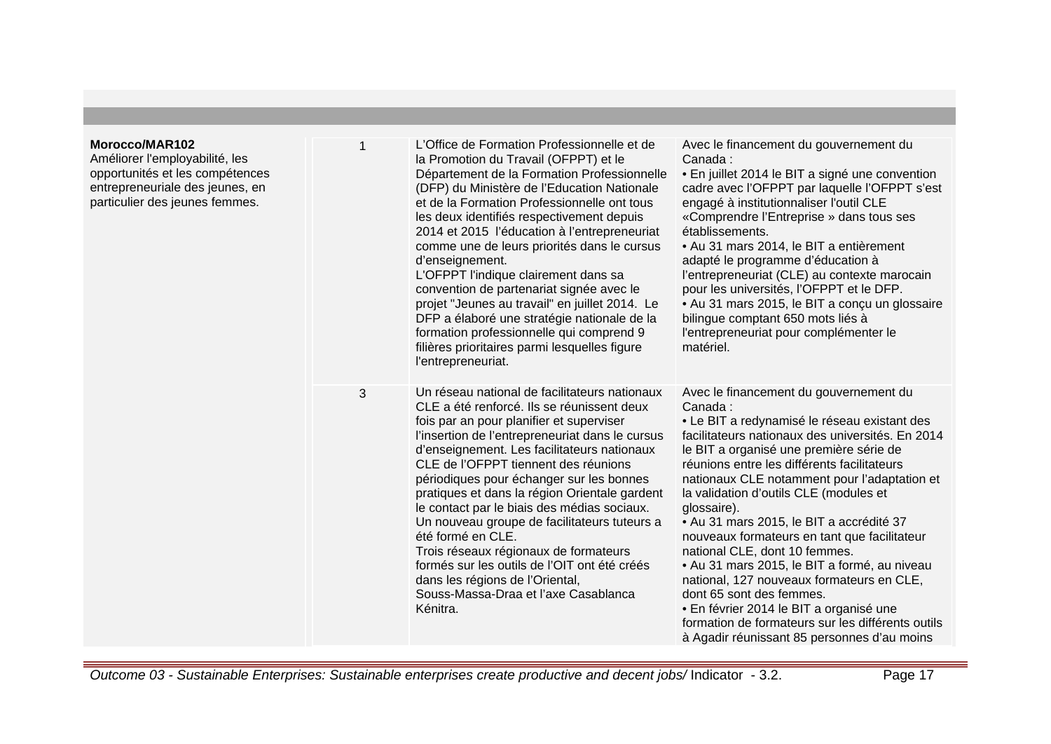| Morocco/MAR102<br>Améliorer l'employabilité, les<br>opportunités et les compétences<br>entrepreneuriale des jeunes, en<br>particulier des jeunes femmes. | 1 | L'Office de Formation Professionnelle et de<br>la Promotion du Travail (OFPPT) et le<br>Département de la Formation Professionnelle<br>(DFP) du Ministère de l'Education Nationale<br>et de la Formation Professionnelle ont tous<br>les deux identifiés respectivement depuis<br>2014 et 2015 l'éducation à l'entrepreneuriat<br>comme une de leurs priorités dans le cursus<br>d'enseignement.<br>L'OFPPT l'indique clairement dans sa<br>convention de partenariat signée avec le<br>projet "Jeunes au travail" en juillet 2014. Le<br>DFP a élaboré une stratégie nationale de la<br>formation professionnelle qui comprend 9<br>filières prioritaires parmi lesquelles figure<br>l'entrepreneuriat. | Avec le financement du gouvernement du<br>Canada:<br>• En juillet 2014 le BIT a signé une convention<br>cadre avec l'OFPPT par laquelle l'OFPPT s'est<br>engagé à institutionnaliser l'outil CLE<br>«Comprendre l'Entreprise » dans tous ses<br>établissements.<br>• Au 31 mars 2014, le BIT a entièrement<br>adapté le programme d'éducation à<br>l'entrepreneuriat (CLE) au contexte marocain<br>pour les universités, l'OFPPT et le DFP.<br>• Au 31 mars 2015, le BIT a conçu un glossaire<br>bilingue comptant 650 mots liés à<br>l'entrepreneuriat pour complémenter le<br>matériel.                                                                                                                                                                     |
|----------------------------------------------------------------------------------------------------------------------------------------------------------|---|----------------------------------------------------------------------------------------------------------------------------------------------------------------------------------------------------------------------------------------------------------------------------------------------------------------------------------------------------------------------------------------------------------------------------------------------------------------------------------------------------------------------------------------------------------------------------------------------------------------------------------------------------------------------------------------------------------|---------------------------------------------------------------------------------------------------------------------------------------------------------------------------------------------------------------------------------------------------------------------------------------------------------------------------------------------------------------------------------------------------------------------------------------------------------------------------------------------------------------------------------------------------------------------------------------------------------------------------------------------------------------------------------------------------------------------------------------------------------------|
|                                                                                                                                                          | 3 | Un réseau national de facilitateurs nationaux<br>CLE a été renforcé. Ils se réunissent deux<br>fois par an pour planifier et superviser<br>l'insertion de l'entrepreneuriat dans le cursus<br>d'enseignement. Les facilitateurs nationaux<br>CLE de l'OFPPT tiennent des réunions<br>périodiques pour échanger sur les bonnes<br>pratiques et dans la région Orientale gardent<br>le contact par le biais des médias sociaux.<br>Un nouveau groupe de facilitateurs tuteurs a<br>été formé en CLE.<br>Trois réseaux régionaux de formateurs<br>formés sur les outils de l'OIT ont été créés<br>dans les régions de l'Oriental,<br>Souss-Massa-Draa et l'axe Casablanca<br>Kénitra.                       | Avec le financement du gouvernement du<br>Canada:<br>• Le BIT a redynamisé le réseau existant des<br>facilitateurs nationaux des universités. En 2014<br>le BIT a organisé une première série de<br>réunions entre les différents facilitateurs<br>nationaux CLE notamment pour l'adaptation et<br>la validation d'outils CLE (modules et<br>glossaire).<br>• Au 31 mars 2015, le BIT a accrédité 37<br>nouveaux formateurs en tant que facilitateur<br>national CLE, dont 10 femmes.<br>• Au 31 mars 2015, le BIT a formé, au niveau<br>national, 127 nouveaux formateurs en CLE,<br>dont 65 sont des femmes.<br>• En février 2014 le BIT a organisé une<br>formation de formateurs sur les différents outils<br>à Agadir réunissant 85 personnes d'au moins |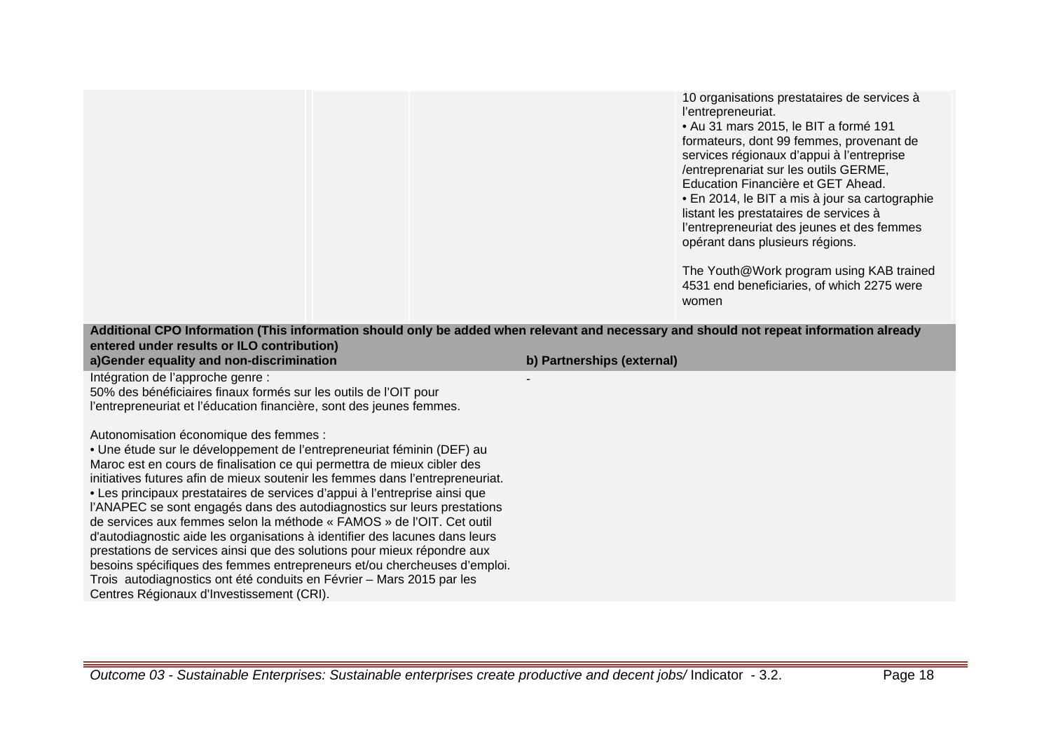10 organisations prestataires de services à l'entrepreneuriat.

• Au 31 mars 2015, le BIT a formé 191 formateurs, dont 99 femmes, provenant de services régionaux d'appui à l'entreprise /entreprenariat sur les outils GERME, Education Financière et GET Ahead. • En 2014, le BIT a mis à jour sa cartographie listant les prestataires de services à l'entrepreneuriat des jeunes et des femmes opérant dans plusieurs régions.

The Youth@Work program using KAB trained 4531 end beneficiaries, of which 2275 were women

**Additional CPO Information (This information should only be added when relevant and necessary and should not repeat information already entered under results or ILO contribution) a)Gender equality and non-discrimination b) Partnerships (external)**

-

Intégration de l'approche genre :

50% des bénéficiaires finaux formés sur les outils de l'OIT pour l'entrepreneuriat et l'éducation financière, sont des jeunes femmes.

Autonomisation économique des femmes :

• Une étude sur le développement de l'entrepreneuriat féminin (DEF) au Maroc est en cours de finalisation ce qui permettra de mieux cibler des initiatives futures afin de mieux soutenir les femmes dans l'entrepreneuriat. • Les principaux prestataires de services d'appui à l'entreprise ainsi que l'ANAPEC se sont engagés dans des autodiagnostics sur leurs prestations de services aux femmes selon la méthode « FAMOS » de l'OIT. Cet outil d'autodiagnostic aide les organisations à identifier des lacunes dans leurs prestations de services ainsi que des solutions pour mieux répondre aux besoins spécifiques des femmes entrepreneurs et/ou chercheuses d'emploi. Trois autodiagnostics ont été conduits en Février – Mars 2015 par les Centres Régionaux d'Investissement (CRI).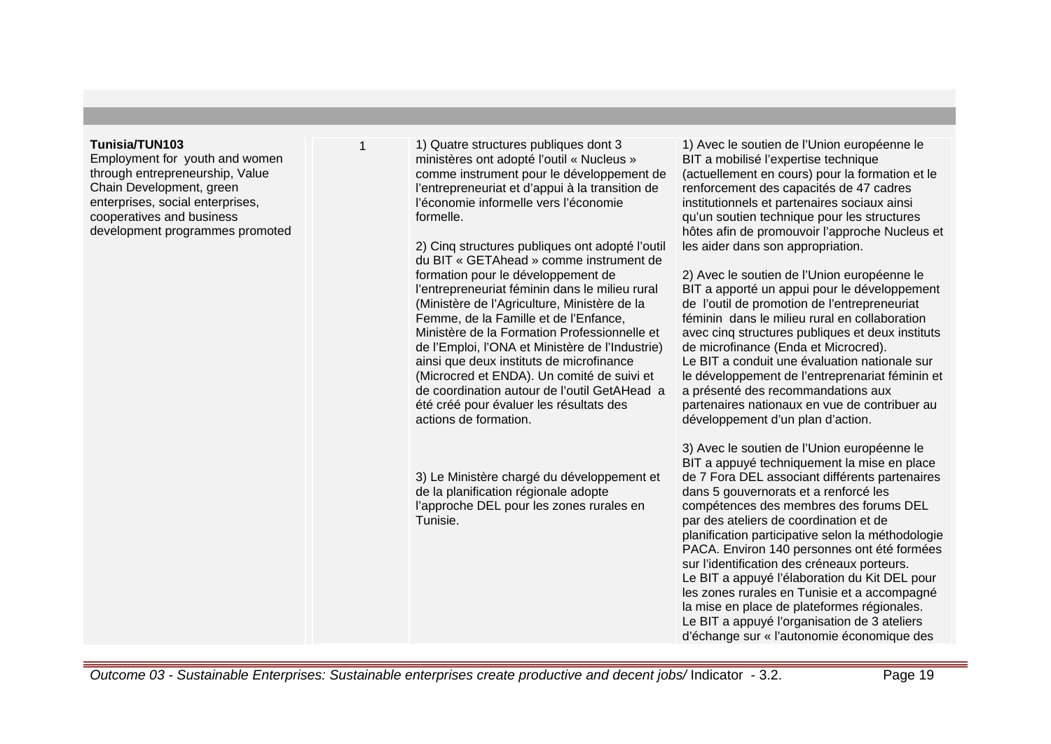#### **Tunisia/TUN103**

Employment for youth and women through entrepreneurship, Value Chain Development, green enterprises, social enterprises, cooperatives and business development programmes promoted

1) Quatre structures publiques dont 3 ministères ont adopté l'outil « Nucleus » comme instrument pour le développement de l'entrepreneuriat et d'appui à la transition de l'économie informelle vers l'économie formelle.

2) Cinq structures publiques ont adopté l'outil du BIT « GETAhead » comme instrument de formation pour le développement de l'entrepreneuriat féminin dans le milieu rural (Ministère de l'Agriculture, Ministère de la Femme, de la Famille et de l'Enfance, Ministère de la Formation Professionnelle et de l'Emploi, l'ONA et Ministère de l'Industrie) ainsi que deux instituts de microfinance (Microcred et ENDA). Un comité de suivi et de coordination autour de l'outil GetAHead a été créé pour évaluer les résultats des actions de formation.

3) Le Ministère chargé du développement et de la planification régionale adopte l'approche DEL pour les zones rurales en Tunisie.

1) Avec le soutien de l'Union européenne le BIT a mobilisé l'expertise technique (actuellement en cours) pour la formation et le renforcement des capacités de 47 cadres institutionnels et partenaires sociaux ainsi qu'un soutien technique pour les structures hôtes afin de promouvoir l'approche Nucleus et les aider dans son appropriation.

2) Avec le soutien de l'Union européenne le BIT a apporté un appui pour le développement de l'outil de promotion de l'entrepreneuriat féminin dans le milieu rural en collaboration avec cinq structures publiques et deux instituts de microfinance (Enda et Microcred). Le BIT a conduit une évaluation nationale sur le développement de l'entreprenariat féminin et a présenté des recommandations aux partenaires nationaux en vue de contribuer au développement d'un plan d'action.

3) Avec le soutien de l'Union européenne le BIT a appuyé techniquement la mise en place de 7 Fora DEL associant différents partenaires dans 5 gouvernorats et a renforcé les compétences des membres des forums DEL par des ateliers de coordination et de planification participative selon la méthodologie PACA. Environ 140 personnes ont été formées sur l'identification des créneaux porteurs. Le BIT a appuyé l'élaboration du Kit DEL pour les zones rurales en Tunisie et a accompagné la mise en place de plateformes régionales. Le BIT a appuyé l'organisation de 3 ateliers d'échange sur « l'autonomie économique des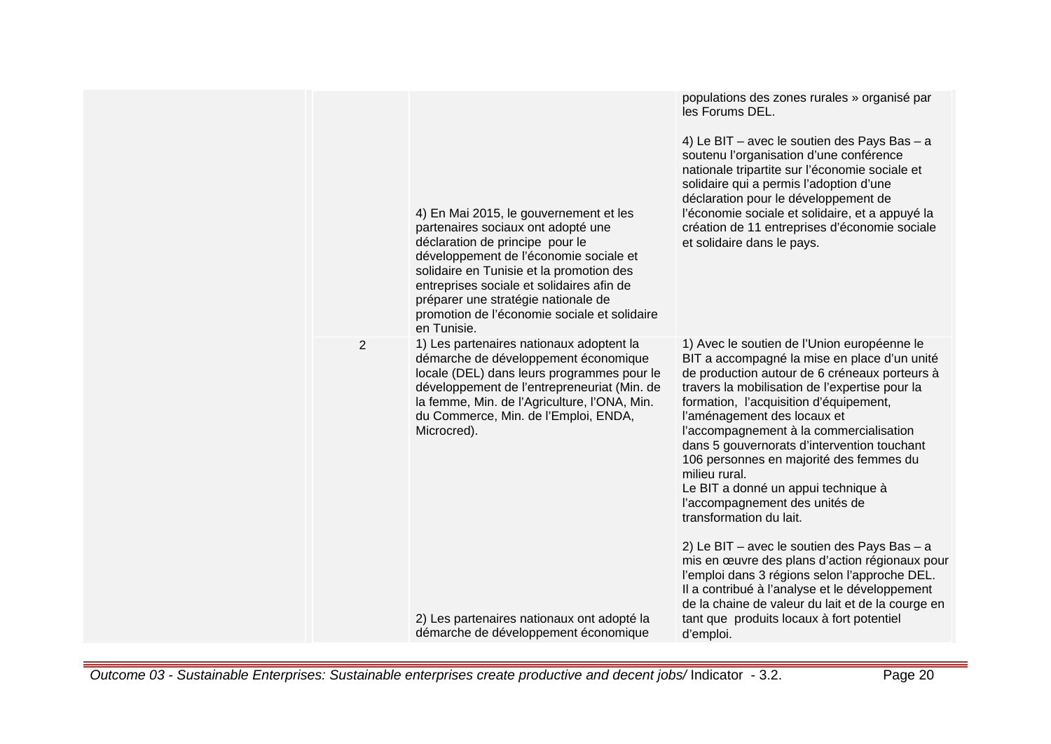|                | 4) En Mai 2015, le gouvernement et les<br>partenaires sociaux ont adopté une<br>déclaration de principe pour le<br>développement de l'économie sociale et<br>solidaire en Tunisie et la promotion des<br>entreprises sociale et solidaires afin de<br>préparer une stratégie nationale de<br>promotion de l'économie sociale et solidaire<br>en Tunisie. | populations des zones rurales » organisé par<br>les Forums DEL.<br>4) Le BIT – avec le soutien des Pays Bas – a<br>soutenu l'organisation d'une conférence<br>nationale tripartite sur l'économie sociale et<br>solidaire qui a permis l'adoption d'une<br>déclaration pour le développement de<br>l'économie sociale et solidaire, et a appuyé la<br>création de 11 entreprises d'économie sociale<br>et solidaire dans le pays.                                                                                                 |
|----------------|----------------------------------------------------------------------------------------------------------------------------------------------------------------------------------------------------------------------------------------------------------------------------------------------------------------------------------------------------------|-----------------------------------------------------------------------------------------------------------------------------------------------------------------------------------------------------------------------------------------------------------------------------------------------------------------------------------------------------------------------------------------------------------------------------------------------------------------------------------------------------------------------------------|
| $\overline{2}$ | 1) Les partenaires nationaux adoptent la<br>démarche de développement économique<br>locale (DEL) dans leurs programmes pour le<br>développement de l'entrepreneuriat (Min. de<br>la femme, Min. de l'Agriculture, l'ONA, Min.<br>du Commerce, Min. de l'Emploi, ENDA,<br>Microcred).                                                                     | 1) Avec le soutien de l'Union européenne le<br>BIT a accompagné la mise en place d'un unité<br>de production autour de 6 créneaux porteurs à<br>travers la mobilisation de l'expertise pour la<br>formation, l'acquisition d'équipement,<br>l'aménagement des locaux et<br>l'accompagnement à la commercialisation<br>dans 5 gouvernorats d'intervention touchant<br>106 personnes en majorité des femmes du<br>milieu rural.<br>Le BIT a donné un appui technique à<br>l'accompagnement des unités de<br>transformation du lait. |
|                | 2) Les partenaires nationaux ont adopté la<br>démarche de développement économique                                                                                                                                                                                                                                                                       | 2) Le BIT - avec le soutien des Pays Bas - a<br>mis en œuvre des plans d'action régionaux pour<br>l'emploi dans 3 régions selon l'approche DEL.<br>Il a contribué à l'analyse et le développement<br>de la chaine de valeur du lait et de la courge en<br>tant que produits locaux à fort potentiel<br>d'emploi.                                                                                                                                                                                                                  |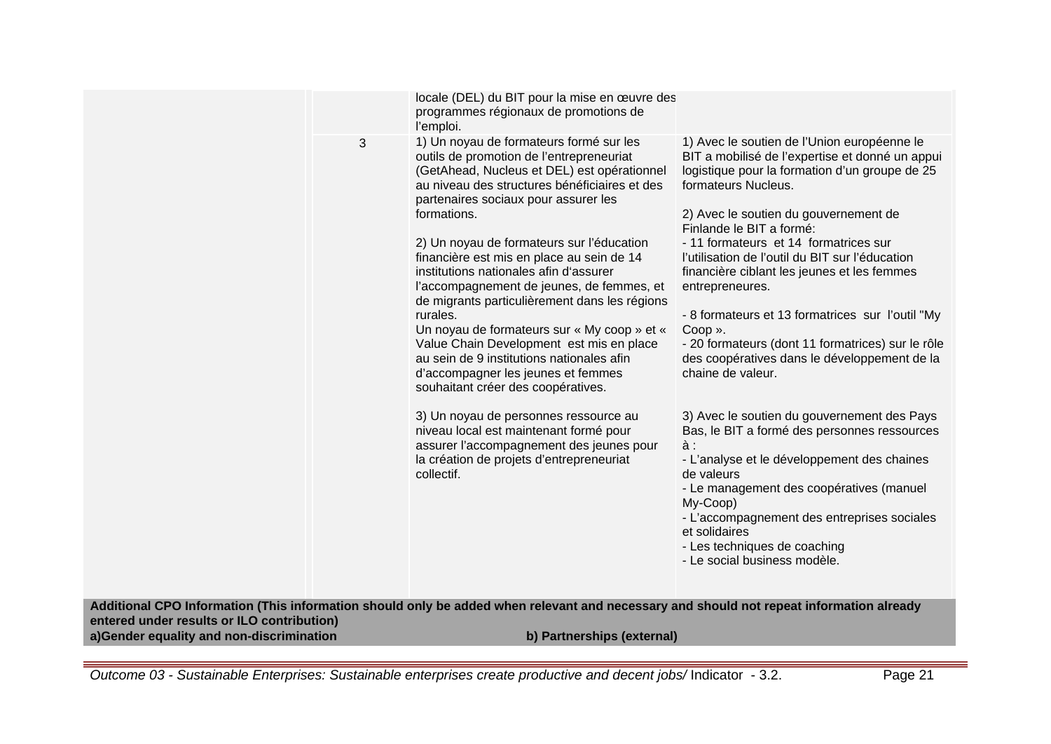|                                            |   | locale (DEL) du BIT pour la mise en œuvre des<br>programmes régionaux de promotions de<br>l'emploi.                                                                                                                                                                                                                                                                                                                                                                                                                                                                                                                                                                                                          |                                                                                                                                                                                                                                                                                                                                                                                                                                                                                                                                                                                                   |
|--------------------------------------------|---|--------------------------------------------------------------------------------------------------------------------------------------------------------------------------------------------------------------------------------------------------------------------------------------------------------------------------------------------------------------------------------------------------------------------------------------------------------------------------------------------------------------------------------------------------------------------------------------------------------------------------------------------------------------------------------------------------------------|---------------------------------------------------------------------------------------------------------------------------------------------------------------------------------------------------------------------------------------------------------------------------------------------------------------------------------------------------------------------------------------------------------------------------------------------------------------------------------------------------------------------------------------------------------------------------------------------------|
|                                            | 3 | 1) Un noyau de formateurs formé sur les<br>outils de promotion de l'entrepreneuriat<br>(GetAhead, Nucleus et DEL) est opérationnel<br>au niveau des structures bénéficiaires et des<br>partenaires sociaux pour assurer les<br>formations.<br>2) Un noyau de formateurs sur l'éducation<br>financière est mis en place au sein de 14<br>institutions nationales afin d'assurer<br>l'accompagnement de jeunes, de femmes, et<br>de migrants particulièrement dans les régions<br>rurales.<br>Un noyau de formateurs sur « My coop » et «<br>Value Chain Development est mis en place<br>au sein de 9 institutions nationales afin<br>d'accompagner les jeunes et femmes<br>souhaitant créer des coopératives. | 1) Avec le soutien de l'Union européenne le<br>BIT a mobilisé de l'expertise et donné un appui<br>logistique pour la formation d'un groupe de 25<br>formateurs Nucleus.<br>2) Avec le soutien du gouvernement de<br>Finlande le BIT a formé:<br>- 11 formateurs et 14 formatrices sur<br>l'utilisation de l'outil du BIT sur l'éducation<br>financière ciblant les jeunes et les femmes<br>entrepreneures.<br>- 8 formateurs et 13 formatrices sur l'outil "My<br>Coop.<br>- 20 formateurs (dont 11 formatrices) sur le rôle<br>des coopératives dans le développement de la<br>chaine de valeur. |
|                                            |   | 3) Un noyau de personnes ressource au<br>niveau local est maintenant formé pour<br>assurer l'accompagnement des jeunes pour<br>la création de projets d'entrepreneuriat<br>collectif.                                                                                                                                                                                                                                                                                                                                                                                                                                                                                                                        | 3) Avec le soutien du gouvernement des Pays<br>Bas, le BIT a formé des personnes ressources<br>à :<br>- L'analyse et le développement des chaines<br>de valeurs<br>- Le management des coopératives (manuel<br>My-Coop)<br>- L'accompagnement des entreprises sociales<br>et solidaires<br>- Les techniques de coaching<br>- Le social business modèle.                                                                                                                                                                                                                                           |
| entered under results or ILO contribution) |   | Additional CPO Information (This information should only be added when relevant and necessary and should not repeat information already                                                                                                                                                                                                                                                                                                                                                                                                                                                                                                                                                                      |                                                                                                                                                                                                                                                                                                                                                                                                                                                                                                                                                                                                   |

**a)Gender equality and non-discrimination b) Partnerships (external)**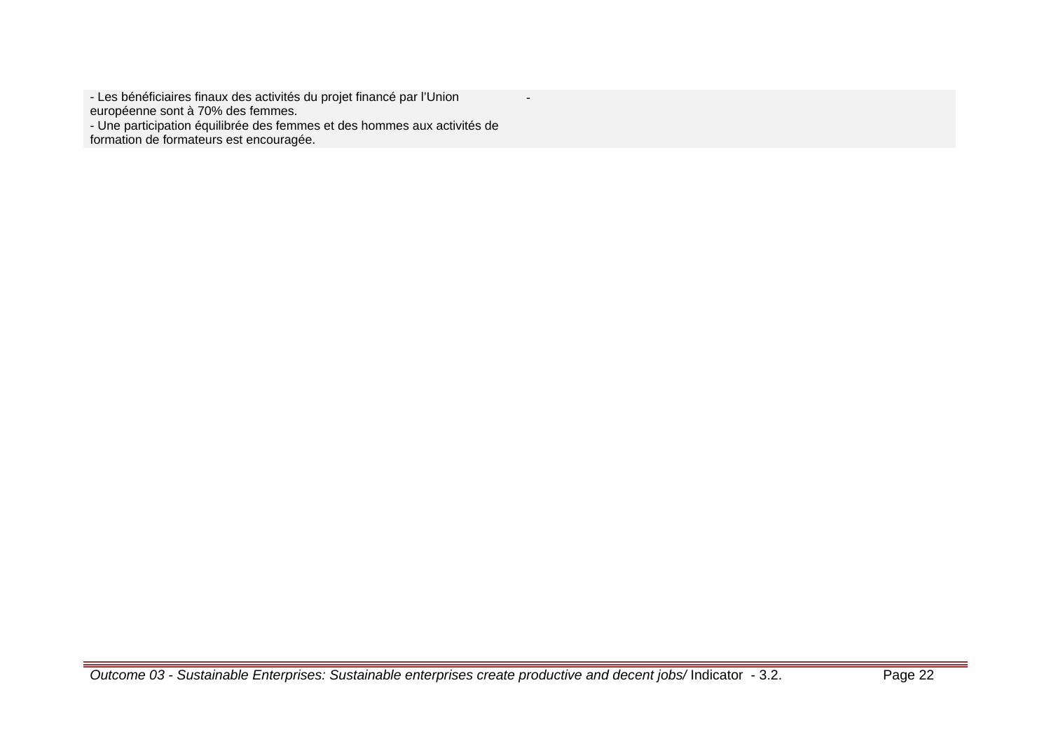- Les bénéficiaires finaux des activités du projet financé par l'Union européenne sont à 70% des femmes.

- Une participation équilibrée des femmes et des hommes aux activités de

formation de formateurs est encouragée.

-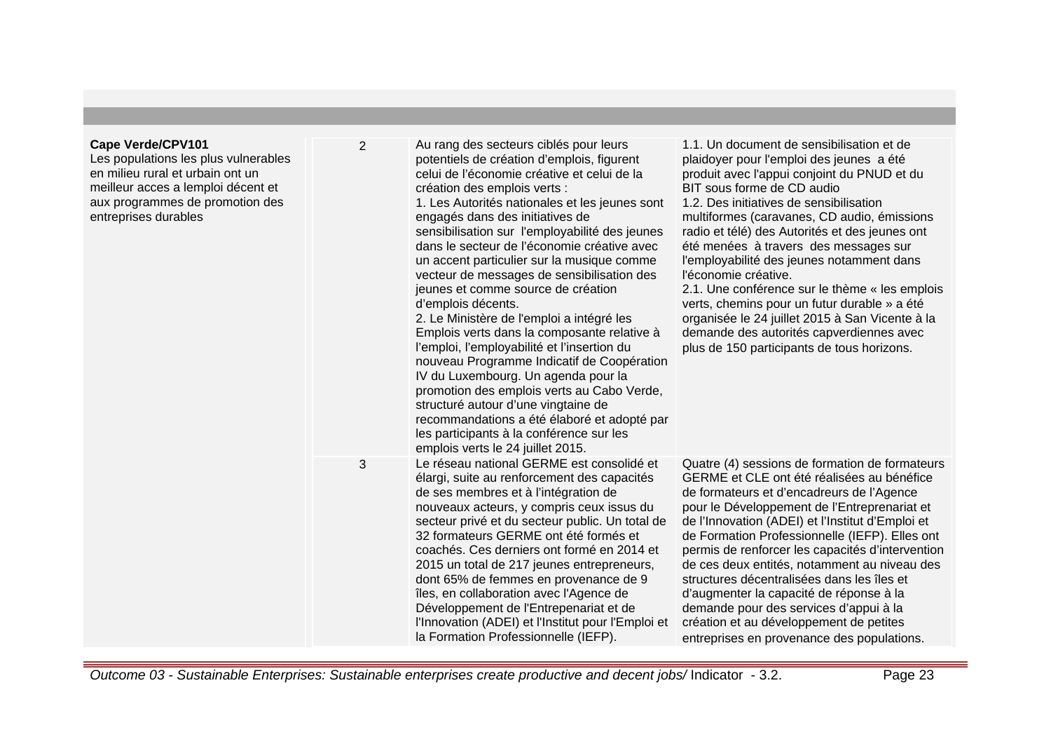#### **Cape Verde/CPV101**

Les populations les plus vulnerables en milieu rural et urbain ont un meilleur acces a lemploi décent et aux programmes de promotion des entreprises durables

2 Au rang des secteurs ciblés pour leurs potentiels de création d'emplois, figurent celui de l'économie créative et celui de la création des emplois verts : 1. Les Autorités nationales et les jeunes sont engagés dans des initiatives de sensibilisation sur l'employabilité des jeunes dans le secteur de l'économie créative avec un accent particulier sur la musique comme vecteur de messages de sensibilisation des jeunes et comme source de création d'emplois décents. 2. Le Ministère de l'emploi a intégré les Emplois verts dans la composante relative à l'emploi, l'employabilité et l'insertion du nouveau Programme Indicatif de Coopération IV du Luxembourg. Un agenda pour la promotion des emplois verts au Cabo Verde, structuré autour d'une vingtaine de recommandations a été élaboré et adopté par les participants à la conférence sur les emplois verts le 24 juillet 2015. 3 Le réseau national GERME est consolidé et élargi, suite au renforcement des capacités de ses membres et à l'intégration de nouveaux acteurs, y compris ceux issus du secteur privé et du secteur public. Un total de 32 formateurs GERME ont été formés et coachés. Ces derniers ont formé en 2014 et 2015 un total de 217 jeunes entrepreneurs, dont 65% de femmes en provenance de 9 îles, en collaboration avec l'Agence de Développement de l'Entrepenariat et de l'Innovation (ADEI) et l'Institut pour l'Emploi et la Formation Professionnelle (IEFP).

1.1. Un document de sensibilisation et de plaidoyer pour l'emploi des jeunes a été produit avec l'appui conjoint du PNUD et du BIT sous forme de CD audio 1.2. Des initiatives de sensibilisation multiformes (caravanes, CD audio, émissions radio et télé) des Autorités et des jeunes ont été menées à travers des messages sur l'employabilité des jeunes notamment dans l'économie créative.

2.1. Une conférence sur le thème « les emplois verts, chemins pour un futur durable » a été organisée le 24 juillet 2015 à San Vicente à la demande des autorités capverdiennes avec plus de 150 participants de tous horizons.

Quatre (4) sessions de formation de formateurs GERME et CLE ont été réalisées au bénéfice de formateurs et d'encadreurs de l'Agence pour le Développement de l'Entreprenariat et de l'Innovation (ADEI) et l'Institut d'Emploi et de Formation Professionnelle (IEFP). Elles ont permis de renforcer les capacités d'intervention de ces deux entités, notamment au niveau des structures décentralisées dans les îles et d'augmenter la capacité de réponse à la demande pour des services d'appui à la création et au développement de petites entreprises en provenance des populations.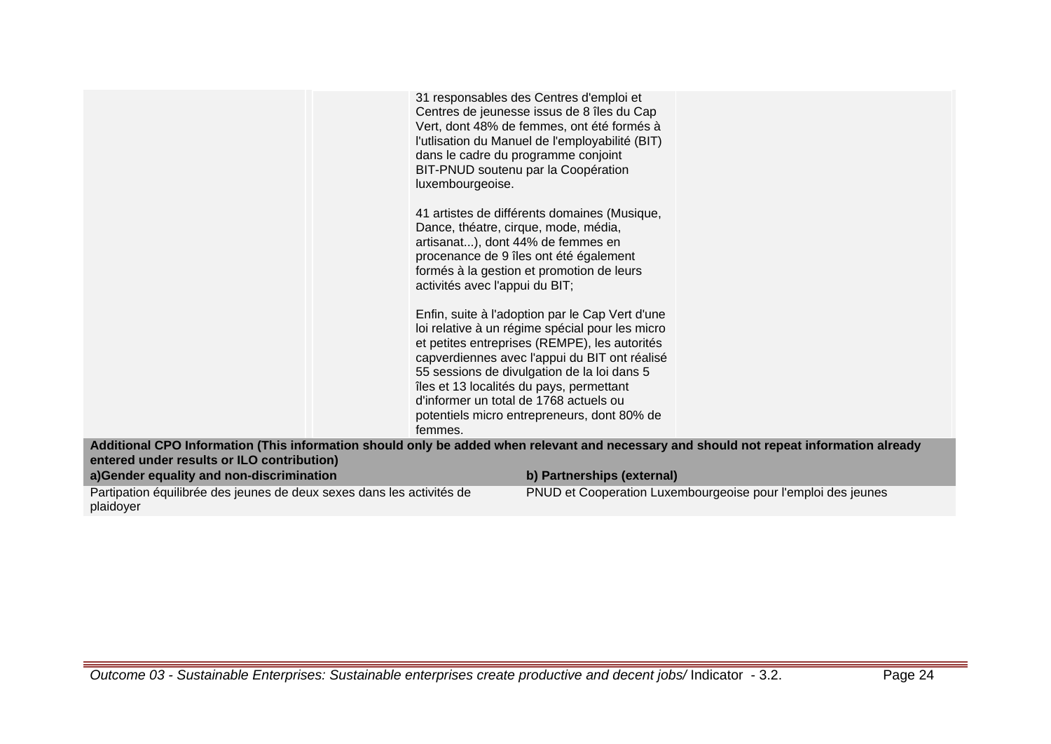|                                                                                                                                                                                                                                   | 31 responsables des Centres d'emploi et<br>Centres de jeunesse issus de 8 îles du Cap<br>Vert, dont 48% de femmes, ont été formés à<br>l'utlisation du Manuel de l'employabilité (BIT)<br>dans le cadre du programme conjoint<br>BIT-PNUD soutenu par la Coopération<br>luxembourgeoise.                                                                                                            |                                                              |
|-----------------------------------------------------------------------------------------------------------------------------------------------------------------------------------------------------------------------------------|-----------------------------------------------------------------------------------------------------------------------------------------------------------------------------------------------------------------------------------------------------------------------------------------------------------------------------------------------------------------------------------------------------|--------------------------------------------------------------|
|                                                                                                                                                                                                                                   | 41 artistes de différents domaines (Musique,<br>Dance, théatre, cirque, mode, média,<br>artisanat), dont 44% de femmes en<br>procenance de 9 îles ont été également<br>formés à la gestion et promotion de leurs<br>activités avec l'appui du BIT;                                                                                                                                                  |                                                              |
|                                                                                                                                                                                                                                   | Enfin, suite à l'adoption par le Cap Vert d'une<br>loi relative à un régime spécial pour les micro<br>et petites entreprises (REMPE), les autorités<br>capverdiennes avec l'appui du BIT ont réalisé<br>55 sessions de divulgation de la loi dans 5<br>îles et 13 localités du pays, permettant<br>d'informer un total de 1768 actuels ou<br>potentiels micro entrepreneurs, dont 80% de<br>femmes. |                                                              |
| Additional CPO Information (This information should only be added when relevant and necessary and should not repeat information already<br>entered under results or ILO contribution)<br>a)Gender equality and non-discrimination | b) Partnerships (external)                                                                                                                                                                                                                                                                                                                                                                          |                                                              |
| Partipation équilibrée des jeunes de deux sexes dans les activités de                                                                                                                                                             |                                                                                                                                                                                                                                                                                                                                                                                                     | PNUD et Cooperation Luxembourgeoise pour l'emploi des jeunes |
| plaidoyer                                                                                                                                                                                                                         |                                                                                                                                                                                                                                                                                                                                                                                                     |                                                              |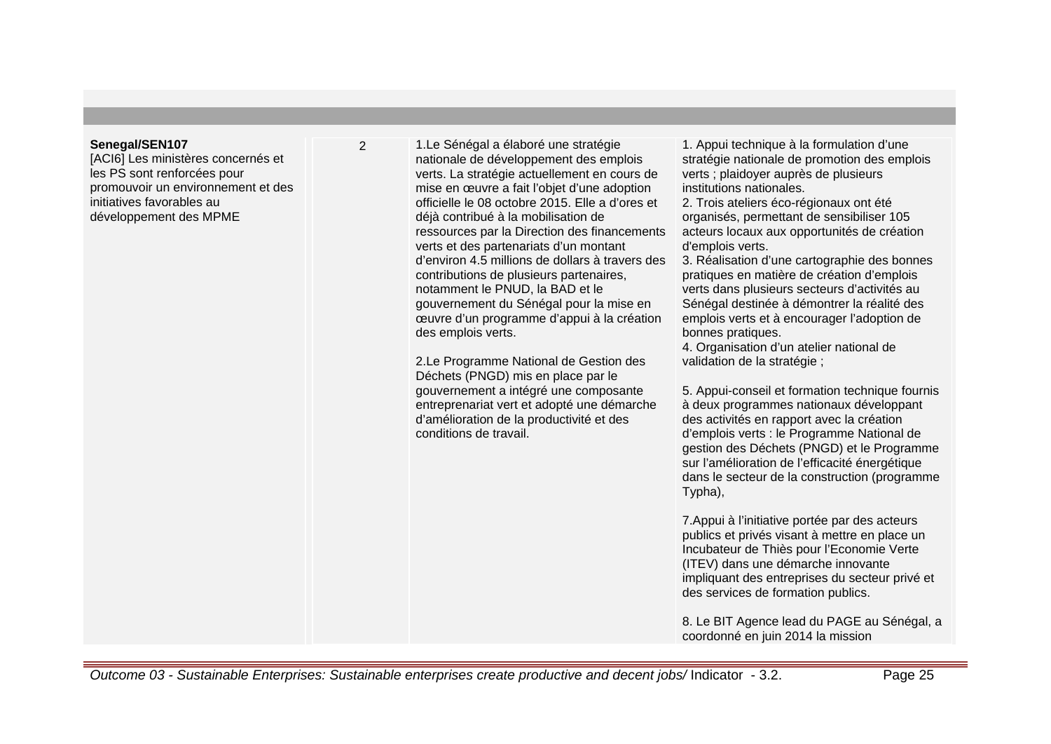#### **Senegal/SEN107**

[ACI6] Les ministères concernés et les PS sont renforcées pour promouvoir un environnement et des initiatives favorables au développement des MPME

2 1. Le Sénégal a élaboré une stratégie nationale de développement des emplois verts. La stratégie actuellement en cours de mise en œuvre a fait l'objet d'une adoption officielle le 08 octobre 2015. Elle a d'ores et déjà contribué à la mobilisation de ressources par la Direction des financements verts et des partenariats d'un montant d'environ 4.5 millions de dollars à travers des contributions de plusieurs partenaires, notamment le PNUD, la BAD et le gouvernement du Sénégal pour la mise en œuvre d'un programme d'appui à la création des emplois verts.

> 2. Le Programme National de Gestion des Déchets (PNGD) mis en place par le gouvernement a intégré une composante entreprenariat vert et adopté une démarche d'amélioration de la productivité et des conditions de travail.

1. Appui technique à la formulation d'une stratégie nationale de promotion des emplois verts ; plaidoyer auprès de plusieurs institutions nationales.

2. Trois ateliers éco-régionaux ont été organisés, permettant de sensibiliser 105 acteurs locaux aux opportunités de création d'emplois verts.

3. Réalisation d'une cartographie des bonnes pratiques en matière de création d'emplois verts dans plusieurs secteurs d'activités au Sénégal destinée à démontrer la réalité des emplois verts et à encourager l'adoption de bonnes pratiques.

4. Organisation d'un atelier national de validation de la stratégie ;

5. Appui-conseil et formation technique fournis à deux programmes nationaux développant des activités en rapport avec la création d'emplois verts : le Programme National de gestion des Déchets (PNGD) et le Programme sur l'amélioration de l'efficacité énergétique dans le secteur de la construction (programme Typha),

7.Appui à l'initiative portée par des acteurs publics et privés visant à mettre en place un Incubateur de Thiès pour l'Economie Verte (ITEV) dans une démarche innovante impliquant des entreprises du secteur privé et des services de formation publics.

8. Le BIT Agence lead du PAGE au Sénégal, a coordonné en juin 2014 la mission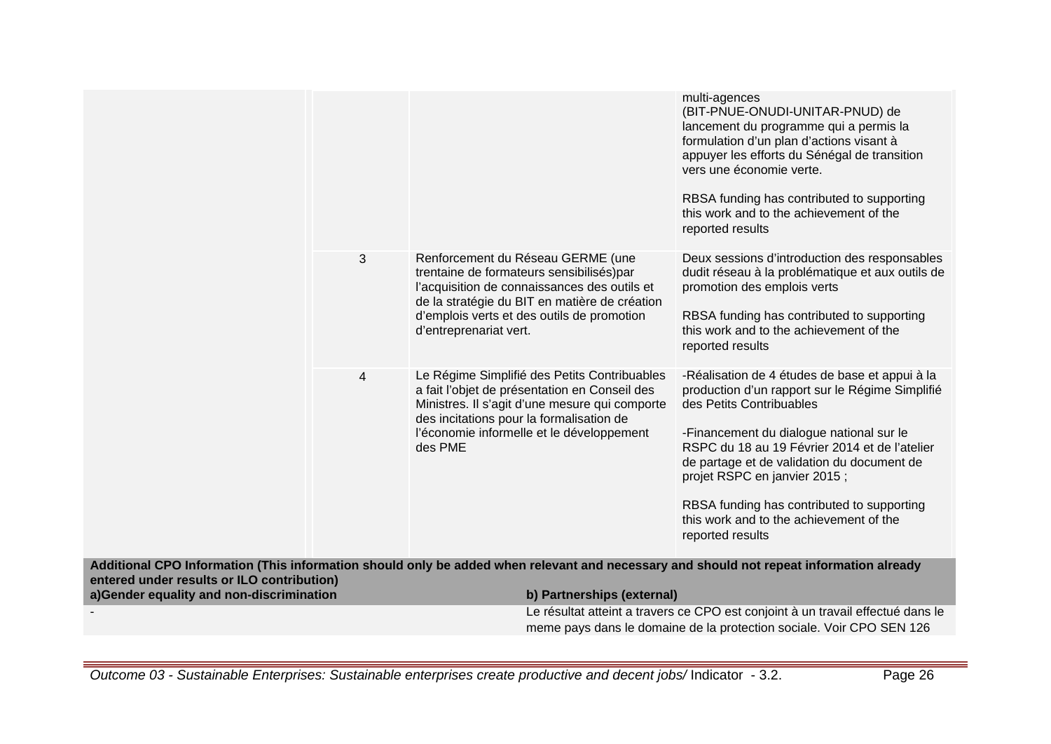|                                                                                                                                                                                       |   |                                                                                                                                                                                                                                                        | (BIT-PNUE-ONUDI-UNITAR-PNUD) de<br>lancement du programme qui a permis la                                                                                                                                                 |  |
|---------------------------------------------------------------------------------------------------------------------------------------------------------------------------------------|---|--------------------------------------------------------------------------------------------------------------------------------------------------------------------------------------------------------------------------------------------------------|---------------------------------------------------------------------------------------------------------------------------------------------------------------------------------------------------------------------------|--|
|                                                                                                                                                                                       |   |                                                                                                                                                                                                                                                        | formulation d'un plan d'actions visant à<br>appuyer les efforts du Sénégal de transition<br>vers une économie verte.                                                                                                      |  |
|                                                                                                                                                                                       |   |                                                                                                                                                                                                                                                        | RBSA funding has contributed to supporting<br>this work and to the achievement of the<br>reported results                                                                                                                 |  |
|                                                                                                                                                                                       | 3 | Renforcement du Réseau GERME (une<br>trentaine de formateurs sensibilisés)par<br>l'acquisition de connaissances des outils et<br>de la stratégie du BIT en matière de création<br>d'emplois verts et des outils de promotion<br>d'entreprenariat vert. | Deux sessions d'introduction des responsables<br>dudit réseau à la problématique et aux outils de<br>promotion des emplois verts<br>RBSA funding has contributed to supporting<br>this work and to the achievement of the |  |
|                                                                                                                                                                                       |   |                                                                                                                                                                                                                                                        | reported results                                                                                                                                                                                                          |  |
|                                                                                                                                                                                       | 4 | Le Régime Simplifié des Petits Contribuables<br>a fait l'objet de présentation en Conseil des<br>Ministres. Il s'agit d'une mesure qui comporte<br>des incitations pour la formalisation de                                                            | -Réalisation de 4 études de base et appui à la<br>production d'un rapport sur le Régime Simplifié<br>des Petits Contribuables                                                                                             |  |
|                                                                                                                                                                                       |   | l'économie informelle et le développement<br>des PME                                                                                                                                                                                                   | -Financement du dialogue national sur le<br>RSPC du 18 au 19 Février 2014 et de l'atelier<br>de partage et de validation du document de<br>projet RSPC en janvier 2015;                                                   |  |
|                                                                                                                                                                                       |   |                                                                                                                                                                                                                                                        | RBSA funding has contributed to supporting<br>this work and to the achievement of the<br>reported results                                                                                                                 |  |
| Additional CPO Information (This information should only be added when relevant and necessary and should not repeat information already<br>entered under results or ILO contribution) |   |                                                                                                                                                                                                                                                        |                                                                                                                                                                                                                           |  |
| a)Gender equality and non-discrimination                                                                                                                                              |   | b) Partnerships (external)                                                                                                                                                                                                                             |                                                                                                                                                                                                                           |  |
|                                                                                                                                                                                       |   |                                                                                                                                                                                                                                                        | Le résultat atteint a travers ce CPO est conjoint à un travail effectué dans le<br>meme pays dans le domaine de la protection sociale. Voir CPO SEN 126                                                                   |  |
|                                                                                                                                                                                       |   |                                                                                                                                                                                                                                                        |                                                                                                                                                                                                                           |  |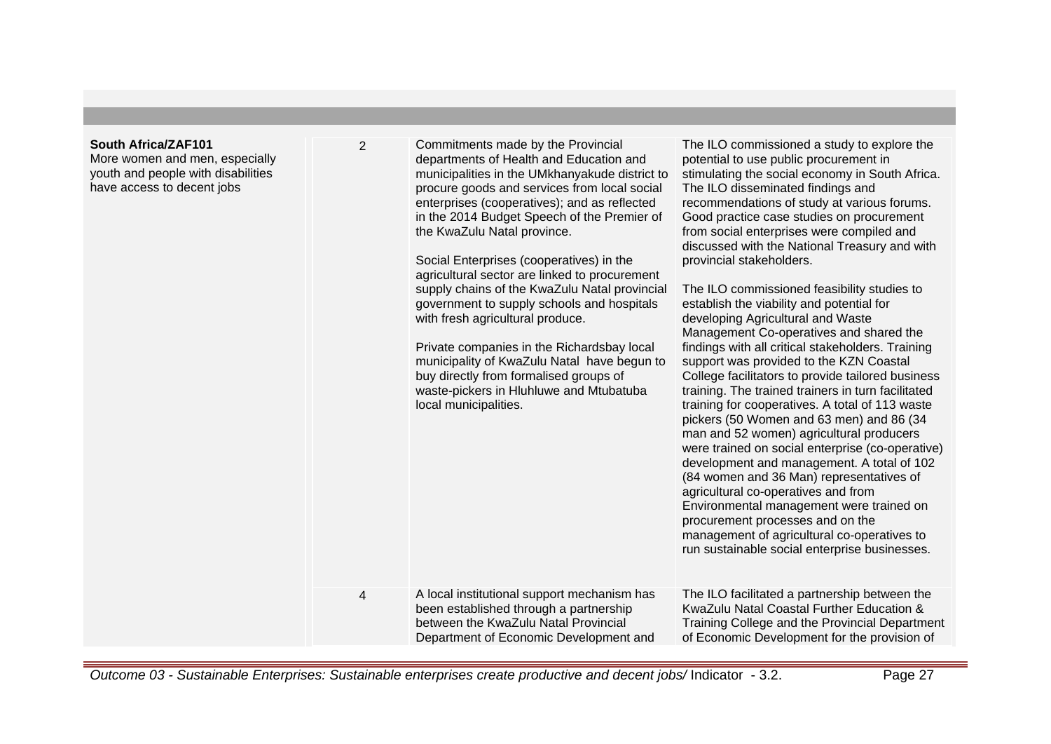| South Africa/ZAF101<br>More women and men, especially<br>youth and people with disabilities<br>have access to decent jobs | $\overline{2}$ | Commitments made by the Provincial<br>departments of Health and Education and<br>municipalities in the UMkhanyakude district to<br>procure goods and services from local social<br>enterprises (cooperatives); and as reflected<br>in the 2014 Budget Speech of the Premier of<br>the KwaZulu Natal province.<br>Social Enterprises (cooperatives) in the<br>agricultural sector are linked to procurement<br>supply chains of the KwaZulu Natal provincial<br>government to supply schools and hospitals<br>with fresh agricultural produce.<br>Private companies in the Richardsbay local<br>municipality of KwaZulu Natal have begun to<br>buy directly from formalised groups of<br>waste-pickers in Hluhluwe and Mtubatuba<br>local municipalities. | The ILO commissioned a study to explore the<br>potential to use public procurement in<br>stimulating the social economy in South Africa.<br>The ILO disseminated findings and<br>recommendations of study at various forums.<br>Good practice case studies on procurement<br>from social enterprises were compiled and<br>discussed with the National Treasury and with<br>provincial stakeholders.<br>The ILO commissioned feasibility studies to<br>establish the viability and potential for<br>developing Agricultural and Waste<br>Management Co-operatives and shared the<br>findings with all critical stakeholders. Training<br>support was provided to the KZN Coastal<br>College facilitators to provide tailored business<br>training. The trained trainers in turn facilitated<br>training for cooperatives. A total of 113 waste<br>pickers (50 Women and 63 men) and 86 (34<br>man and 52 women) agricultural producers<br>were trained on social enterprise (co-operative)<br>development and management. A total of 102<br>(84 women and 36 Man) representatives of<br>agricultural co-operatives and from<br>Environmental management were trained on<br>procurement processes and on the<br>management of agricultural co-operatives to<br>run sustainable social enterprise businesses. |
|---------------------------------------------------------------------------------------------------------------------------|----------------|----------------------------------------------------------------------------------------------------------------------------------------------------------------------------------------------------------------------------------------------------------------------------------------------------------------------------------------------------------------------------------------------------------------------------------------------------------------------------------------------------------------------------------------------------------------------------------------------------------------------------------------------------------------------------------------------------------------------------------------------------------|------------------------------------------------------------------------------------------------------------------------------------------------------------------------------------------------------------------------------------------------------------------------------------------------------------------------------------------------------------------------------------------------------------------------------------------------------------------------------------------------------------------------------------------------------------------------------------------------------------------------------------------------------------------------------------------------------------------------------------------------------------------------------------------------------------------------------------------------------------------------------------------------------------------------------------------------------------------------------------------------------------------------------------------------------------------------------------------------------------------------------------------------------------------------------------------------------------------------------------------------------------------------------------------------------------|
|                                                                                                                           | 4              | A local institutional support mechanism has<br>been established through a partnership<br>between the KwaZulu Natal Provincial<br>Department of Economic Development and                                                                                                                                                                                                                                                                                                                                                                                                                                                                                                                                                                                  | The ILO facilitated a partnership between the<br>KwaZulu Natal Coastal Further Education &<br>Training College and the Provincial Department<br>of Economic Development for the provision of                                                                                                                                                                                                                                                                                                                                                                                                                                                                                                                                                                                                                                                                                                                                                                                                                                                                                                                                                                                                                                                                                                               |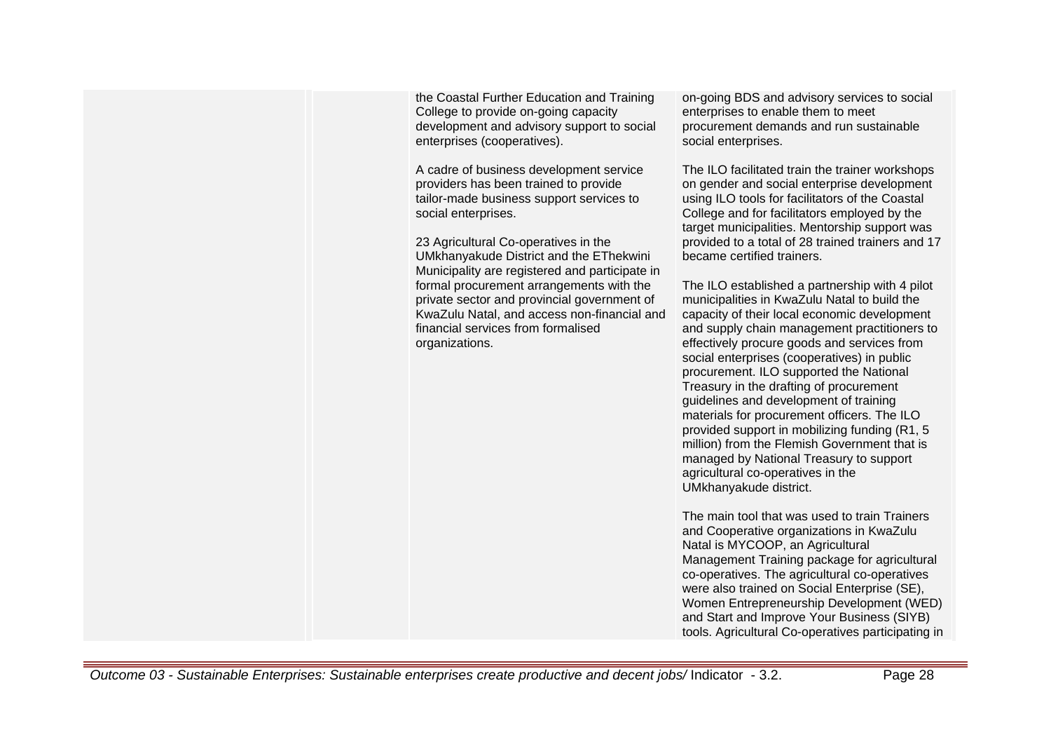the Coastal Further Education and Training College to provide on-going capacity development and advisory support to social enterprises (cooperatives).

A cadre of business development service providers has been trained to provide tailor-made business support services to social enterprises.

23 Agricultural Co-operatives in the UMkhanyakude District and the EThekwini Municipality are registered and participate in formal procurement arrangements with the private sector and provincial government of KwaZulu Natal, and access non-financial and financial services from formalised organizations.

on-going BDS and advisory services to social enterprises to enable them to meet procurement demands and run sustainable social enterprises.

The ILO facilitated train the trainer workshops on gender and social enterprise development using ILO tools for facilitators of the Coastal College and for facilitators employed by the target municipalities. Mentorship support was provided to a total of 28 trained trainers and 17 became certified trainers.

The ILO established a partnership with 4 pilot municipalities in KwaZulu Natal to build the capacity of their local economic development and supply chain management practitioners to effectively procure goods and services from social enterprises (cooperatives) in public procurement. ILO supported the National Treasury in the drafting of procurement guidelines and development of training materials for procurement officers. The ILO provided support in mobilizing funding (R1, 5 million) from the Flemish Government that is managed by National Treasury to support agricultural co-operatives in the UMkhanyakude district.

The main tool that was used to train Trainers and Cooperative organizations in KwaZulu Natal is MYCOOP, an Agricultural Management Training package for agricultural co-operatives. The agricultural co-operatives were also trained on Social Enterprise (SE), Women Entrepreneurship Development (WED) and Start and Improve Your Business (SIYB) tools. Agricultural Co-operatives participating in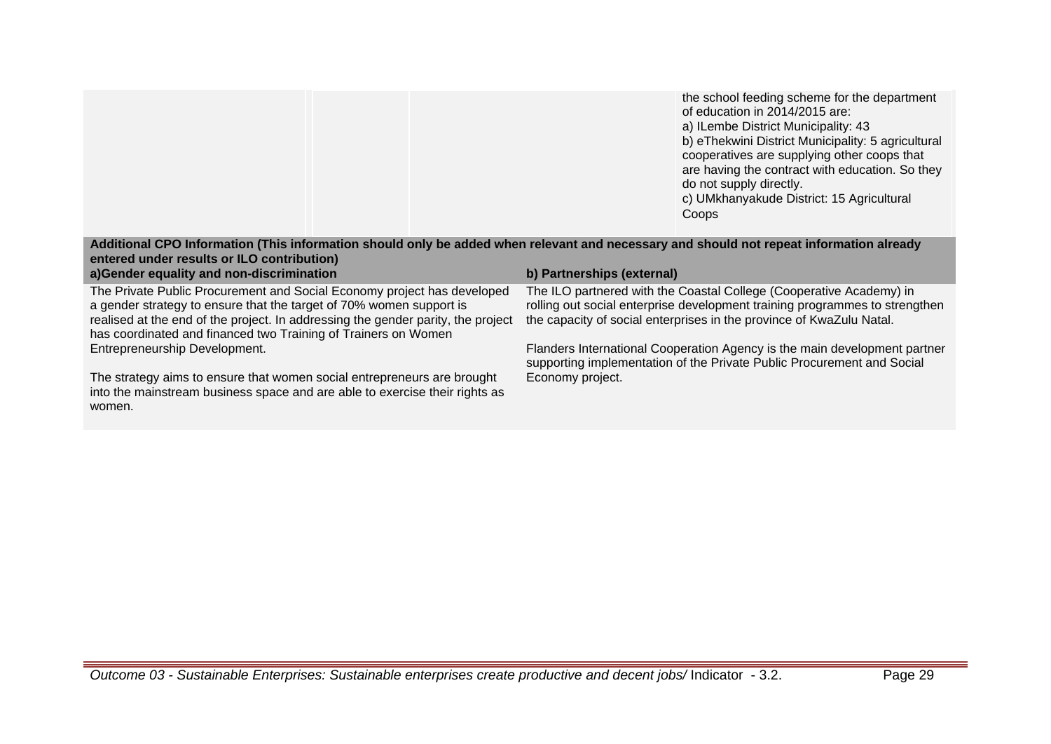the school feeding scheme for the department of education in 2014/2015 are: a) ILembe District Municipality: 43 b) eThekwini District Municipality: 5 agricultural cooperatives are supplying other coops that are having the contract with education. So they do not supply directly. c) UMkhanyakude District: 15 Agricultural **Coops** 

## **Additional CPO Information (This information should only be added when relevant and necessary and should not repeat information already entered under results or ILO contribution)**

The Private Public Procurement and Social Economy project has developed a gender strategy to ensure that the target of 70% women support is realised at the end of the project. In addressing the gender parity, the project has coordinated and financed two Training of Trainers on Women Entrepreneurship Development.

The strategy aims to ensure that women social entrepreneurs are brought into the mainstream business space and are able to exercise their rights as women.

### **a)Gender equality and non-discrimination b) Partnerships (external)**

The ILO partnered with the Coastal College (Cooperative Academy) in rolling out social enterprise development training programmes to strengthen the capacity of social enterprises in the province of KwaZulu Natal.

Flanders International Cooperation Agency is the main development partner supporting implementation of the Private Public Procurement and Social Economy project.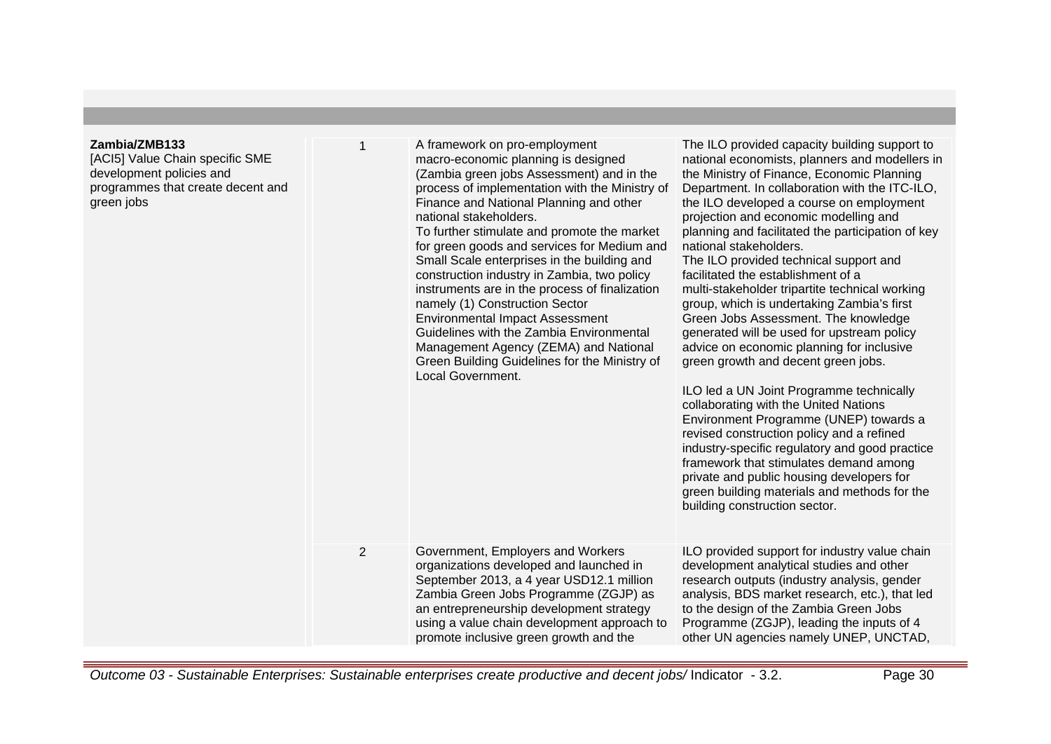| [ACI5] Value Chain specific SME<br>development policies and<br>programmes that create decent and<br>green jobs |                | A framework on pro-employment<br>macro-economic planning is designed<br>(Zambia green jobs Assessment) and in the<br>process of implementation with the Ministry of<br>Finance and National Planning and other<br>national stakeholders.<br>To further stimulate and promote the market<br>for green goods and services for Medium and<br>Small Scale enterprises in the building and<br>construction industry in Zambia, two policy<br>instruments are in the process of finalization<br>namely (1) Construction Sector<br><b>Environmental Impact Assessment</b><br>Guidelines with the Zambia Environmental<br>Management Agency (ZEMA) and National<br>Green Building Guidelines for the Ministry of<br>Local Government. | The ILO provided capacity building support to<br>national economists, planners and modellers in<br>the Ministry of Finance, Economic Planning<br>Department. In collaboration with the ITC-ILO,<br>the ILO developed a course on employment<br>projection and economic modelling and<br>planning and facilitated the participation of key<br>national stakeholders.<br>The ILO provided technical support and<br>facilitated the establishment of a<br>multi-stakeholder tripartite technical working<br>group, which is undertaking Zambia's first<br>Green Jobs Assessment. The knowledge<br>generated will be used for upstream policy<br>advice on economic planning for inclusive<br>green growth and decent green jobs.<br>ILO led a UN Joint Programme technically<br>collaborating with the United Nations<br>Environment Programme (UNEP) towards a<br>revised construction policy and a refined<br>industry-specific regulatory and good practice<br>framework that stimulates demand among<br>private and public housing developers for<br>green building materials and methods for the<br>building construction sector. |
|----------------------------------------------------------------------------------------------------------------|----------------|-------------------------------------------------------------------------------------------------------------------------------------------------------------------------------------------------------------------------------------------------------------------------------------------------------------------------------------------------------------------------------------------------------------------------------------------------------------------------------------------------------------------------------------------------------------------------------------------------------------------------------------------------------------------------------------------------------------------------------|-------------------------------------------------------------------------------------------------------------------------------------------------------------------------------------------------------------------------------------------------------------------------------------------------------------------------------------------------------------------------------------------------------------------------------------------------------------------------------------------------------------------------------------------------------------------------------------------------------------------------------------------------------------------------------------------------------------------------------------------------------------------------------------------------------------------------------------------------------------------------------------------------------------------------------------------------------------------------------------------------------------------------------------------------------------------------------------------------------------------------------------|
|                                                                                                                | $\overline{2}$ | Government, Employers and Workers<br>organizations developed and launched in<br>September 2013, a 4 year USD12.1 million<br>Zambia Green Jobs Programme (ZGJP) as<br>an entrepreneurship development strategy<br>using a value chain development approach to<br>promote inclusive green growth and the                                                                                                                                                                                                                                                                                                                                                                                                                        | ILO provided support for industry value chain<br>development analytical studies and other<br>research outputs (industry analysis, gender<br>analysis, BDS market research, etc.), that led<br>to the design of the Zambia Green Jobs<br>Programme (ZGJP), leading the inputs of 4<br>other UN agencies namely UNEP, UNCTAD,                                                                                                                                                                                                                                                                                                                                                                                                                                                                                                                                                                                                                                                                                                                                                                                                         |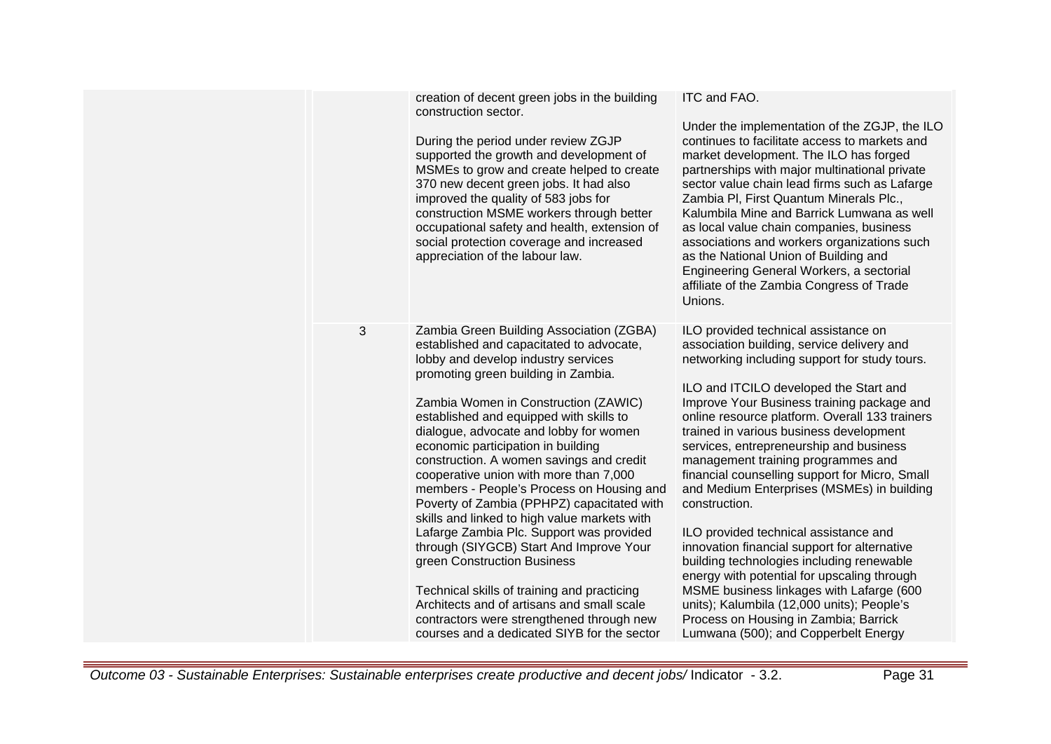|   | creation of decent green jobs in the building<br>construction sector.<br>During the period under review ZGJP<br>supported the growth and development of<br>MSMEs to grow and create helped to create<br>370 new decent green jobs. It had also<br>improved the quality of 583 jobs for<br>construction MSME workers through better<br>occupational safety and health, extension of<br>social protection coverage and increased<br>appreciation of the labour law.                                                                                                                                                                                                                                                                                                                                                                                                                     | ITC and FAO.<br>Under the implementation of the ZGJP, the ILO<br>continues to facilitate access to markets and<br>market development. The ILO has forged<br>partnerships with major multinational private<br>sector value chain lead firms such as Lafarge<br>Zambia PI, First Quantum Minerals Plc.,<br>Kalumbila Mine and Barrick Lumwana as well<br>as local value chain companies, business<br>associations and workers organizations such<br>as the National Union of Building and<br>Engineering General Workers, a sectorial<br>affiliate of the Zambia Congress of Trade<br>Unions.                                                                                                                                                                                                                                                                                                |
|---|---------------------------------------------------------------------------------------------------------------------------------------------------------------------------------------------------------------------------------------------------------------------------------------------------------------------------------------------------------------------------------------------------------------------------------------------------------------------------------------------------------------------------------------------------------------------------------------------------------------------------------------------------------------------------------------------------------------------------------------------------------------------------------------------------------------------------------------------------------------------------------------|--------------------------------------------------------------------------------------------------------------------------------------------------------------------------------------------------------------------------------------------------------------------------------------------------------------------------------------------------------------------------------------------------------------------------------------------------------------------------------------------------------------------------------------------------------------------------------------------------------------------------------------------------------------------------------------------------------------------------------------------------------------------------------------------------------------------------------------------------------------------------------------------|
| 3 | Zambia Green Building Association (ZGBA)<br>established and capacitated to advocate,<br>lobby and develop industry services<br>promoting green building in Zambia.<br>Zambia Women in Construction (ZAWIC)<br>established and equipped with skills to<br>dialogue, advocate and lobby for women<br>economic participation in building<br>construction. A women savings and credit<br>cooperative union with more than 7,000<br>members - People's Process on Housing and<br>Poverty of Zambia (PPHPZ) capacitated with<br>skills and linked to high value markets with<br>Lafarge Zambia Plc. Support was provided<br>through (SIYGCB) Start And Improve Your<br>green Construction Business<br>Technical skills of training and practicing<br>Architects and of artisans and small scale<br>contractors were strengthened through new<br>courses and a dedicated SIYB for the sector | ILO provided technical assistance on<br>association building, service delivery and<br>networking including support for study tours.<br>ILO and ITCILO developed the Start and<br>Improve Your Business training package and<br>online resource platform. Overall 133 trainers<br>trained in various business development<br>services, entrepreneurship and business<br>management training programmes and<br>financial counselling support for Micro, Small<br>and Medium Enterprises (MSMEs) in building<br>construction.<br>ILO provided technical assistance and<br>innovation financial support for alternative<br>building technologies including renewable<br>energy with potential for upscaling through<br>MSME business linkages with Lafarge (600<br>units); Kalumbila (12,000 units); People's<br>Process on Housing in Zambia; Barrick<br>Lumwana (500); and Copperbelt Energy |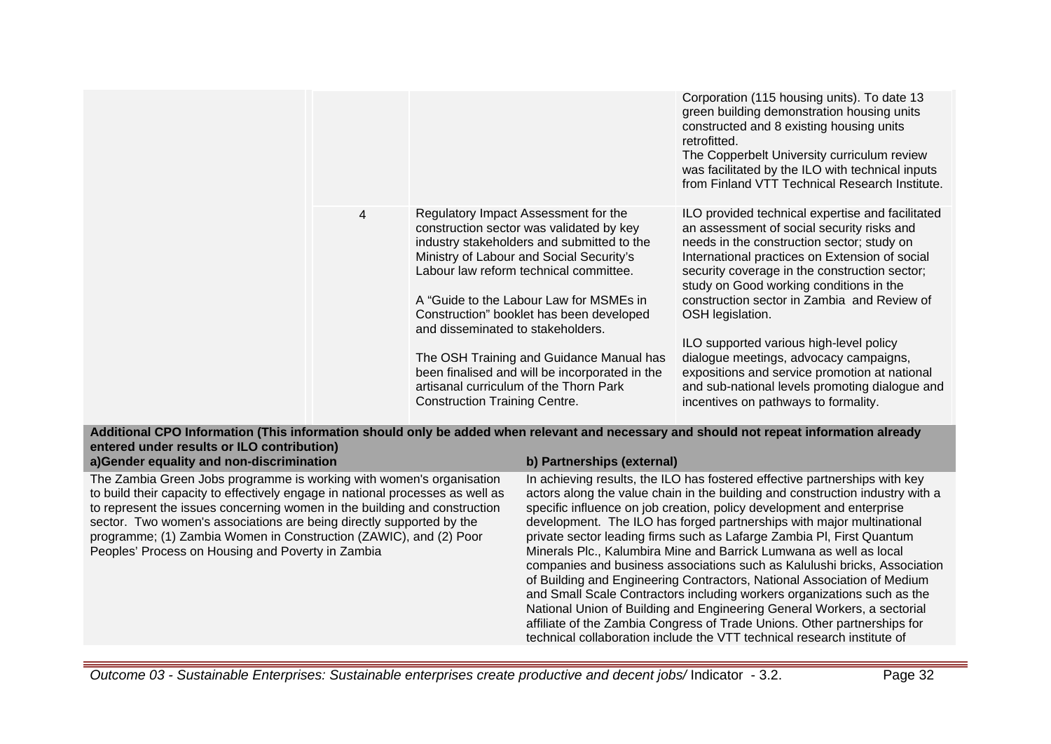|                                            | 4 | Regulatory Impact Assessment for the<br>construction sector was validated by key<br>industry stakeholders and submitted to the                                                                                 | constructed and 8 existing housing units<br>retrofitted.<br>The Copperbelt University curriculum review<br>was facilitated by the ILO with technical inputs<br>from Finland VTT Technical Research Institute.<br>ILO provided technical expertise and facilitated<br>an assessment of social security risks and<br>needs in the construction sector; study on |
|--------------------------------------------|---|----------------------------------------------------------------------------------------------------------------------------------------------------------------------------------------------------------------|---------------------------------------------------------------------------------------------------------------------------------------------------------------------------------------------------------------------------------------------------------------------------------------------------------------------------------------------------------------|
|                                            |   | Ministry of Labour and Social Security's<br>Labour law reform technical committee.<br>A "Guide to the Labour Law for MSMEs in<br>Construction" booklet has been developed<br>and disseminated to stakeholders. | International practices on Extension of social<br>security coverage in the construction sector;<br>study on Good working conditions in the<br>construction sector in Zambia and Review of<br>OSH legislation.<br>ILO supported various high-level policy                                                                                                      |
|                                            |   | The OSH Training and Guidance Manual has<br>been finalised and will be incorporated in the<br>artisanal curriculum of the Thorn Park<br><b>Construction Training Centre.</b>                                   | dialogue meetings, advocacy campaigns,<br>expositions and service promotion at national<br>and sub-national levels promoting dialogue and<br>incentives on pathways to formality.                                                                                                                                                                             |
| entered under results or ILO contribution) |   | Additional CPO Information (This information should only be added when relevant and necessary and should not repeat information already                                                                        |                                                                                                                                                                                                                                                                                                                                                               |

The Zambia Green Jobs programme is working with women's organisation to build their capacity to effectively engage in national processes as well as to represent the issues concerning women in the building and construction sector. Two women's associations are being directly supported by the programme; (1) Zambia Women in Construction (ZAWIC), and (2) Poor Peoples' Process on Housing and Poverty in Zambia

# **a)Gender equality and non-discrimination b) Partnerships (external)**

In achieving results, the ILO has fostered effective partnerships with key actors along the value chain in the building and construction industry with a specific influence on job creation, policy development and enterprise development. The ILO has forged partnerships with major multinational private sector leading firms such as Lafarge Zambia Pl, First Quantum Minerals Plc., Kalumbira Mine and Barrick Lumwana as well as local companies and business associations such as Kalulushi bricks, Association of Building and Engineering Contractors, National Association of Medium and Small Scale Contractors including workers organizations such as the National Union of Building and Engineering General Workers, a sectorial affiliate of the Zambia Congress of Trade Unions. Other partnerships for technical collaboration include the VTT technical research institute of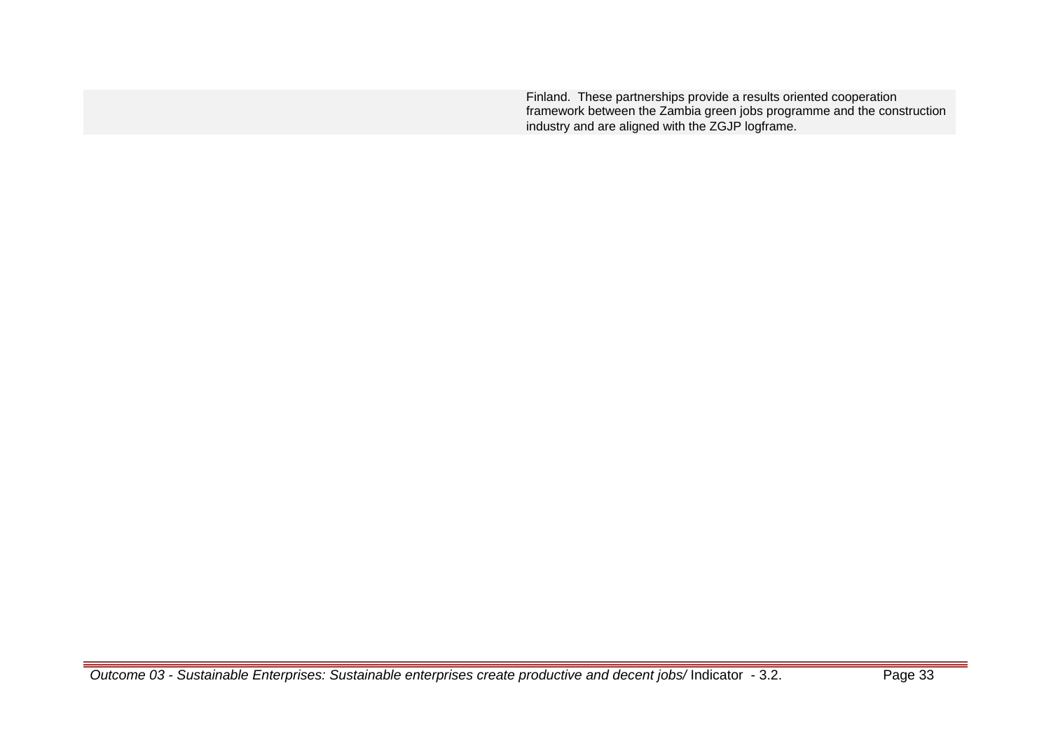Finland. These partnerships provide a results oriented cooperation framework between the Zambia green jobs programme and the construction industry and are aligned with the ZGJP logframe.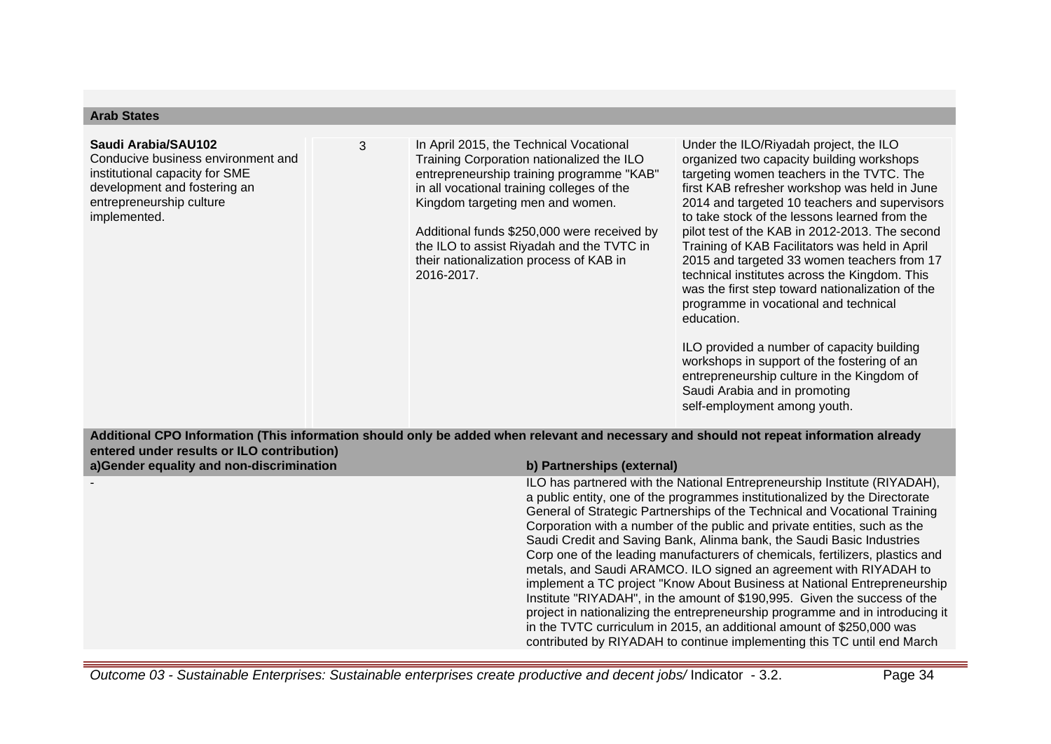### **Arab States**

### **Saudi Arabia/SAU102**

Conducive business environment and institutional capacity for SME development and fostering an entrepreneurship culture implemented.

3 In April 2015, the Technical Vocational Training Corporation nationalized the ILO entrepreneurship training programme "KAB" in all vocational training colleges of the Kingdom targeting men and women.

> Additional funds \$250,000 were received by the ILO to assist Riyadah and the TVTC in their nationalization process of KAB in 2016-2017.

Under the ILO/Riyadah project, the ILO organized two capacity building workshops targeting women teachers in the TVTC. The first KAB refresher workshop was held in June 2014 and targeted 10 teachers and supervisors to take stock of the lessons learned from the pilot test of the KAB in 2012-2013. The second Training of KAB Facilitators was held in April 2015 and targeted 33 women teachers from 17 technical institutes across the Kingdom. This was the first step toward nationalization of the programme in vocational and technical education.

ILO provided a number of capacity building workshops in support of the fostering of an entrepreneurship culture in the Kingdom of Saudi Arabia and in promoting self-employment among youth.

**Additional CPO Information (This information should only be added when relevant and necessary and should not repeat information already entered under results or ILO contribution)**

| a)Gender equality and non-discrimination | b) Partnerships (external)                                                                                                                                                                                                                                                                                                                                                                                                                                                                                                                                                                                                                                                                                                                                                                                                                                                                                                                       |
|------------------------------------------|--------------------------------------------------------------------------------------------------------------------------------------------------------------------------------------------------------------------------------------------------------------------------------------------------------------------------------------------------------------------------------------------------------------------------------------------------------------------------------------------------------------------------------------------------------------------------------------------------------------------------------------------------------------------------------------------------------------------------------------------------------------------------------------------------------------------------------------------------------------------------------------------------------------------------------------------------|
|                                          | ILO has partnered with the National Entrepreneurship Institute (RIYADAH),<br>a public entity, one of the programmes institutionalized by the Directorate<br>General of Strategic Partnerships of the Technical and Vocational Training<br>Corporation with a number of the public and private entities, such as the<br>Saudi Credit and Saving Bank, Alinma bank, the Saudi Basic Industries<br>Corp one of the leading manufacturers of chemicals, fertilizers, plastics and<br>metals, and Saudi ARAMCO. ILO signed an agreement with RIYADAH to<br>implement a TC project "Know About Business at National Entrepreneurship<br>Institute "RIYADAH", in the amount of \$190,995. Given the success of the<br>project in nationalizing the entrepreneurship programme and in introducing it<br>in the TVTC curriculum in 2015, an additional amount of \$250,000 was<br>contributed by RIYADAH to continue implementing this TC until end March |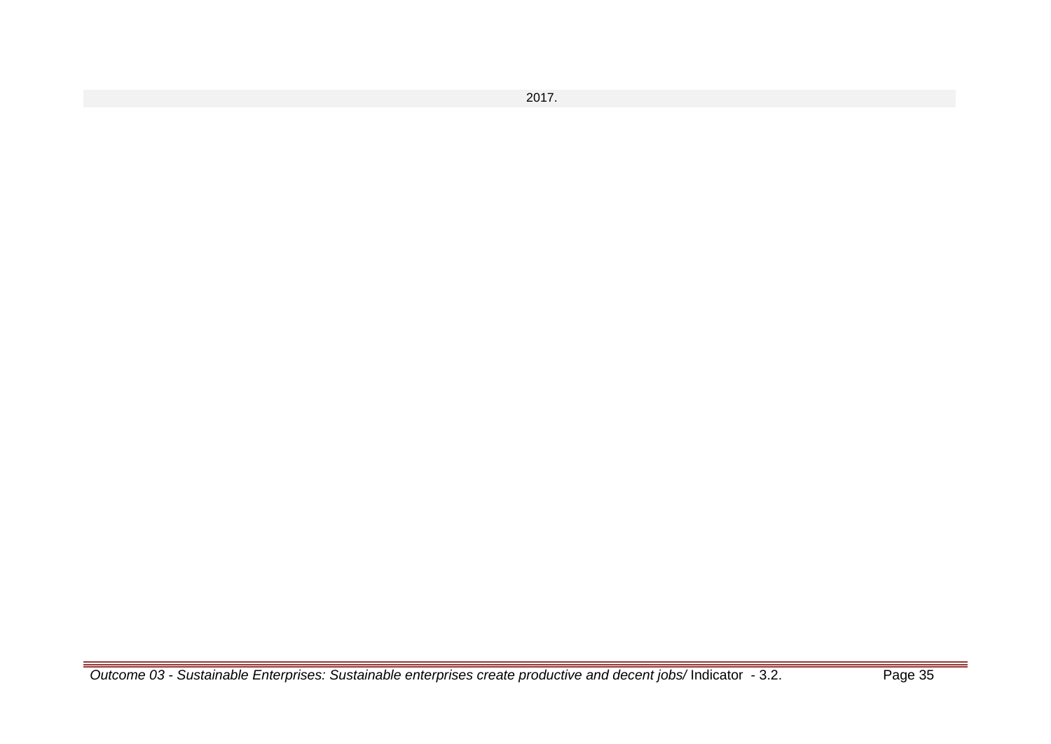2017.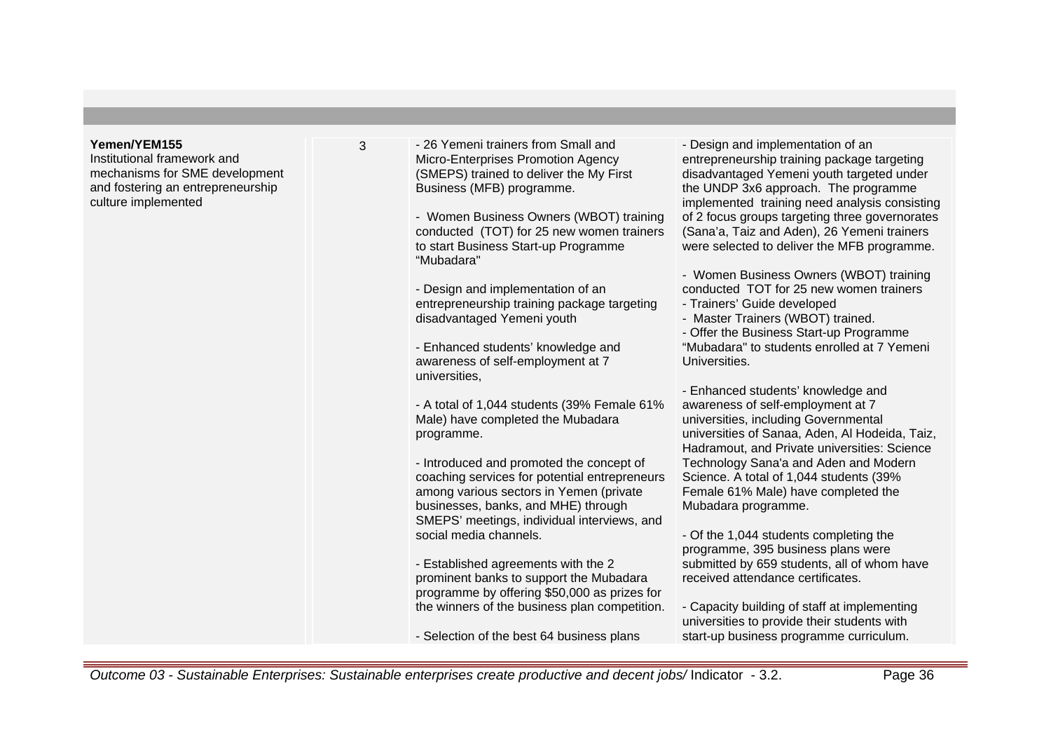### **Yemen/YEM155**

Institutional framework and mechanisms for SME development and fostering an entrepreneurship culture implemented

- 3 26 Yemeni trainers from Small and Micro-Enterprises Promotion Agency (SMEPS) trained to deliver the My First Business (MFB) programme.
	- Women Business Owners (WBOT) training conducted (TOT) for 25 new women trainers to start Business Start-up Programme "Mubadara"

- Design and implementation of an entrepreneurship training package targeting disadvantaged Yemeni youth

- Enhanced students' knowledge and awareness of self-employment at 7 universities,

- A total of 1,044 students (39% Female 61% Male) have completed the Mubadara programme.

- Introduced and promoted the concept of coaching services for potential entrepreneurs among various sectors in Yemen (private businesses, banks, and MHE) through SMEPS' meetings, individual interviews, and social media channels.

- Established agreements with the 2 prominent banks to support the Mubadara programme by offering \$50,000 as prizes for the winners of the business plan competition.

- Selection of the best 64 business plans

- Design and implementation of an entrepreneurship training package targeting disadvantaged Yemeni youth targeted under the UNDP 3x6 approach. The programme implemented training need analysis consisting of 2 focus groups targeting three governorates (Sana'a, Taiz and Aden), 26 Yemeni trainers were selected to deliver the MFB programme.

- Women Business Owners (WBOT) training conducted TOT for 25 new women trainers - Trainers' Guide developed

- Master Trainers (WBOT) trained.

- Offer the Business Start-up Programme "Mubadara" to students enrolled at 7 Yemeni Universities.

- Enhanced students' knowledge and awareness of self-employment at 7 universities, including Governmental universities of Sanaa, Aden, Al Hodeida, Taiz, Hadramout, and Private universities: Science Technology Sana'a and Aden and Modern Science. A total of 1,044 students (39% Female 61% Male) have completed the Mubadara programme.

- Of the 1,044 students completing the programme, 395 business plans were submitted by 659 students, all of whom have received attendance certificates.

- Capacity building of staff at implementing universities to provide their students with start-up business programme curriculum.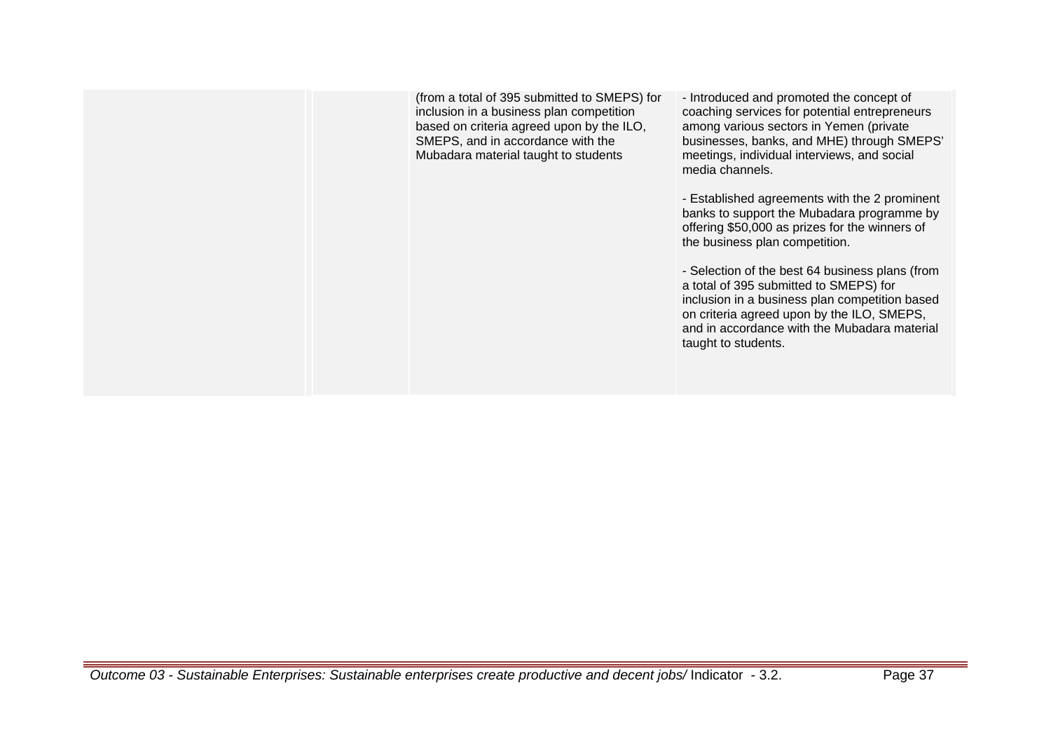| (from a total of 395 submitted to SMEPS) for<br>inclusion in a business plan competition<br>based on criteria agreed upon by the ILO,<br>SMEPS, and in accordance with the<br>Mubadara material taught to students | - Introduced and promoted the concept of<br>coaching services for potential entrepreneurs<br>among various sectors in Yemen (private<br>businesses, banks, and MHE) through SMEPS'<br>meetings, individual interviews, and social<br>media channels.             |
|--------------------------------------------------------------------------------------------------------------------------------------------------------------------------------------------------------------------|------------------------------------------------------------------------------------------------------------------------------------------------------------------------------------------------------------------------------------------------------------------|
|                                                                                                                                                                                                                    | - Established agreements with the 2 prominent<br>banks to support the Mubadara programme by<br>offering \$50,000 as prizes for the winners of<br>the business plan competition.                                                                                  |
|                                                                                                                                                                                                                    | - Selection of the best 64 business plans (from<br>a total of 395 submitted to SMEPS) for<br>inclusion in a business plan competition based<br>on criteria agreed upon by the ILO, SMEPS,<br>and in accordance with the Mubadara material<br>taught to students. |
|                                                                                                                                                                                                                    |                                                                                                                                                                                                                                                                  |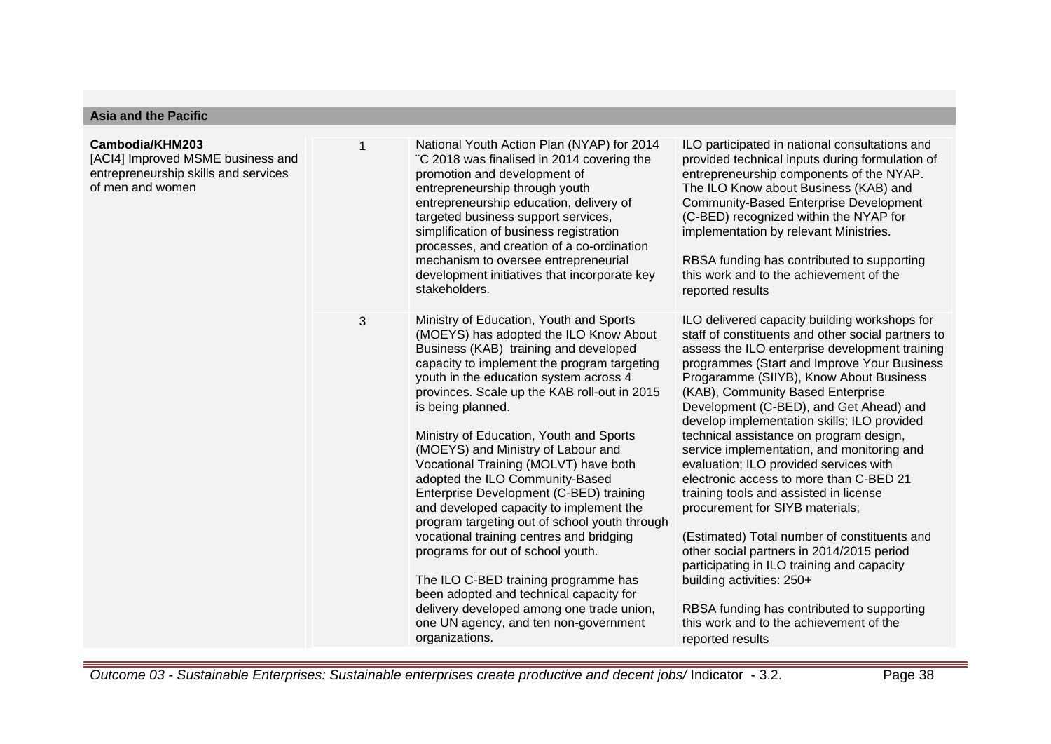# **Asia and the Pacific**

## **Cambodia/KHM203**

[ACI4] Improved MSME business and entrepreneurship skills and services of men and women

| 1 | National Youth Action Plan (NYAP) for 2014<br>"C 2018 was finalised in 2014 covering the<br>promotion and development of<br>entrepreneurship through youth<br>entrepreneurship education, delivery of<br>targeted business support services,<br>simplification of business registration<br>processes, and creation of a co-ordination<br>mechanism to oversee entrepreneurial<br>development initiatives that incorporate key<br>stakeholders.                                                                                                                                                                                                                                                                                                                                                                                                                           | ILO participated in national consultations and<br>provided technical inputs during formulation of<br>entrepreneurship components of the NYAP.<br>The ILO Know about Business (KAB) and<br><b>Community-Based Enterprise Development</b><br>(C-BED) recognized within the NYAP for<br>implementation by relevant Ministries.<br>RBSA funding has contributed to supporting<br>this work and to the achievement of the<br>reported results                                                                                                                                                                                                                                                                                                                                                                                                                                                                                       |
|---|--------------------------------------------------------------------------------------------------------------------------------------------------------------------------------------------------------------------------------------------------------------------------------------------------------------------------------------------------------------------------------------------------------------------------------------------------------------------------------------------------------------------------------------------------------------------------------------------------------------------------------------------------------------------------------------------------------------------------------------------------------------------------------------------------------------------------------------------------------------------------|--------------------------------------------------------------------------------------------------------------------------------------------------------------------------------------------------------------------------------------------------------------------------------------------------------------------------------------------------------------------------------------------------------------------------------------------------------------------------------------------------------------------------------------------------------------------------------------------------------------------------------------------------------------------------------------------------------------------------------------------------------------------------------------------------------------------------------------------------------------------------------------------------------------------------------|
| 3 | Ministry of Education, Youth and Sports<br>(MOEYS) has adopted the ILO Know About<br>Business (KAB) training and developed<br>capacity to implement the program targeting<br>youth in the education system across 4<br>provinces. Scale up the KAB roll-out in 2015<br>is being planned.<br>Ministry of Education, Youth and Sports<br>(MOEYS) and Ministry of Labour and<br>Vocational Training (MOLVT) have both<br>adopted the ILO Community-Based<br>Enterprise Development (C-BED) training<br>and developed capacity to implement the<br>program targeting out of school youth through<br>vocational training centres and bridging<br>programs for out of school youth.<br>The ILO C-BED training programme has<br>been adopted and technical capacity for<br>delivery developed among one trade union,<br>one UN agency, and ten non-government<br>organizations. | ILO delivered capacity building workshops for<br>staff of constituents and other social partners to<br>assess the ILO enterprise development training<br>programmes (Start and Improve Your Business<br>Progaramme (SIIYB), Know About Business<br>(KAB), Community Based Enterprise<br>Development (C-BED), and Get Ahead) and<br>develop implementation skills; ILO provided<br>technical assistance on program design,<br>service implementation, and monitoring and<br>evaluation; ILO provided services with<br>electronic access to more than C-BED 21<br>training tools and assisted in license<br>procurement for SIYB materials;<br>(Estimated) Total number of constituents and<br>other social partners in 2014/2015 period<br>participating in ILO training and capacity<br>building activities: 250+<br>RBSA funding has contributed to supporting<br>this work and to the achievement of the<br>reported results |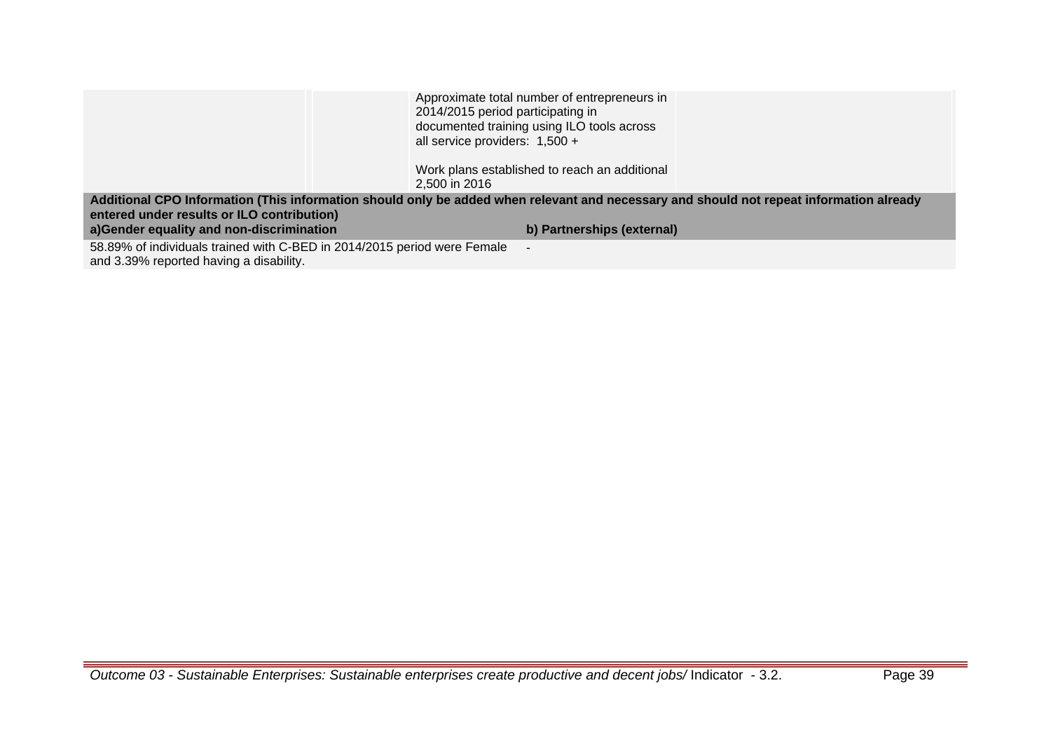Approximate total number of entrepreneurs in 2014/2015 period participating in documented training using ILO tools across all service providers: 1,500 +

Work plans established to reach an additional 2,500 in 2016

**Additional CPO Information (This information should only be added when relevant and necessary and should not repeat information already entered under results or ILO contribution) a)Gender equality and non-discrimination b) Partnerships (external)**

58.89% of individuals trained with C-BED in 2014/2015 period were Female -

and 3.39% reported having a disability.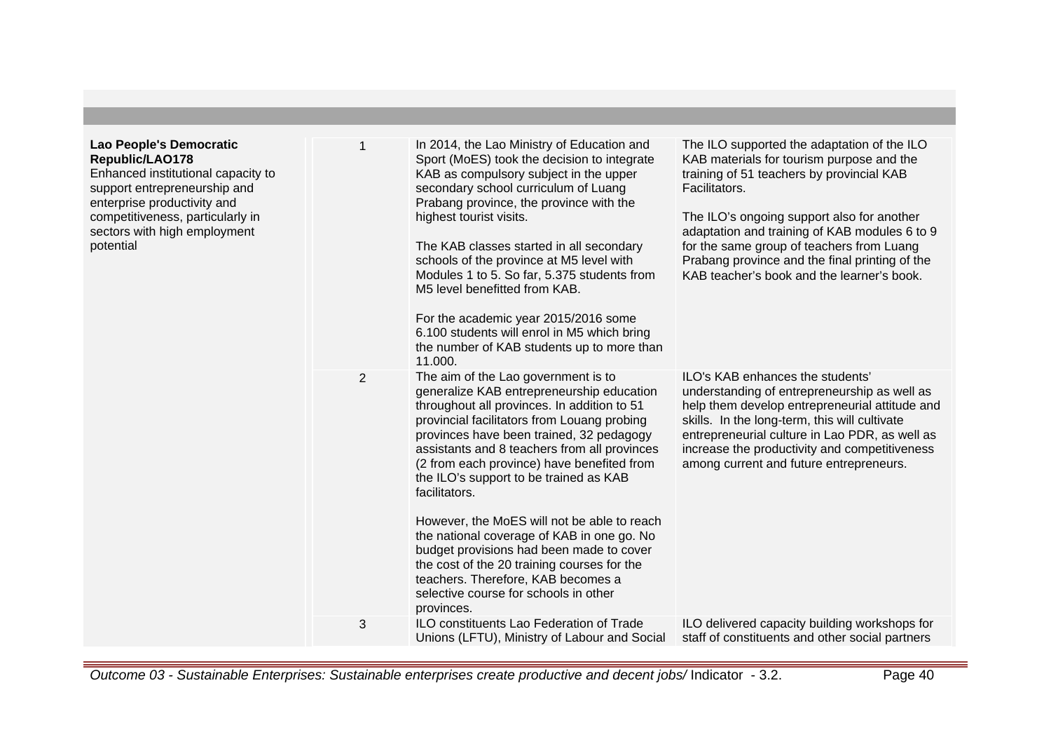| Lao People's Democratic<br>The ILO supported the adaptation of the ILO<br>In 2014, the Lao Ministry of Education and<br>1<br>Republic/LAO178<br>KAB materials for tourism purpose and the<br>Sport (MoES) took the decision to integrate<br>Enhanced institutional capacity to<br>KAB as compulsory subject in the upper<br>training of 51 teachers by provincial KAB<br>secondary school curriculum of Luang<br>support entrepreneurship and<br>Facilitators.<br>enterprise productivity and<br>Prabang province, the province with the<br>competitiveness, particularly in<br>highest tourist visits.<br>The ILO's ongoing support also for another<br>sectors with high employment<br>adaptation and training of KAB modules 6 to 9<br>for the same group of teachers from Luang<br>potential<br>The KAB classes started in all secondary<br>schools of the province at M5 level with<br>Prabang province and the final printing of the<br>Modules 1 to 5. So far, 5.375 students from<br>KAB teacher's book and the learner's book.<br>M5 level benefitted from KAB.<br>For the academic year 2015/2016 some<br>6.100 students will enrol in M5 which bring<br>the number of KAB students up to more than<br>11.000.<br>The aim of the Lao government is to<br>ILO's KAB enhances the students'<br>$\overline{2}$<br>generalize KAB entrepreneurship education<br>understanding of entrepreneurship as well as<br>throughout all provinces. In addition to 51<br>help them develop entrepreneurial attitude and<br>provincial facilitators from Louang probing<br>skills. In the long-term, this will cultivate<br>provinces have been trained, 32 pedagogy<br>entrepreneurial culture in Lao PDR, as well as<br>assistants and 8 teachers from all provinces<br>increase the productivity and competitiveness<br>(2 from each province) have benefited from<br>among current and future entrepreneurs.<br>the ILO's support to be trained as KAB<br>facilitators.<br>However, the MoES will not be able to reach<br>the national coverage of KAB in one go. No<br>budget provisions had been made to cover<br>the cost of the 20 training courses for the<br>teachers. Therefore, KAB becomes a<br>selective course for schools in other<br>provinces.<br>ILO constituents Lao Federation of Trade<br>ILO delivered capacity building workshops for<br>3<br>Unions (LFTU), Ministry of Labour and Social<br>staff of constituents and other social partners |  |  |  |
|------------------------------------------------------------------------------------------------------------------------------------------------------------------------------------------------------------------------------------------------------------------------------------------------------------------------------------------------------------------------------------------------------------------------------------------------------------------------------------------------------------------------------------------------------------------------------------------------------------------------------------------------------------------------------------------------------------------------------------------------------------------------------------------------------------------------------------------------------------------------------------------------------------------------------------------------------------------------------------------------------------------------------------------------------------------------------------------------------------------------------------------------------------------------------------------------------------------------------------------------------------------------------------------------------------------------------------------------------------------------------------------------------------------------------------------------------------------------------------------------------------------------------------------------------------------------------------------------------------------------------------------------------------------------------------------------------------------------------------------------------------------------------------------------------------------------------------------------------------------------------------------------------------------------------------------------------------------------------------------------------------------------------------------------------------------------------------------------------------------------------------------------------------------------------------------------------------------------------------------------------------------------------------------------------------------------------------------------------------------------------------------------------------------------------------------------------------------|--|--|--|
|                                                                                                                                                                                                                                                                                                                                                                                                                                                                                                                                                                                                                                                                                                                                                                                                                                                                                                                                                                                                                                                                                                                                                                                                                                                                                                                                                                                                                                                                                                                                                                                                                                                                                                                                                                                                                                                                                                                                                                                                                                                                                                                                                                                                                                                                                                                                                                                                                                                                  |  |  |  |
|                                                                                                                                                                                                                                                                                                                                                                                                                                                                                                                                                                                                                                                                                                                                                                                                                                                                                                                                                                                                                                                                                                                                                                                                                                                                                                                                                                                                                                                                                                                                                                                                                                                                                                                                                                                                                                                                                                                                                                                                                                                                                                                                                                                                                                                                                                                                                                                                                                                                  |  |  |  |
|                                                                                                                                                                                                                                                                                                                                                                                                                                                                                                                                                                                                                                                                                                                                                                                                                                                                                                                                                                                                                                                                                                                                                                                                                                                                                                                                                                                                                                                                                                                                                                                                                                                                                                                                                                                                                                                                                                                                                                                                                                                                                                                                                                                                                                                                                                                                                                                                                                                                  |  |  |  |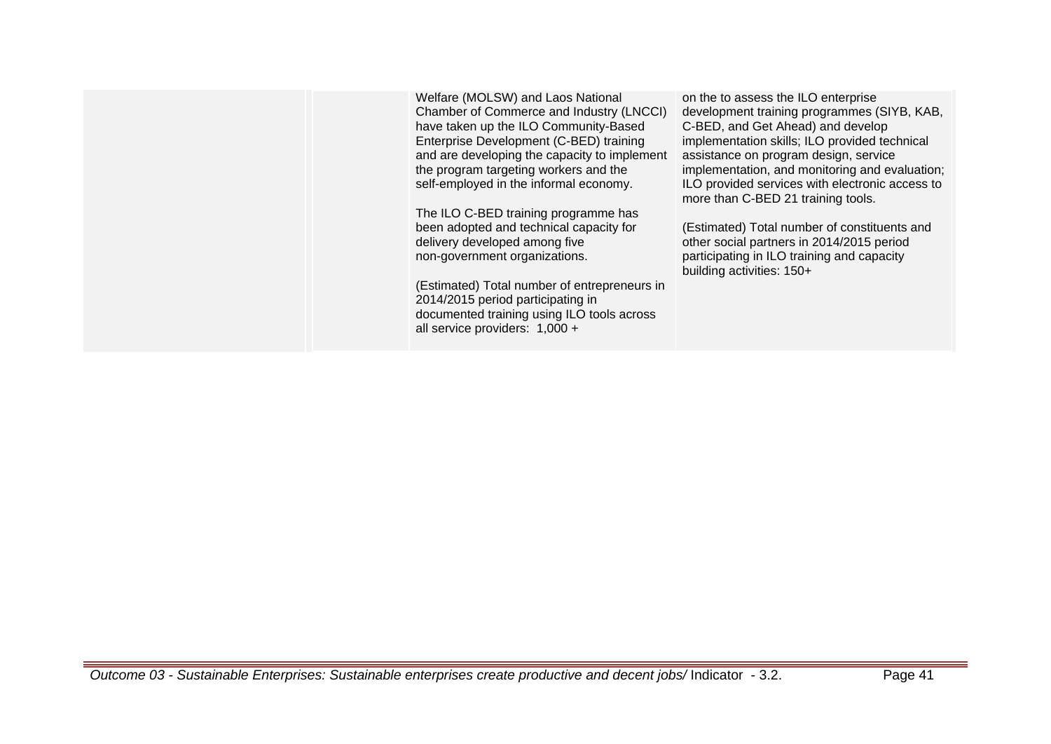Welfare (MOLSW) and Laos National Chamber of Commerce and Industry (LNCCI) have taken up the ILO Community-Based Enterprise Development (C-BED) training and are developing the capacity to implement the program targeting workers and the self-employed in the informal economy. The ILO C-BED training programme has been adopted and technical capacity for delivery developed among five non-government organizations. (Estimated) Total number of entrepreneurs in 2014/2015 period participating in on the to assess the ILO enterprise development training programmes (SIYB, KAB, C-BED, and Get Ahead) and develop implementation skills; ILO provided technical assistance on program design, service implementation, and monitoring and evaluation; ILO provided services with electronic access to more than C-BED 21 training tools. (Estimated) Total number of constituents and other social partners in 2014/2015 period participating in ILO training and capacity building activities: 150+

documented training using ILO tools across

all service providers: 1,000 +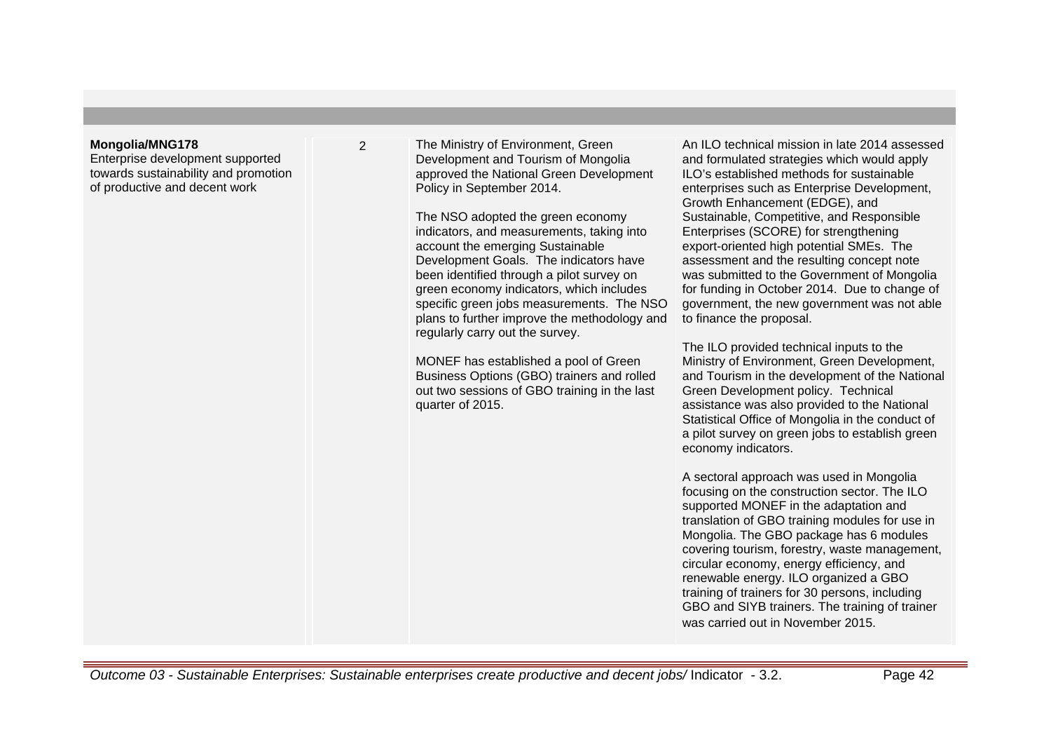### **Mongolia/MNG178**

Enterprise development supported towards sustainability and promotion of productive and decent work

2 The Ministry of Environment, Green Development and Tourism of Mongolia approved the National Green Development Policy in September 2014.

> The NSO adopted the green economy indicators, and measurements, taking into account the emerging Sustainable Development Goals. The indicators have been identified through a pilot survey on green economy indicators, which includes specific green jobs measurements. The NSO plans to further improve the methodology and regularly carry out the survey.

MONEF has established a pool of Green Business Options (GBO) trainers and rolled out two sessions of GBO training in the last quarter of 2015.

An ILO technical mission in late 2014 assessed and formulated strategies which would apply ILO's established methods for sustainable enterprises such as Enterprise Development, Growth Enhancement (EDGE), and Sustainable, Competitive, and Responsible Enterprises (SCORE) for strengthening export-oriented high potential SMEs. The assessment and the resulting concept note was submitted to the Government of Mongolia for funding in October 2014. Due to change of government, the new government was not able to finance the proposal.

The ILO provided technical inputs to the Ministry of Environment, Green Development, and Tourism in the development of the National Green Development policy. Technical assistance was also provided to the National Statistical Office of Mongolia in the conduct of a pilot survey on green jobs to establish green economy indicators.

A sectoral approach was used in Mongolia focusing on the construction sector. The ILO supported MONEF in the adaptation and translation of GBO training modules for use in Mongolia. The GBO package has 6 modules covering tourism, forestry, waste management, circular economy, energy efficiency, and renewable energy. ILO organized a GBO training of trainers for 30 persons, including GBO and SIYB trainers. The training of trainer was carried out in November 2015.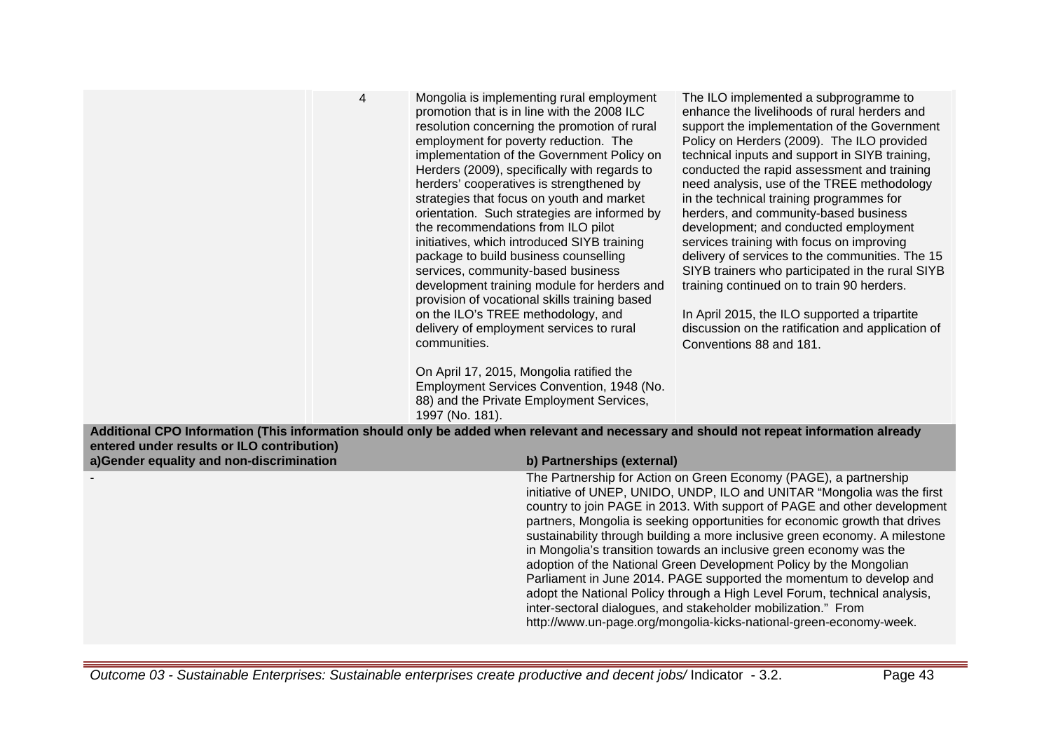|                                            | 4 | employment for poverty reduction. The<br>the recommendations from ILO pilot<br>package to build business counselling<br>services, community-based business<br>on the ILO's TREE methodology, and<br>communities.<br>On April 17, 2015, Mongolia ratified the<br>1997 (No. 181). | Mongolia is implementing rural employment<br>promotion that is in line with the 2008 ILC<br>resolution concerning the promotion of rural<br>implementation of the Government Policy on<br>Herders (2009), specifically with regards to<br>herders' cooperatives is strengthened by<br>strategies that focus on youth and market<br>orientation. Such strategies are informed by<br>initiatives, which introduced SIYB training<br>development training module for herders and<br>provision of vocational skills training based<br>delivery of employment services to rural<br>Employment Services Convention, 1948 (No.<br>88) and the Private Employment Services, | The ILO implemented a subprogramme to<br>enhance the livelihoods of rural herders and<br>support the implementation of the Government<br>Policy on Herders (2009). The ILO provided<br>technical inputs and support in SIYB training,<br>conducted the rapid assessment and training<br>need analysis, use of the TREE methodology<br>in the technical training programmes for<br>herders, and community-based business<br>development; and conducted employment<br>services training with focus on improving<br>delivery of services to the communities. The 15<br>SIYB trainers who participated in the rural SIYB<br>training continued on to train 90 herders.<br>In April 2015, the ILO supported a tripartite<br>discussion on the ratification and application of<br>Conventions 88 and 181.                            |
|--------------------------------------------|---|---------------------------------------------------------------------------------------------------------------------------------------------------------------------------------------------------------------------------------------------------------------------------------|---------------------------------------------------------------------------------------------------------------------------------------------------------------------------------------------------------------------------------------------------------------------------------------------------------------------------------------------------------------------------------------------------------------------------------------------------------------------------------------------------------------------------------------------------------------------------------------------------------------------------------------------------------------------|--------------------------------------------------------------------------------------------------------------------------------------------------------------------------------------------------------------------------------------------------------------------------------------------------------------------------------------------------------------------------------------------------------------------------------------------------------------------------------------------------------------------------------------------------------------------------------------------------------------------------------------------------------------------------------------------------------------------------------------------------------------------------------------------------------------------------------|
|                                            |   |                                                                                                                                                                                                                                                                                 |                                                                                                                                                                                                                                                                                                                                                                                                                                                                                                                                                                                                                                                                     | Additional CPO Information (This information should only be added when relevant and necessary and should not repeat information already                                                                                                                                                                                                                                                                                                                                                                                                                                                                                                                                                                                                                                                                                        |
| entered under results or ILO contribution) |   |                                                                                                                                                                                                                                                                                 |                                                                                                                                                                                                                                                                                                                                                                                                                                                                                                                                                                                                                                                                     |                                                                                                                                                                                                                                                                                                                                                                                                                                                                                                                                                                                                                                                                                                                                                                                                                                |
| a)Gender equality and non-discrimination   |   |                                                                                                                                                                                                                                                                                 | b) Partnerships (external)                                                                                                                                                                                                                                                                                                                                                                                                                                                                                                                                                                                                                                          |                                                                                                                                                                                                                                                                                                                                                                                                                                                                                                                                                                                                                                                                                                                                                                                                                                |
|                                            |   |                                                                                                                                                                                                                                                                                 |                                                                                                                                                                                                                                                                                                                                                                                                                                                                                                                                                                                                                                                                     |                                                                                                                                                                                                                                                                                                                                                                                                                                                                                                                                                                                                                                                                                                                                                                                                                                |
|                                            |   |                                                                                                                                                                                                                                                                                 |                                                                                                                                                                                                                                                                                                                                                                                                                                                                                                                                                                                                                                                                     | The Partnership for Action on Green Economy (PAGE), a partnership<br>initiative of UNEP, UNIDO, UNDP, ILO and UNITAR "Mongolia was the first<br>country to join PAGE in 2013. With support of PAGE and other development<br>partners, Mongolia is seeking opportunities for economic growth that drives<br>sustainability through building a more inclusive green economy. A milestone<br>in Mongolia's transition towards an inclusive green economy was the<br>adoption of the National Green Development Policy by the Mongolian<br>Parliament in June 2014. PAGE supported the momentum to develop and<br>adopt the National Policy through a High Level Forum, technical analysis,<br>inter-sectoral dialogues, and stakeholder mobilization." From<br>http://www.un-page.org/mongolia-kicks-national-green-economy-week. |
|                                            |   |                                                                                                                                                                                                                                                                                 |                                                                                                                                                                                                                                                                                                                                                                                                                                                                                                                                                                                                                                                                     |                                                                                                                                                                                                                                                                                                                                                                                                                                                                                                                                                                                                                                                                                                                                                                                                                                |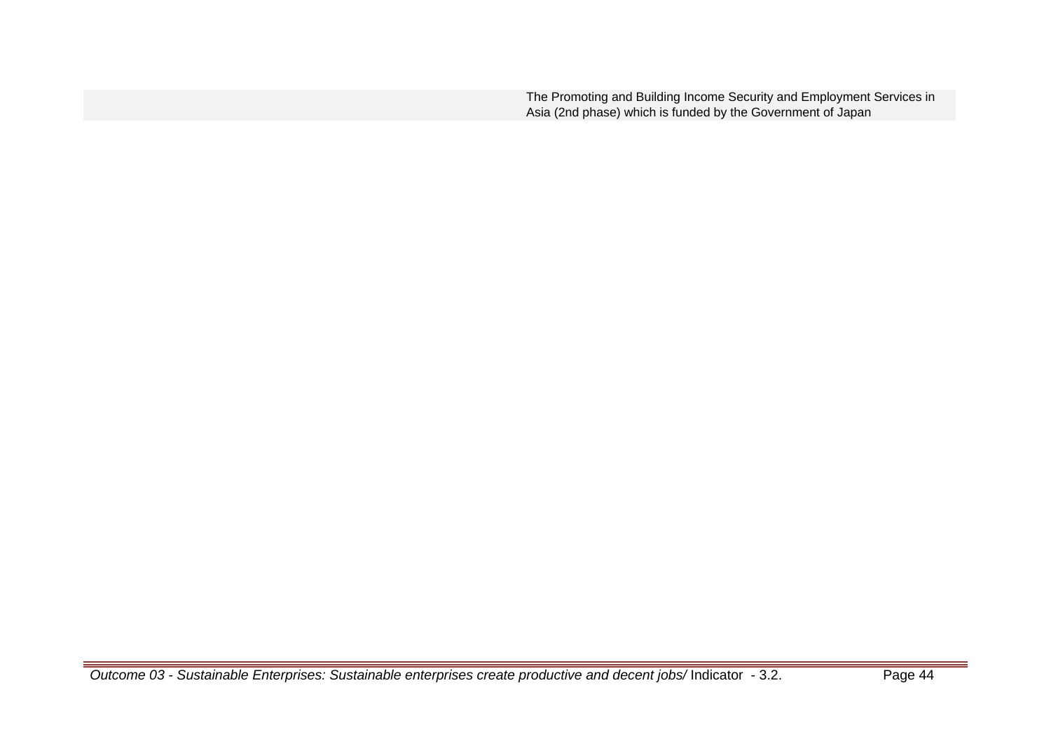The Promoting and Building Income Security and Employment Services in Asia (2nd phase) which is funded by the Government of Japan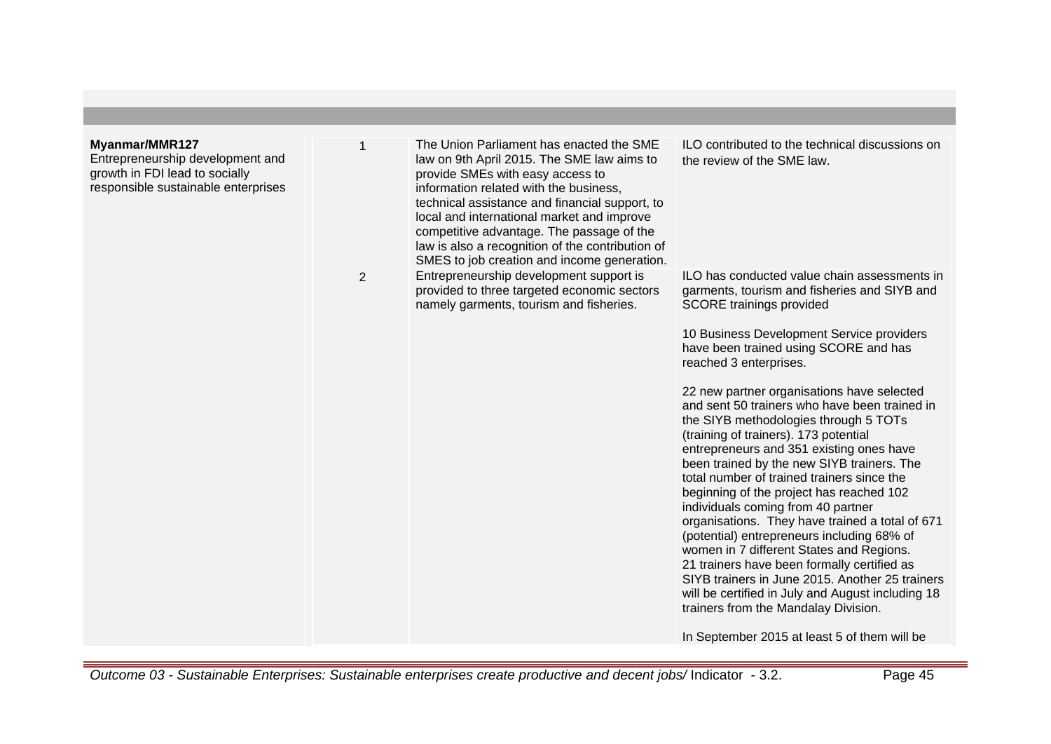| <b>Myanmar/MMR127</b><br>Entrepreneurship development and<br>growth in FDI lead to socially<br>responsible sustainable enterprises |                | The Union Parliament has enacted the SME<br>law on 9th April 2015. The SME law aims to<br>provide SMEs with easy access to<br>information related with the business,<br>technical assistance and financial support, to<br>local and international market and improve<br>competitive advantage. The passage of the<br>law is also a recognition of the contribution of<br>SMES to job creation and income generation. | ILO contributed to the technical discussions on<br>the review of the SME law.                                                                                                                                                                                                                                                                                                                                                                                                                                                                                                                                                                                                                                                                                                                                                                                                                                                                                                                                                                          |
|------------------------------------------------------------------------------------------------------------------------------------|----------------|----------------------------------------------------------------------------------------------------------------------------------------------------------------------------------------------------------------------------------------------------------------------------------------------------------------------------------------------------------------------------------------------------------------------|--------------------------------------------------------------------------------------------------------------------------------------------------------------------------------------------------------------------------------------------------------------------------------------------------------------------------------------------------------------------------------------------------------------------------------------------------------------------------------------------------------------------------------------------------------------------------------------------------------------------------------------------------------------------------------------------------------------------------------------------------------------------------------------------------------------------------------------------------------------------------------------------------------------------------------------------------------------------------------------------------------------------------------------------------------|
|                                                                                                                                    | $\overline{2}$ | Entrepreneurship development support is<br>provided to three targeted economic sectors<br>namely garments, tourism and fisheries.                                                                                                                                                                                                                                                                                    | ILO has conducted value chain assessments in<br>garments, tourism and fisheries and SIYB and<br><b>SCORE</b> trainings provided<br>10 Business Development Service providers<br>have been trained using SCORE and has<br>reached 3 enterprises.<br>22 new partner organisations have selected<br>and sent 50 trainers who have been trained in<br>the SIYB methodologies through 5 TOTs<br>(training of trainers). 173 potential<br>entrepreneurs and 351 existing ones have<br>been trained by the new SIYB trainers. The<br>total number of trained trainers since the<br>beginning of the project has reached 102<br>individuals coming from 40 partner<br>organisations. They have trained a total of 671<br>(potential) entrepreneurs including 68% of<br>women in 7 different States and Regions.<br>21 trainers have been formally certified as<br>SIYB trainers in June 2015. Another 25 trainers<br>will be certified in July and August including 18<br>trainers from the Mandalay Division.<br>In September 2015 at least 5 of them will be |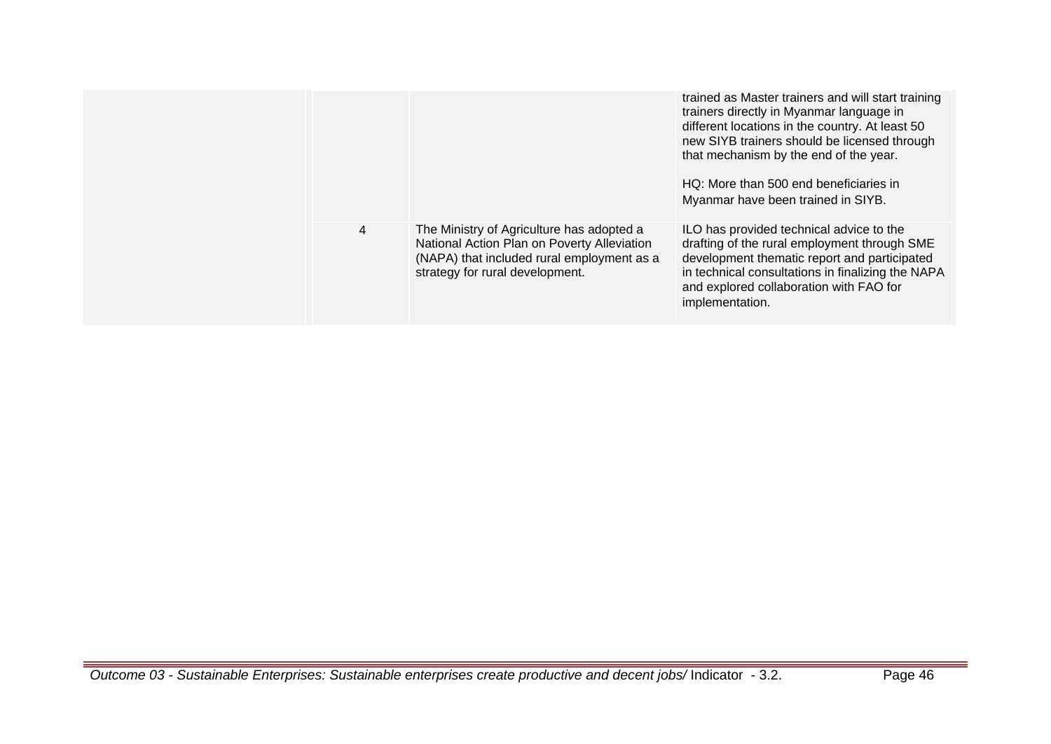|                |                                                                                                                                                                           | trained as Master trainers and will start training<br>trainers directly in Myanmar language in<br>different locations in the country. At least 50<br>new SIYB trainers should be licensed through<br>that mechanism by the end of the year.<br>HQ: More than 500 end beneficiaries in<br>Myanmar have been trained in SIYB. |
|----------------|---------------------------------------------------------------------------------------------------------------------------------------------------------------------------|-----------------------------------------------------------------------------------------------------------------------------------------------------------------------------------------------------------------------------------------------------------------------------------------------------------------------------|
| $\overline{4}$ | The Ministry of Agriculture has adopted a<br>National Action Plan on Poverty Alleviation<br>(NAPA) that included rural employment as a<br>strategy for rural development. | ILO has provided technical advice to the<br>drafting of the rural employment through SME<br>development thematic report and participated<br>in technical consultations in finalizing the NAPA<br>and explored collaboration with FAO for<br>implementation.                                                                 |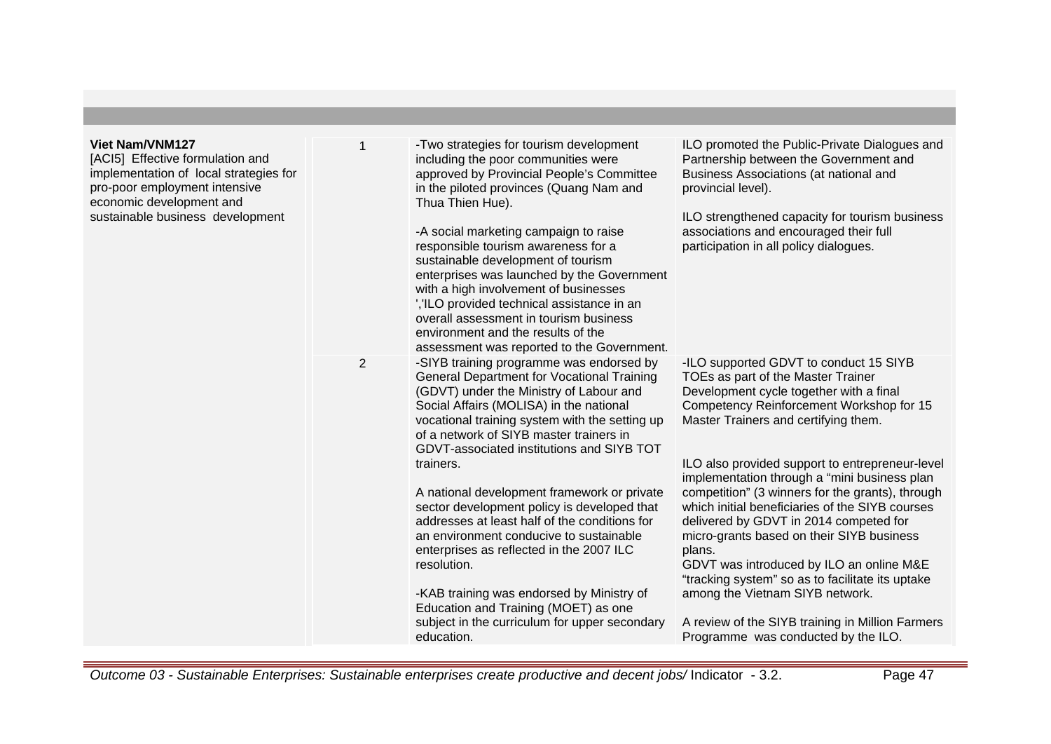### **Viet Nam/VNM127** [ACI5] Effective formulation and implementation of local strategies for pro-poor employment intensive economic development and sustainable business development 1 -Two strategies for tourism development including the poor communities were approved by Provincial People's Committee in the piloted provinces (Quang Nam and Thua Thien Hue). -A social marketing campaign to raise responsible tourism awareness for a sustainable development of tourism enterprises was launched by the Government with a high involvement of businesses ','ILO provided technical assistance in an overall assessment in tourism business environment and the results of the assessment was reported to the Government. ILO promoted the Public-Private Dialogues and Partnership between the Government and Business Associations (at national and provincial level). ILO strengthened capacity for tourism business associations and encouraged their full participation in all policy dialogues. 2 -SIYB training programme was endorsed by General Department for Vocational Training (GDVT) under the Ministry of Labour and Social Affairs (MOLISA) in the national vocational training system with the setting up of a network of SIYB master trainers in GDVT-associated institutions and SIYB TOT trainers. A national development framework or private sector development policy is developed that addresses at least half of the conditions for an environment conducive to sustainable enterprises as reflected in the 2007 ILC resolution. -KAB training was endorsed by Ministry of Education and Training (MOET) as one subject in the curriculum for upper secondary education. -ILO supported GDVT to conduct 15 SIYB TOEs as part of the Master Trainer Development cycle together with a final Competency Reinforcement Workshop for 15 Master Trainers and certifying them. ILO also provided support to entrepreneur-level implementation through a "mini business plan competition" (3 winners for the grants), through which initial beneficiaries of the SIYB courses delivered by GDVT in 2014 competed for micro-grants based on their SIYB business plans. GDVT was introduced by ILO an online M&E "tracking system" so as to facilitate its uptake among the Vietnam SIYB network. A review of the SIYB training in Million Farmers Programme was conducted by the ILO.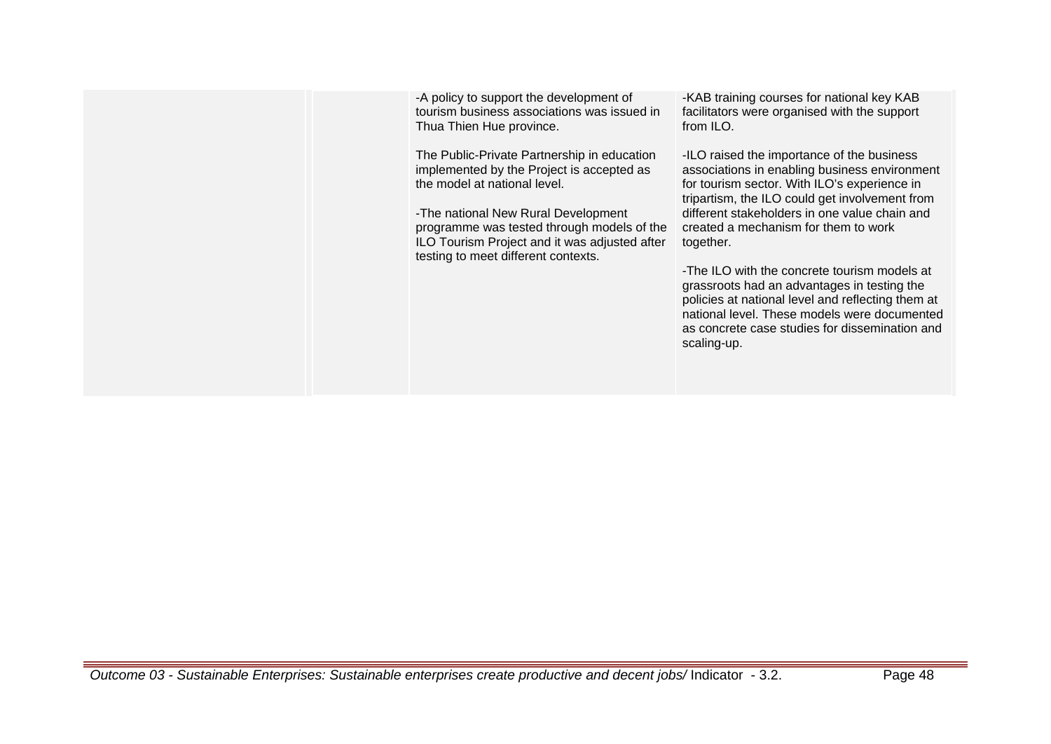-A policy to support the development of tourism business associations was issued in Thua Thien Hue province. The Public-Private Partnership in education implemented by the Project is accepted as the model at national level. -The national New Rural Development programme was tested through models of the ILO Tourism Project and it was adjusted after testing to meet different contexts. - KAB training courses for national key KAB facilitators were organised with the support from ILO. - ILO raised the importance of the business associations in enabling business environment for tourism sector. With ILO's experience in tripartism, the ILO could get involvement from different stakeholders in one value chain and created a mechanism for them to work together. -The ILO with the concrete tourism models at grassroots had an advantages in testing the policies at national level and reflecting them at national level. These models were documented as concrete case studies for dissemination and scaling-up.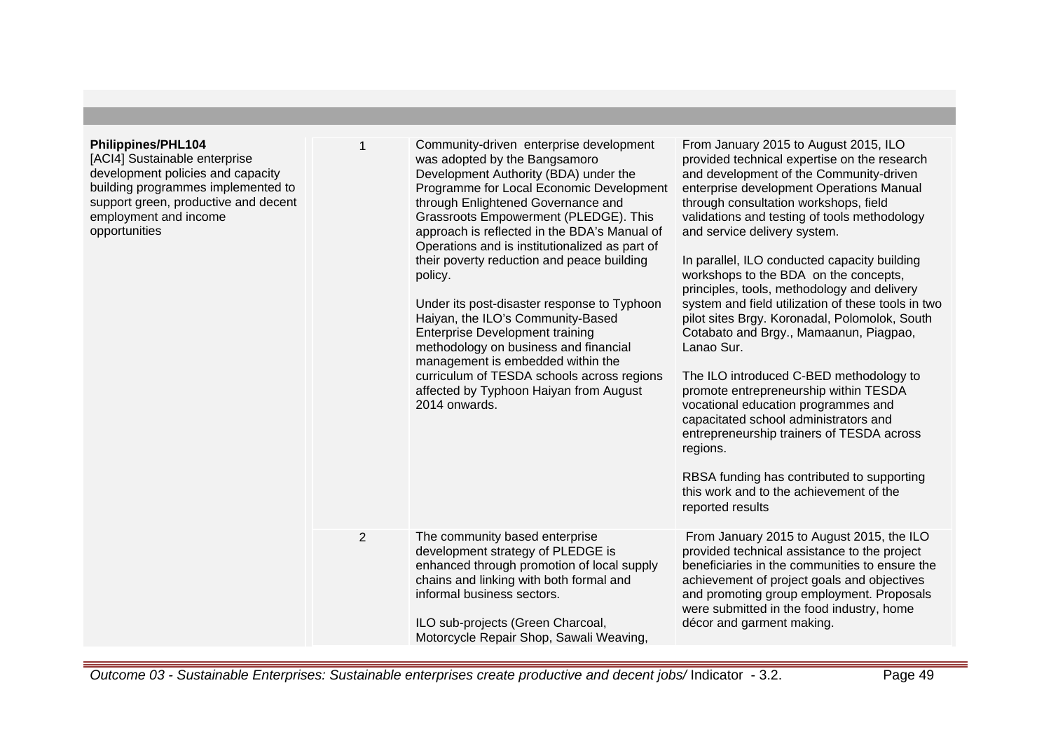| Philippines/PHL104<br>[ACI4] Sustainable enterprise<br>development policies and capacity<br>building programmes implemented to<br>support green, productive and decent<br>employment and income<br>opportunities | 1              | Community-driven enterprise development<br>was adopted by the Bangsamoro<br>Development Authority (BDA) under the<br>Programme for Local Economic Development<br>through Enlightened Governance and<br>Grassroots Empowerment (PLEDGE). This<br>approach is reflected in the BDA's Manual of<br>Operations and is institutionalized as part of<br>their poverty reduction and peace building<br>policy.<br>Under its post-disaster response to Typhoon<br>Haiyan, the ILO's Community-Based<br><b>Enterprise Development training</b><br>methodology on business and financial<br>management is embedded within the<br>curriculum of TESDA schools across regions<br>affected by Typhoon Haiyan from August<br>2014 onwards. | From January 2015 to August 2015, ILO<br>provided technical expertise on the research<br>and development of the Community-driven<br>enterprise development Operations Manual<br>through consultation workshops, field<br>validations and testing of tools methodology<br>and service delivery system.<br>In parallel, ILO conducted capacity building<br>workshops to the BDA on the concepts,<br>principles, tools, methodology and delivery<br>system and field utilization of these tools in two<br>pilot sites Brgy. Koronadal, Polomolok, South<br>Cotabato and Brgy., Mamaanun, Piagpao,<br>Lanao Sur.<br>The ILO introduced C-BED methodology to<br>promote entrepreneurship within TESDA<br>vocational education programmes and<br>capacitated school administrators and<br>entrepreneurship trainers of TESDA across<br>regions.<br>RBSA funding has contributed to supporting<br>this work and to the achievement of the<br>reported results |
|------------------------------------------------------------------------------------------------------------------------------------------------------------------------------------------------------------------|----------------|------------------------------------------------------------------------------------------------------------------------------------------------------------------------------------------------------------------------------------------------------------------------------------------------------------------------------------------------------------------------------------------------------------------------------------------------------------------------------------------------------------------------------------------------------------------------------------------------------------------------------------------------------------------------------------------------------------------------------|--------------------------------------------------------------------------------------------------------------------------------------------------------------------------------------------------------------------------------------------------------------------------------------------------------------------------------------------------------------------------------------------------------------------------------------------------------------------------------------------------------------------------------------------------------------------------------------------------------------------------------------------------------------------------------------------------------------------------------------------------------------------------------------------------------------------------------------------------------------------------------------------------------------------------------------------------------|
|                                                                                                                                                                                                                  | $\overline{2}$ | The community based enterprise<br>development strategy of PLEDGE is<br>enhanced through promotion of local supply<br>chains and linking with both formal and<br>informal business sectors.<br>ILO sub-projects (Green Charcoal,<br>Motorcycle Repair Shop, Sawali Weaving,                                                                                                                                                                                                                                                                                                                                                                                                                                                   | From January 2015 to August 2015, the ILO<br>provided technical assistance to the project<br>beneficiaries in the communities to ensure the<br>achievement of project goals and objectives<br>and promoting group employment. Proposals<br>were submitted in the food industry, home<br>décor and garment making.                                                                                                                                                                                                                                                                                                                                                                                                                                                                                                                                                                                                                                      |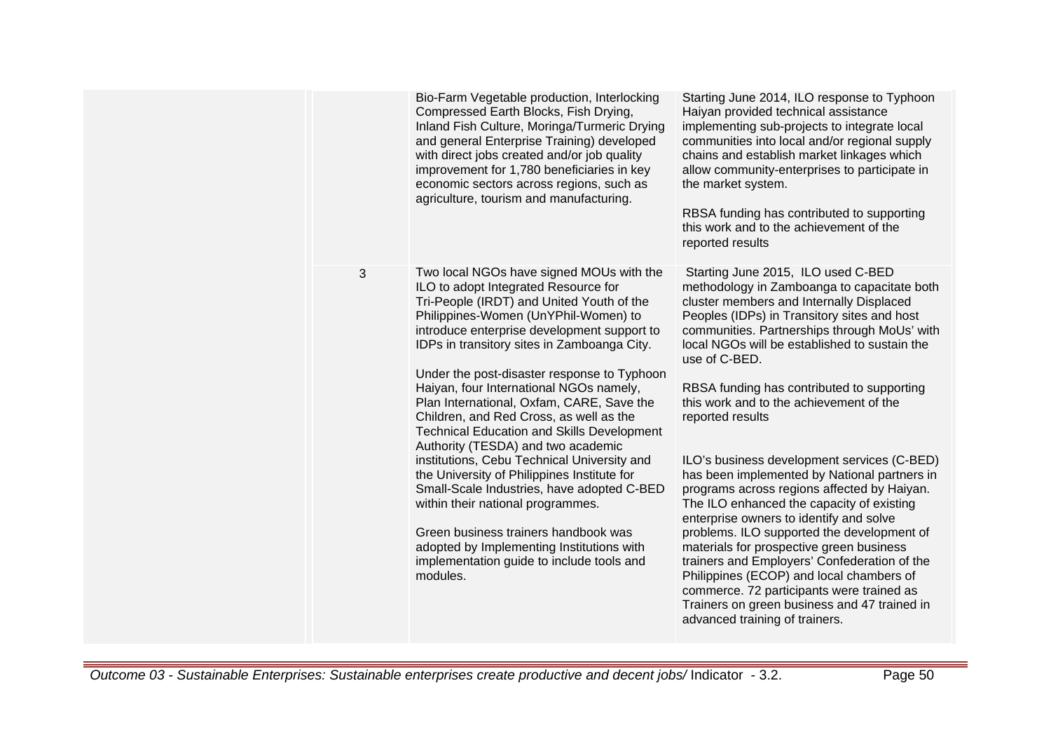|                | Bio-Farm Vegetable production, Interlocking<br>Compressed Earth Blocks, Fish Drying,<br>Inland Fish Culture, Moringa/Turmeric Drying<br>and general Enterprise Training) developed<br>with direct jobs created and/or job quality<br>improvement for 1,780 beneficiaries in key<br>economic sectors across regions, such as<br>agriculture, tourism and manufacturing.                                                                                                                                                                                                                                                                                                                                                                                                                                                                                                          | Starting June 2014, ILO response to Typhoon<br>Haiyan provided technical assistance<br>implementing sub-projects to integrate local<br>communities into local and/or regional supply<br>chains and establish market linkages which<br>allow community-enterprises to participate in<br>the market system.<br>RBSA funding has contributed to supporting<br>this work and to the achievement of the<br>reported results                                                                                                                                                                                                                                                                                                                                                                                                                                                                                                                                                 |
|----------------|---------------------------------------------------------------------------------------------------------------------------------------------------------------------------------------------------------------------------------------------------------------------------------------------------------------------------------------------------------------------------------------------------------------------------------------------------------------------------------------------------------------------------------------------------------------------------------------------------------------------------------------------------------------------------------------------------------------------------------------------------------------------------------------------------------------------------------------------------------------------------------|------------------------------------------------------------------------------------------------------------------------------------------------------------------------------------------------------------------------------------------------------------------------------------------------------------------------------------------------------------------------------------------------------------------------------------------------------------------------------------------------------------------------------------------------------------------------------------------------------------------------------------------------------------------------------------------------------------------------------------------------------------------------------------------------------------------------------------------------------------------------------------------------------------------------------------------------------------------------|
| $\mathfrak{B}$ | Two local NGOs have signed MOUs with the<br>ILO to adopt Integrated Resource for<br>Tri-People (IRDT) and United Youth of the<br>Philippines-Women (UnYPhil-Women) to<br>introduce enterprise development support to<br>IDPs in transitory sites in Zamboanga City.<br>Under the post-disaster response to Typhoon<br>Haiyan, four International NGOs namely,<br>Plan International, Oxfam, CARE, Save the<br>Children, and Red Cross, as well as the<br><b>Technical Education and Skills Development</b><br>Authority (TESDA) and two academic<br>institutions, Cebu Technical University and<br>the University of Philippines Institute for<br>Small-Scale Industries, have adopted C-BED<br>within their national programmes.<br>Green business trainers handbook was<br>adopted by Implementing Institutions with<br>implementation guide to include tools and<br>modules. | Starting June 2015, ILO used C-BED<br>methodology in Zamboanga to capacitate both<br>cluster members and Internally Displaced<br>Peoples (IDPs) in Transitory sites and host<br>communities. Partnerships through MoUs' with<br>local NGOs will be established to sustain the<br>use of C-BED.<br>RBSA funding has contributed to supporting<br>this work and to the achievement of the<br>reported results<br>ILO's business development services (C-BED)<br>has been implemented by National partners in<br>programs across regions affected by Haiyan.<br>The ILO enhanced the capacity of existing<br>enterprise owners to identify and solve<br>problems. ILO supported the development of<br>materials for prospective green business<br>trainers and Employers' Confederation of the<br>Philippines (ECOP) and local chambers of<br>commerce. 72 participants were trained as<br>Trainers on green business and 47 trained in<br>advanced training of trainers. |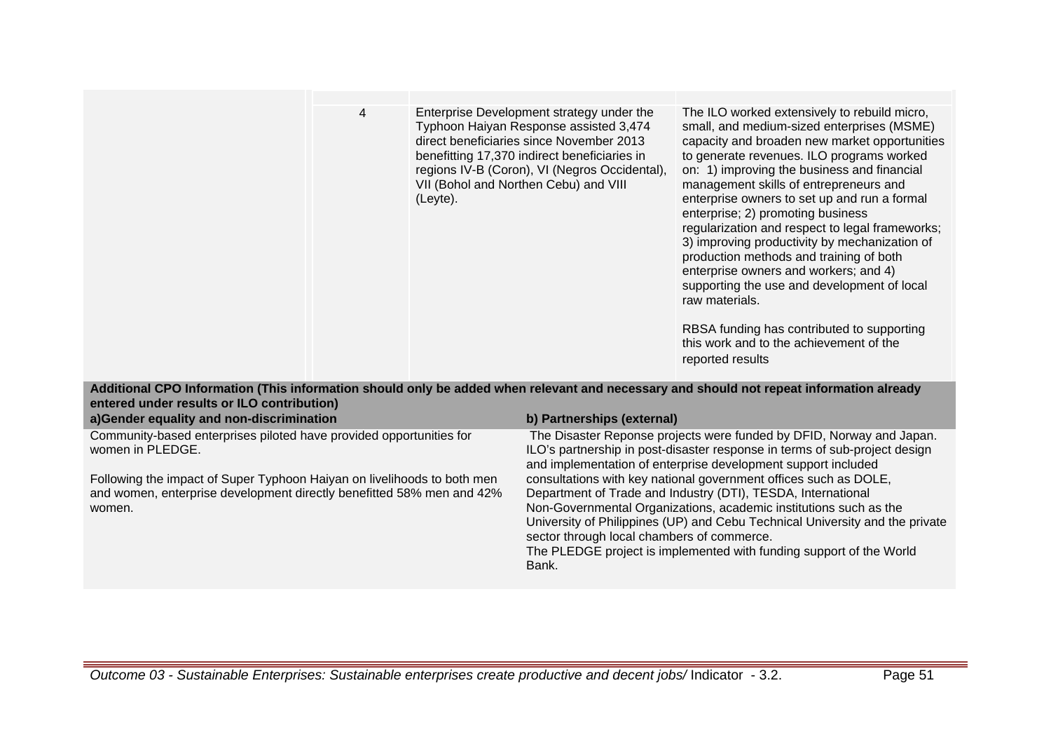| 4 | Enterprise Development strategy under the<br>Typhoon Haiyan Response assisted 3,474<br>direct beneficiaries since November 2013<br>benefitting 17,370 indirect beneficiaries in<br>regions IV-B (Coron), VI (Negros Occidental),<br>VII (Bohol and Northen Cebu) and VIII<br>(Leyte). | The ILO worked extensively to rebuild micro,<br>small, and medium-sized enterprises (MSME)<br>capacity and broaden new market opportunities<br>to generate revenues. ILO programs worked<br>on: 1) improving the business and financial<br>management skills of entrepreneurs and<br>enterprise owners to set up and run a formal<br>enterprise; 2) promoting business<br>regularization and respect to legal frameworks;<br>3) improving productivity by mechanization of<br>production methods and training of both<br>enterprise owners and workers; and 4)<br>supporting the use and development of local<br>raw materials.<br>RBSA funding has contributed to supporting<br>this work and to the achievement of the<br>reported results |
|---|---------------------------------------------------------------------------------------------------------------------------------------------------------------------------------------------------------------------------------------------------------------------------------------|----------------------------------------------------------------------------------------------------------------------------------------------------------------------------------------------------------------------------------------------------------------------------------------------------------------------------------------------------------------------------------------------------------------------------------------------------------------------------------------------------------------------------------------------------------------------------------------------------------------------------------------------------------------------------------------------------------------------------------------------|

**Additional CPO Information (This information should only be added when relevant and necessary and should not repeat information already entered under results or ILO contribution)**

| a)Gender equality and non-discrimination                                                                                                                   | b) Partnerships (external)                                                                                                                                                                                                                                                                                                                                                                                          |
|------------------------------------------------------------------------------------------------------------------------------------------------------------|---------------------------------------------------------------------------------------------------------------------------------------------------------------------------------------------------------------------------------------------------------------------------------------------------------------------------------------------------------------------------------------------------------------------|
| Community-based enterprises piloted have provided opportunities for<br>women in PLEDGE.                                                                    | The Disaster Reponse projects were funded by DFID, Norway and Japan.<br>ILO's partnership in post-disaster response in terms of sub-project design<br>and implementation of enterprise development support included                                                                                                                                                                                                 |
| Following the impact of Super Typhoon Haiyan on livelihoods to both men<br>and women, enterprise development directly benefitted 58% men and 42%<br>women. | consultations with key national government offices such as DOLE,<br>Department of Trade and Industry (DTI), TESDA, International<br>Non-Governmental Organizations, academic institutions such as the<br>University of Philippines (UP) and Cebu Technical University and the private<br>sector through local chambers of commerce.<br>The PLEDGE project is implemented with funding support of the World<br>Bank. |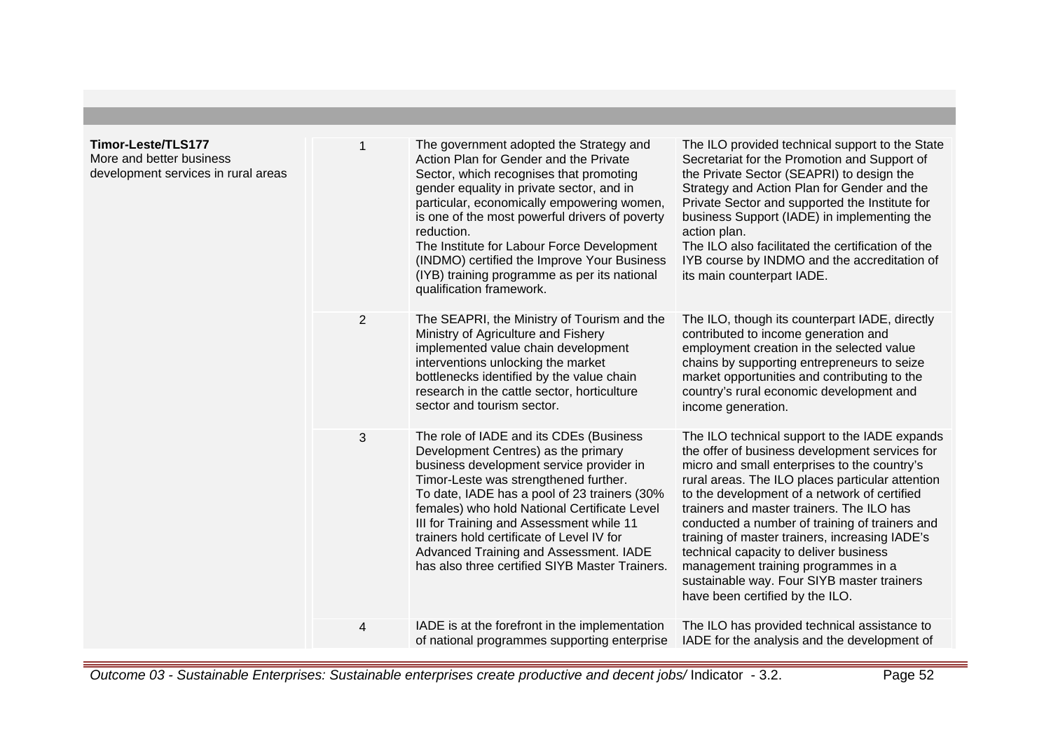| Timor-Leste/TLS177<br>More and better business<br>development services in rural areas |                | The government adopted the Strategy and<br>Action Plan for Gender and the Private<br>Sector, which recognises that promoting<br>gender equality in private sector, and in<br>particular, economically empowering women,<br>is one of the most powerful drivers of poverty<br>reduction.<br>The Institute for Labour Force Development<br>(INDMO) certified the Improve Your Business<br>(IYB) training programme as per its national<br>qualification framework. | The ILO provided technical support to the State<br>Secretariat for the Promotion and Support of<br>the Private Sector (SEAPRI) to design the<br>Strategy and Action Plan for Gender and the<br>Private Sector and supported the Institute for<br>business Support (IADE) in implementing the<br>action plan.<br>The ILO also facilitated the certification of the<br>IYB course by INDMO and the accreditation of<br>its main counterpart IADE.                                                                                                                        |
|---------------------------------------------------------------------------------------|----------------|------------------------------------------------------------------------------------------------------------------------------------------------------------------------------------------------------------------------------------------------------------------------------------------------------------------------------------------------------------------------------------------------------------------------------------------------------------------|------------------------------------------------------------------------------------------------------------------------------------------------------------------------------------------------------------------------------------------------------------------------------------------------------------------------------------------------------------------------------------------------------------------------------------------------------------------------------------------------------------------------------------------------------------------------|
|                                                                                       | $\overline{2}$ | The SEAPRI, the Ministry of Tourism and the<br>Ministry of Agriculture and Fishery<br>implemented value chain development<br>interventions unlocking the market<br>bottlenecks identified by the value chain<br>research in the cattle sector, horticulture<br>sector and tourism sector.                                                                                                                                                                        | The ILO, though its counterpart IADE, directly<br>contributed to income generation and<br>employment creation in the selected value<br>chains by supporting entrepreneurs to seize<br>market opportunities and contributing to the<br>country's rural economic development and<br>income generation.                                                                                                                                                                                                                                                                   |
|                                                                                       | 3              | The role of IADE and its CDEs (Business<br>Development Centres) as the primary<br>business development service provider in<br>Timor-Leste was strengthened further.<br>To date, IADE has a pool of 23 trainers (30%<br>females) who hold National Certificate Level<br>III for Training and Assessment while 11<br>trainers hold certificate of Level IV for<br>Advanced Training and Assessment. IADE<br>has also three certified SIYB Master Trainers.         | The ILO technical support to the IADE expands<br>the offer of business development services for<br>micro and small enterprises to the country's<br>rural areas. The ILO places particular attention<br>to the development of a network of certified<br>trainers and master trainers. The ILO has<br>conducted a number of training of trainers and<br>training of master trainers, increasing IADE's<br>technical capacity to deliver business<br>management training programmes in a<br>sustainable way. Four SIYB master trainers<br>have been certified by the ILO. |
|                                                                                       | 4              | IADE is at the forefront in the implementation<br>of national programmes supporting enterprise                                                                                                                                                                                                                                                                                                                                                                   | The ILO has provided technical assistance to<br>IADE for the analysis and the development of                                                                                                                                                                                                                                                                                                                                                                                                                                                                           |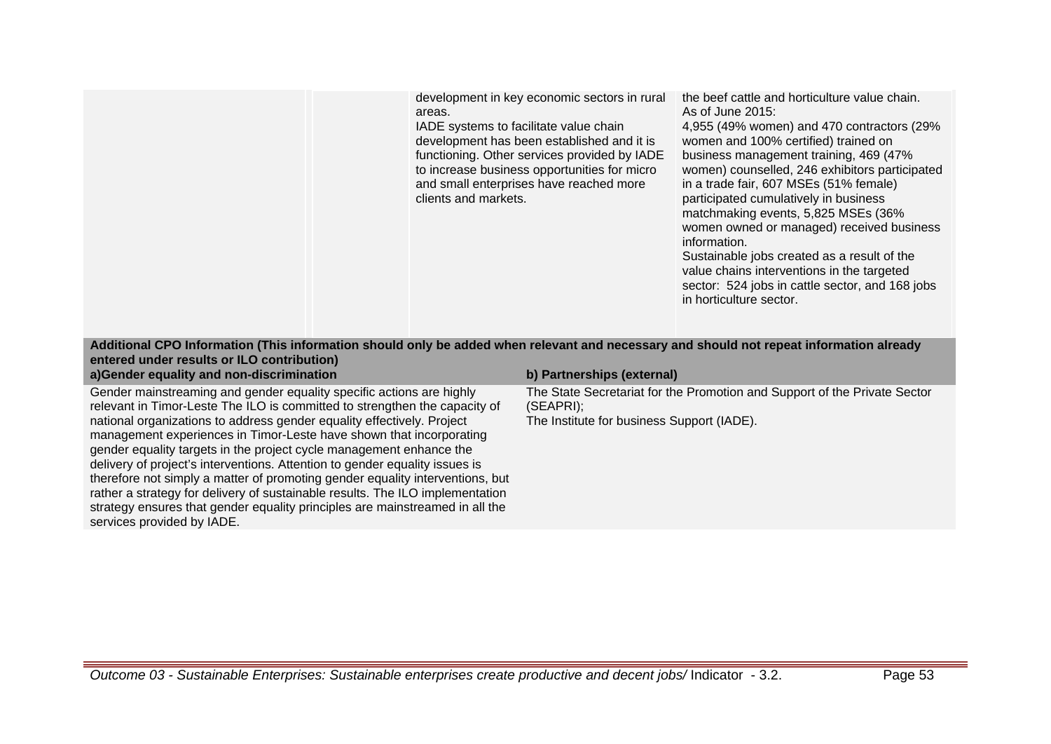development in key economic sectors in rural areas.

IADE systems to facilitate value chain development has been established and it is functioning. Other services provided by IADE to increase business opportunities for micro and small enterprises have reached more clients and markets.

the beef cattle and horticulture value chain. As of June 2015:

4,955 (49% women) and 470 contractors (29% women and 100% certified) trained on business management training, 469 (47% women) counselled, 246 exhibitors participated in a trade fair, 607 MSEs (51% female) participated cumulatively in business matchmaking events, 5,825 MSEs (36% women owned or managed) received business information.

Sustainable jobs created as a result of the value chains interventions in the targeted sector: 524 jobs in cattle sector, and 168 jobs in horticulture sector.

**Additional CPO Information (This information should only be added when relevant and necessary and should not repeat information already entered under results or ILO contribution)**

**a)Gender equality and non-discrimination b) Partnerships (external)**

Gender mainstreaming and gender equality specific actions are highly relevant in Timor-Leste The ILO is committed to strengthen the capacity of national organizations to address gender equality effectively. Project management experiences in Timor-Leste have shown that incorporating gender equality targets in the project cycle management enhance the delivery of project's interventions. Attention to gender equality issues is therefore not simply a matter of promoting gender equality interventions, but rather a strategy for delivery of sustainable results. The ILO implementation strategy ensures that gender equality principles are mainstreamed in all the services provided by IADE.

The State Secretariat for the Promotion and Support of the Private Sector (SEAPRI); The Institute for business Support (IADE).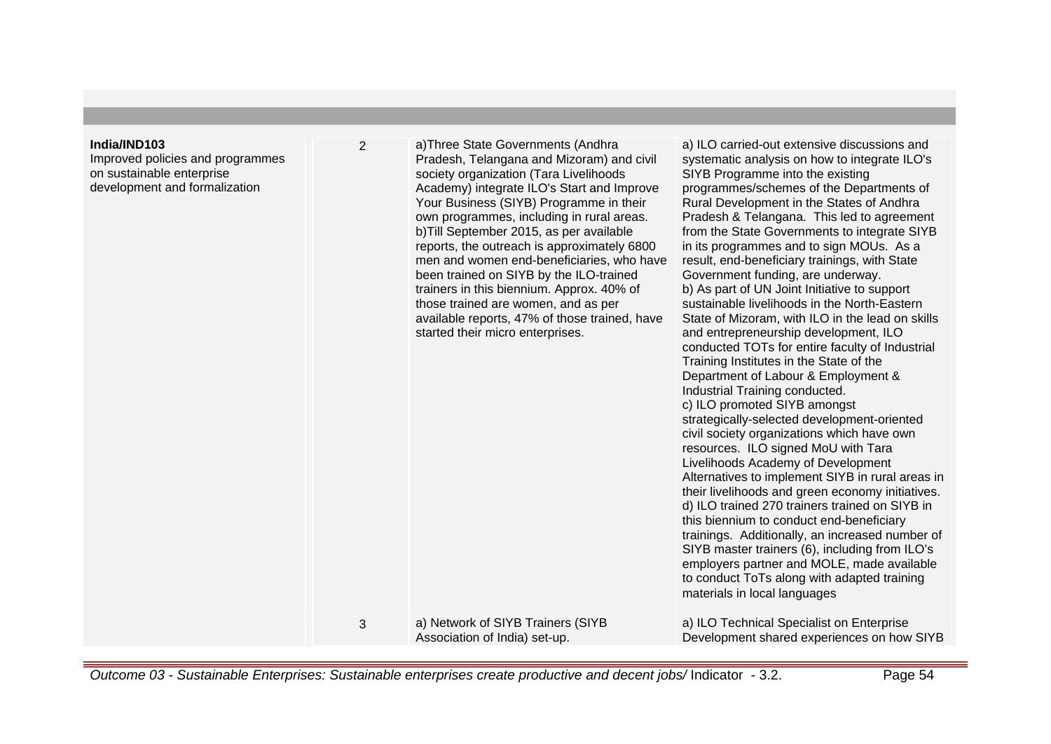# **India/IND103**

Improved policies and programme on sustainable enterprise development and formalization

| es | $\overline{2}$ | a) Three State Governments (Andhra<br>Pradesh, Telangana and Mizoram) and civil<br>society organization (Tara Livelihoods<br>Academy) integrate ILO's Start and Improve<br>Your Business (SIYB) Programme in their<br>own programmes, including in rural areas.<br>b) Till September 2015, as per available<br>reports, the outreach is approximately 6800<br>men and women end-beneficiaries, who have<br>been trained on SIYB by the ILO-trained<br>trainers in this biennium. Approx. 40% of<br>those trained are women, and as per<br>available reports, 47% of those trained, have<br>started their micro enterprises. | a) ILO carried-out extensive discussions and<br>systematic analysis on how to integrate ILO's<br>SIYB Programme into the existing<br>programmes/schemes of the Departments of<br>Rural Development in the States of Andhra<br>Pradesh & Telangana. This led to agreement<br>from the State Governments to integrate SIYB<br>in its programmes and to sign MOUs. As a<br>result, end-beneficiary trainings, with State<br>Government funding, are underway.<br>b) As part of UN Joint Initiative to support<br>sustainable livelihoods in the North-Eastern<br>State of Mizoram, with ILO in the lead on skills<br>and entrepreneurship development, ILO<br>conducted TOTs for entire faculty of Industrial<br>Training Institutes in the State of the<br>Department of Labour & Employment &<br>Industrial Training conducted.<br>c) ILO promoted SIYB amongst<br>strategically-selected development-oriented<br>civil society organizations which have own<br>resources. ILO signed MoU with Tara<br>Livelihoods Academy of Development<br>Alternatives to implement SIYB in rural areas in<br>their livelihoods and green economy initiatives.<br>d) ILO trained 270 trainers trained on SIYB in<br>this biennium to conduct end-beneficiary<br>trainings. Additionally, an increased number of<br>SIYB master trainers (6), including from ILO's |
|----|----------------|-----------------------------------------------------------------------------------------------------------------------------------------------------------------------------------------------------------------------------------------------------------------------------------------------------------------------------------------------------------------------------------------------------------------------------------------------------------------------------------------------------------------------------------------------------------------------------------------------------------------------------|-----------------------------------------------------------------------------------------------------------------------------------------------------------------------------------------------------------------------------------------------------------------------------------------------------------------------------------------------------------------------------------------------------------------------------------------------------------------------------------------------------------------------------------------------------------------------------------------------------------------------------------------------------------------------------------------------------------------------------------------------------------------------------------------------------------------------------------------------------------------------------------------------------------------------------------------------------------------------------------------------------------------------------------------------------------------------------------------------------------------------------------------------------------------------------------------------------------------------------------------------------------------------------------------------------------------------------------------------------|
|    |                |                                                                                                                                                                                                                                                                                                                                                                                                                                                                                                                                                                                                                             | employers partner and MOLE, made available<br>to conduct ToTs along with adapted training<br>materials in local languages                                                                                                                                                                                                                                                                                                                                                                                                                                                                                                                                                                                                                                                                                                                                                                                                                                                                                                                                                                                                                                                                                                                                                                                                                           |
|    | 3              | a) Network of SIYB Trainers (SIYB<br>Association of India) set-up.                                                                                                                                                                                                                                                                                                                                                                                                                                                                                                                                                          | a) ILO Technical Specialist on Enterprise<br>Development shared experiences on how SIYB                                                                                                                                                                                                                                                                                                                                                                                                                                                                                                                                                                                                                                                                                                                                                                                                                                                                                                                                                                                                                                                                                                                                                                                                                                                             |

Association of India) set-up.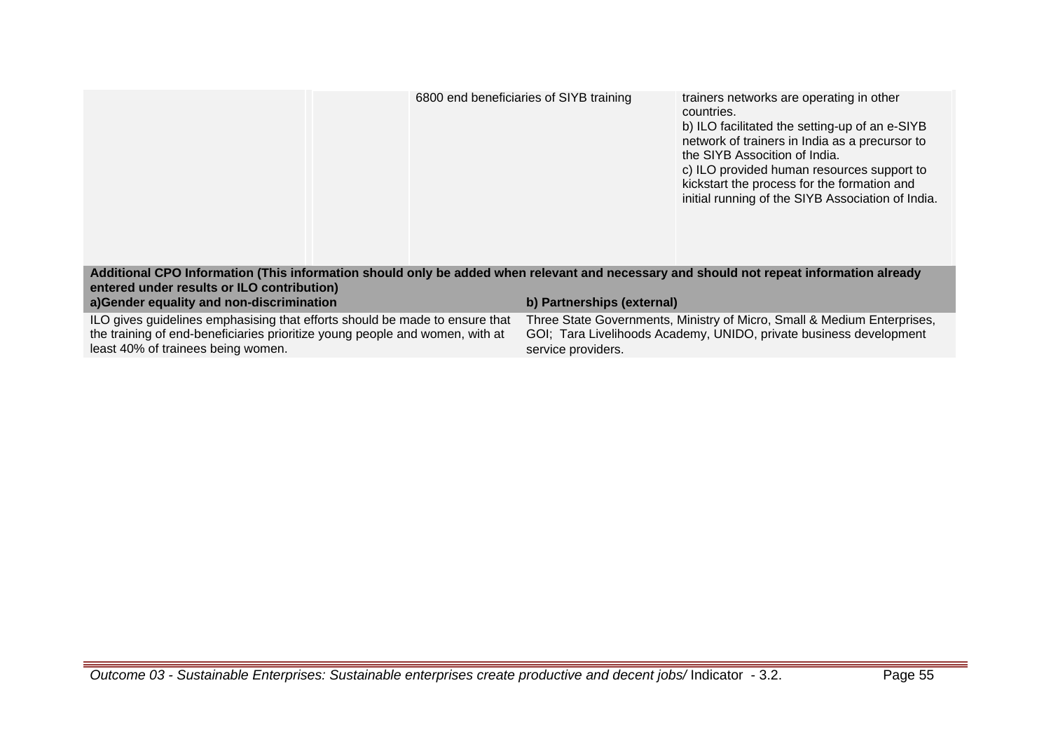|                                                                                                                                                                                                                                   | 6800 end beneficiaries of SIYB training | trainers networks are operating in other<br>countries.<br>b) ILO facilitated the setting-up of an e-SIYB<br>network of trainers in India as a precursor to<br>the SIYB Assocition of India.<br>c) ILO provided human resources support to<br>kickstart the process for the formation and<br>initial running of the SIYB Association of India. |
|-----------------------------------------------------------------------------------------------------------------------------------------------------------------------------------------------------------------------------------|-----------------------------------------|-----------------------------------------------------------------------------------------------------------------------------------------------------------------------------------------------------------------------------------------------------------------------------------------------------------------------------------------------|
| Additional CPO Information (This information should only be added when relevant and necessary and should not repeat information already<br>entered under results or ILO contribution)<br>a)Gender equality and non-discrimination | b) Partnerships (external)              |                                                                                                                                                                                                                                                                                                                                               |
| ILO gives guidelines emphasising that efforts should be made to ensure that<br>the training of end-beneficiaries prioritize young people and women, with at<br>least 40% of trainees being women.                                 | service providers.                      | Three State Governments, Ministry of Micro, Small & Medium Enterprises,<br>GOI; Tara Livelihoods Academy, UNIDO, private business development                                                                                                                                                                                                 |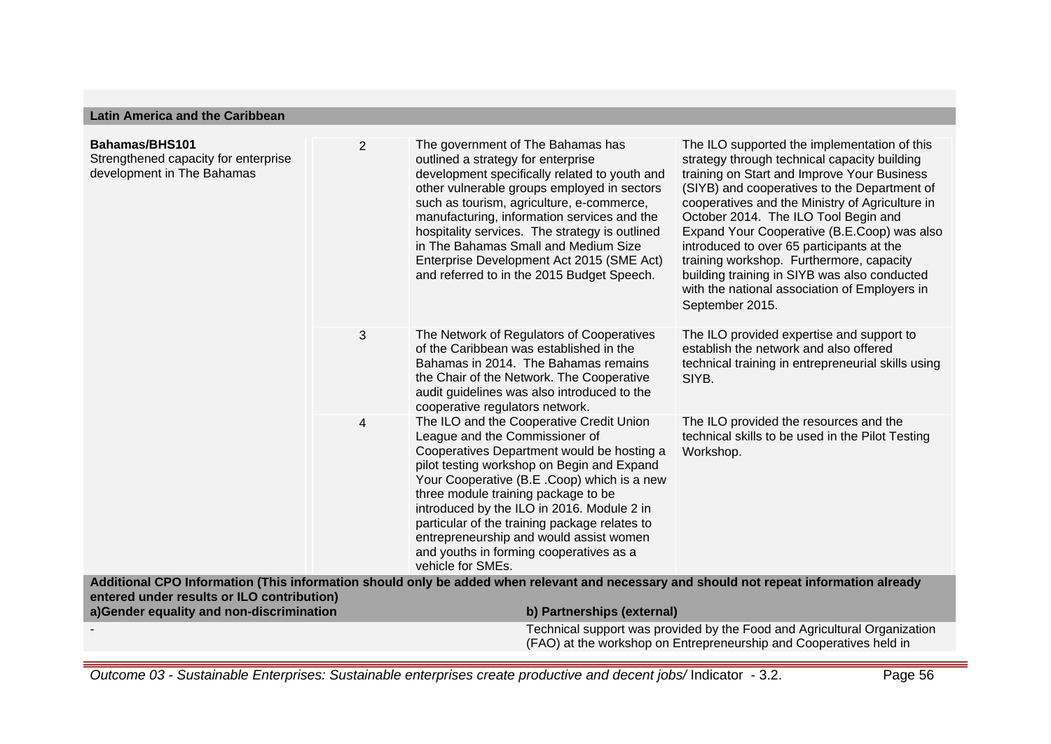# **Latin America and the Caribbean**

| Bahamas/BHS101<br>Strengthened capacity for enterprise<br>development in The Bahamas | $\overline{2}$ | The government of The Bahamas has<br>outlined a strategy for enterprise<br>development specifically related to youth and<br>other vulnerable groups employed in sectors<br>such as tourism, agriculture, e-commerce,<br>manufacturing, information services and the<br>hospitality services. The strategy is outlined<br>in The Bahamas Small and Medium Size<br>Enterprise Development Act 2015 (SME Act)<br>and referred to in the 2015 Budget Speech.               | The ILO supported the implementation of this<br>strategy through technical capacity building<br>training on Start and Improve Your Business<br>(SIYB) and cooperatives to the Department of<br>cooperatives and the Ministry of Agriculture in<br>October 2014. The ILO Tool Begin and<br>Expand Your Cooperative (B.E.Coop) was also<br>introduced to over 65 participants at the<br>training workshop. Furthermore, capacity<br>building training in SIYB was also conducted<br>with the national association of Employers in<br>September 2015. |
|--------------------------------------------------------------------------------------|----------------|------------------------------------------------------------------------------------------------------------------------------------------------------------------------------------------------------------------------------------------------------------------------------------------------------------------------------------------------------------------------------------------------------------------------------------------------------------------------|----------------------------------------------------------------------------------------------------------------------------------------------------------------------------------------------------------------------------------------------------------------------------------------------------------------------------------------------------------------------------------------------------------------------------------------------------------------------------------------------------------------------------------------------------|
|                                                                                      | 3              | The Network of Regulators of Cooperatives<br>of the Caribbean was established in the<br>Bahamas in 2014. The Bahamas remains<br>the Chair of the Network. The Cooperative<br>audit guidelines was also introduced to the<br>cooperative regulators network.                                                                                                                                                                                                            | The ILO provided expertise and support to<br>establish the network and also offered<br>technical training in entrepreneurial skills using<br>SIYB.                                                                                                                                                                                                                                                                                                                                                                                                 |
|                                                                                      | 4              | The ILO and the Cooperative Credit Union<br>League and the Commissioner of<br>Cooperatives Department would be hosting a<br>pilot testing workshop on Begin and Expand<br>Your Cooperative (B.E .Coop) which is a new<br>three module training package to be<br>introduced by the ILO in 2016. Module 2 in<br>particular of the training package relates to<br>entrepreneurship and would assist women<br>and youths in forming cooperatives as a<br>vehicle for SMEs. | The ILO provided the resources and the<br>technical skills to be used in the Pilot Testing<br>Workshop.                                                                                                                                                                                                                                                                                                                                                                                                                                            |
| entered under results or ILO contribution)                                           |                | Additional CPO Information (This information should only be added when relevant and necessary and should not repeat information already                                                                                                                                                                                                                                                                                                                                |                                                                                                                                                                                                                                                                                                                                                                                                                                                                                                                                                    |
| a)Gender equality and non-discrimination                                             |                | b) Partnerships (external)                                                                                                                                                                                                                                                                                                                                                                                                                                             | Technical support was provided by the Food and Agricultural Organization                                                                                                                                                                                                                                                                                                                                                                                                                                                                           |
|                                                                                      |                |                                                                                                                                                                                                                                                                                                                                                                                                                                                                        | (FAO) at the workshop on Entrepreneurship and Cooperatives held in                                                                                                                                                                                                                                                                                                                                                                                                                                                                                 |
|                                                                                      |                |                                                                                                                                                                                                                                                                                                                                                                                                                                                                        |                                                                                                                                                                                                                                                                                                                                                                                                                                                                                                                                                    |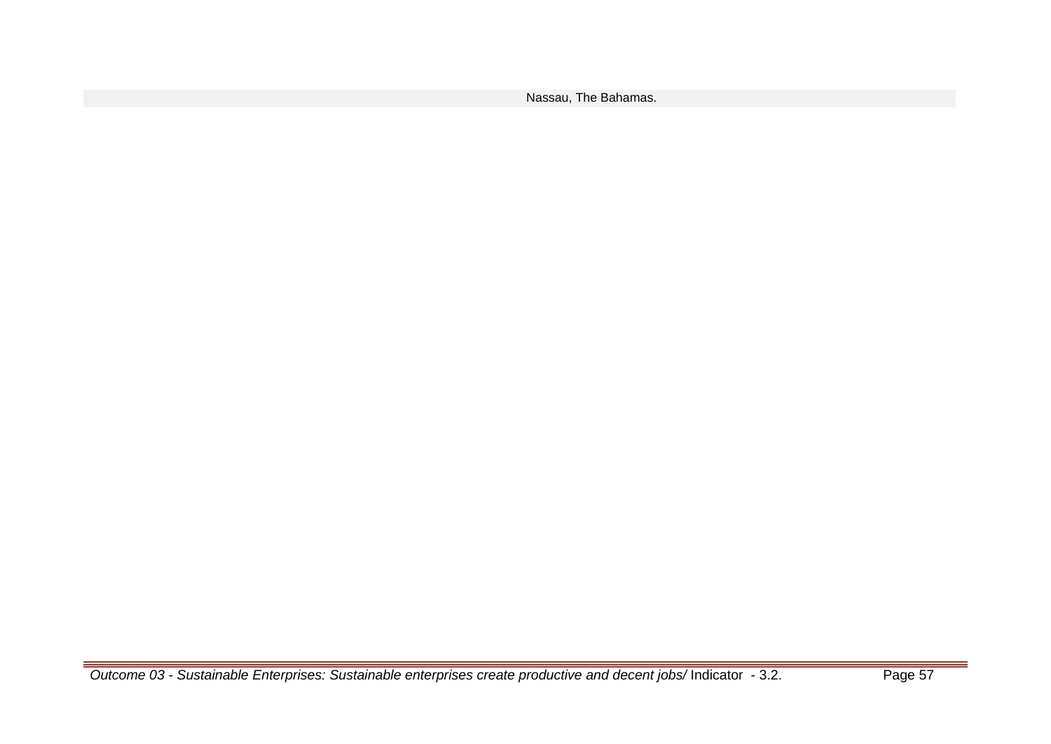Nassau, The Bahamas.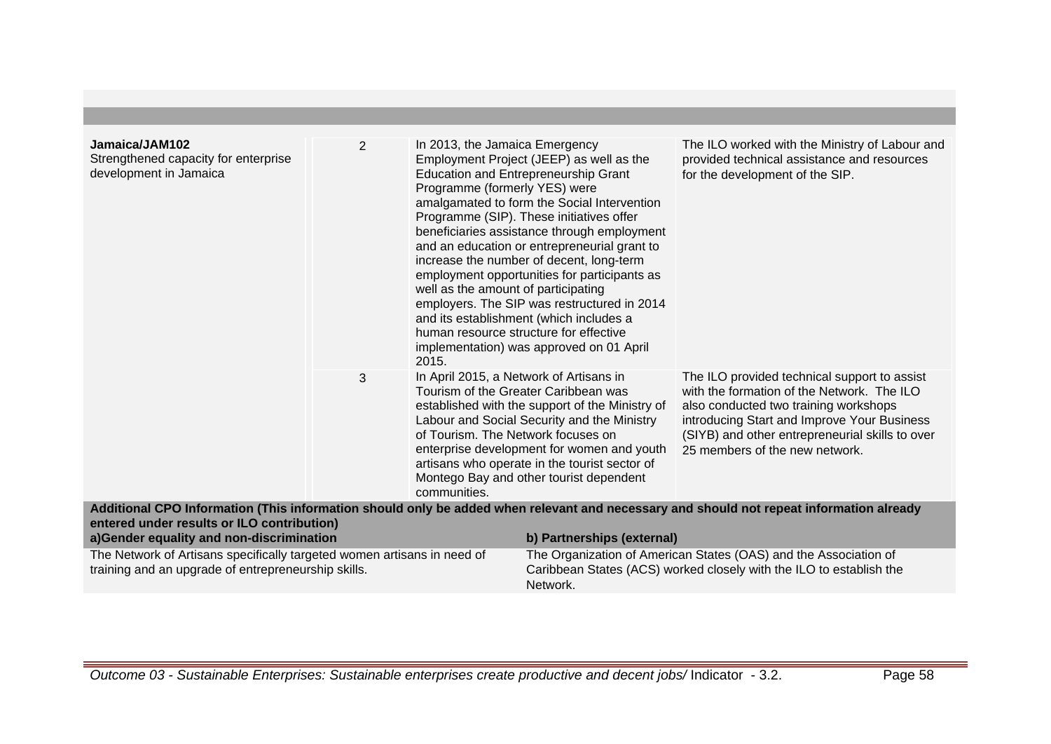| Jamaica/JAM102<br>Strengthened capacity for enterprise<br>development in Jamaica                                                                                                      | $\overline{2}$ | In 2013, the Jamaica Emergency<br>Employment Project (JEEP) as well as the<br><b>Education and Entrepreneurship Grant</b><br>Programme (formerly YES) were<br>amalgamated to form the Social Intervention<br>Programme (SIP). These initiatives offer<br>beneficiaries assistance through employment<br>and an education or entrepreneurial grant to<br>increase the number of decent, long-term<br>employment opportunities for participants as<br>well as the amount of participating<br>employers. The SIP was restructured in 2014<br>and its establishment (which includes a<br>human resource structure for effective<br>implementation) was approved on 01 April<br>2015. | The ILO worked with the Ministry of Labour and<br>provided technical assistance and resources<br>for the development of the SIP.                                                                                                                                        |  |
|---------------------------------------------------------------------------------------------------------------------------------------------------------------------------------------|----------------|----------------------------------------------------------------------------------------------------------------------------------------------------------------------------------------------------------------------------------------------------------------------------------------------------------------------------------------------------------------------------------------------------------------------------------------------------------------------------------------------------------------------------------------------------------------------------------------------------------------------------------------------------------------------------------|-------------------------------------------------------------------------------------------------------------------------------------------------------------------------------------------------------------------------------------------------------------------------|--|
|                                                                                                                                                                                       | 3              | In April 2015, a Network of Artisans in<br>Tourism of the Greater Caribbean was<br>established with the support of the Ministry of<br>Labour and Social Security and the Ministry<br>of Tourism. The Network focuses on<br>enterprise development for women and youth<br>artisans who operate in the tourist sector of<br>Montego Bay and other tourist dependent<br>communities.                                                                                                                                                                                                                                                                                                | The ILO provided technical support to assist<br>with the formation of the Network. The ILO<br>also conducted two training workshops<br>introducing Start and Improve Your Business<br>(SIYB) and other entrepreneurial skills to over<br>25 members of the new network. |  |
| Additional CPO Information (This information should only be added when relevant and necessary and should not repeat information already<br>entered under results or ILO contribution) |                |                                                                                                                                                                                                                                                                                                                                                                                                                                                                                                                                                                                                                                                                                  |                                                                                                                                                                                                                                                                         |  |
| a)Gender equality and non-discrimination                                                                                                                                              |                | b) Partnerships (external)                                                                                                                                                                                                                                                                                                                                                                                                                                                                                                                                                                                                                                                       |                                                                                                                                                                                                                                                                         |  |

| appointed by and no hour aloominication                                 | $\frac{1}{2}$                                                       |
|-------------------------------------------------------------------------|---------------------------------------------------------------------|
| The Network of Artisans specifically targeted women artisans in need of | The Organization of American States (OAS) and the Association of    |
| training and an upgrade of entrepreneurship skills.                     | Caribbean States (ACS) worked closely with the ILO to establish the |
|                                                                         | Network.                                                            |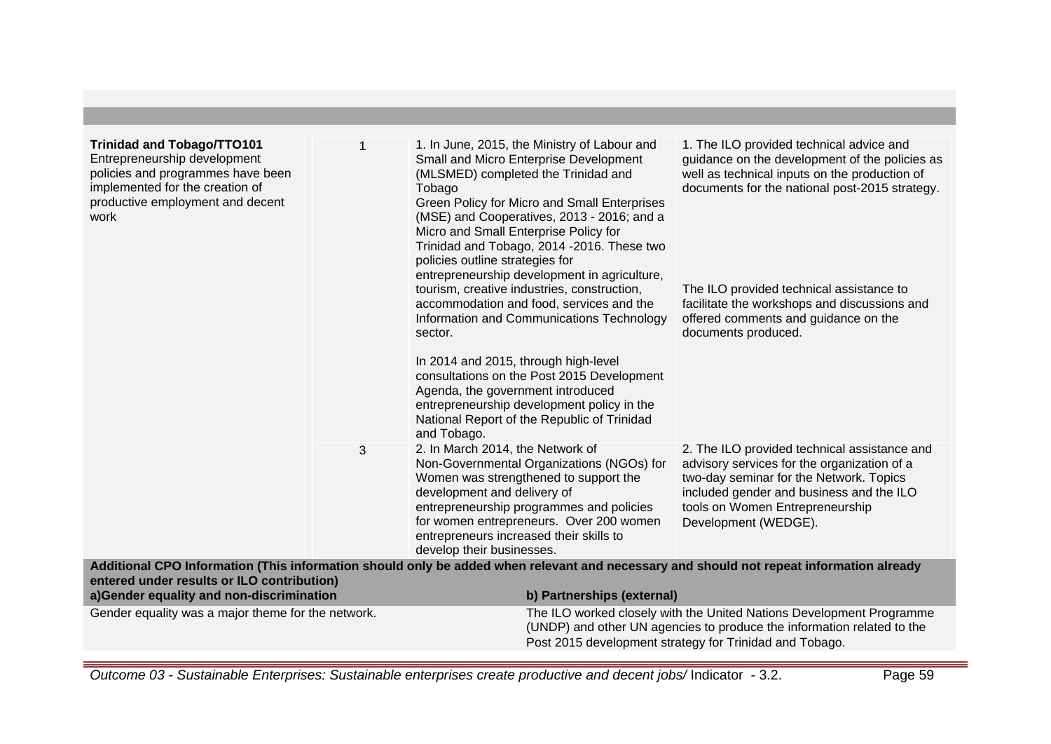| <b>Trinidad and Tobago/TTO101</b><br>Entrepreneurship development<br>policies and programmes have been<br>implemented for the creation of<br>productive employment and decent<br>work |   | 1. In June, 2015, the Ministry of Labour and<br>Small and Micro Enterprise Development<br>(MLSMED) completed the Trinidad and<br>Tobago<br>Green Policy for Micro and Small Enterprises<br>(MSE) and Cooperatives, 2013 - 2016; and a<br>Micro and Small Enterprise Policy for<br>Trinidad and Tobago, 2014 -2016. These two<br>policies outline strategies for<br>entrepreneurship development in agriculture,<br>tourism, creative industries, construction,<br>accommodation and food, services and the<br>Information and Communications Technology<br>sector.<br>In 2014 and 2015, through high-level<br>consultations on the Post 2015 Development<br>Agenda, the government introduced<br>entrepreneurship development policy in the<br>National Report of the Republic of Trinidad<br>and Tobago. | 1. The ILO provided technical advice and<br>guidance on the development of the policies as<br>well as technical inputs on the production of<br>documents for the national post-2015 strategy.<br>The ILO provided technical assistance to<br>facilitate the workshops and discussions and<br>offered comments and guidance on the<br>documents produced. |
|---------------------------------------------------------------------------------------------------------------------------------------------------------------------------------------|---|-----------------------------------------------------------------------------------------------------------------------------------------------------------------------------------------------------------------------------------------------------------------------------------------------------------------------------------------------------------------------------------------------------------------------------------------------------------------------------------------------------------------------------------------------------------------------------------------------------------------------------------------------------------------------------------------------------------------------------------------------------------------------------------------------------------|----------------------------------------------------------------------------------------------------------------------------------------------------------------------------------------------------------------------------------------------------------------------------------------------------------------------------------------------------------|
|                                                                                                                                                                                       | 3 | 2. In March 2014, the Network of<br>Non-Governmental Organizations (NGOs) for<br>Women was strengthened to support the<br>development and delivery of<br>entrepreneurship programmes and policies<br>for women entrepreneurs. Over 200 women<br>entrepreneurs increased their skills to<br>develop their businesses.                                                                                                                                                                                                                                                                                                                                                                                                                                                                                      | 2. The ILO provided technical assistance and<br>advisory services for the organization of a<br>two-day seminar for the Network. Topics<br>included gender and business and the ILO<br>tools on Women Entrepreneurship<br>Development (WEDGE).                                                                                                            |
| entered under results or ILO contribution)                                                                                                                                            |   | Additional CPO Information (This information should only be added when relevant and necessary and should not repeat information already                                                                                                                                                                                                                                                                                                                                                                                                                                                                                                                                                                                                                                                                   |                                                                                                                                                                                                                                                                                                                                                          |
| a)Gender equality and non-discrimination                                                                                                                                              |   | b) Partnerships (external)                                                                                                                                                                                                                                                                                                                                                                                                                                                                                                                                                                                                                                                                                                                                                                                |                                                                                                                                                                                                                                                                                                                                                          |
| Gender equality was a major theme for the network.                                                                                                                                    |   |                                                                                                                                                                                                                                                                                                                                                                                                                                                                                                                                                                                                                                                                                                                                                                                                           | The ILO worked closely with the United Nations Development Programme<br>(UNDP) and other UN agencies to produce the information related to the<br>Post 2015 development strategy for Trinidad and Tobago.                                                                                                                                                |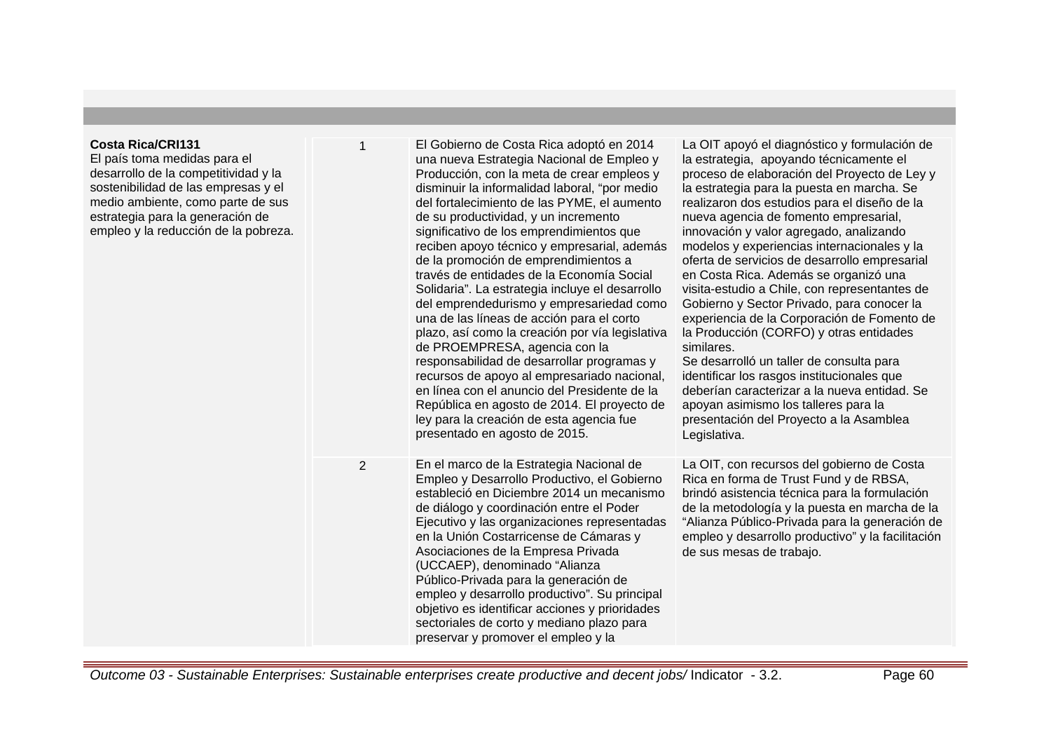# **Costa Rica/CRI131**

El país toma medidas para el desarrollo de la competitividad y la sostenibilidad de las empresas y el medio ambiente, como parte de sus estrategia para la generación de empleo y la reducción de la pobreza.

| 1              | El Gobierno de Costa Rica adoptó en 2014<br>una nueva Estrategia Nacional de Empleo y<br>Producción, con la meta de crear empleos y<br>disminuir la informalidad laboral, "por medio<br>del fortalecimiento de las PYME, el aumento<br>de su productividad, y un incremento<br>significativo de los emprendimientos que<br>reciben apoyo técnico y empresarial, además<br>de la promoción de emprendimientos a<br>través de entidades de la Economía Social<br>Solidaria". La estrategia incluye el desarrollo<br>del emprendedurismo y empresariedad como<br>una de las líneas de acción para el corto<br>plazo, así como la creación por vía legislativa<br>de PROEMPRESA, agencia con la<br>responsabilidad de desarrollar programas y<br>recursos de apoyo al empresariado nacional,<br>en línea con el anuncio del Presidente de la<br>República en agosto de 2014. El proyecto de<br>ley para la creación de esta agencia fue<br>presentado en agosto de 2015. | La OIT apoyó el diagnóstico y formulación de<br>la estrategia, apoyando técnicamente el<br>proceso de elaboración del Proyecto de Ley y<br>la estrategia para la puesta en marcha. Se<br>realizaron dos estudios para el diseño de la<br>nueva agencia de fomento empresarial,<br>innovación y valor agregado, analizando<br>modelos y experiencias internacionales y la<br>oferta de servicios de desarrollo empresarial<br>en Costa Rica. Además se organizó una<br>visita-estudio a Chile, con representantes de<br>Gobierno y Sector Privado, para conocer la<br>experiencia de la Corporación de Fomento de<br>la Producción (CORFO) y otras entidades<br>similares.<br>Se desarrolló un taller de consulta para<br>identificar los rasgos institucionales que<br>deberían caracterizar a la nueva entidad. Se<br>apoyan asimismo los talleres para la<br>presentación del Proyecto a la Asamblea<br>Legislativa. |
|----------------|----------------------------------------------------------------------------------------------------------------------------------------------------------------------------------------------------------------------------------------------------------------------------------------------------------------------------------------------------------------------------------------------------------------------------------------------------------------------------------------------------------------------------------------------------------------------------------------------------------------------------------------------------------------------------------------------------------------------------------------------------------------------------------------------------------------------------------------------------------------------------------------------------------------------------------------------------------------------|------------------------------------------------------------------------------------------------------------------------------------------------------------------------------------------------------------------------------------------------------------------------------------------------------------------------------------------------------------------------------------------------------------------------------------------------------------------------------------------------------------------------------------------------------------------------------------------------------------------------------------------------------------------------------------------------------------------------------------------------------------------------------------------------------------------------------------------------------------------------------------------------------------------------|
| $\overline{2}$ | En el marco de la Estrategia Nacional de<br>Empleo y Desarrollo Productivo, el Gobierno<br>estableció en Diciembre 2014 un mecanismo<br>de diálogo y coordinación entre el Poder<br>Ejecutivo y las organizaciones representadas<br>en la Unión Costarricense de Cámaras y<br>Asociaciones de la Empresa Privada<br>(UCCAEP), denominado "Alianza<br>Público-Privada para la generación de<br>empleo y desarrollo productivo". Su principal<br>objetivo es identificar acciones y prioridades<br>sectoriales de corto y mediano plazo para<br>preservar y promover el empleo y la                                                                                                                                                                                                                                                                                                                                                                                    | La OIT, con recursos del gobierno de Costa<br>Rica en forma de Trust Fund y de RBSA,<br>brindó asistencia técnica para la formulación<br>de la metodología y la puesta en marcha de la<br>"Alianza Público-Privada para la generación de<br>empleo y desarrollo productivo" y la facilitación<br>de sus mesas de trabajo.                                                                                                                                                                                                                                                                                                                                                                                                                                                                                                                                                                                              |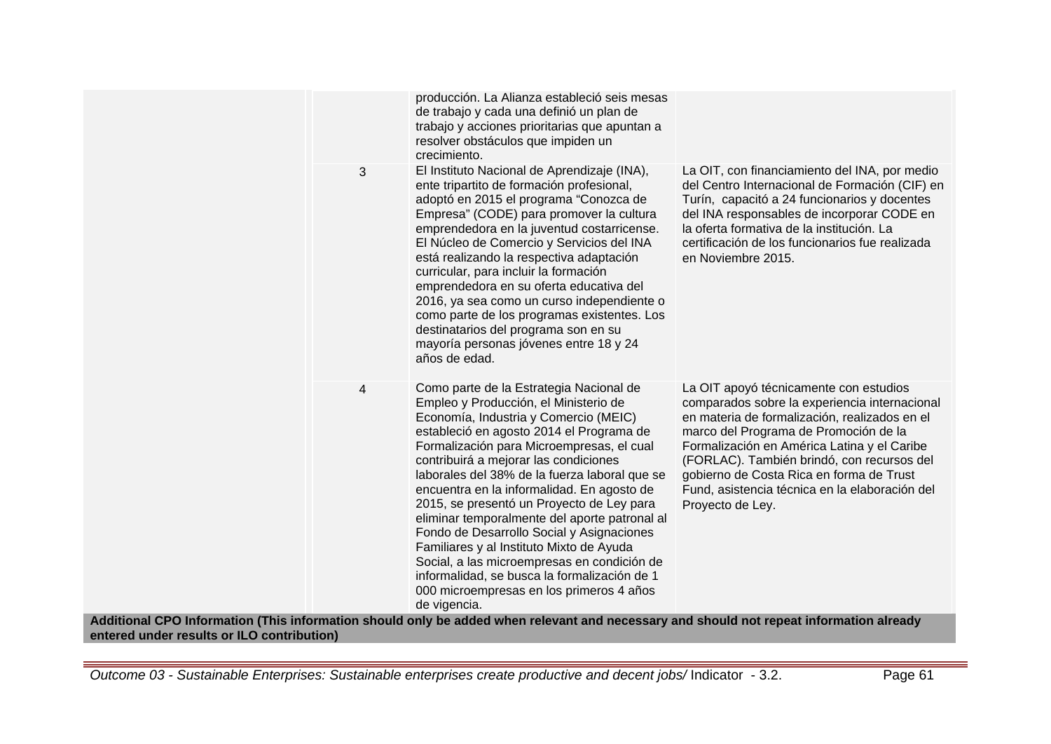|                                                                                                                                                                                       |   | producción. La Alianza estableció seis mesas<br>de trabajo y cada una definió un plan de<br>trabajo y acciones prioritarias que apuntan a<br>resolver obstáculos que impiden un<br>crecimiento.                                                                                                                                                                                                                                                                                                                                                                                                                                                                                                              |                                                                                                                                                                                                                                                                                                                                                                                                  |
|---------------------------------------------------------------------------------------------------------------------------------------------------------------------------------------|---|--------------------------------------------------------------------------------------------------------------------------------------------------------------------------------------------------------------------------------------------------------------------------------------------------------------------------------------------------------------------------------------------------------------------------------------------------------------------------------------------------------------------------------------------------------------------------------------------------------------------------------------------------------------------------------------------------------------|--------------------------------------------------------------------------------------------------------------------------------------------------------------------------------------------------------------------------------------------------------------------------------------------------------------------------------------------------------------------------------------------------|
|                                                                                                                                                                                       | 3 | El Instituto Nacional de Aprendizaje (INA),<br>ente tripartito de formación profesional,<br>adoptó en 2015 el programa "Conozca de<br>Empresa" (CODE) para promover la cultura<br>emprendedora en la juventud costarricense.<br>El Núcleo de Comercio y Servicios del INA<br>está realizando la respectiva adaptación<br>curricular, para incluir la formación<br>emprendedora en su oferta educativa del<br>2016, ya sea como un curso independiente o<br>como parte de los programas existentes. Los<br>destinatarios del programa son en su<br>mayoría personas jóvenes entre 18 y 24<br>años de edad.                                                                                                    | La OIT, con financiamiento del INA, por medio<br>del Centro Internacional de Formación (CIF) en<br>Turín, capacitó a 24 funcionarios y docentes<br>del INA responsables de incorporar CODE en<br>la oferta formativa de la institución. La<br>certificación de los funcionarios fue realizada<br>en Noviembre 2015.                                                                              |
|                                                                                                                                                                                       | 4 | Como parte de la Estrategia Nacional de<br>Empleo y Producción, el Ministerio de<br>Economía, Industria y Comercio (MEIC)<br>estableció en agosto 2014 el Programa de<br>Formalización para Microempresas, el cual<br>contribuirá a mejorar las condiciones<br>laborales del 38% de la fuerza laboral que se<br>encuentra en la informalidad. En agosto de<br>2015, se presentó un Proyecto de Ley para<br>eliminar temporalmente del aporte patronal al<br>Fondo de Desarrollo Social y Asignaciones<br>Familiares y al Instituto Mixto de Ayuda<br>Social, a las microempresas en condición de<br>informalidad, se busca la formalización de 1<br>000 microempresas en los primeros 4 años<br>de vigencia. | La OIT apoyó técnicamente con estudios<br>comparados sobre la experiencia internacional<br>en materia de formalización, realizados en el<br>marco del Programa de Promoción de la<br>Formalización en América Latina y el Caribe<br>(FORLAC). También brindó, con recursos del<br>gobierno de Costa Rica en forma de Trust<br>Fund, asistencia técnica en la elaboración del<br>Proyecto de Ley. |
| Additional CPO Information (This information should only be added when relevant and necessary and should not repeat information already<br>entered under results or ILO contribution) |   |                                                                                                                                                                                                                                                                                                                                                                                                                                                                                                                                                                                                                                                                                                              |                                                                                                                                                                                                                                                                                                                                                                                                  |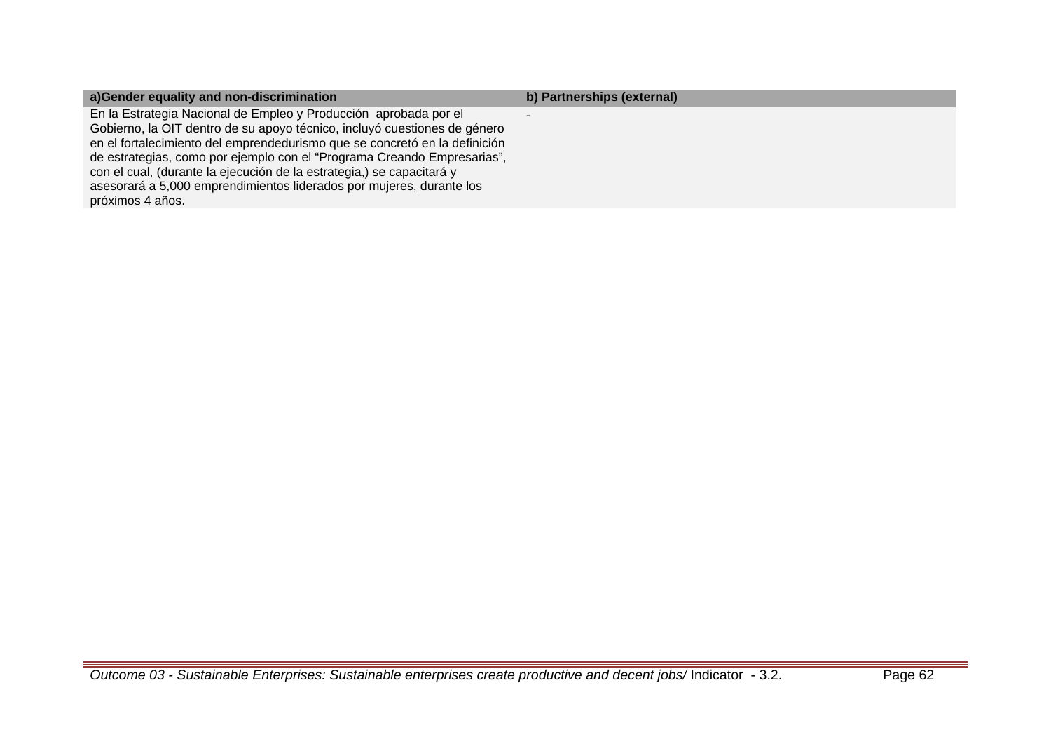| a)Gender equality and non-discrimination                                                                                                                                                                                                                                                               | b) Partnerships (external) |
|--------------------------------------------------------------------------------------------------------------------------------------------------------------------------------------------------------------------------------------------------------------------------------------------------------|----------------------------|
| En la Estrategia Nacional de Empleo y Producción aprobada por el<br>Gobierno, la OIT dentro de su apoyo técnico, incluyó cuestiones de género<br>en el fortalecimiento del emprendedurismo que se concretó en la definición<br>de estrategias, como por ejemplo con el "Programa Creando Empresarias", |                            |
| con el cual, (durante la ejecución de la estrategia,) se capacitará y<br>asesorará a 5,000 emprendimientos liderados por mujeres, durante los<br>próximos 4 años.                                                                                                                                      |                            |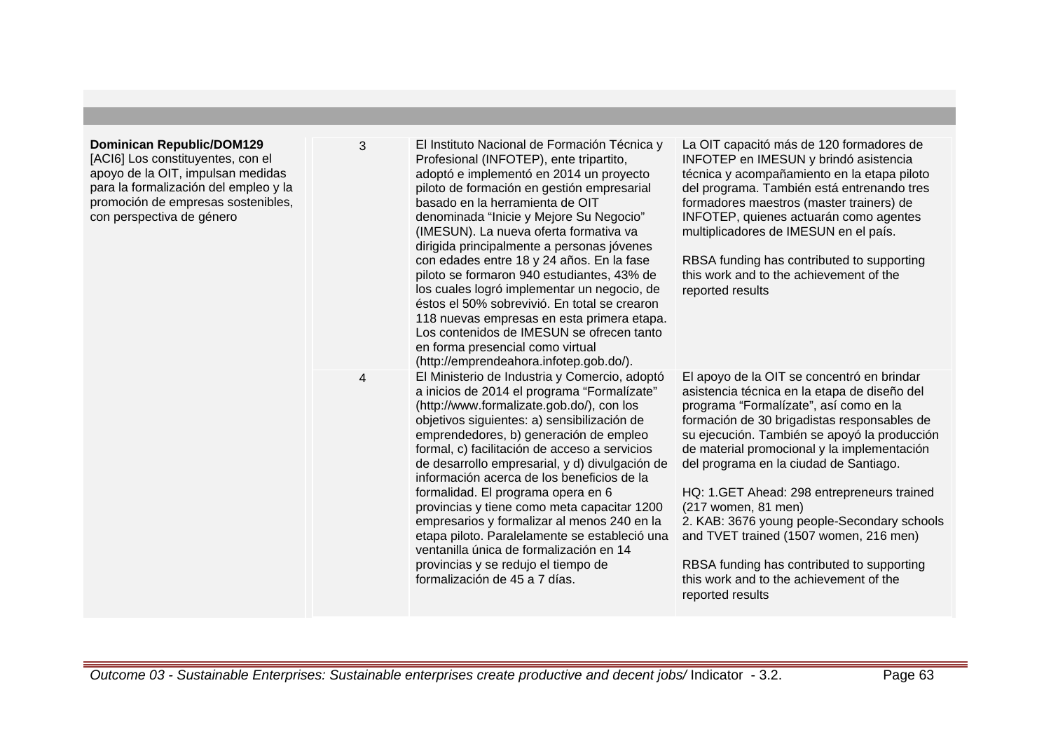#### **Dominican Republic/DOM129** [ACI6] Los constituyentes, con el apoyo de la OIT, impulsan medidas para la formalización del empleo y la promoción de empresas sostenibles, con perspectiva de género 3 El Instituto Nacional de Formación Técnica y Profesional (INFOTEP), ente tripartito, adoptó e implementó en 2014 un proyecto piloto de formación en gestión empresarial basado en la herramienta de OIT denominada "Inicie y Mejore Su Negocio" (IMESUN). La nueva oferta formativa va dirigida principalmente a personas jóvenes con edades entre 18 y 24 años. En la fase piloto se formaron 940 estudiantes, 43% de los cuales logró implementar un negocio, de éstos el 50% sobrevivió. En total se crearon 118 nuevas empresas en esta primera etapa. Los contenidos de IMESUN se ofrecen tanto en forma presencial como virtual (http://emprendeahora.infotep.gob.do/). La OIT capacitó más de 120 formadores de INFOTEP en IMESUN y brindó asistencia técnica y acompañamiento en la etapa piloto del programa. También está entrenando tres formadores maestros (master trainers) de INFOTEP, quienes actuarán como agentes multiplicadores de IMESUN en el país. RBSA funding has contributed to supporting this work and to the achievement of the reported results 4 El Ministerio de Industria y Comercio, adoptó a inicios de 2014 el programa "Formalízate" (http://www.formalizate.gob.do/), con los objetivos siguientes: a) sensibilización de emprendedores, b) generación de empleo formal, c) facilitación de acceso a servicios de desarrollo empresarial, y d) divulgación de información acerca de los beneficios de la formalidad. El programa opera en 6 provincias y tiene como meta capacitar 1200 empresarios y formalizar al menos 240 en la etapa piloto. Paralelamente se estableció una ventanilla única de formalización en 14 provincias y se redujo el tiempo de formalización de 45 a 7 días. El apoyo de la OIT se concentró en brindar asistencia técnica en la etapa de diseño del programa "Formalízate", así como en la formación de 30 brigadistas responsables de su ejecución. También se apoyó la producción de material promocional y la implementación del programa en la ciudad de Santiago. HQ: 1.GET Ahead: 298 entrepreneurs trained (217 women, 81 men) 2. KAB: 3676 young people-Secondary schools and TVET trained (1507 women, 216 men) RBSA funding has contributed to supporting this work and to the achievement of the reported results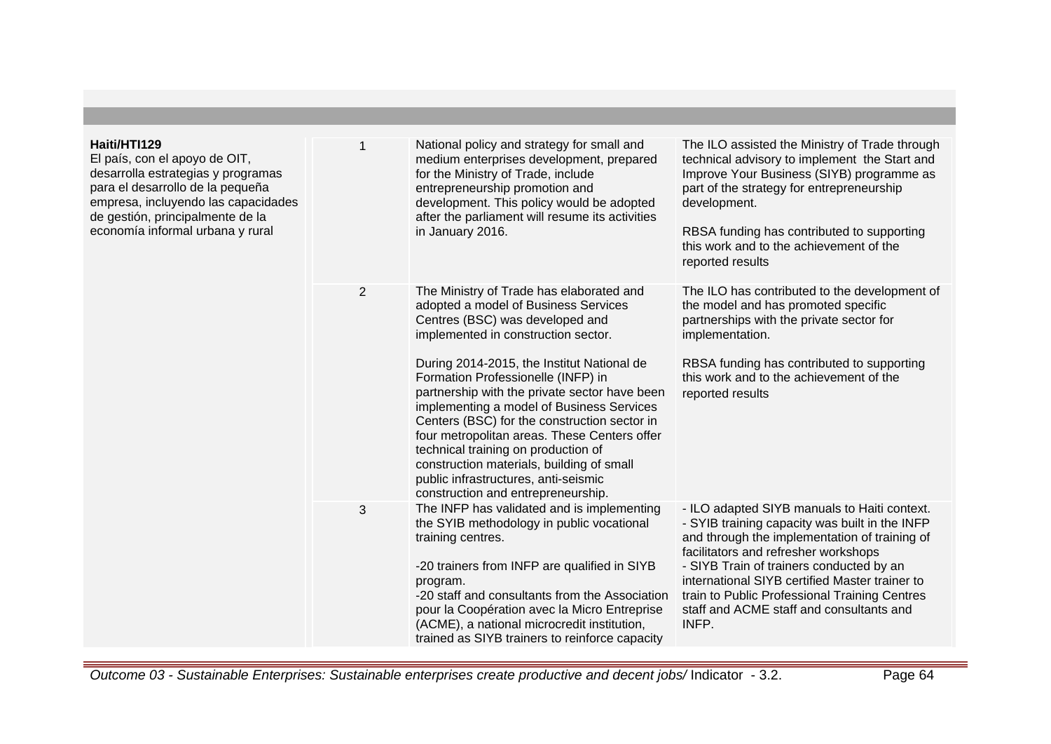| Haiti/HTI129<br>El país, con el apoyo de OIT,<br>desarrolla estrategias y programas<br>para el desarrollo de la pequeña<br>empresa, incluyendo las capacidades<br>de gestión, principalmente de la<br>economía informal urbana y rural | 1              | National policy and strategy for small and<br>medium enterprises development, prepared<br>for the Ministry of Trade, include<br>entrepreneurship promotion and<br>development. This policy would be adopted<br>after the parliament will resume its activities<br>in January 2016.                                                                                                                                                                                                                                                                                                                             | The ILO assisted the Ministry of Trade through<br>technical advisory to implement the Start and<br>Improve Your Business (SIYB) programme as<br>part of the strategy for entrepreneurship<br>development.<br>RBSA funding has contributed to supporting<br>this work and to the achievement of the<br>reported results                                                                      |
|----------------------------------------------------------------------------------------------------------------------------------------------------------------------------------------------------------------------------------------|----------------|----------------------------------------------------------------------------------------------------------------------------------------------------------------------------------------------------------------------------------------------------------------------------------------------------------------------------------------------------------------------------------------------------------------------------------------------------------------------------------------------------------------------------------------------------------------------------------------------------------------|---------------------------------------------------------------------------------------------------------------------------------------------------------------------------------------------------------------------------------------------------------------------------------------------------------------------------------------------------------------------------------------------|
|                                                                                                                                                                                                                                        | $\overline{2}$ | The Ministry of Trade has elaborated and<br>adopted a model of Business Services<br>Centres (BSC) was developed and<br>implemented in construction sector.<br>During 2014-2015, the Institut National de<br>Formation Professionelle (INFP) in<br>partnership with the private sector have been<br>implementing a model of Business Services<br>Centers (BSC) for the construction sector in<br>four metropolitan areas. These Centers offer<br>technical training on production of<br>construction materials, building of small<br>public infrastructures, anti-seismic<br>construction and entrepreneurship. | The ILO has contributed to the development of<br>the model and has promoted specific<br>partnerships with the private sector for<br>implementation.<br>RBSA funding has contributed to supporting<br>this work and to the achievement of the<br>reported results                                                                                                                            |
|                                                                                                                                                                                                                                        | 3              | The INFP has validated and is implementing<br>the SYIB methodology in public vocational<br>training centres.<br>-20 trainers from INFP are qualified in SIYB<br>program.<br>-20 staff and consultants from the Association<br>pour la Coopération avec la Micro Entreprise<br>(ACME), a national microcredit institution,<br>trained as SIYB trainers to reinforce capacity                                                                                                                                                                                                                                    | - ILO adapted SIYB manuals to Haiti context.<br>- SYIB training capacity was built in the INFP<br>and through the implementation of training of<br>facilitators and refresher workshops<br>- SIYB Train of trainers conducted by an<br>international SIYB certified Master trainer to<br>train to Public Professional Training Centres<br>staff and ACME staff and consultants and<br>INFP. |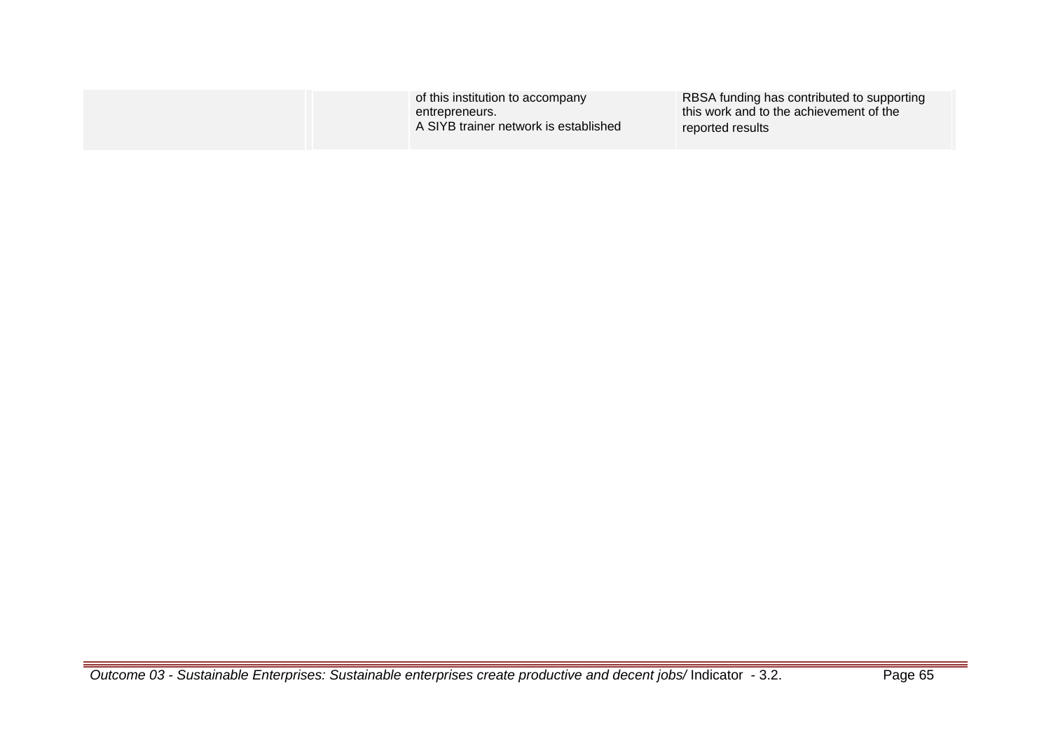| of this institution to accompany<br>entrepreneurs.<br>A SIYB trainer network is established | RBSA funding has contributed to supporting<br>this work and to the achievement of the<br>reported results |
|---------------------------------------------------------------------------------------------|-----------------------------------------------------------------------------------------------------------|
|                                                                                             |                                                                                                           |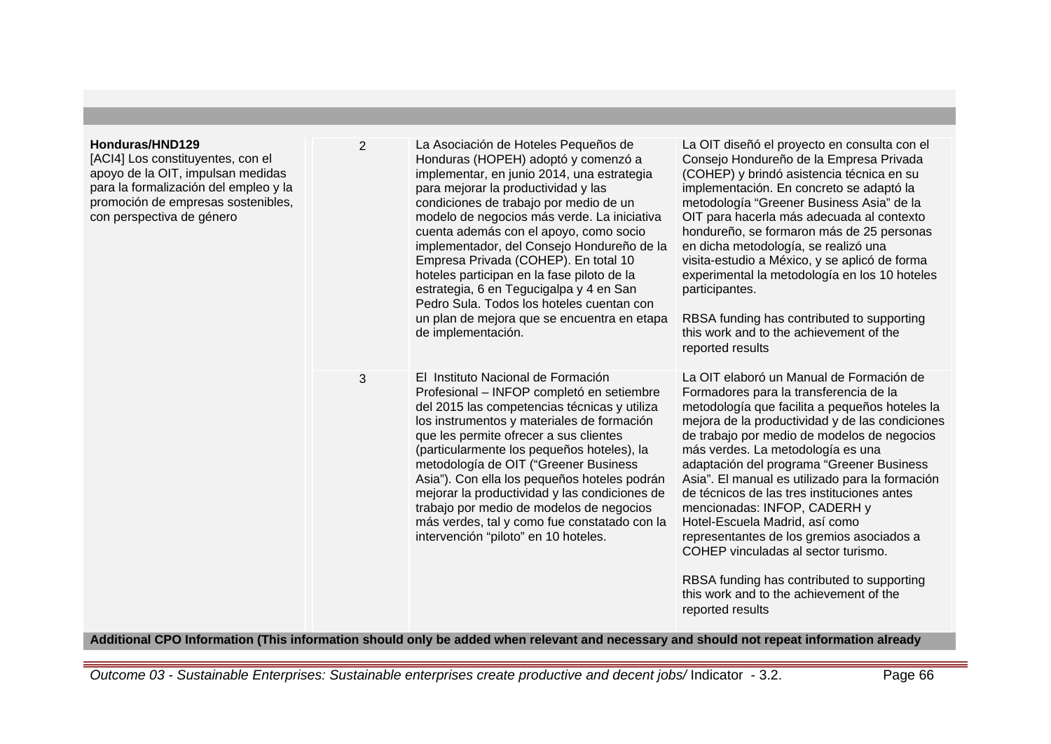| Honduras/HND129<br>[ACI4] Los constituyentes, con el<br>apoyo de la OIT, impulsan medidas<br>para la formalización del empleo y la<br>promoción de empresas sostenibles,<br>con perspectiva de género | 2 | La Asociación de Hoteles Pequeños de<br>Honduras (HOPEH) adoptó y comenzó a<br>implementar, en junio 2014, una estrategia<br>para mejorar la productividad y las<br>condiciones de trabajo por medio de un<br>modelo de negocios más verde. La iniciativa<br>cuenta además con el apoyo, como socio<br>implementador, del Consejo Hondureño de la<br>Empresa Privada (COHEP). En total 10<br>hoteles participan en la fase piloto de la<br>estrategia, 6 en Tegucigalpa y 4 en San<br>Pedro Sula. Todos los hoteles cuentan con<br>un plan de mejora que se encuentra en etapa<br>de implementación. | La OIT diseñó el proyecto en consulta con el<br>Consejo Hondureño de la Empresa Privada<br>(COHEP) y brindó asistencia técnica en su<br>implementación. En concreto se adaptó la<br>metodología "Greener Business Asia" de la<br>OIT para hacerla más adecuada al contexto<br>hondureño, se formaron más de 25 personas<br>en dicha metodología, se realizó una<br>visita-estudio a México, y se aplicó de forma<br>experimental la metodología en los 10 hoteles<br>participantes.<br>RBSA funding has contributed to supporting<br>this work and to the achievement of the<br>reported results                                                                                              |
|-------------------------------------------------------------------------------------------------------------------------------------------------------------------------------------------------------|---|------------------------------------------------------------------------------------------------------------------------------------------------------------------------------------------------------------------------------------------------------------------------------------------------------------------------------------------------------------------------------------------------------------------------------------------------------------------------------------------------------------------------------------------------------------------------------------------------------|-----------------------------------------------------------------------------------------------------------------------------------------------------------------------------------------------------------------------------------------------------------------------------------------------------------------------------------------------------------------------------------------------------------------------------------------------------------------------------------------------------------------------------------------------------------------------------------------------------------------------------------------------------------------------------------------------|
|                                                                                                                                                                                                       | 3 | El Instituto Nacional de Formación<br>Profesional - INFOP completó en setiembre<br>del 2015 las competencias técnicas y utiliza<br>los instrumentos y materiales de formación<br>que les permite ofrecer a sus clientes<br>(particularmente los pequeños hoteles), la<br>metodología de OIT ("Greener Business<br>Asia"). Con ella los pequeños hoteles podrán<br>mejorar la productividad y las condiciones de<br>trabajo por medio de modelos de negocios<br>más verdes, tal y como fue constatado con la<br>intervención "piloto" en 10 hoteles.                                                  | La OIT elaboró un Manual de Formación de<br>Formadores para la transferencia de la<br>metodología que facilita a pequeños hoteles la<br>mejora de la productividad y de las condiciones<br>de trabajo por medio de modelos de negocios<br>más verdes. La metodología es una<br>adaptación del programa "Greener Business<br>Asia". El manual es utilizado para la formación<br>de técnicos de las tres instituciones antes<br>mencionadas: INFOP, CADERH y<br>Hotel-Escuela Madrid, así como<br>representantes de los gremios asociados a<br>COHEP vinculadas al sector turismo.<br>RBSA funding has contributed to supporting<br>this work and to the achievement of the<br>reported results |

**Additional CPO Information (This information should only be added when relevant and necessary and should not repeat information already**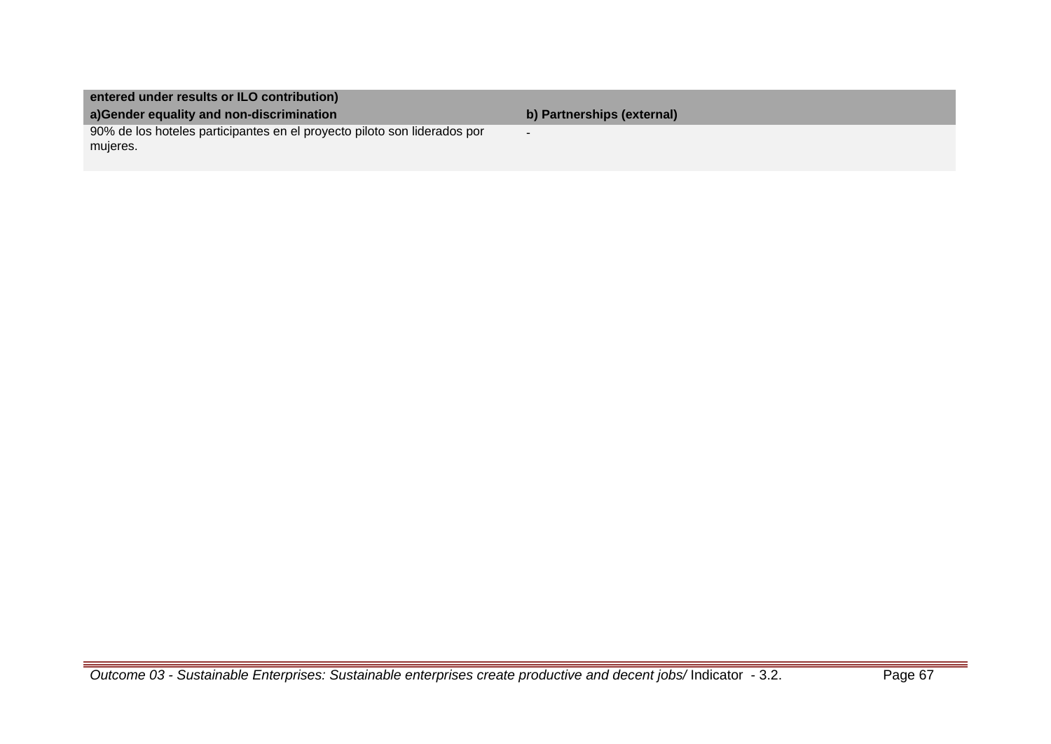**entered under results or ILO contribution) a)Gender equality and non-discrimination b) Partnerships (external)** 90% de los hoteles participantes en el proyecto piloto son liderados por mujeres. -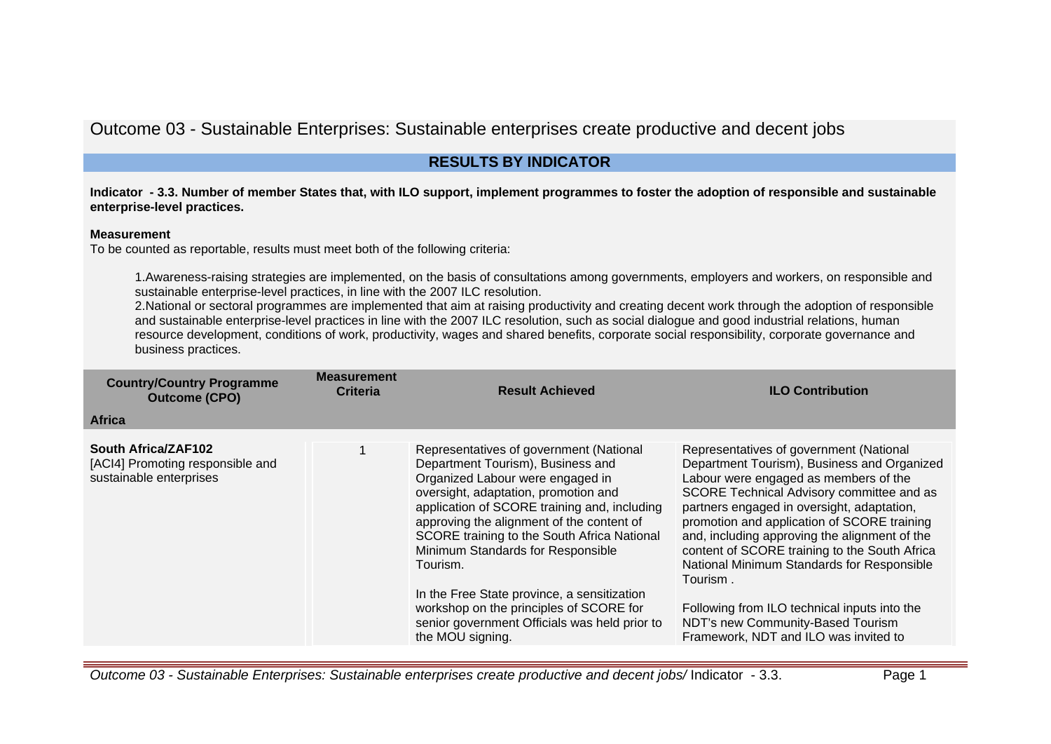# Outcome 03 - Sustainable Enterprises: Sustainable enterprises create productive and decent jobs

## **RESULTS BY INDICATOR**

**Indicator - 3.3. Number of member States that, with ILO support, implement programmes to foster the adoption of responsible and sustainable enterprise-level practices.**

### **Measurement**

To be counted as reportable, results must meet both of the following criteria:

1.Awareness-raising strategies are implemented, on the basis of consultations among governments, employers and workers, on responsible and sustainable enterprise-level practices, in line with the 2007 ILC resolution.

2.National or sectoral programmes are implemented that aim at raising productivity and creating decent work through the adoption of responsible and sustainable enterprise-level practices in line with the 2007 ILC resolution, such as social dialogue and good industrial relations, human resource development, conditions of work, productivity, wages and shared benefits, corporate social responsibility, corporate governance and business practices.

| <b>Country/Country Programme</b><br><b>Outcome (CPO)</b>                           | <b>Measurement</b><br><b>Criteria</b> | <b>Result Achieved</b>                                                                                                                                                                                                                                                                                                                                                                                                                                                                                               | <b>ILO Contribution</b>                                                                                                                                                                                                                                                                                                                                                                                                                                                                                                                                             |
|------------------------------------------------------------------------------------|---------------------------------------|----------------------------------------------------------------------------------------------------------------------------------------------------------------------------------------------------------------------------------------------------------------------------------------------------------------------------------------------------------------------------------------------------------------------------------------------------------------------------------------------------------------------|---------------------------------------------------------------------------------------------------------------------------------------------------------------------------------------------------------------------------------------------------------------------------------------------------------------------------------------------------------------------------------------------------------------------------------------------------------------------------------------------------------------------------------------------------------------------|
| <b>Africa</b>                                                                      |                                       |                                                                                                                                                                                                                                                                                                                                                                                                                                                                                                                      |                                                                                                                                                                                                                                                                                                                                                                                                                                                                                                                                                                     |
| South Africa/ZAF102<br>[ACI4] Promoting responsible and<br>sustainable enterprises |                                       | Representatives of government (National<br>Department Tourism), Business and<br>Organized Labour were engaged in<br>oversight, adaptation, promotion and<br>application of SCORE training and, including<br>approving the alignment of the content of<br>SCORE training to the South Africa National<br>Minimum Standards for Responsible<br>Tourism.<br>In the Free State province, a sensitization<br>workshop on the principles of SCORE for<br>senior government Officials was held prior to<br>the MOU signing. | Representatives of government (National<br>Department Tourism), Business and Organized<br>Labour were engaged as members of the<br>SCORE Technical Advisory committee and as<br>partners engaged in oversight, adaptation,<br>promotion and application of SCORE training<br>and, including approving the alignment of the<br>content of SCORE training to the South Africa<br>National Minimum Standards for Responsible<br>Tourism.<br>Following from ILO technical inputs into the<br>NDT's new Community-Based Tourism<br>Framework, NDT and ILO was invited to |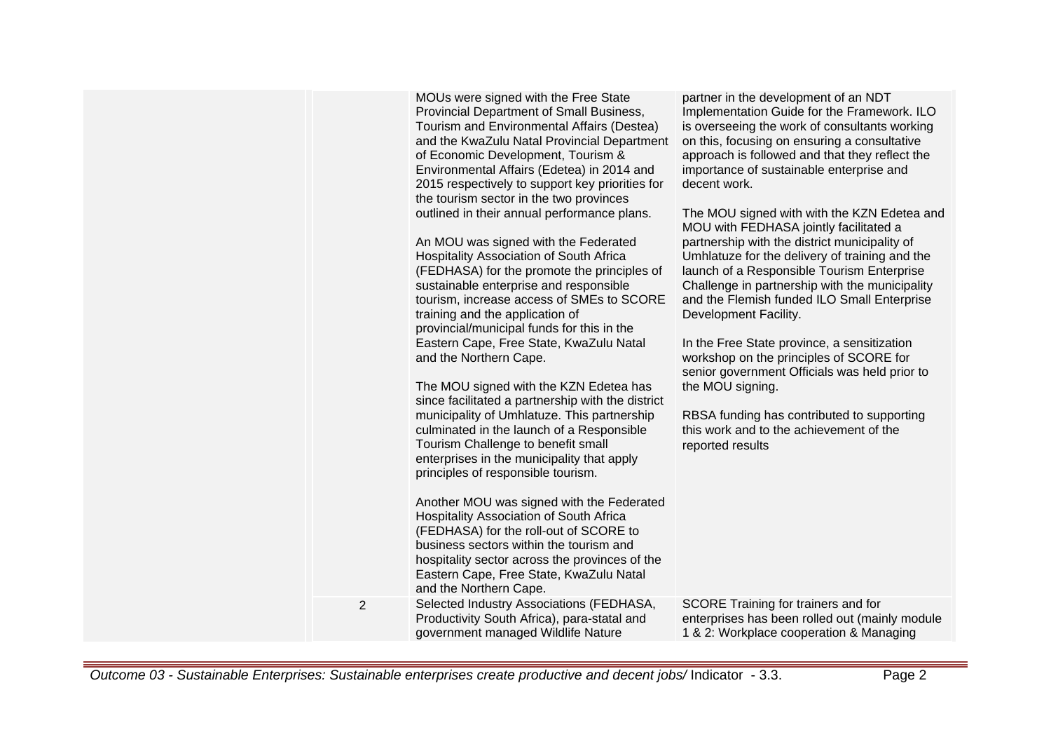| $\overline{2}$ | MOUs were signed with the Free State<br>Provincial Department of Small Business,<br>Tourism and Environmental Affairs (Destea)<br>and the KwaZulu Natal Provincial Department<br>of Economic Development, Tourism &<br>Environmental Affairs (Edetea) in 2014 and<br>2015 respectively to support key priorities for<br>the tourism sector in the two provinces<br>outlined in their annual performance plans.<br>An MOU was signed with the Federated<br>Hospitality Association of South Africa<br>(FEDHASA) for the promote the principles of<br>sustainable enterprise and responsible<br>tourism, increase access of SMEs to SCORE<br>training and the application of<br>provincial/municipal funds for this in the<br>Eastern Cape, Free State, KwaZulu Natal<br>and the Northern Cape.<br>The MOU signed with the KZN Edetea has<br>since facilitated a partnership with the district<br>municipality of Umhlatuze. This partnership<br>culminated in the launch of a Responsible<br>Tourism Challenge to benefit small<br>enterprises in the municipality that apply<br>principles of responsible tourism.<br>Another MOU was signed with the Federated<br>Hospitality Association of South Africa<br>(FEDHASA) for the roll-out of SCORE to<br>business sectors within the tourism and<br>hospitality sector across the provinces of the<br>Eastern Cape, Free State, KwaZulu Natal<br>and the Northern Cape.<br>Selected Industry Associations (FEDHASA, | partner in the development of an NDT<br>Implementation Guide for the Framework. ILO<br>is overseeing the work of consultants working<br>on this, focusing on ensuring a consultative<br>approach is followed and that they reflect the<br>importance of sustainable enterprise and<br>decent work.<br>The MOU signed with with the KZN Edetea and<br>MOU with FEDHASA jointly facilitated a<br>partnership with the district municipality of<br>Umhlatuze for the delivery of training and the<br>launch of a Responsible Tourism Enterprise<br>Challenge in partnership with the municipality<br>and the Flemish funded ILO Small Enterprise<br>Development Facility.<br>In the Free State province, a sensitization<br>workshop on the principles of SCORE for<br>senior government Officials was held prior to<br>the MOU signing.<br>RBSA funding has contributed to supporting<br>this work and to the achievement of the<br>reported results<br>SCORE Training for trainers and for |
|----------------|--------------------------------------------------------------------------------------------------------------------------------------------------------------------------------------------------------------------------------------------------------------------------------------------------------------------------------------------------------------------------------------------------------------------------------------------------------------------------------------------------------------------------------------------------------------------------------------------------------------------------------------------------------------------------------------------------------------------------------------------------------------------------------------------------------------------------------------------------------------------------------------------------------------------------------------------------------------------------------------------------------------------------------------------------------------------------------------------------------------------------------------------------------------------------------------------------------------------------------------------------------------------------------------------------------------------------------------------------------------------------------------------------------------------------------------------------------------------|-------------------------------------------------------------------------------------------------------------------------------------------------------------------------------------------------------------------------------------------------------------------------------------------------------------------------------------------------------------------------------------------------------------------------------------------------------------------------------------------------------------------------------------------------------------------------------------------------------------------------------------------------------------------------------------------------------------------------------------------------------------------------------------------------------------------------------------------------------------------------------------------------------------------------------------------------------------------------------------------|
|                | Productivity South Africa), para-statal and<br>government managed Wildlife Nature                                                                                                                                                                                                                                                                                                                                                                                                                                                                                                                                                                                                                                                                                                                                                                                                                                                                                                                                                                                                                                                                                                                                                                                                                                                                                                                                                                                  | enterprises has been rolled out (mainly module<br>1 & 2: Workplace cooperation & Managing                                                                                                                                                                                                                                                                                                                                                                                                                                                                                                                                                                                                                                                                                                                                                                                                                                                                                                 |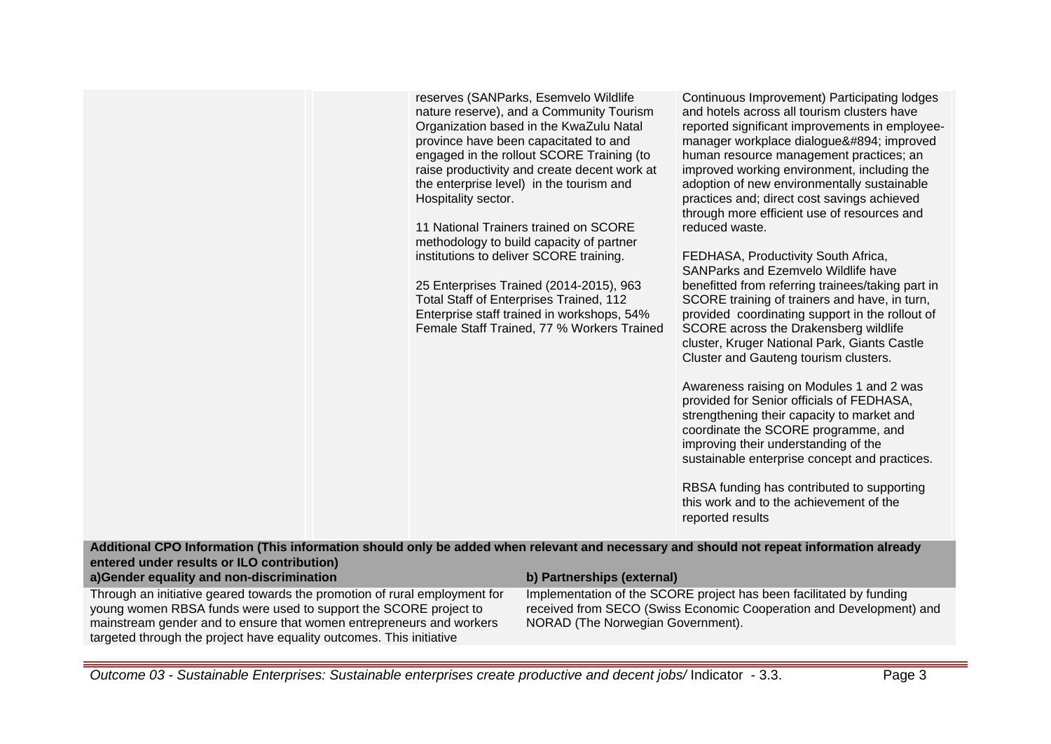reserves (SANParks, Esemvelo Wildlife nature reserve), and a Community Tourism Organization based in the KwaZulu Natal province have been capacitated to and engaged in the rollout SCORE Training (to raise productivity and create decent work at the enterprise level) in the tourism and Hospitality sector.

11 National Trainers trained on SCORE methodology to build capacity of partner institutions to deliver SCORE training.

25 Enterprises Trained (2014-2015), 963 Total Staff of Enterprises Trained, 112 Enterprise staff trained in workshops, 54% Female Staff Trained, 77 % Workers Trained Continuous Improvement) Participating lodges and hotels across all tourism clusters have reported significant improvements in employeemanager workplace dialogue; improved human resource management practices; an improved working environment, including the adoption of new environmentally sustainable practices and; direct cost savings achieved through more efficient use of resources and reduced waste.

FEDHASA, Productivity South Africa, SANParks and Ezemvelo Wildlife have benefitted from referring trainees/taking part in SCORE training of trainers and have, in turn, provided coordinating support in the rollout of SCORE across the Drakensberg wildlife cluster, Kruger National Park, Giants Castle Cluster and Gauteng tourism clusters.

Awareness raising on Modules 1 and 2 was provided for Senior officials of FEDHASA, strengthening their capacity to market and coordinate the SCORE programme, and improving their understanding of the sustainable enterprise concept and practices.

RBSA funding has contributed to supporting this work and to the achievement of the reported results

### **Additional CPO Information (This information should only be added when relevant and necessary and should not repeat information already entered under results or ILO contribution)**

| a)Gender equality and non-discrimination                                   | b) Partnerships (external)                                          |
|----------------------------------------------------------------------------|---------------------------------------------------------------------|
| Through an initiative geared towards the promotion of rural employment for | Implementation of the SCORE project has been facilitated by funding |
| young women RBSA funds were used to support the SCORE project to           | received from SECO (Swiss Economic Cooperation and Development) and |
| mainstream gender and to ensure that women entrepreneurs and workers       | NORAD (The Norwegian Government).                                   |
| targeted through the project have equality outcomes. This initiative       |                                                                     |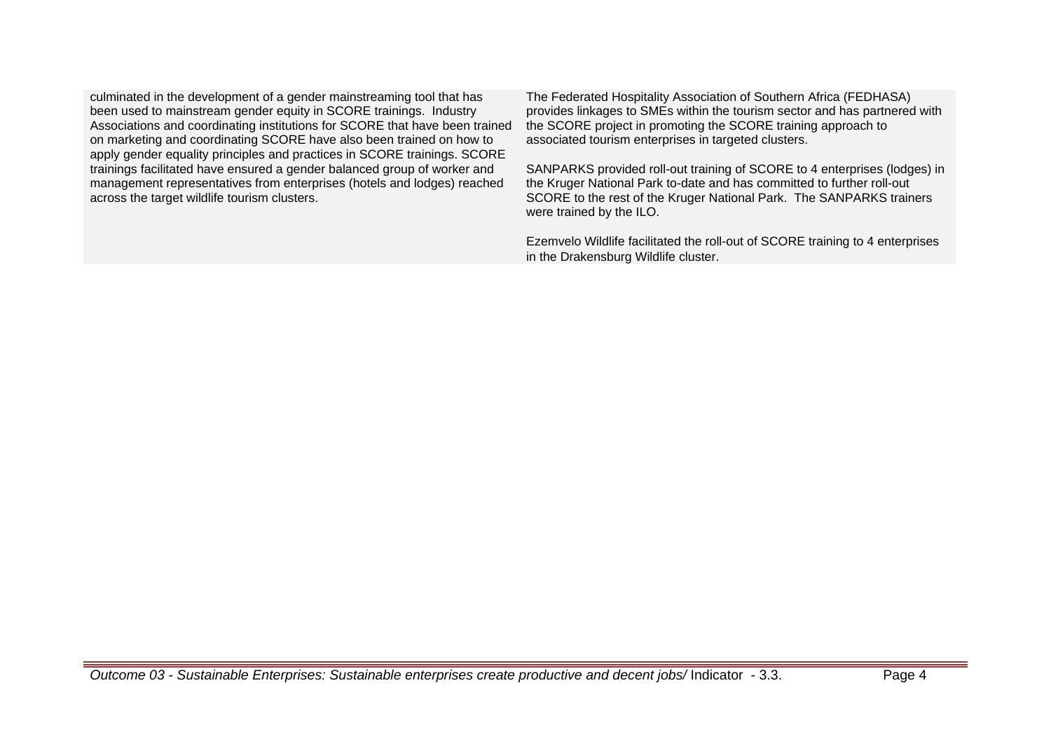culminated in the development of a gender mainstreaming tool that has been used to mainstream gender equity in SCORE trainings. Industry Associations and coordinating institutions for SCORE that have been trained on marketing and coordinating SCORE have also been trained on how to apply gender equality principles and practices in SCORE trainings. SCORE trainings facilitated have ensured a gender balanced group of worker and management representatives from enterprises (hotels and lodges) reached across the target wildlife tourism clusters.

The Federated Hospitality Association of Southern Africa (FEDHASA) provides linkages to SMEs within the tourism sector and has partnered with the SCORE project in promoting the SCORE training approach to associated tourism enterprises in targeted clusters.

SANPARKS provided roll-out training of SCORE to 4 enterprises (lodges) in the Kruger National Park to-date and has committed to further roll-out SCORE to the rest of the Kruger National Park. The SANPARKS trainers were trained by the ILO.

Ezemvelo Wildlife facilitated the roll-out of SCORE training to 4 enterprises in the Drakensburg Wildlife cluster.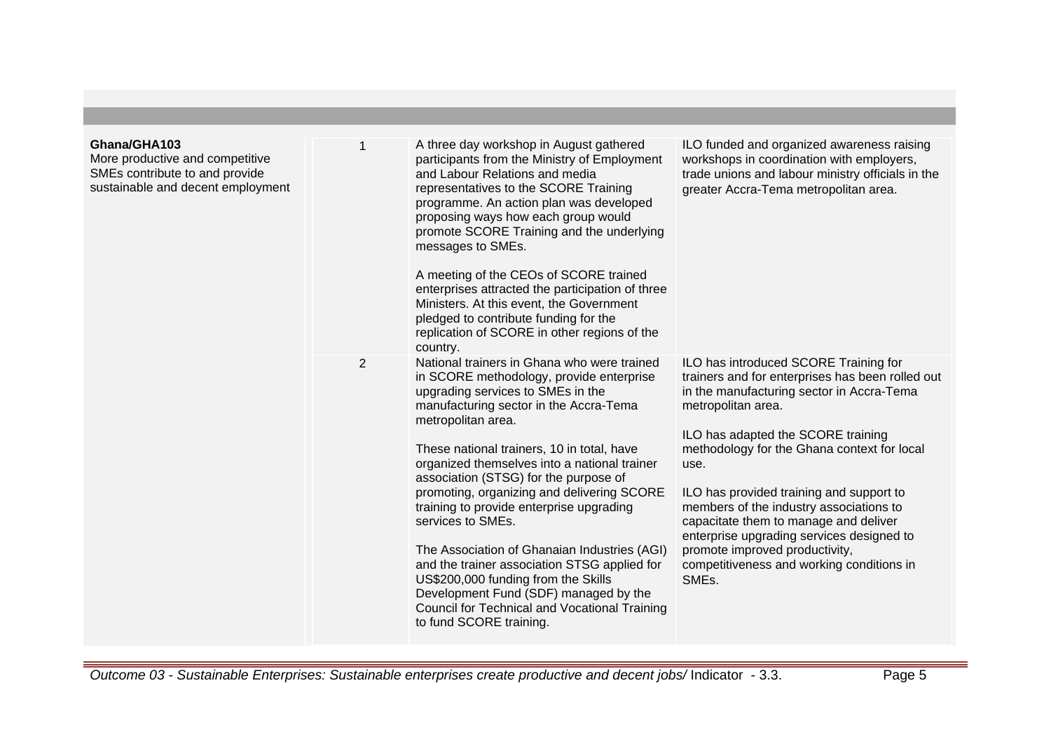| Ghana/GHA103<br>More productive and competitive<br>SMEs contribute to and provide<br>sustainable and decent employment |   | A three day workshop in August gathered<br>participants from the Ministry of Employment<br>and Labour Relations and media<br>representatives to the SCORE Training<br>programme. An action plan was developed<br>proposing ways how each group would<br>promote SCORE Training and the underlying<br>messages to SMEs.<br>A meeting of the CEOs of SCORE trained<br>enterprises attracted the participation of three<br>Ministers. At this event, the Government<br>pledged to contribute funding for the<br>replication of SCORE in other regions of the<br>country.                                                                                                                                          | ILO funded and organized awareness raising<br>workshops in coordination with employers,<br>trade unions and labour ministry officials in the<br>greater Accra-Tema metropolitan area.                                                                                                                                                                                                                                                                                                                                          |
|------------------------------------------------------------------------------------------------------------------------|---|----------------------------------------------------------------------------------------------------------------------------------------------------------------------------------------------------------------------------------------------------------------------------------------------------------------------------------------------------------------------------------------------------------------------------------------------------------------------------------------------------------------------------------------------------------------------------------------------------------------------------------------------------------------------------------------------------------------|--------------------------------------------------------------------------------------------------------------------------------------------------------------------------------------------------------------------------------------------------------------------------------------------------------------------------------------------------------------------------------------------------------------------------------------------------------------------------------------------------------------------------------|
|                                                                                                                        | 2 | National trainers in Ghana who were trained<br>in SCORE methodology, provide enterprise<br>upgrading services to SMEs in the<br>manufacturing sector in the Accra-Tema<br>metropolitan area.<br>These national trainers, 10 in total, have<br>organized themselves into a national trainer<br>association (STSG) for the purpose of<br>promoting, organizing and delivering SCORE<br>training to provide enterprise upgrading<br>services to SMEs.<br>The Association of Ghanaian Industries (AGI)<br>and the trainer association STSG applied for<br>US\$200,000 funding from the Skills<br>Development Fund (SDF) managed by the<br>Council for Technical and Vocational Training<br>to fund SCORE training. | ILO has introduced SCORE Training for<br>trainers and for enterprises has been rolled out<br>in the manufacturing sector in Accra-Tema<br>metropolitan area.<br>ILO has adapted the SCORE training<br>methodology for the Ghana context for local<br>use.<br>ILO has provided training and support to<br>members of the industry associations to<br>capacitate them to manage and deliver<br>enterprise upgrading services designed to<br>promote improved productivity,<br>competitiveness and working conditions in<br>SMEs. |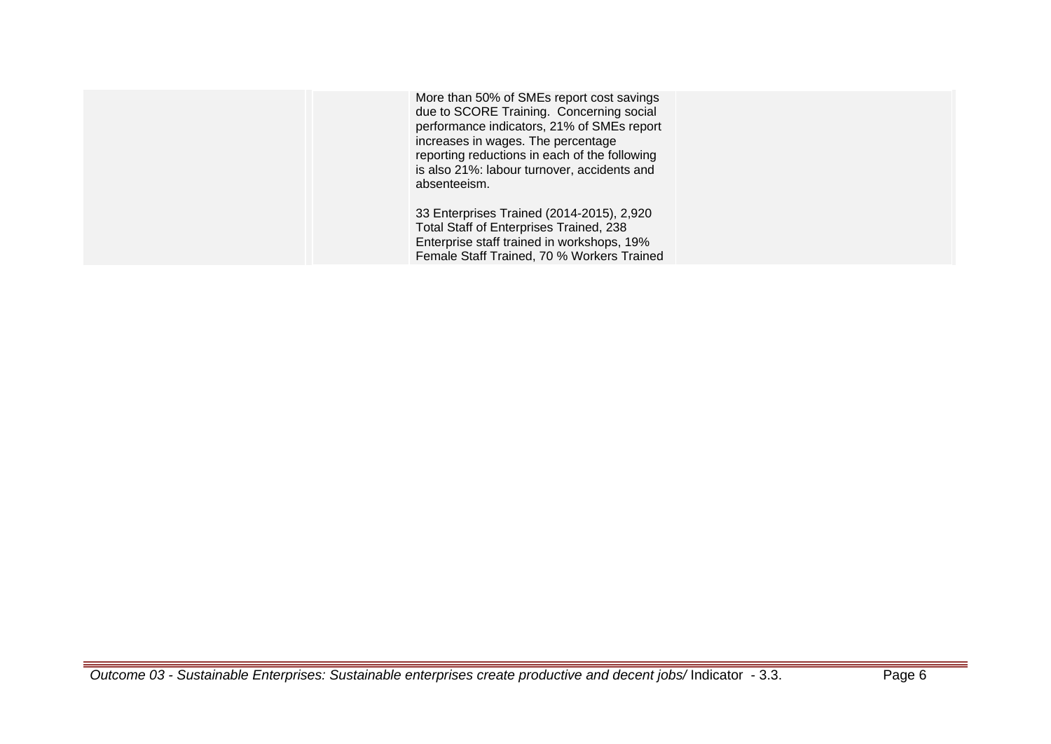| More than 50% of SMEs report cost savings<br>due to SCORE Training. Concerning social<br>performance indicators, 21% of SMEs report<br>increases in wages. The percentage<br>reporting reductions in each of the following<br>is also 21%: labour turnover, accidents and<br>absenteeism. |  |
|-------------------------------------------------------------------------------------------------------------------------------------------------------------------------------------------------------------------------------------------------------------------------------------------|--|
| 33 Enterprises Trained (2014-2015), 2,920<br>Total Staff of Enterprises Trained, 238<br>Enterprise staff trained in workshops, 19%<br>Female Staff Trained, 70 % Workers Trained                                                                                                          |  |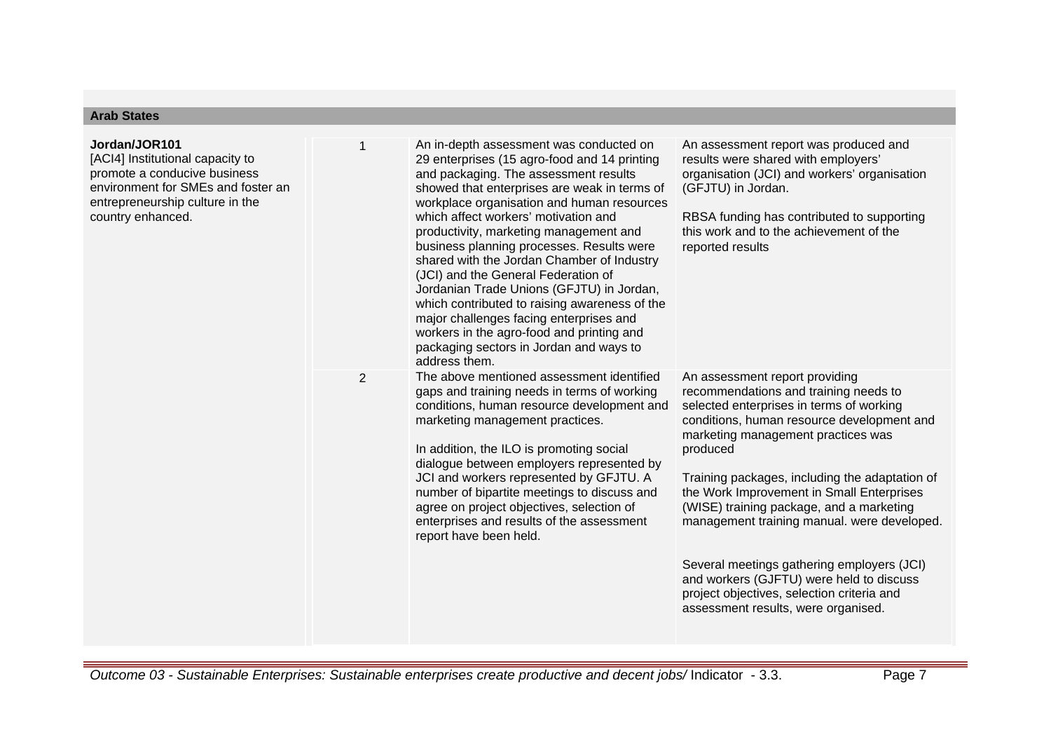### **Arab States**

| Jordan/JOR101<br>[ACI4] Institutional capacity to<br>promote a conducive business<br>environment for SMEs and foster an<br>entrepreneurship culture in the<br>country enhanced. | 1              | An in-depth assessment was conducted on<br>29 enterprises (15 agro-food and 14 printing<br>and packaging. The assessment results<br>showed that enterprises are weak in terms of<br>workplace organisation and human resources<br>which affect workers' motivation and<br>productivity, marketing management and<br>business planning processes. Results were<br>shared with the Jordan Chamber of Industry<br>(JCI) and the General Federation of<br>Jordanian Trade Unions (GFJTU) in Jordan,<br>which contributed to raising awareness of the<br>major challenges facing enterprises and<br>workers in the agro-food and printing and<br>packaging sectors in Jordan and ways to<br>address them. | An assessment report was produced and<br>results were shared with employers'<br>organisation (JCI) and workers' organisation<br>(GFJTU) in Jordan.<br>RBSA funding has contributed to supporting<br>this work and to the achievement of the<br>reported results                                                                                                                                                                                                                                                                                                                              |
|---------------------------------------------------------------------------------------------------------------------------------------------------------------------------------|----------------|------------------------------------------------------------------------------------------------------------------------------------------------------------------------------------------------------------------------------------------------------------------------------------------------------------------------------------------------------------------------------------------------------------------------------------------------------------------------------------------------------------------------------------------------------------------------------------------------------------------------------------------------------------------------------------------------------|----------------------------------------------------------------------------------------------------------------------------------------------------------------------------------------------------------------------------------------------------------------------------------------------------------------------------------------------------------------------------------------------------------------------------------------------------------------------------------------------------------------------------------------------------------------------------------------------|
|                                                                                                                                                                                 | $\overline{2}$ | The above mentioned assessment identified<br>gaps and training needs in terms of working<br>conditions, human resource development and<br>marketing management practices.<br>In addition, the ILO is promoting social<br>dialogue between employers represented by<br>JCI and workers represented by GFJTU. A<br>number of bipartite meetings to discuss and<br>agree on project objectives, selection of<br>enterprises and results of the assessment<br>report have been held.                                                                                                                                                                                                                     | An assessment report providing<br>recommendations and training needs to<br>selected enterprises in terms of working<br>conditions, human resource development and<br>marketing management practices was<br>produced<br>Training packages, including the adaptation of<br>the Work Improvement in Small Enterprises<br>(WISE) training package, and a marketing<br>management training manual. were developed.<br>Several meetings gathering employers (JCI)<br>and workers (GJFTU) were held to discuss<br>project objectives, selection criteria and<br>assessment results, were organised. |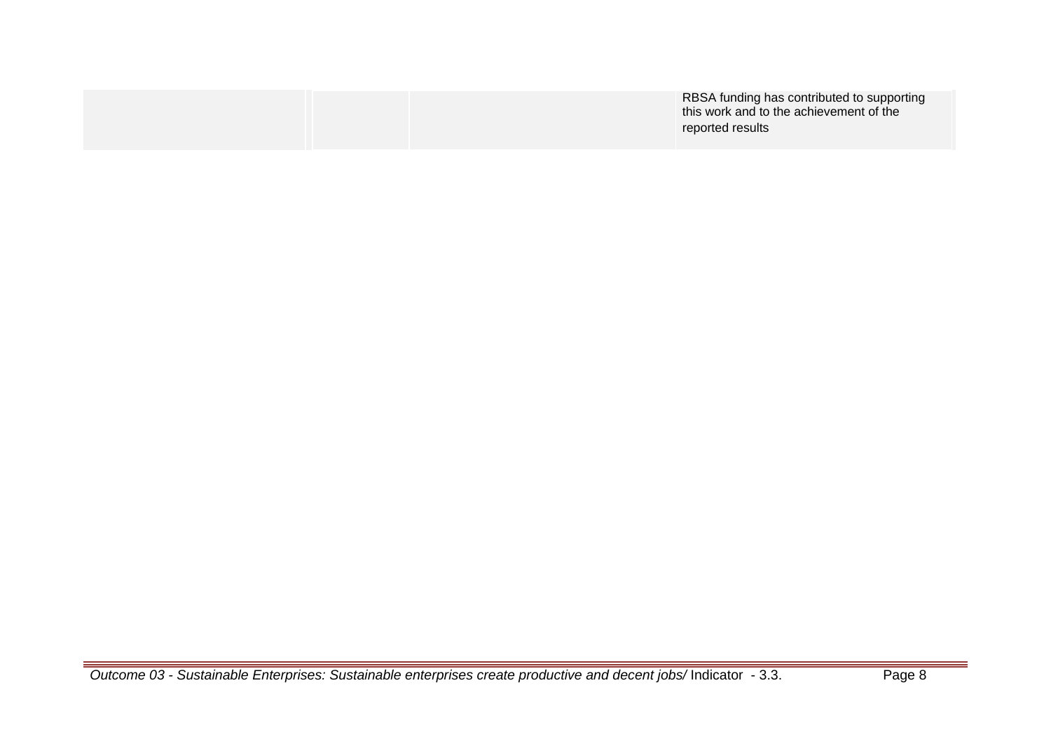| RBSA funding has contributed to supporting<br>this work and to the achievement of the<br>reported results |
|-----------------------------------------------------------------------------------------------------------|
|                                                                                                           |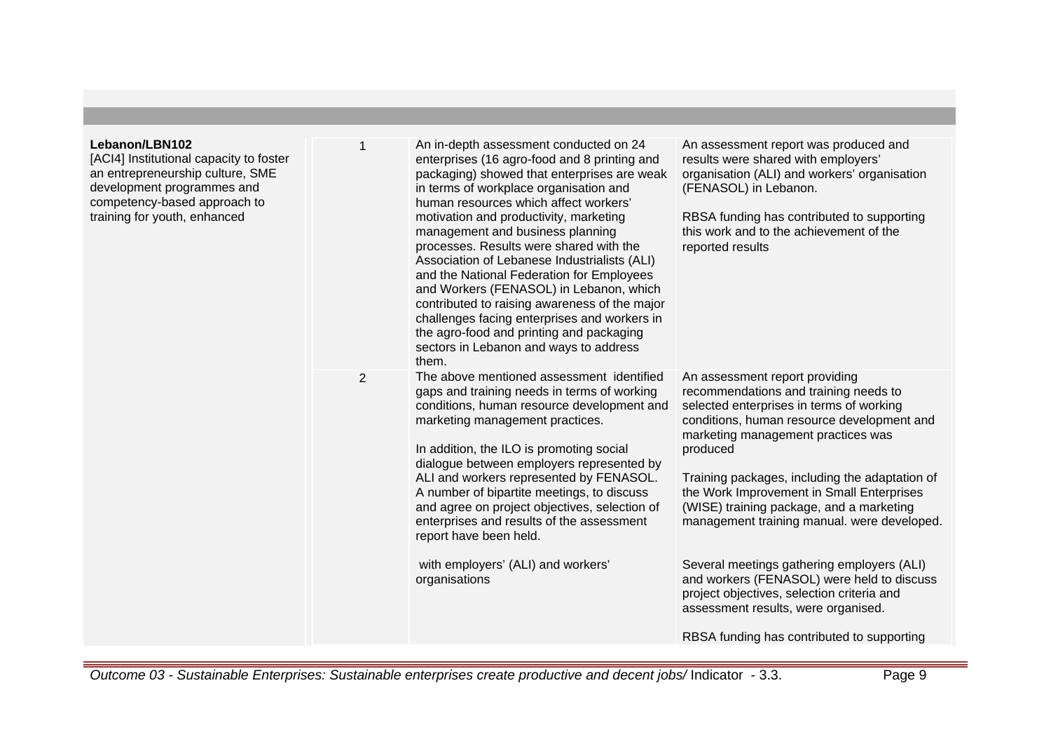### **Lebanon/LBN102**

[ACI4] Institutional capacity to foster an entrepreneurship culture, SME development programmes and competency-based approach to training for youth, enhanced

| 1              | An in-depth assessment conducted on 24<br>enterprises (16 agro-food and 8 printing and<br>packaging) showed that enterprises are weak<br>in terms of workplace organisation and<br>human resources which affect workers'<br>motivation and productivity, marketing<br>management and business planning<br>processes. Results were shared with the<br>Association of Lebanese Industrialists (ALI)<br>and the National Federation for Employees<br>and Workers (FENASOL) in Lebanon, which<br>contributed to raising awareness of the major<br>challenges facing enterprises and workers in<br>the agro-food and printing and packaging<br>sectors in Lebanon and ways to address<br>them. | An assessment report was produced and<br>results were shared with employers'<br>organisation (ALI) and workers' organisation<br>(FENASOL) in Lebanon.<br>RBSA funding has contributed to supporting<br>this work and to the achievement of the<br>reported results                                                                                                                                                                                                                                                                                                                                                                           |
|----------------|-------------------------------------------------------------------------------------------------------------------------------------------------------------------------------------------------------------------------------------------------------------------------------------------------------------------------------------------------------------------------------------------------------------------------------------------------------------------------------------------------------------------------------------------------------------------------------------------------------------------------------------------------------------------------------------------|----------------------------------------------------------------------------------------------------------------------------------------------------------------------------------------------------------------------------------------------------------------------------------------------------------------------------------------------------------------------------------------------------------------------------------------------------------------------------------------------------------------------------------------------------------------------------------------------------------------------------------------------|
| $\overline{2}$ | The above mentioned assessment identified<br>gaps and training needs in terms of working<br>conditions, human resource development and<br>marketing management practices.<br>In addition, the ILO is promoting social<br>dialogue between employers represented by<br>ALI and workers represented by FENASOL.<br>A number of bipartite meetings, to discuss<br>and agree on project objectives, selection of<br>enterprises and results of the assessment<br>report have been held.<br>with employers' (ALI) and workers'<br>organisations                                                                                                                                                | An assessment report providing<br>recommendations and training needs to<br>selected enterprises in terms of working<br>conditions, human resource development and<br>marketing management practices was<br>produced<br>Training packages, including the adaptation of<br>the Work Improvement in Small Enterprises<br>(WISE) training package, and a marketing<br>management training manual. were developed.<br>Several meetings gathering employers (ALI)<br>and workers (FENASOL) were held to discuss<br>project objectives, selection criteria and<br>assessment results, were organised.<br>RBSA funding has contributed to supporting |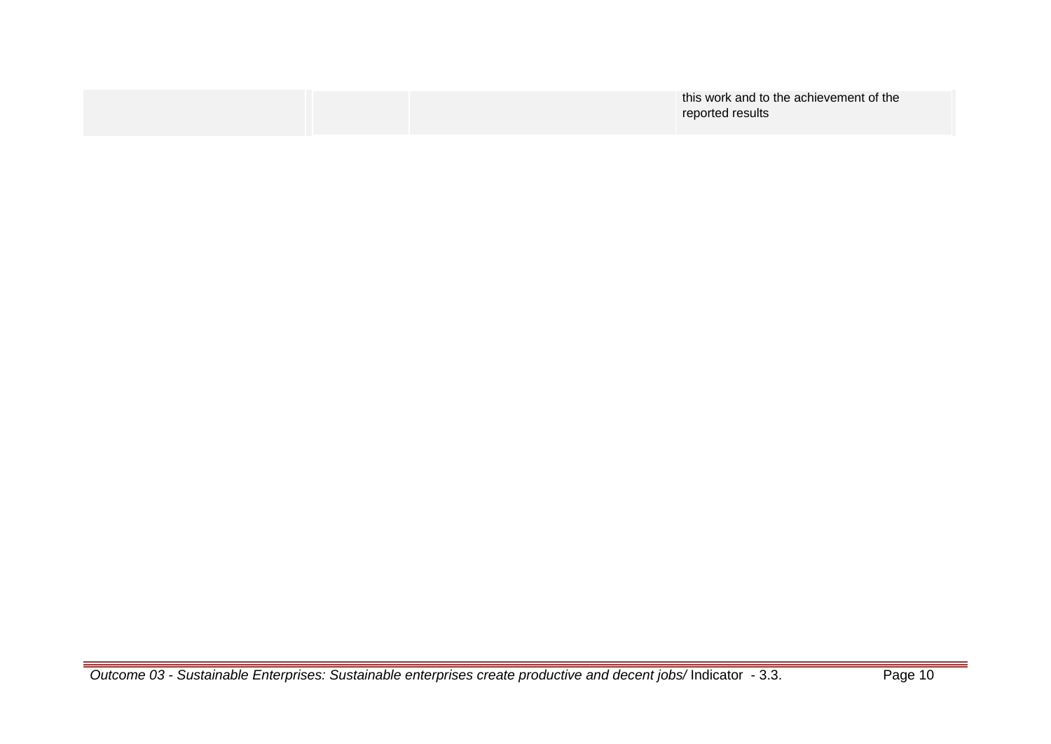|  | this work and to the achievement of the |
|--|-----------------------------------------|
|  | reported results                        |
|  |                                         |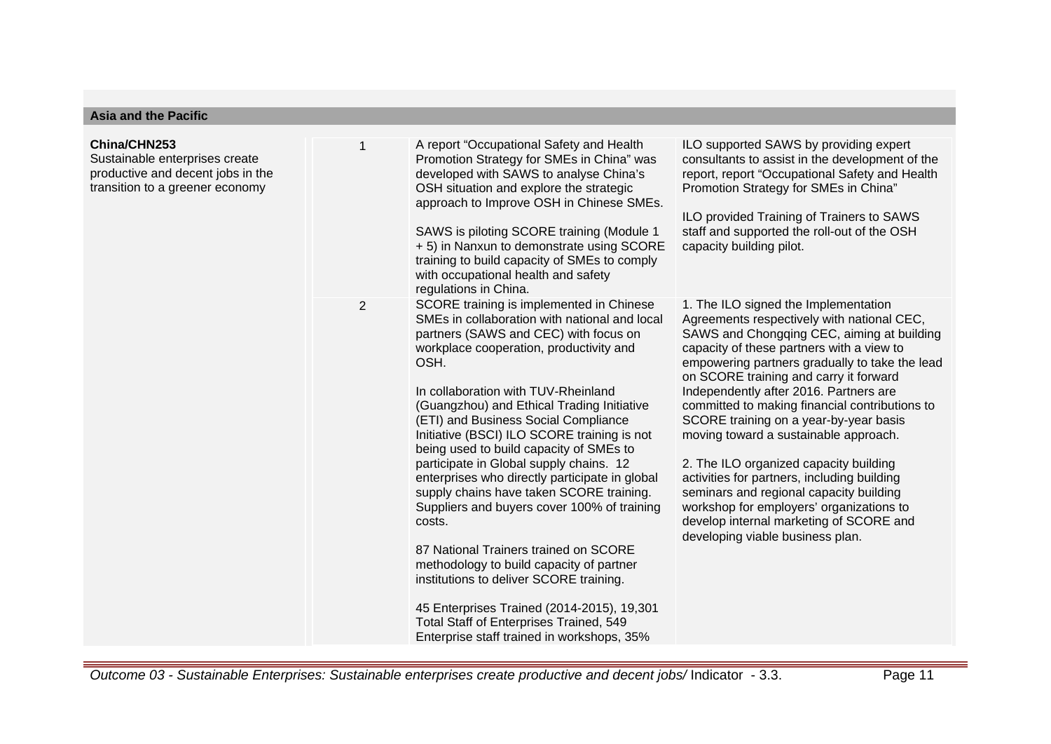| <b>Asia and the Pacific</b> |  |  |
|-----------------------------|--|--|
|                             |  |  |

| China/CHN253<br>Sustainable enterprises create<br>productive and decent jobs in the<br>transition to a greener economy | $\mathbf{1}$   | A report "Occupational Safety and Health<br>Promotion Strategy for SMEs in China" was<br>developed with SAWS to analyse China's<br>OSH situation and explore the strategic<br>approach to Improve OSH in Chinese SMEs.<br>SAWS is piloting SCORE training (Module 1<br>+5) in Nanxun to demonstrate using SCORE<br>training to build capacity of SMEs to comply<br>with occupational health and safety<br>regulations in China.                                                                                                                                                                                                                                                                                                                                                                                                                                                       | ILO supported SAWS by providing expert<br>consultants to assist in the development of the<br>report, report "Occupational Safety and Health<br>Promotion Strategy for SMEs in China"<br>ILO provided Training of Trainers to SAWS<br>staff and supported the roll-out of the OSH<br>capacity building pilot.                                                                                                                                                                                                                                                                                                                                                                                                            |
|------------------------------------------------------------------------------------------------------------------------|----------------|---------------------------------------------------------------------------------------------------------------------------------------------------------------------------------------------------------------------------------------------------------------------------------------------------------------------------------------------------------------------------------------------------------------------------------------------------------------------------------------------------------------------------------------------------------------------------------------------------------------------------------------------------------------------------------------------------------------------------------------------------------------------------------------------------------------------------------------------------------------------------------------|-------------------------------------------------------------------------------------------------------------------------------------------------------------------------------------------------------------------------------------------------------------------------------------------------------------------------------------------------------------------------------------------------------------------------------------------------------------------------------------------------------------------------------------------------------------------------------------------------------------------------------------------------------------------------------------------------------------------------|
|                                                                                                                        | $\overline{2}$ | SCORE training is implemented in Chinese<br>SMEs in collaboration with national and local<br>partners (SAWS and CEC) with focus on<br>workplace cooperation, productivity and<br>OSH.<br>In collaboration with TUV-Rheinland<br>(Guangzhou) and Ethical Trading Initiative<br>(ETI) and Business Social Compliance<br>Initiative (BSCI) ILO SCORE training is not<br>being used to build capacity of SMEs to<br>participate in Global supply chains. 12<br>enterprises who directly participate in global<br>supply chains have taken SCORE training.<br>Suppliers and buyers cover 100% of training<br>costs.<br>87 National Trainers trained on SCORE<br>methodology to build capacity of partner<br>institutions to deliver SCORE training.<br>45 Enterprises Trained (2014-2015), 19,301<br>Total Staff of Enterprises Trained, 549<br>Enterprise staff trained in workshops, 35% | 1. The ILO signed the Implementation<br>Agreements respectively with national CEC,<br>SAWS and Chongqing CEC, aiming at building<br>capacity of these partners with a view to<br>empowering partners gradually to take the lead<br>on SCORE training and carry it forward<br>Independently after 2016. Partners are<br>committed to making financial contributions to<br>SCORE training on a year-by-year basis<br>moving toward a sustainable approach.<br>2. The ILO organized capacity building<br>activities for partners, including building<br>seminars and regional capacity building<br>workshop for employers' organizations to<br>develop internal marketing of SCORE and<br>developing viable business plan. |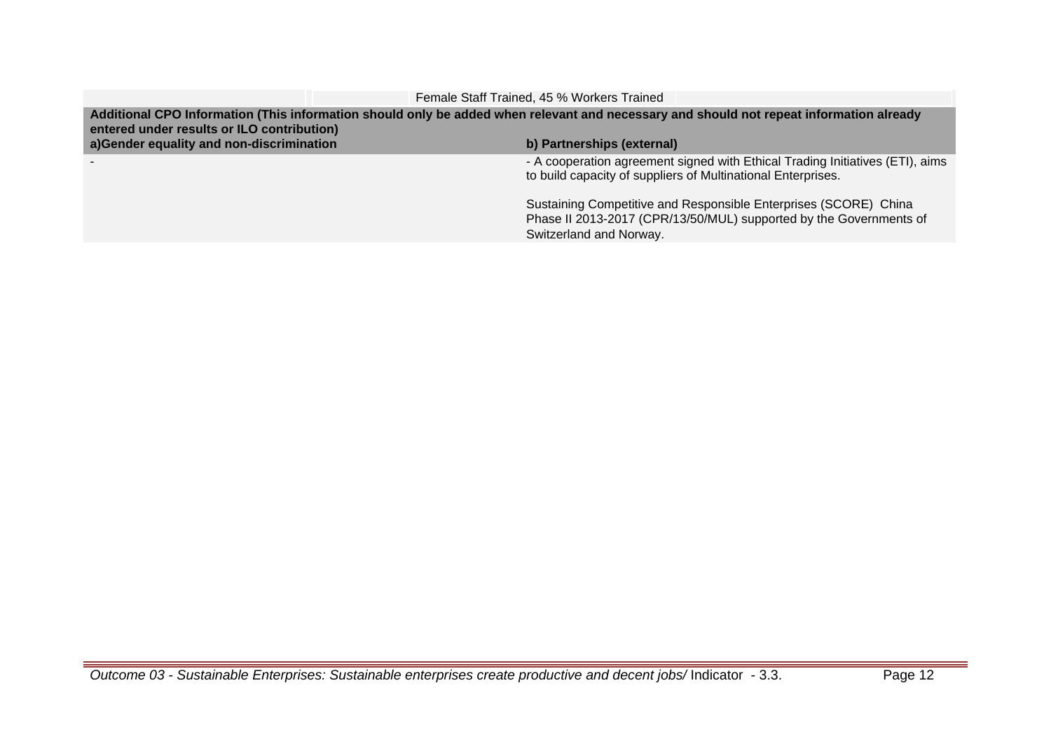|                                                                                                                                                                                                                                                                 | Female Staff Trained, 45 % Workers Trained                                                                                                                                                                                        |
|-----------------------------------------------------------------------------------------------------------------------------------------------------------------------------------------------------------------------------------------------------------------|-----------------------------------------------------------------------------------------------------------------------------------------------------------------------------------------------------------------------------------|
| Additional CPO Information (This information should only be added when relevant and necessary and should not repeat information already<br>entered under results or ILO contribution)<br>a)Gender equality and non-discrimination<br>b) Partnerships (external) |                                                                                                                                                                                                                                   |
|                                                                                                                                                                                                                                                                 | - A cooperation agreement signed with Ethical Trading Initiatives (ETI), aims                                                                                                                                                     |
|                                                                                                                                                                                                                                                                 | to build capacity of suppliers of Multinational Enterprises.<br>Sustaining Competitive and Responsible Enterprises (SCORE) China<br>Phase II 2013-2017 (CPR/13/50/MUL) supported by the Governments of<br>Switzerland and Norway. |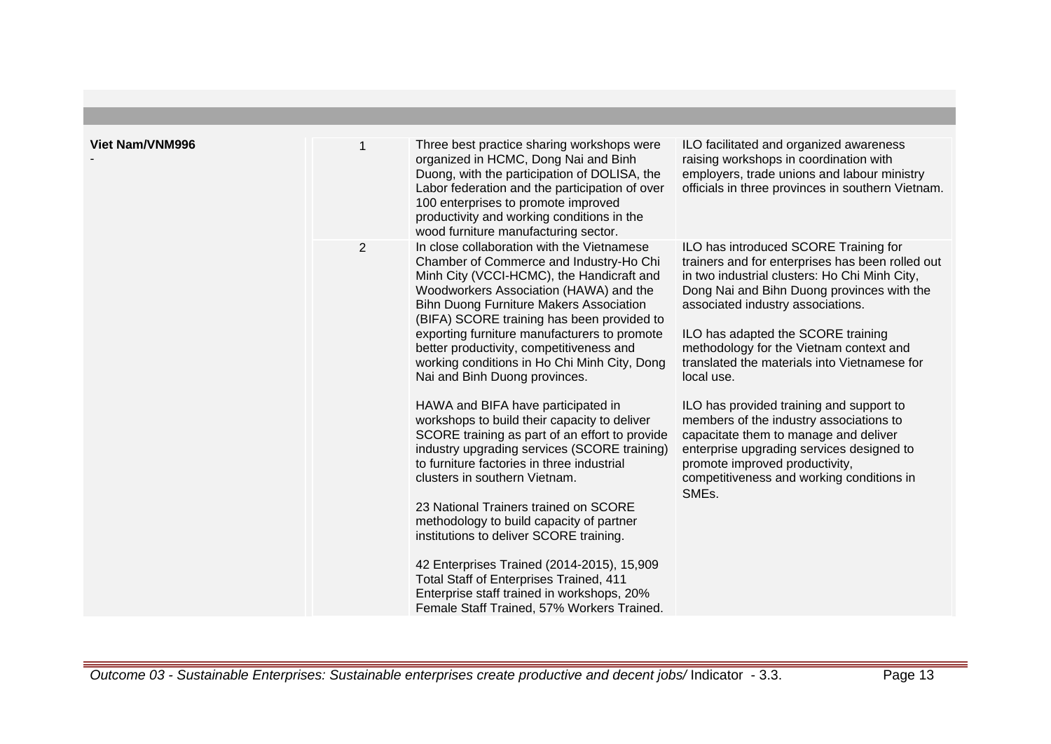| <b>Viet Nam/VNM996</b> | 1 | Three best practice sharing workshops were<br>organized in HCMC, Dong Nai and Binh<br>Duong, with the participation of DOLISA, the<br>Labor federation and the participation of over<br>100 enterprises to promote improved<br>productivity and working conditions in the<br>wood furniture manufacturing sector.                                                                                                                                                                                                                                                                                                                                                                                                                                                                                                                                                                                                                                                                                                                              | ILO facilitated and organized awareness<br>raising workshops in coordination with<br>employers, trade unions and labour ministry<br>officials in three provinces in southern Vietnam.                                                                                                                                                                                                                                                                                                                                                                                                                                                                         |
|------------------------|---|------------------------------------------------------------------------------------------------------------------------------------------------------------------------------------------------------------------------------------------------------------------------------------------------------------------------------------------------------------------------------------------------------------------------------------------------------------------------------------------------------------------------------------------------------------------------------------------------------------------------------------------------------------------------------------------------------------------------------------------------------------------------------------------------------------------------------------------------------------------------------------------------------------------------------------------------------------------------------------------------------------------------------------------------|---------------------------------------------------------------------------------------------------------------------------------------------------------------------------------------------------------------------------------------------------------------------------------------------------------------------------------------------------------------------------------------------------------------------------------------------------------------------------------------------------------------------------------------------------------------------------------------------------------------------------------------------------------------|
|                        | 2 | In close collaboration with the Vietnamese<br>Chamber of Commerce and Industry-Ho Chi<br>Minh City (VCCI-HCMC), the Handicraft and<br>Woodworkers Association (HAWA) and the<br>Bihn Duong Furniture Makers Association<br>(BIFA) SCORE training has been provided to<br>exporting furniture manufacturers to promote<br>better productivity, competitiveness and<br>working conditions in Ho Chi Minh City, Dong<br>Nai and Binh Duong provinces.<br>HAWA and BIFA have participated in<br>workshops to build their capacity to deliver<br>SCORE training as part of an effort to provide<br>industry upgrading services (SCORE training)<br>to furniture factories in three industrial<br>clusters in southern Vietnam.<br>23 National Trainers trained on SCORE<br>methodology to build capacity of partner<br>institutions to deliver SCORE training.<br>42 Enterprises Trained (2014-2015), 15,909<br>Total Staff of Enterprises Trained, 411<br>Enterprise staff trained in workshops, 20%<br>Female Staff Trained, 57% Workers Trained. | ILO has introduced SCORE Training for<br>trainers and for enterprises has been rolled out<br>in two industrial clusters: Ho Chi Minh City,<br>Dong Nai and Bihn Duong provinces with the<br>associated industry associations.<br>ILO has adapted the SCORE training<br>methodology for the Vietnam context and<br>translated the materials into Vietnamese for<br>local use.<br>ILO has provided training and support to<br>members of the industry associations to<br>capacitate them to manage and deliver<br>enterprise upgrading services designed to<br>promote improved productivity,<br>competitiveness and working conditions in<br>SME <sub>s.</sub> |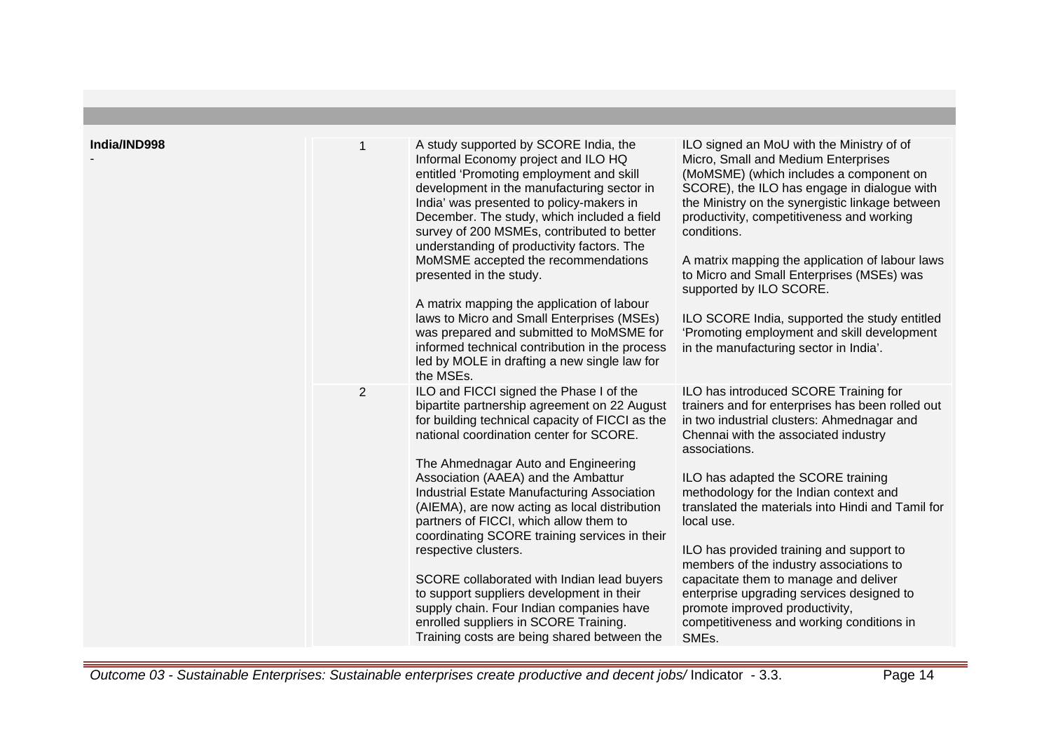| India/IND998 | 1 | A study supported by SCORE India, the<br>Informal Economy project and ILO HQ<br>entitled 'Promoting employment and skill<br>development in the manufacturing sector in<br>India' was presented to policy-makers in<br>December. The study, which included a field<br>survey of 200 MSMEs, contributed to better<br>understanding of productivity factors. The<br>MoMSME accepted the recommendations<br>presented in the study.<br>A matrix mapping the application of labour<br>laws to Micro and Small Enterprises (MSEs)<br>was prepared and submitted to MoMSME for<br>informed technical contribution in the process<br>led by MOLE in drafting a new single law for<br>the MSEs.                                | ILO signed an MoU with the Ministry of of<br>Micro, Small and Medium Enterprises<br>(MoMSME) (which includes a component on<br>SCORE), the ILO has engage in dialogue with<br>the Ministry on the synergistic linkage between<br>productivity, competitiveness and working<br>conditions.<br>A matrix mapping the application of labour laws<br>to Micro and Small Enterprises (MSEs) was<br>supported by ILO SCORE.<br>ILO SCORE India, supported the study entitled<br>'Promoting employment and skill development<br>in the manufacturing sector in India'.                                                                        |
|--------------|---|-----------------------------------------------------------------------------------------------------------------------------------------------------------------------------------------------------------------------------------------------------------------------------------------------------------------------------------------------------------------------------------------------------------------------------------------------------------------------------------------------------------------------------------------------------------------------------------------------------------------------------------------------------------------------------------------------------------------------|---------------------------------------------------------------------------------------------------------------------------------------------------------------------------------------------------------------------------------------------------------------------------------------------------------------------------------------------------------------------------------------------------------------------------------------------------------------------------------------------------------------------------------------------------------------------------------------------------------------------------------------|
|              | 2 | ILO and FICCI signed the Phase I of the<br>bipartite partnership agreement on 22 August<br>for building technical capacity of FICCI as the<br>national coordination center for SCORE.<br>The Ahmednagar Auto and Engineering<br>Association (AAEA) and the Ambattur<br>Industrial Estate Manufacturing Association<br>(AIEMA), are now acting as local distribution<br>partners of FICCI, which allow them to<br>coordinating SCORE training services in their<br>respective clusters.<br>SCORE collaborated with Indian lead buyers<br>to support suppliers development in their<br>supply chain. Four Indian companies have<br>enrolled suppliers in SCORE Training.<br>Training costs are being shared between the | ILO has introduced SCORE Training for<br>trainers and for enterprises has been rolled out<br>in two industrial clusters: Ahmednagar and<br>Chennai with the associated industry<br>associations.<br>ILO has adapted the SCORE training<br>methodology for the Indian context and<br>translated the materials into Hindi and Tamil for<br>local use.<br>ILO has provided training and support to<br>members of the industry associations to<br>capacitate them to manage and deliver<br>enterprise upgrading services designed to<br>promote improved productivity,<br>competitiveness and working conditions in<br>SME <sub>s</sub> . |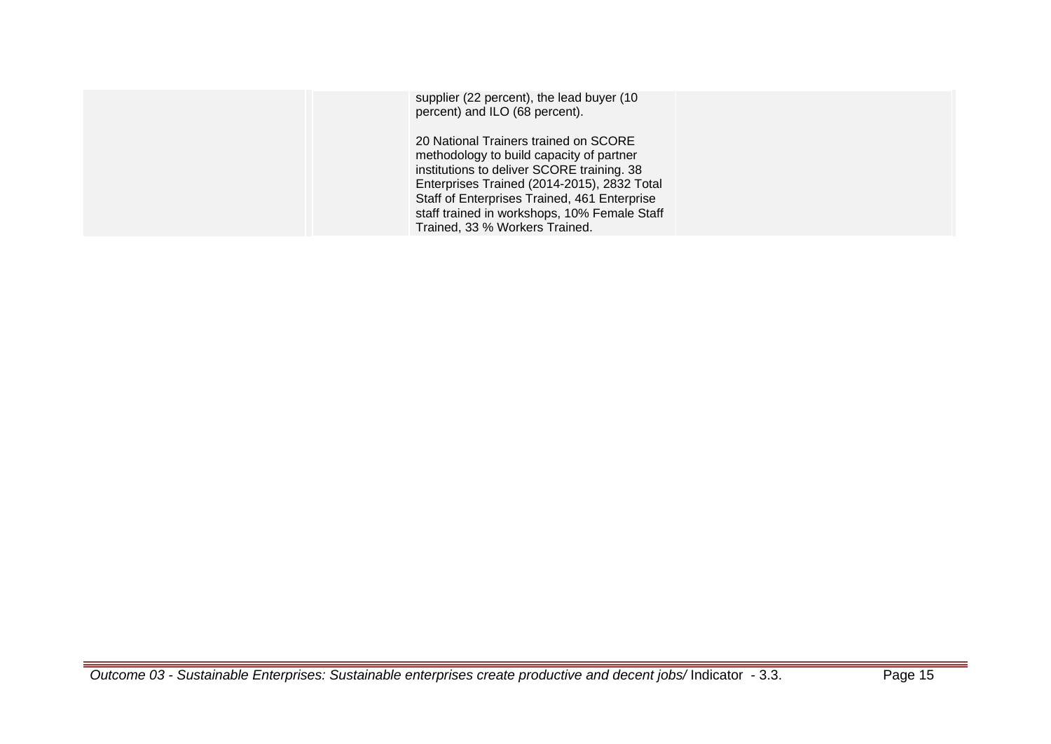| supplier (22 percent), the lead buyer (10<br>percent) and ILO (68 percent).                                                                                                                                                                                                                                      |  |
|------------------------------------------------------------------------------------------------------------------------------------------------------------------------------------------------------------------------------------------------------------------------------------------------------------------|--|
| 20 National Trainers trained on SCORE<br>methodology to build capacity of partner<br>institutions to deliver SCORE training. 38<br>Enterprises Trained (2014-2015), 2832 Total<br>Staff of Enterprises Trained, 461 Enterprise<br>staff trained in workshops, 10% Female Staff<br>Trained, 33 % Workers Trained. |  |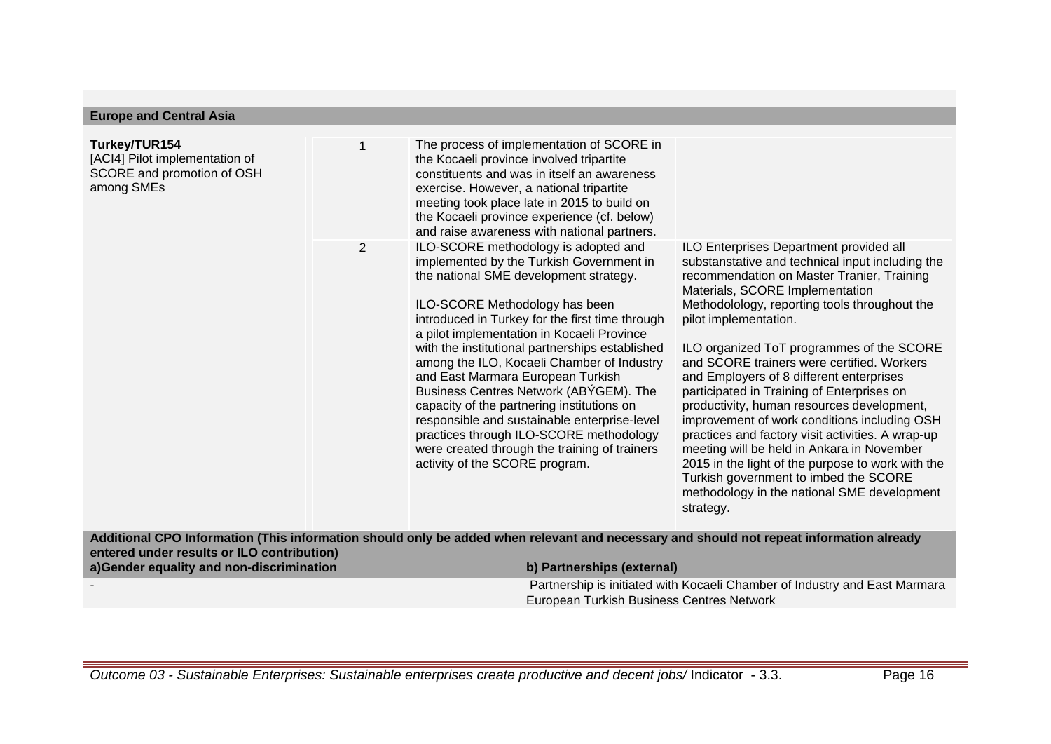#### **Europe and Central Asia Turkey/TUR154** [ACI4] Pilot implementation of SCORE and promotion of OSH among SMEs The process of implementation of SCORE in the Kocaeli province involved tripartite constituents and was in itself an awareness exercise. However, a national tripartite meeting took place late in 2015 to build on the Kocaeli province experience (cf. below) and raise awareness with national partners. 2 **ILO-SCORE** methodology is adopted and implemented by the Turkish Government in the national SME development strategy. ILO-SCORE Methodology has been introduced in Turkey for the first time through a pilot implementation in Kocaeli Province with the institutional partnerships established among the ILO, Kocaeli Chamber of Industry and East Marmara European Turkish Business Centres Network (ABÝGEM). The capacity of the partnering institutions on responsible and sustainable enterprise-level practices through ILO-SCORE methodology were created through the training of trainers activity of the SCORE program. ILO Enterprises Department provided all substanstative and technical input including the recommendation on Master Tranier, Training Materials, SCORE Implementation Methodolology, reporting tools throughout the pilot implementation. ILO organized ToT programmes of the SCORE and SCORE trainers were certified. Workers and Employers of 8 different enterprises participated in Training of Enterprises on productivity, human resources development, improvement of work conditions including OSH practices and factory visit activities. A wrap-up meeting will be held in Ankara in November 2015 in the light of the purpose to work with the Turkish government to imbed the SCORE methodology in the national SME development strategy.

**Additional CPO Information (This information should only be added when relevant and necessary and should not repeat information already entered under results or ILO contribution) a)Gender equality and non-discrimination b) Partnerships (external)**

- Partnership is initiated with Kocaeli Chamber of Industry and East Marmara European Turkish Business Centres Network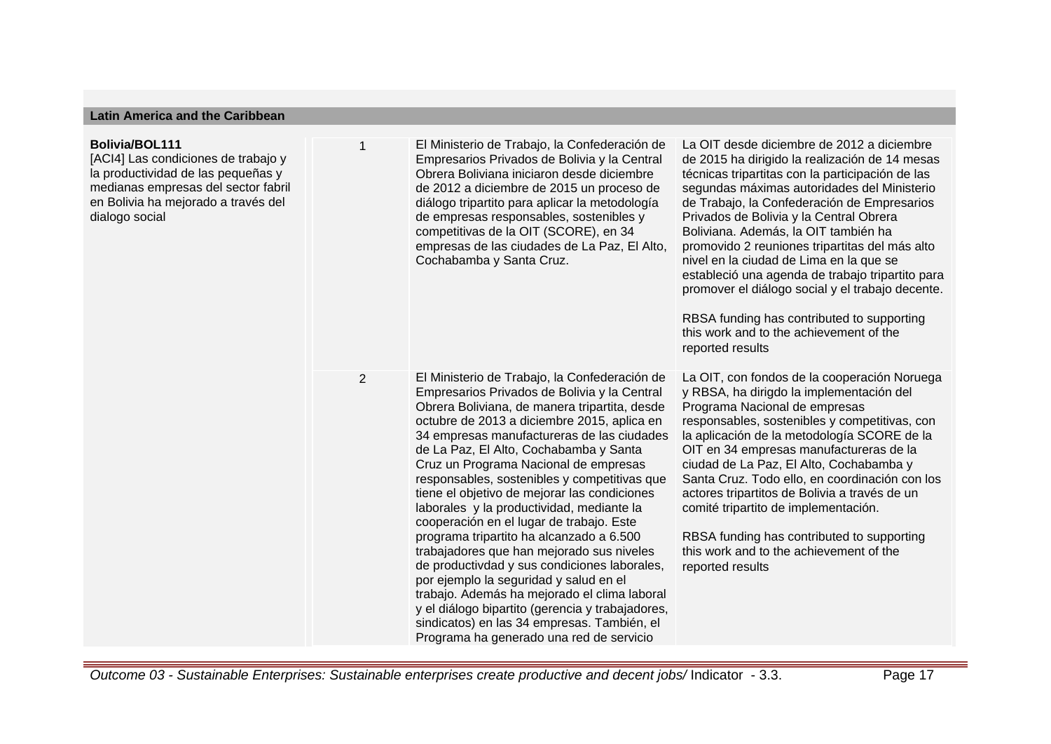#### **Latin America and the Caribbean Bolivia/BOL111** [ACI4] Las condiciones de trabajo y la productividad de las pequeñas y medianas empresas del sector fabril en Bolivia ha mejorado a través del dialogo social 1 El Ministerio de Trabajo, la Confederación de Empresarios Privados de Bolivia y la Central Obrera Boliviana iniciaron desde diciembre de 2012 a diciembre de 2015 un proceso de diálogo tripartito para aplicar la metodología de empresas responsables, sostenibles y competitivas de la OIT (SCORE), en 34 empresas de las ciudades de La Paz, El Alto, Cochabamba y Santa Cruz. La OIT desde diciembre de 2012 a diciembre de 2015 ha dirigido la realización de 14 mesas técnicas tripartitas con la participación de las segundas máximas autoridades del Ministerio de Trabajo, la Confederación de Empresarios Privados de Bolivia y la Central Obrera Boliviana. Además, la OIT también ha promovido 2 reuniones tripartitas del más alto nivel en la ciudad de Lima en la que se estableció una agenda de trabajo tripartito para promover el diálogo social y el trabajo decente. RBSA funding has contributed to supporting this work and to the achievement of the reported results 2 El Ministerio de Trabajo, la Confederación de Empresarios Privados de Bolivia y la Central Obrera Boliviana, de manera tripartita, desde octubre de 2013 a diciembre 2015, aplica en 34 empresas manufactureras de las ciudades de La Paz, El Alto, Cochabamba y Santa Cruz un Programa Nacional de empresas responsables, sostenibles y competitivas que tiene el objetivo de mejorar las condiciones laborales y la productividad, mediante la cooperación en el lugar de trabajo. Este programa tripartito ha alcanzado a 6.500 trabajadores que han mejorado sus niveles de productivdad y sus condiciones laborales, por ejemplo la seguridad y salud en el trabajo. Además ha mejorado el clima laboral y el diálogo bipartito (gerencia y trabajadores, sindicatos) en las 34 empresas. También, el Programa ha generado una red de servicio La OIT, con fondos de la cooperación Noruega y RBSA, ha dirigdo la implementación del Programa Nacional de empresas responsables, sostenibles y competitivas, con la aplicación de la metodología SCORE de la OIT en 34 empresas manufactureras de la ciudad de La Paz, El Alto, Cochabamba y Santa Cruz. Todo ello, en coordinación con los actores tripartitos de Bolivia a través de un comité tripartito de implementación. RBSA funding has contributed to supporting this work and to the achievement of the reported results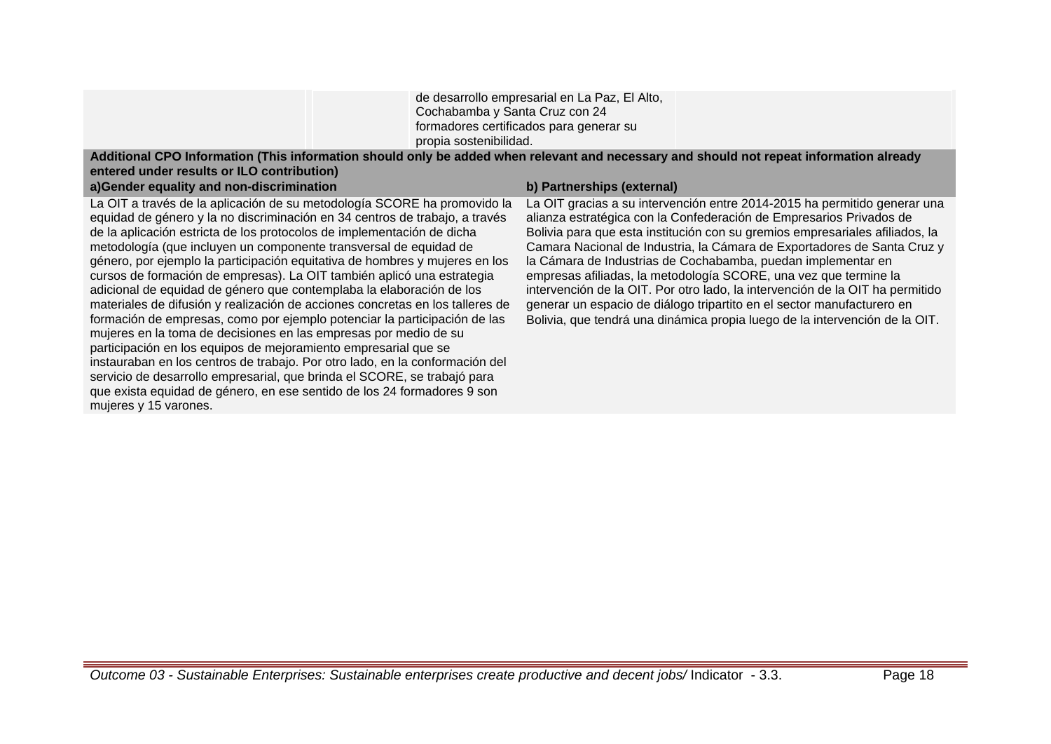de desarrollo empresarial en La Paz, El Alto, Cochabamba y Santa Cruz con 24 formadores certificados para generar su propia sostenibilidad.

**Additional CPO Information (This information should only be added when relevant and necessary and should not repeat information already entered under results or ILO contribution)**

**a)Gender equality and non-discrimination b) Partnerships (external)**

La OIT a través de la aplicación de su metodología SCORE ha promovido la equidad de género y la no discriminación en 34 centros de trabajo, a través de la aplicación estricta de los protocolos de implementación de dicha metodología (que incluyen un componente transversal de equidad de género, por ejemplo la participación equitativa de hombres y mujeres en los cursos de formación de empresas). La OIT también aplicó una estrategia adicional de equidad de género que contemplaba la elaboración de los materiales de difusión y realización de acciones concretas en los talleres de formación de empresas, como por ejemplo potenciar la participación de las mujeres en la toma de decisiones en las empresas por medio de su participación en los equipos de mejoramiento empresarial que se instauraban en los centros de trabajo. Por otro lado, en la conformación del servicio de desarrollo empresarial, que brinda el SCORE, se trabajó para que exista equidad de género, en ese sentido de los 24 formadores 9 son mujeres y 15 varones.

La OIT gracias a su intervención entre 2014-2015 ha permitido generar una alianza estratégica con la Confederación de Empresarios Privados de Bolivia para que esta institución con su gremios empresariales afiliados, la Camara Nacional de Industria, la Cámara de Exportadores de Santa Cruz y la Cámara de Industrias de Cochabamba, puedan implementar en empresas afiliadas, la metodología SCORE, una vez que termine la intervención de la OIT. Por otro lado, la intervención de la OIT ha permitido generar un espacio de diálogo tripartito en el sector manufacturero en Bolivia, que tendrá una dinámica propia luego de la intervención de la OIT.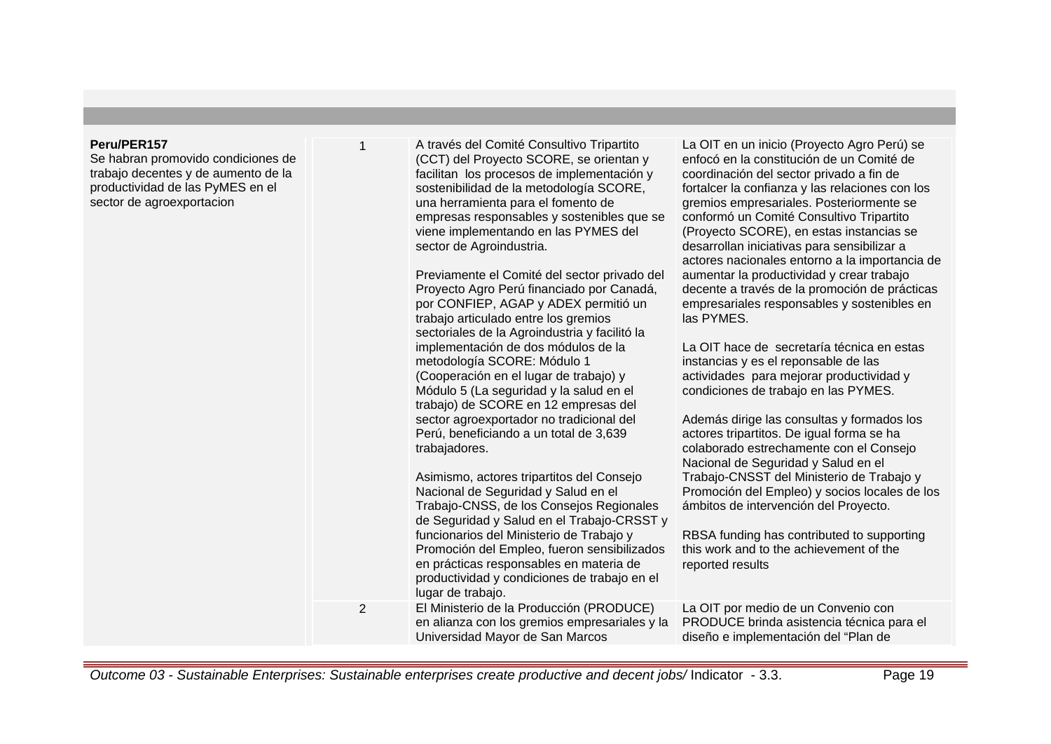### **Peru/PER157**

Se habran promovido condiciones de trabajo decentes y de aumento de la productividad de las PyMES en el sector de agroexportacion

1 A través del Comité Consultivo Tripartito (CCT) del Proyecto SCORE, se orientan y facilitan los procesos de implementación y sostenibilidad de la metodología SCORE, una herramienta para el fomento de empresas responsables y sostenibles que se viene implementando en las PYMES del sector de Agroindustria.

> Previamente el Comité del sector privado del Proyecto Agro Perú financiado por Canadá, por CONFIEP, AGAP y ADEX permitió un trabajo articulado entre los gremios sectoriales de la Agroindustria y facilitó la implementación de dos módulos de la metodología SCORE: Módulo 1 (Cooperación en el lugar de trabajo) y Módulo 5 (La seguridad y la salud en el trabajo) de SCORE en 12 empresas del sector agroexportador no tradicional del Perú, beneficiando a un total de 3,639 trabajadores.

Asimismo, actores tripartitos del Consejo Nacional de Seguridad y Salud en el Trabajo-CNSS, de los Consejos Regionales de Seguridad y Salud en el Trabajo-CRSST y funcionarios del Ministerio de Trabajo y Promoción del Empleo, fueron sensibilizados en prácticas responsables en materia de productividad y condiciones de trabajo en el lugar de trabajo. 2 El Ministerio de la Producción (PRODUCE)

en alianza con los gremios empresariales y la Universidad Mayor de San Marcos

La OIT en un inicio (Proyecto Agro Perú) se enfocó en la constitución de un Comité de coordinación del sector privado a fin de fortalcer la confianza y las relaciones con los gremios empresariales. Posteriormente se conformó un Comité Consultivo Tripartito (Proyecto SCORE), en estas instancias se desarrollan iniciativas para sensibilizar a actores nacionales entorno a la importancia de aumentar la productividad y crear trabajo decente a través de la promoción de prácticas empresariales responsables y sostenibles en las PYMES.

La OIT hace de secretaría técnica en estas instancias y es el reponsable de las actividades para mejorar productividad y condiciones de trabajo en las PYMES.

Además dirige las consultas y formados los actores tripartitos. De igual forma se ha colaborado estrechamente con el Consejo Nacional de Seguridad y Salud en el Trabajo-CNSST del Ministerio de Trabajo y Promoción del Empleo) y socios locales de los ámbitos de intervención del Proyecto.

RBSA funding has contributed to supporting this work and to the achievement of the reported results

La OIT por medio de un Convenio con PRODUCE brinda asistencia técnica para el diseño e implementación del "Plan de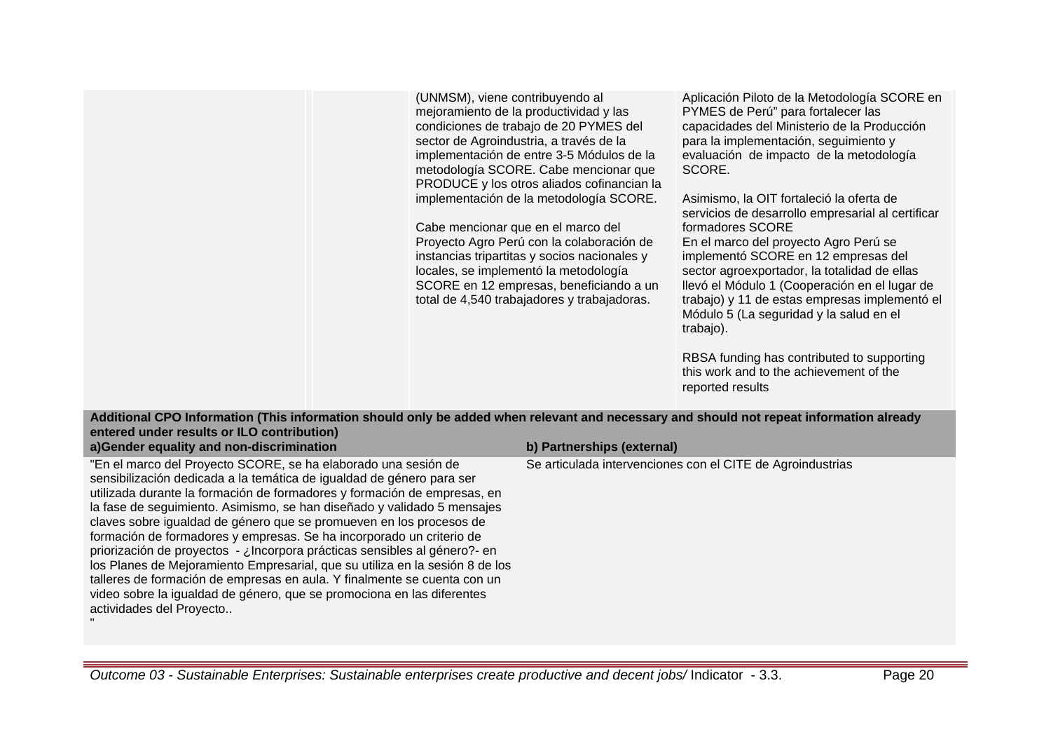(UNMSM), viene contribuyendo al mejoramiento de la productividad y las condiciones de trabajo de 20 PYMES del sector de Agroindustria, a través de la implementación de entre 3-5 Módulos de la metodología SCORE. Cabe mencionar que PRODUCE y los otros aliados cofinancian la implementación de la metodología SCORE.

Cabe mencionar que en el marco del Proyecto Agro Perú con la colaboración de instancias tripartitas y socios nacionales y locales, se implementó la metodología SCORE en 12 empresas, beneficiando a un total de 4,540 trabajadores y trabajadoras.

Aplicación Piloto de la Metodología SCORE en PYMES de Perú" para fortalecer las capacidades del Ministerio de la Producción para la implementación, seguimiento y evaluación de impacto de la metodología SCORE.

Asimismo, la OIT fortaleció la oferta de servicios de desarrollo empresarial al certificar formadores SCORE En el marco del proyecto Agro Perú se implementó SCORE en 12 empresas del sector agroexportador, la totalidad de ellas llevó el Módulo 1 (Cooperación en el lugar de trabajo) y 11 de estas empresas implementó el Módulo 5 (La seguridad y la salud en el trabaio).

RBSA funding has contributed to supporting this work and to the achievement of the reported results

**Additional CPO Information (This information should only be added when relevant and necessary and should not repeat information already entered under results or ILO contribution)**

# **a)Gender equality and non-discrimination b) Partnerships (external)**

" 

"En el marco del Proyecto SCORE, se ha elaborado una sesión de sensibilización dedicada a la temática de igualdad de género para ser utilizada durante la formación de formadores y formación de empresas, en la fase de seguimiento. Asimismo, se han diseñado y validado 5 mensajes claves sobre igualdad de género que se promueven en los procesos de formación de formadores y empresas. Se ha incorporado un criterio de priorización de proyectos - ¿Incorpora prácticas sensibles al género?- en los Planes de Mejoramiento Empresarial, que su utiliza en la sesión 8 de los talleres de formación de empresas en aula. Y finalmente se cuenta con un video sobre la igualdad de género, que se promociona en las diferentes actividades del Proyecto..

Se articulada intervenciones con el CITE de Agroindustrias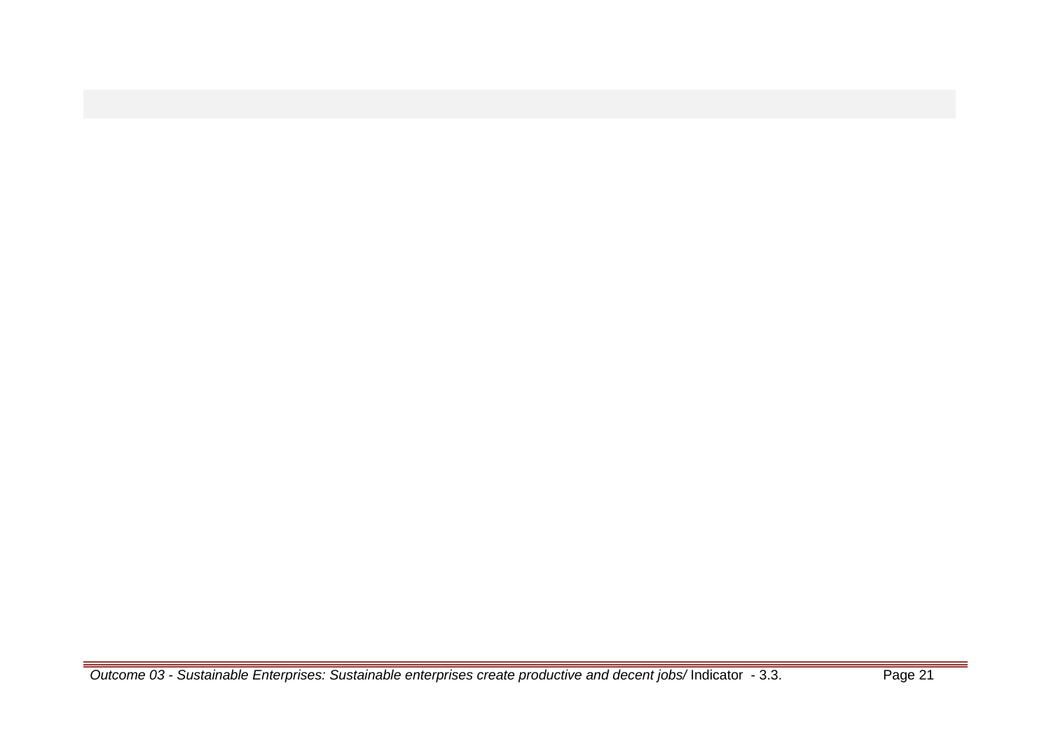Outcome 03 - Sustainable Enterprises: Sustainable enterprises create productive and decent jobs/ Indicator - 3.3. Page 21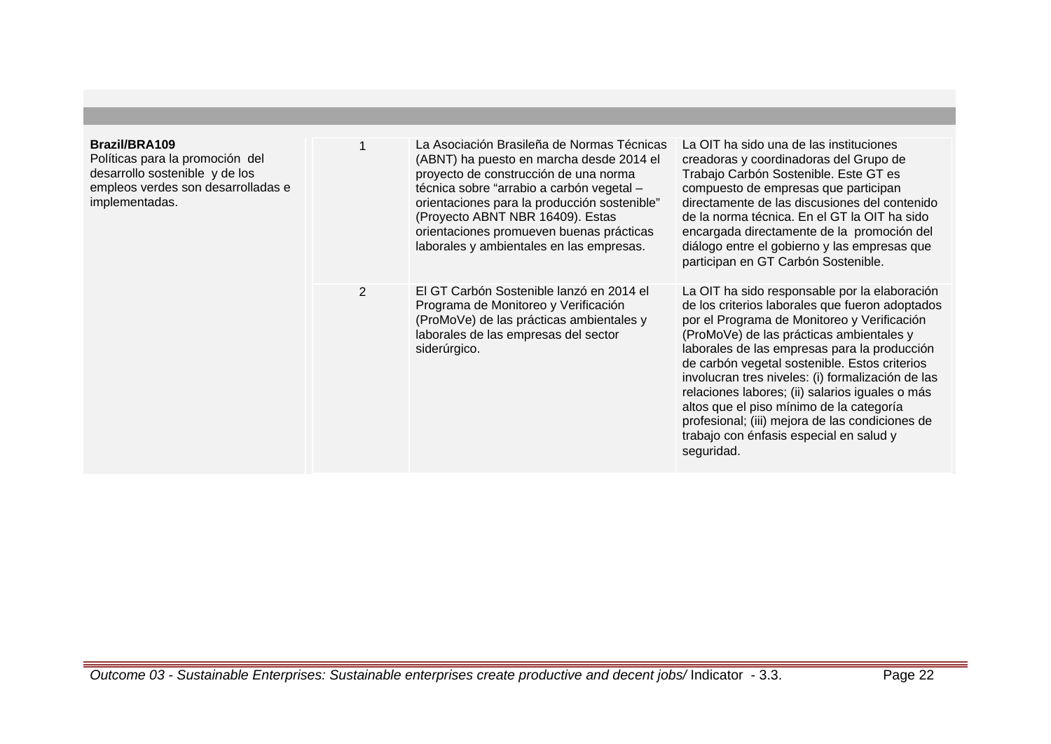| Brazil/BRA109<br>Políticas para la promoción del<br>desarrollo sostenible y de los<br>empleos verdes son desarrolladas e<br>implementadas. |                | La Asociación Brasileña de Normas Técnicas<br>(ABNT) ha puesto en marcha desde 2014 el<br>proyecto de construcción de una norma<br>técnica sobre "arrabio a carbón vegetal -<br>orientaciones para la producción sostenible"<br>(Proyecto ABNT NBR 16409). Estas<br>orientaciones promueven buenas prácticas<br>laborales y ambientales en las empresas. | La OIT ha sido una de las instituciones<br>creadoras y coordinadoras del Grupo de<br>Trabajo Carbón Sostenible. Este GT es<br>compuesto de empresas que participan<br>directamente de las discusiones del contenido<br>de la norma técnica. En el GT la OIT ha sido<br>encargada directamente de la promoción del<br>diálogo entre el gobierno y las empresas que<br>participan en GT Carbón Sostenible.                                                                                                                                                     |
|--------------------------------------------------------------------------------------------------------------------------------------------|----------------|----------------------------------------------------------------------------------------------------------------------------------------------------------------------------------------------------------------------------------------------------------------------------------------------------------------------------------------------------------|--------------------------------------------------------------------------------------------------------------------------------------------------------------------------------------------------------------------------------------------------------------------------------------------------------------------------------------------------------------------------------------------------------------------------------------------------------------------------------------------------------------------------------------------------------------|
|                                                                                                                                            | $\overline{2}$ | El GT Carbón Sostenible lanzó en 2014 el<br>Programa de Monitoreo y Verificación<br>(ProMoVe) de las prácticas ambientales y<br>laborales de las empresas del sector<br>siderúrgico.                                                                                                                                                                     | La OIT ha sido responsable por la elaboración<br>de los criterios laborales que fueron adoptados<br>por el Programa de Monitoreo y Verificación<br>(ProMoVe) de las prácticas ambientales y<br>laborales de las empresas para la producción<br>de carbón vegetal sostenible. Estos criterios<br>involucran tres niveles: (i) formalización de las<br>relaciones labores; (ii) salarios iguales o más<br>altos que el piso mínimo de la categoría<br>profesional; (iii) mejora de las condiciones de<br>trabajo con énfasis especial en salud y<br>seguridad. |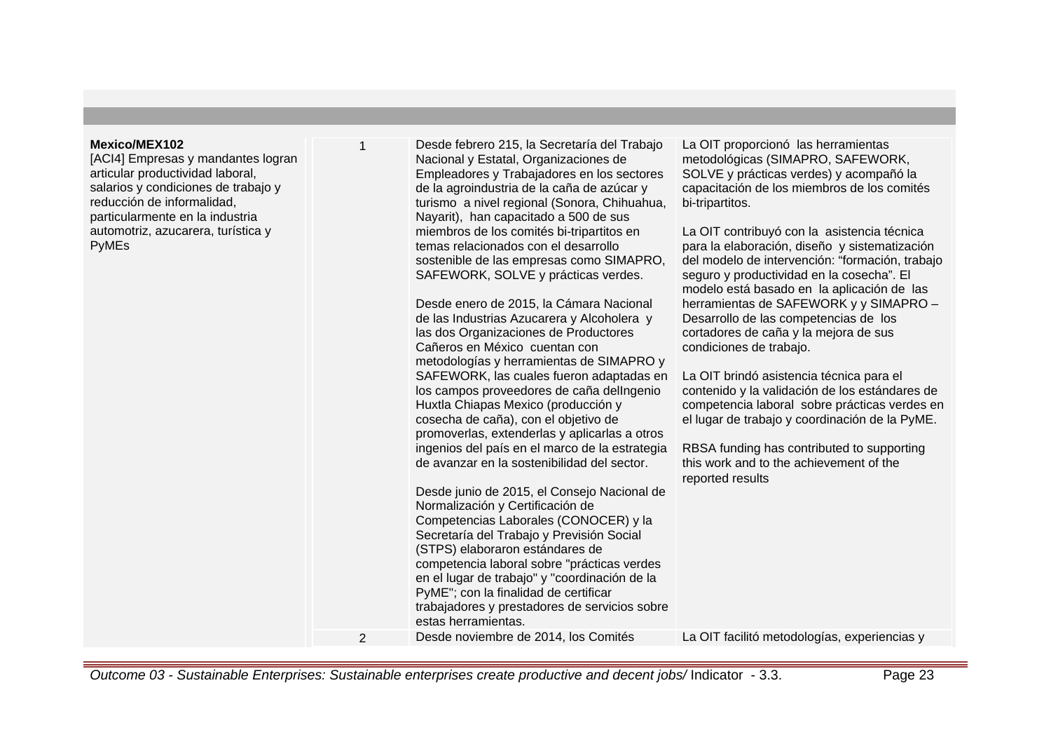### **Mexico/MEX102**

[ACI4] Empresas y mandantes logran articular productividad laboral, salarios y condiciones de trabajo y reducción de informalidad, particularmente en la industria automotriz, azucarera, turística y PyMEs

1 Desde febrero 215, la Secretaría del Trabajo Nacional y Estatal, Organizaciones de Empleadores y Trabajadores en los sectores de la agroindustria de la caña de azúcar y turismo a nivel regional (Sonora, Chihuahua, Nayarit), han capacitado a 500 de sus miembros de los comités bi-tripartitos en temas relacionados con el desarrollo sostenible de las empresas como SIMAPRO, SAFEWORK, SOLVE y prácticas verdes. Desde enero de 2015, la Cámara Nacional de las Industrias Azucarera y Alcoholera y las dos Organizaciones de Productores Cañeros en México cuentan con metodologías y herramientas de SIMAPRO y SAFEWORK, las cuales fueron adaptadas en los campos proveedores de caña delIngenio Huxtla Chiapas Mexico (producción y cosecha de caña), con el objetivo de promoverlas, extenderlas y aplicarlas a otros ingenios del país en el marco de la estrategia de avanzar en la sostenibilidad del sector. Desde junio de 2015, el Consejo Nacional de Normalización y Certificación de Competencias Laborales (CONOCER) y la Secretaría del Trabajo y Previsión Social (STPS) elaboraron estándares de competencia laboral sobre "prácticas verdes en el lugar de trabajo" y "coordinación de la PyME"; con la finalidad de certificar trabajadores y prestadores de servicios sobre estas herramientas. La OIT proporcionó las herramientas metodológicas (SIMAPRO, SAFEWORK, SOLVE y prácticas verdes) y acompañó la capacitación de los miembros de los comités bi-tripartitos. La OIT contribuyó con la asistencia técnica para la elaboración, diseño y sistematización del modelo de intervención: "formación, trabajo seguro y productividad en la cosecha". El modelo está basado en la aplicación de las herramientas de SAFEWORK y y SIMAPRO – Desarrollo de las competencias de los cortadores de caña y la mejora de sus condiciones de trabajo. La OIT brindó asistencia técnica para el contenido y la validación de los estándares de competencia laboral sobre prácticas verdes en el lugar de trabajo y coordinación de la PyME. RBSA funding has contributed to supporting this work and to the achievement of the reported results

2 Desde noviembre de 2014, los Comités La OIT facilitó metodologías, experiencias y

Outcome 03 - Sustainable Enterprises: Sustainable enterprises create productive and decent jobs/ Indicator - 3.3. Page 23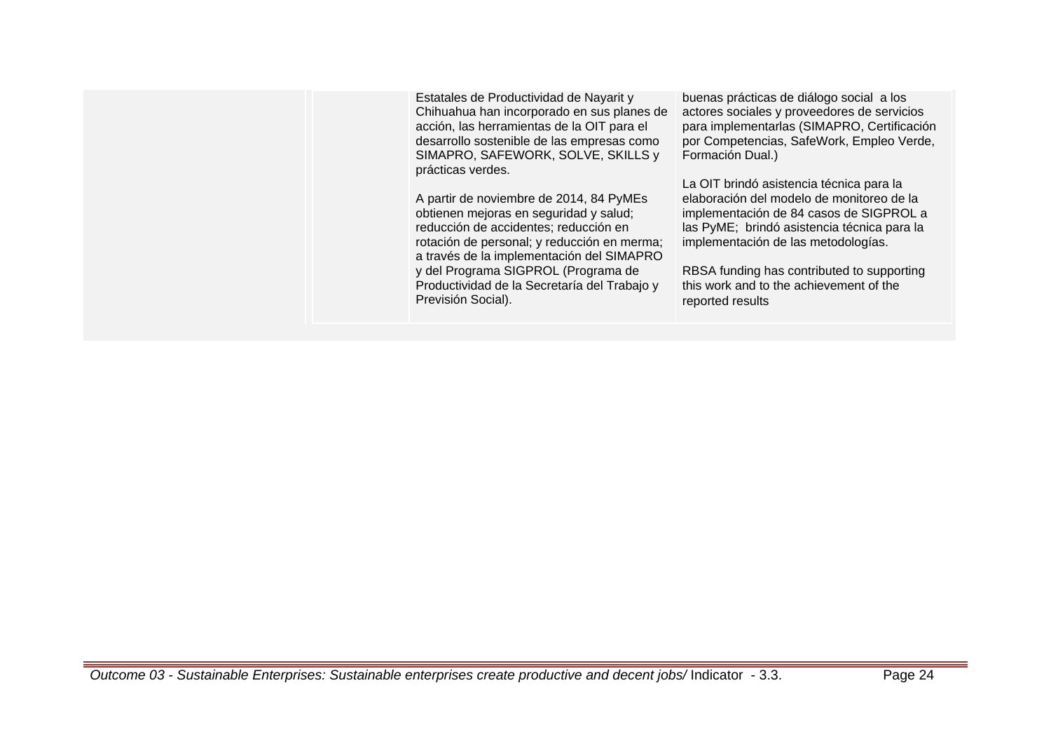Estatales de Productividad de Nayarit y Chihuahua han incorporado en sus planes de acción, las herramientas de la OIT para el desarrollo sostenible de las empresas como SIMAPRO, SAFEWORK, SOLVE, SKILLS y prácticas verdes.

A partir de noviembre de 2014, 84 PyMEs obtienen mejoras en seguridad y salud; reducción de accidentes; reducción en rotación de personal; y reducción en merma; a través de la implementación del SIMAPRO y del Programa SIGPROL (Programa de Productividad de la Secretaría del Trabajo y Previsión Social).

buenas prácticas de diálogo social a los actores sociales y proveedores de servicios para implementarlas (SIMAPRO, Certificación por Competencias, SafeWork, Empleo Verde, Formación Dual.)

La OIT brindó asistencia técnica para la elaboración del modelo de monitoreo de la implementación de 84 casos de SIGPROL a las PyME; brindó asistencia técnica para la implementación de las metodologías.

RBSA funding has contributed to supporting this work and to the achievement of the reported results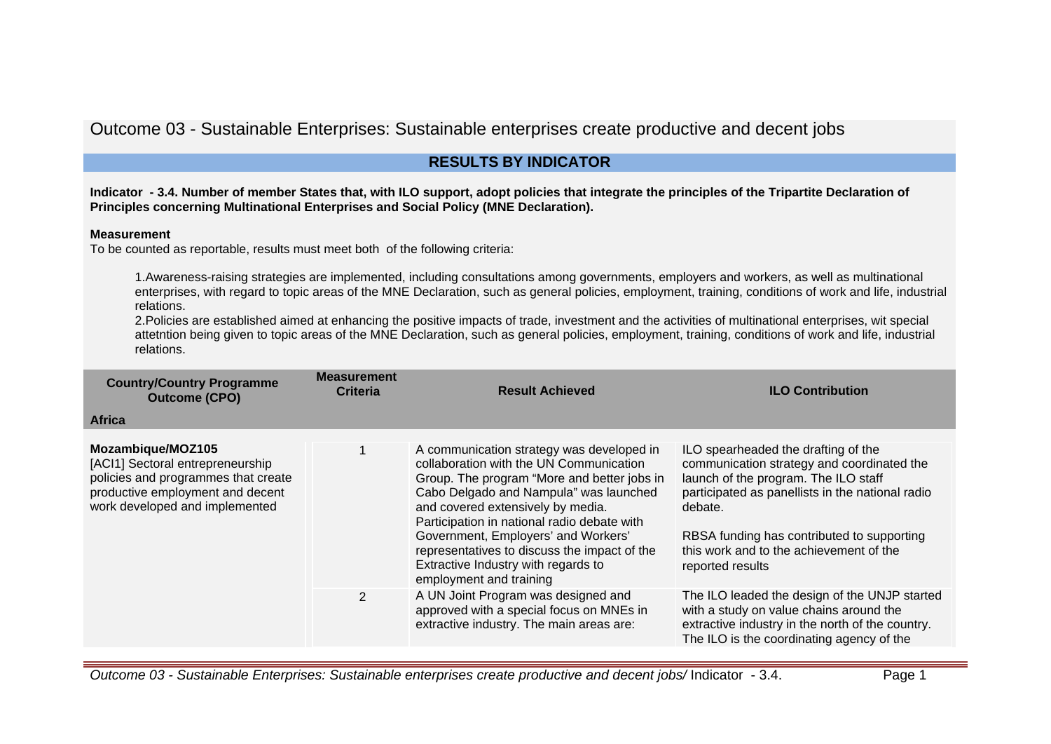## Outcome 03 - Sustainable Enterprises: Sustainable enterprises create productive and decent jobs

## **RESULTS BY INDICATOR**

**Indicator - 3.4. Number of member States that, with ILO support, adopt policies that integrate the principles of the Tripartite Declaration of Principles concerning Multinational Enterprises and Social Policy (MNE Declaration).**

### **Measurement**

To be counted as reportable, results must meet both of the following criteria:

1.Awareness-raising strategies are implemented, including consultations among governments, employers and workers, as well as multinational enterprises, with regard to topic areas of the MNE Declaration, such as general policies, employment, training, conditions of work and life, industrial relations.

2.Policies are established aimed at enhancing the positive impacts of trade, investment and the activities of multinational enterprises, wit special attetntion being given to topic areas of the MNE Declaration, such as general policies, employment, training, conditions of work and life, industrial relations.

| <b>Country/Country Programme</b><br><b>Outcome (CPO)</b>                                                                                                           | <b>Measurement</b><br><b>Criteria</b> | <b>Result Achieved</b><br><b>ILO Contribution</b>                                                                                                                                                                                                                                                                                                                                                                          |                                                                                                                                                                                                                                                                                                       |
|--------------------------------------------------------------------------------------------------------------------------------------------------------------------|---------------------------------------|----------------------------------------------------------------------------------------------------------------------------------------------------------------------------------------------------------------------------------------------------------------------------------------------------------------------------------------------------------------------------------------------------------------------------|-------------------------------------------------------------------------------------------------------------------------------------------------------------------------------------------------------------------------------------------------------------------------------------------------------|
| <b>Africa</b>                                                                                                                                                      |                                       |                                                                                                                                                                                                                                                                                                                                                                                                                            |                                                                                                                                                                                                                                                                                                       |
| Mozambique/MOZ105<br>[ACI1] Sectoral entrepreneurship<br>policies and programmes that create<br>productive employment and decent<br>work developed and implemented |                                       | A communication strategy was developed in<br>collaboration with the UN Communication<br>Group. The program "More and better jobs in<br>Cabo Delgado and Nampula" was launched<br>and covered extensively by media.<br>Participation in national radio debate with<br>Government, Employers' and Workers'<br>representatives to discuss the impact of the<br>Extractive Industry with regards to<br>employment and training | ILO spearheaded the drafting of the<br>communication strategy and coordinated the<br>launch of the program. The ILO staff<br>participated as panellists in the national radio<br>debate.<br>RBSA funding has contributed to supporting<br>this work and to the achievement of the<br>reported results |
|                                                                                                                                                                    | $\overline{2}$                        | A UN Joint Program was designed and<br>approved with a special focus on MNEs in<br>extractive industry. The main areas are:                                                                                                                                                                                                                                                                                                | The ILO leaded the design of the UNJP started<br>with a study on value chains around the<br>extractive industry in the north of the country.<br>The ILO is the coordinating agency of the                                                                                                             |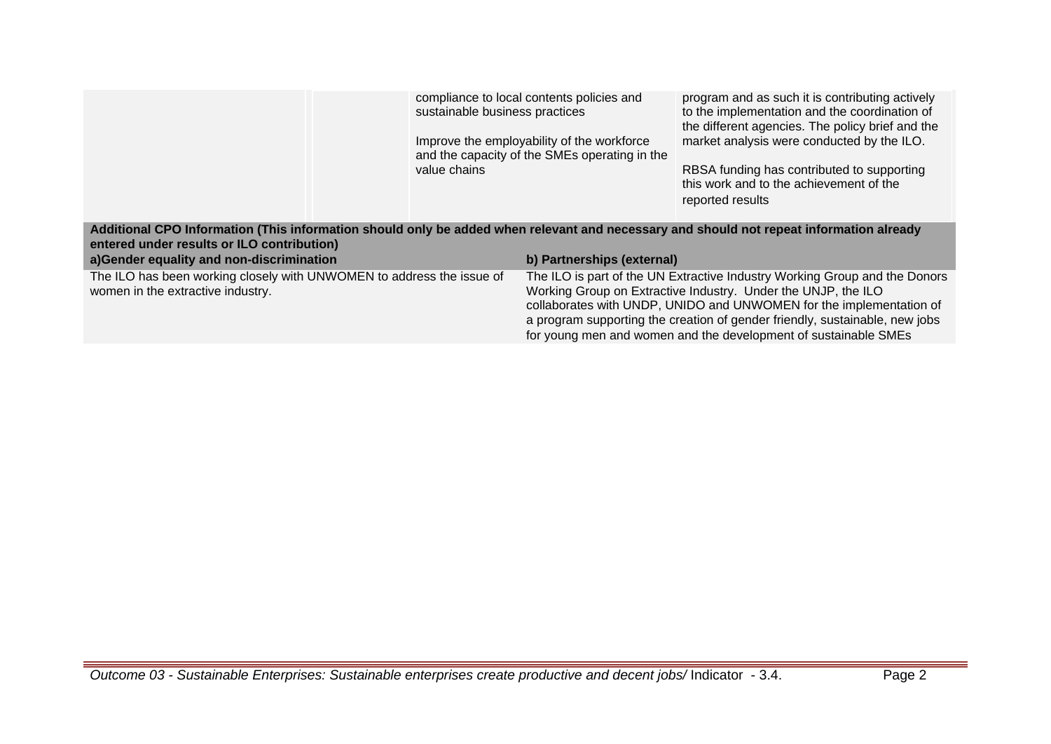|                                                                                                                                                                                                                                   | sustainable business practices<br>value chains | compliance to local contents policies and<br>Improve the employability of the workforce<br>and the capacity of the SMEs operating in the | program and as such it is contributing actively<br>to the implementation and the coordination of<br>the different agencies. The policy brief and the<br>market analysis were conducted by the ILO.<br>RBSA funding has contributed to supporting<br>this work and to the achievement of the<br>reported results                                                      |
|-----------------------------------------------------------------------------------------------------------------------------------------------------------------------------------------------------------------------------------|------------------------------------------------|------------------------------------------------------------------------------------------------------------------------------------------|----------------------------------------------------------------------------------------------------------------------------------------------------------------------------------------------------------------------------------------------------------------------------------------------------------------------------------------------------------------------|
| Additional CPO Information (This information should only be added when relevant and necessary and should not repeat information already<br>entered under results or ILO contribution)<br>a)Gender equality and non-discrimination |                                                | b) Partnerships (external)                                                                                                               |                                                                                                                                                                                                                                                                                                                                                                      |
| The ILO has been working closely with UNWOMEN to address the issue of<br>women in the extractive industry.                                                                                                                        |                                                |                                                                                                                                          | The ILO is part of the UN Extractive Industry Working Group and the Donors<br>Working Group on Extractive Industry. Under the UNJP, the ILO<br>collaborates with UNDP, UNIDO and UNWOMEN for the implementation of<br>a program supporting the creation of gender friendly, sustainable, new jobs<br>for young men and women and the development of sustainable SMEs |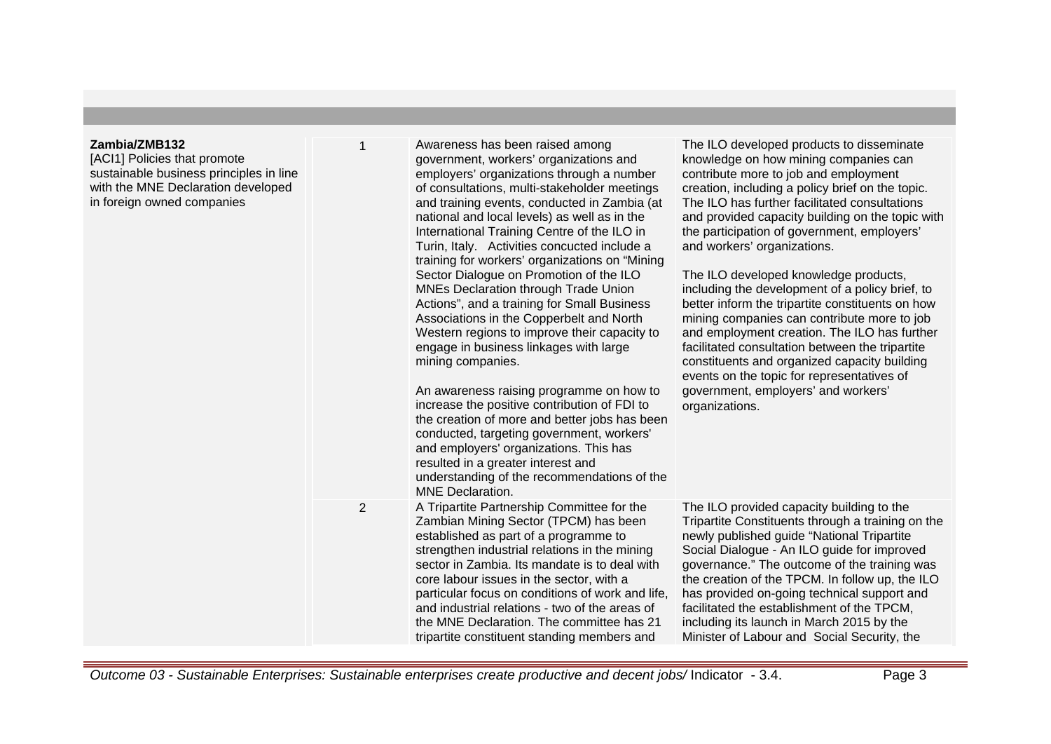### **Zambia/ZMB132**

[ACI1] Policies that promote sustainable business principles in line with the MNE Declaration developed in foreign owned companies

| 1              | Awareness has been raised among<br>government, workers' organizations and<br>employers' organizations through a number<br>of consultations, multi-stakeholder meetings<br>and training events, conducted in Zambia (at<br>national and local levels) as well as in the<br>International Training Centre of the ILO in<br>Turin, Italy. Activities concucted include a<br>training for workers' organizations on "Mining<br>Sector Dialogue on Promotion of the ILO<br><b>MNEs Declaration through Trade Union</b><br>Actions", and a training for Small Business<br>Associations in the Copperbelt and North<br>Western regions to improve their capacity to<br>engage in business linkages with large<br>mining companies.<br>An awareness raising programme on how to<br>increase the positive contribution of FDI to<br>the creation of more and better jobs has been<br>conducted, targeting government, workers'<br>and employers' organizations. This has<br>resulted in a greater interest and<br>understanding of the recommendations of the<br><b>MNE</b> Declaration. | The ILO devek<br>knowledge on<br>contribute mor<br>creation, includ<br>The ILO has fu<br>and provided c<br>the participatio<br>and workers' o<br>The ILO devek<br>including the d<br>better inform th<br>mining compar<br>and employme<br>facilitated cons<br>constituents ar<br>events on the t<br>government, et<br>organizations. |
|----------------|---------------------------------------------------------------------------------------------------------------------------------------------------------------------------------------------------------------------------------------------------------------------------------------------------------------------------------------------------------------------------------------------------------------------------------------------------------------------------------------------------------------------------------------------------------------------------------------------------------------------------------------------------------------------------------------------------------------------------------------------------------------------------------------------------------------------------------------------------------------------------------------------------------------------------------------------------------------------------------------------------------------------------------------------------------------------------------|--------------------------------------------------------------------------------------------------------------------------------------------------------------------------------------------------------------------------------------------------------------------------------------------------------------------------------------|
| $\overline{2}$ | A Tripartite Partnership Committee for the<br>Zambian Mining Sector (TPCM) has been<br>established as part of a programme to<br>strengthen industrial relations in the mining<br>sector in Zambia. Its mandate is to deal with<br>core labour issues in the sector, with a<br>particular focus on conditions of work and life,<br>and industrial relations - two of the areas of                                                                                                                                                                                                                                                                                                                                                                                                                                                                                                                                                                                                                                                                                                | The ILO provid<br><b>Tripartite Cons</b><br>newly publishe<br>Social Dialogu<br>governance." T<br>the creation of<br>has provided o<br>facilitated the e                                                                                                                                                                             |

the MNE Declaration. The committee has 21 tripartite constituent standing members and

oped products to disseminate how mining companies can e to job and employment ding a policy brief on the topic. **urther facilitated consultations** capacity building on the topic with on of government, employers' rganizations.

oped knowledge products, levelopment of a policy brief, to he tripartite constituents on how nies can contribute more to job Int creation. The ILO has further sultation between the tripartite nd organized capacity building topic for representatives of mployers' and workers'

Ied capacity building to the  $s$ tituents through a training on the ed guide "National Tripartite e - An ILO guide for improved The outcome of the training was the TPCM. In follow up, the ILO on-going technical support and establishment of the TPCM, including its launch in March 2015 by the Minister of Labour and Social Security, the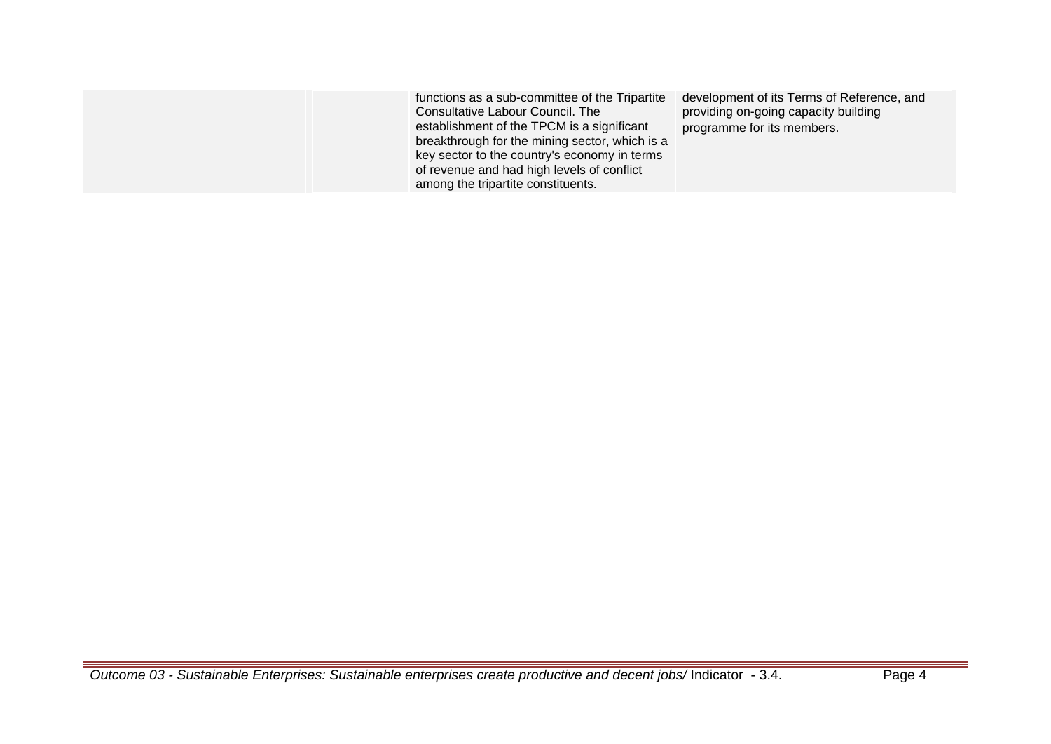| functions as a sub-committee of the Tripartite<br>Consultative Labour Council. The<br>establishment of the TPCM is a significant<br>breakthrough for the mining sector, which is a<br>key sector to the country's economy in terms<br>of revenue and had high levels of conflict | development of its Terms of Reference, and<br>providing on-going capacity building<br>programme for its members. |
|----------------------------------------------------------------------------------------------------------------------------------------------------------------------------------------------------------------------------------------------------------------------------------|------------------------------------------------------------------------------------------------------------------|
| among the tripartite constituents.                                                                                                                                                                                                                                               |                                                                                                                  |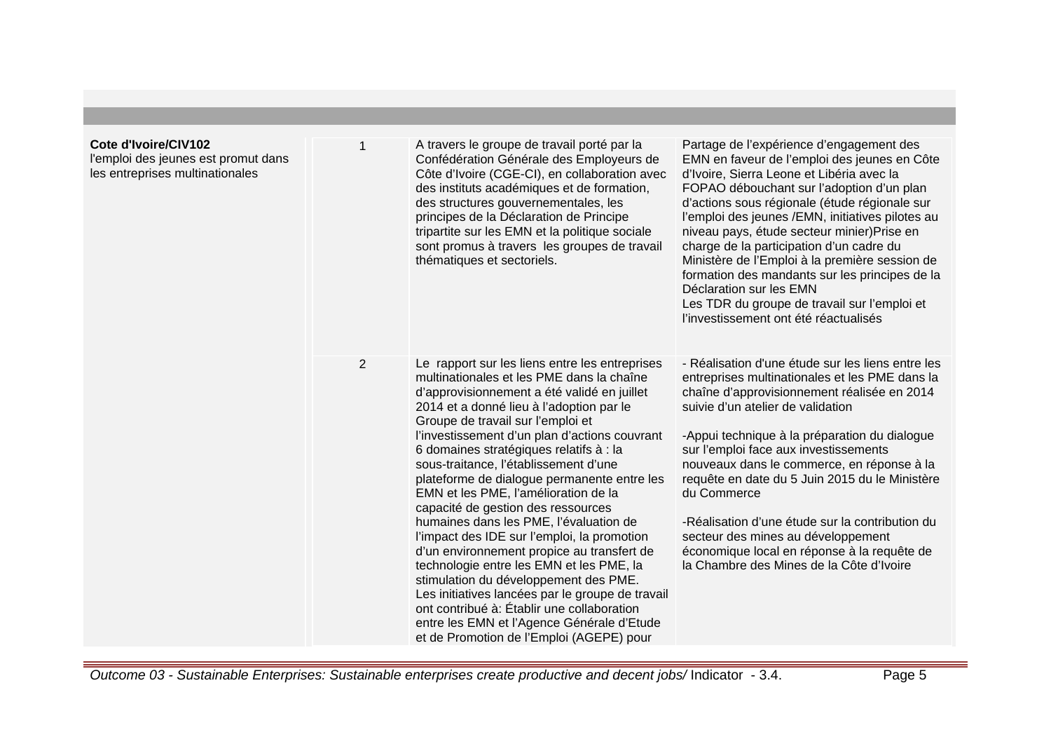| Cote d'Ivoire/CIV102                                                   | 1              | A travers le groupe de travail porté par la                                                                                                                                                                                                                                                                                                                                                                                                                                                                                                                                                                                                                                                                                                                                                                                                                                                                           | Partage de l'expérience d'engagement des                                                                                                                                                                                                                                                                                                                                                                                                                                                                                                                                             |
|------------------------------------------------------------------------|----------------|-----------------------------------------------------------------------------------------------------------------------------------------------------------------------------------------------------------------------------------------------------------------------------------------------------------------------------------------------------------------------------------------------------------------------------------------------------------------------------------------------------------------------------------------------------------------------------------------------------------------------------------------------------------------------------------------------------------------------------------------------------------------------------------------------------------------------------------------------------------------------------------------------------------------------|--------------------------------------------------------------------------------------------------------------------------------------------------------------------------------------------------------------------------------------------------------------------------------------------------------------------------------------------------------------------------------------------------------------------------------------------------------------------------------------------------------------------------------------------------------------------------------------|
| l'emploi des jeunes est promut dans<br>les entreprises multinationales |                | Confédération Générale des Employeurs de<br>Côte d'Ivoire (CGE-CI), en collaboration avec<br>des instituts académiques et de formation,<br>des structures gouvernementales, les<br>principes de la Déclaration de Principe<br>tripartite sur les EMN et la politique sociale<br>sont promus à travers les groupes de travail<br>thématiques et sectoriels.                                                                                                                                                                                                                                                                                                                                                                                                                                                                                                                                                            | EMN en faveur de l'emploi des jeunes en Côte<br>d'Ivoire, Sierra Leone et Libéria avec la<br>FOPAO débouchant sur l'adoption d'un plan<br>d'actions sous régionale (étude régionale sur<br>l'emploi des jeunes /EMN, initiatives pilotes au<br>niveau pays, étude secteur minier)Prise en<br>charge de la participation d'un cadre du<br>Ministère de l'Emploi à la première session de<br>formation des mandants sur les principes de la<br>Déclaration sur les EMN<br>Les TDR du groupe de travail sur l'emploi et<br>l'investissement ont été réactualisés                        |
|                                                                        | $\overline{2}$ | Le rapport sur les liens entre les entreprises<br>multinationales et les PME dans la chaîne<br>d'approvisionnement a été validé en juillet<br>2014 et a donné lieu à l'adoption par le<br>Groupe de travail sur l'emploi et<br>l'investissement d'un plan d'actions couvrant<br>6 domaines stratégiques relatifs à : la<br>sous-traitance, l'établissement d'une<br>plateforme de dialogue permanente entre les<br>EMN et les PME, l'amélioration de la<br>capacité de gestion des ressources<br>humaines dans les PME, l'évaluation de<br>l'impact des IDE sur l'emploi, la promotion<br>d'un environnement propice au transfert de<br>technologie entre les EMN et les PME, la<br>stimulation du développement des PME.<br>Les initiatives lancées par le groupe de travail<br>ont contribué à: Établir une collaboration<br>entre les EMN et l'Agence Générale d'Etude<br>et de Promotion de l'Emploi (AGEPE) pour | - Réalisation d'une étude sur les liens entre les<br>entreprises multinationales et les PME dans la<br>chaîne d'approvisionnement réalisée en 2014<br>suivie d'un atelier de validation<br>-Appui technique à la préparation du dialogue<br>sur l'emploi face aux investissements<br>nouveaux dans le commerce, en réponse à la<br>requête en date du 5 Juin 2015 du le Ministère<br>du Commerce<br>-Réalisation d'une étude sur la contribution du<br>secteur des mines au développement<br>économique local en réponse à la requête de<br>la Chambre des Mines de la Côte d'Ivoire |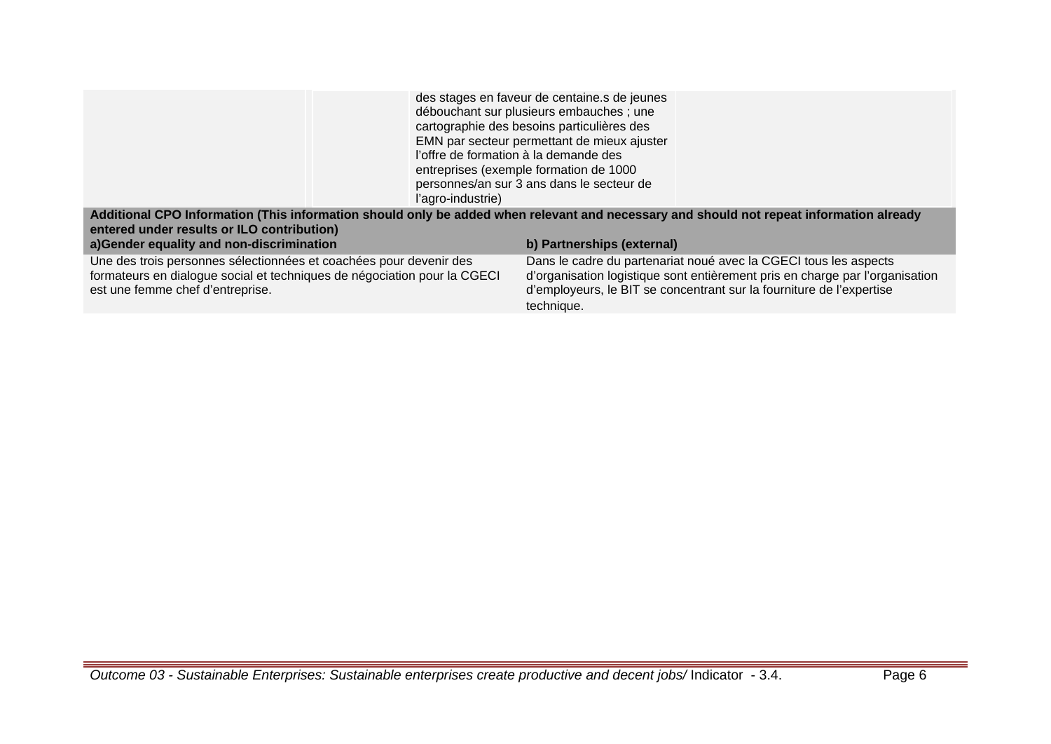| l'agro-industrie)<br>Additional CPO Information (This information should only be added when relevant and necessary and should not repeat information already                       | des stages en faveur de centaine s de jeunes<br>débouchant sur plusieurs embauches ; une<br>cartographie des besoins particulières des<br>EMN par secteur permettant de mieux ajuster<br>l'offre de formation à la demande des<br>entreprises (exemple formation de 1000<br>personnes/an sur 3 ans dans le secteur de |
|------------------------------------------------------------------------------------------------------------------------------------------------------------------------------------|-----------------------------------------------------------------------------------------------------------------------------------------------------------------------------------------------------------------------------------------------------------------------------------------------------------------------|
| entered under results or ILO contribution)                                                                                                                                         |                                                                                                                                                                                                                                                                                                                       |
| a)Gender equality and non-discrimination                                                                                                                                           | b) Partnerships (external)                                                                                                                                                                                                                                                                                            |
| Une des trois personnes sélectionnées et coachées pour devenir des<br>formateurs en dialogue social et techniques de négociation pour la CGECI<br>est une femme chef d'entreprise. | Dans le cadre du partenariat noué avec la CGECI tous les aspects<br>d'organisation logistique sont entièrement pris en charge par l'organisation<br>d'employeurs, le BIT se concentrant sur la fourniture de l'expertise<br>technique.                                                                                |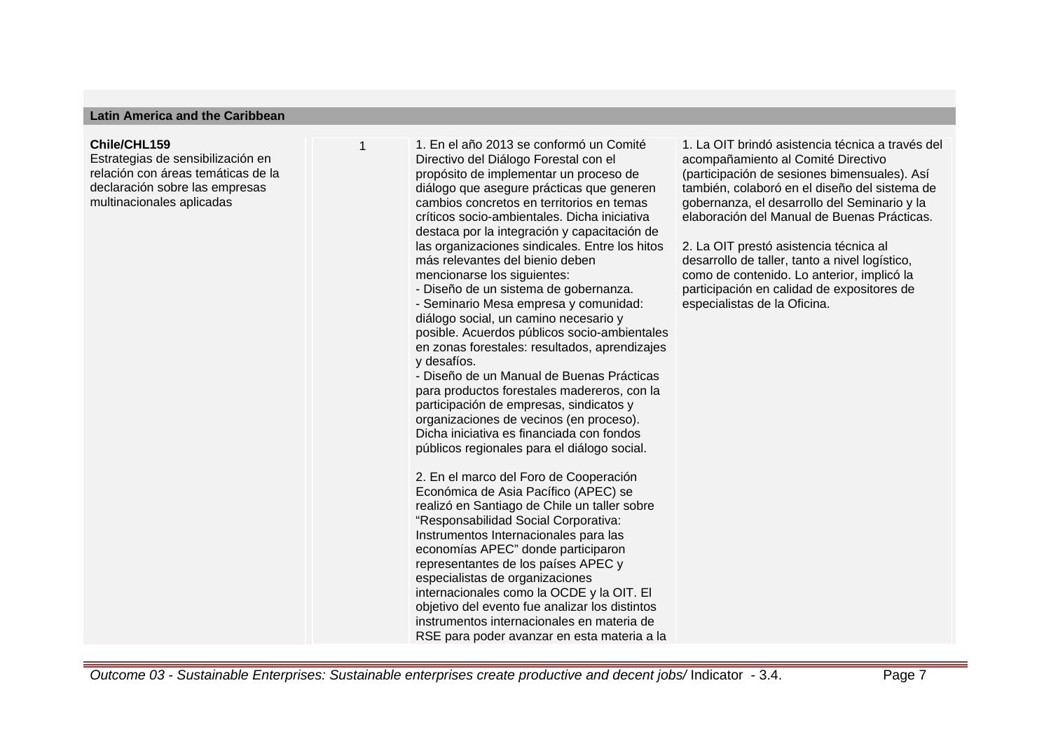### **Latin America and the Caribbean**

#### **Chile/CHL159**

Estrategias de sensibilización en relación con áreas temáticas de la declaración sobre las empresas multinacionales aplicadas

1 1. En el año 2013 se conformó un Comité Directivo del Diálogo Forestal con el propósito de implementar un proceso de diálogo que asegure prácticas que generen cambios concretos en territorios en temas críticos socio-ambientales. Dicha iniciativa destaca por la integración y capacitación de las organizaciones sindicales. Entre los hitos más relevantes del bienio deben mencionarse los siguientes: - Diseño de un sistema de gobernanza. - Seminario Mesa empresa y comunidad: diálogo social, un camino necesario y

posible. Acuerdos públicos socio-ambientales en zonas forestales: resultados, aprendizajes y desafíos.

- Diseño de un Manual de Buenas Prácticas para productos forestales madereros, con la participación de empresas, sindicatos y organizaciones de vecinos (en proceso). Dicha iniciativa es financiada con fondos públicos regionales para el diálogo social.

2. En el marco del Foro de Cooperación Económica de Asia Pacífico (APEC) se realizó en Santiago de Chile un taller sobre "Responsabilidad Social Corporativa: Instrumentos Internacionales para las economías APEC" donde participaron representantes de los países APEC y especialistas de organizaciones internacionales como la OCDE y la OIT. El objetivo del evento fue analizar los distintos instrumentos internacionales en materia de RSE para poder avanzar en esta materia a la 1. La OIT brindó asistencia técnica a través del acompañamiento al Comité Directivo (participación de sesiones bimensuales). Así también, colaboró en el diseño del sistema de gobernanza, el desarrollo del Seminario y la elaboración del Manual de Buenas Prácticas.

2. La OIT prestó asistencia técnica al desarrollo de taller, tanto a nivel logístico, como de contenido. Lo anterior, implicó la participación en calidad de expositores de especialistas de la Oficina.